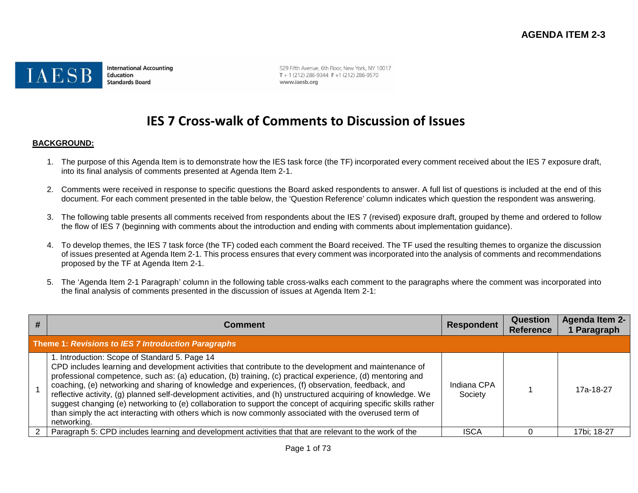

**International Accounting** Education **Standards Board** 

529 Fifth Avenue, 6th Floor, New York, NY 10017  $T + 1(212) 286 - 9344$  F + 1 (212) 286-9570 www.iaesb.org

# **IES 7 Cross-walk of Comments to Discussion of Issues**

#### **BACKGROUND:**

- 1. The purpose of this Agenda Item is to demonstrate how the IES task force (the TF) incorporated every comment received about the IES 7 exposure draft, into its final analysis of comments presented at Agenda Item 2-1.
- 2. Comments were received in response to specific questions the Board asked respondents to answer. A full list of questions is included at the end of this document. For each comment presented in the table below, the 'Question Reference' column indicates which question the respondent was answering.
- 3. The following table presents all comments received from respondents about the IES 7 (revised) exposure draft, grouped by theme and ordered to follow the flow of IES 7 (beginning with comments about the introduction and ending with comments about implementation guidance).
- 4. To develop themes, the IES 7 task force (the TF) coded each comment the Board received. The TF used the resulting themes to organize the discussion of issues presented at Agenda Item 2-1. This process ensures that every comment was incorporated into the analysis of comments and recommendations proposed by the TF at Agenda Item 2-1.
- 5. The 'Agenda Item 2-1 Paragraph' column in the following table cross-walks each comment to the paragraphs where the comment was incorporated into the final analysis of comments presented in the discussion of issues at Agenda Item 2-1:

| Comment                                                                                                                                                                                                                                                                                                                                                                                                                                                                                                                                                                                                                                                                                                                                 | <b>Respondent</b>      | <b>Question</b><br><b>Reference</b> | Agenda Item 2-<br>Paragraph |  |  |  |
|-----------------------------------------------------------------------------------------------------------------------------------------------------------------------------------------------------------------------------------------------------------------------------------------------------------------------------------------------------------------------------------------------------------------------------------------------------------------------------------------------------------------------------------------------------------------------------------------------------------------------------------------------------------------------------------------------------------------------------------------|------------------------|-------------------------------------|-----------------------------|--|--|--|
| Theme 1: Revisions to IES 7 Introduction Paragraphs                                                                                                                                                                                                                                                                                                                                                                                                                                                                                                                                                                                                                                                                                     |                        |                                     |                             |  |  |  |
| 1. Introduction: Scope of Standard 5. Page 14<br>CPD includes learning and development activities that contribute to the development and maintenance of<br>professional competence, such as: (a) education, (b) training, (c) practical experience, (d) mentoring and<br>coaching, (e) networking and sharing of knowledge and experiences, (f) observation, feedback, and<br>reflective activity, (g) planned self-development activities, and (h) unstructured acquiring of knowledge. We<br>suggest changing (e) networking to (e) collaboration to support the concept of acquiring specific skills rather<br>than simply the act interacting with others which is now commonly associated with the overused term of<br>networking. | Indiana CPA<br>Society |                                     | 17a-18-27                   |  |  |  |
| Paragraph 5: CPD includes learning and development activities that that are relevant to the work of the                                                                                                                                                                                                                                                                                                                                                                                                                                                                                                                                                                                                                                 | <b>ISCA</b>            |                                     | 17bi; 18-27                 |  |  |  |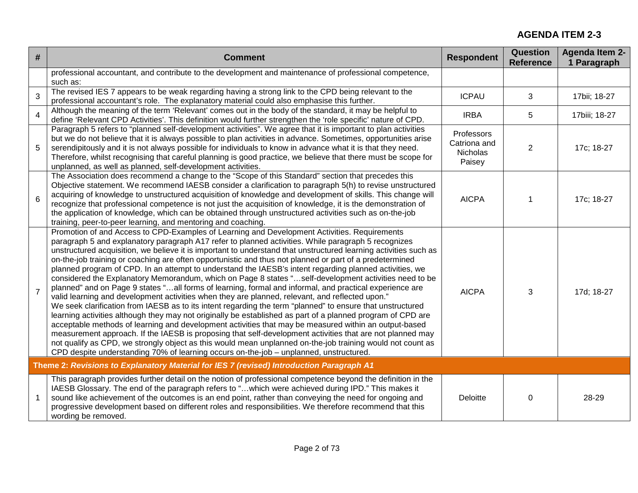| #              | <b>Comment</b>                                                                                                                                                                                                                                                                                                                                                                                                                                                                                                                                                                                                                                                                                                                                                                                                                                                                                                                                                                                                                                                                                                                                                                                                                                                                                                                                                                                                                                                                                                                  | <b>Respondent</b>                                | <b>Question</b><br><b>Reference</b> | Agenda Item 2-<br>1 Paragraph |  |  |
|----------------|---------------------------------------------------------------------------------------------------------------------------------------------------------------------------------------------------------------------------------------------------------------------------------------------------------------------------------------------------------------------------------------------------------------------------------------------------------------------------------------------------------------------------------------------------------------------------------------------------------------------------------------------------------------------------------------------------------------------------------------------------------------------------------------------------------------------------------------------------------------------------------------------------------------------------------------------------------------------------------------------------------------------------------------------------------------------------------------------------------------------------------------------------------------------------------------------------------------------------------------------------------------------------------------------------------------------------------------------------------------------------------------------------------------------------------------------------------------------------------------------------------------------------------|--------------------------------------------------|-------------------------------------|-------------------------------|--|--|
|                | professional accountant, and contribute to the development and maintenance of professional competence,<br>such as:                                                                                                                                                                                                                                                                                                                                                                                                                                                                                                                                                                                                                                                                                                                                                                                                                                                                                                                                                                                                                                                                                                                                                                                                                                                                                                                                                                                                              |                                                  |                                     |                               |  |  |
| 3              | The revised IES 7 appears to be weak regarding having a strong link to the CPD being relevant to the<br>professional accountant's role. The explanatory material could also emphasise this further.                                                                                                                                                                                                                                                                                                                                                                                                                                                                                                                                                                                                                                                                                                                                                                                                                                                                                                                                                                                                                                                                                                                                                                                                                                                                                                                             | <b>ICPAU</b>                                     | 3                                   | 17bii; 18-27                  |  |  |
| $\overline{4}$ | Although the meaning of the term 'Relevant' comes out in the body of the standard, it may be helpful to<br>define 'Relevant CPD Activities'. This definition would further strengthen the 'role specific' nature of CPD.                                                                                                                                                                                                                                                                                                                                                                                                                                                                                                                                                                                                                                                                                                                                                                                                                                                                                                                                                                                                                                                                                                                                                                                                                                                                                                        | <b>IRBA</b>                                      | 5                                   | 17biii; 18-27                 |  |  |
| 5              | Paragraph 5 refers to "planned self-development activities". We agree that it is important to plan activities<br>but we do not believe that it is always possible to plan activities in advance. Sometimes, opportunities arise<br>serendipitously and it is not always possible for individuals to know in advance what it is that they need.<br>Therefore, whilst recognising that careful planning is good practice, we believe that there must be scope for<br>unplanned, as well as planned, self-development activities.                                                                                                                                                                                                                                                                                                                                                                                                                                                                                                                                                                                                                                                                                                                                                                                                                                                                                                                                                                                                  | Professors<br>Catriona and<br>Nicholas<br>Paisey | $\mathbf{2}$                        | 17c; 18-27                    |  |  |
| 6              | The Association does recommend a change to the "Scope of this Standard" section that precedes this<br>Objective statement. We recommend IAESB consider a clarification to paragraph 5(h) to revise unstructured<br>acquiring of knowledge to unstructured acquisition of knowledge and development of skills. This change will<br>recognize that professional competence is not just the acquisition of knowledge, it is the demonstration of<br>the application of knowledge, which can be obtained through unstructured activities such as on-the-job<br>training, peer-to-peer learning, and mentoring and coaching.                                                                                                                                                                                                                                                                                                                                                                                                                                                                                                                                                                                                                                                                                                                                                                                                                                                                                                         | <b>AICPA</b>                                     |                                     | 17c; 18-27                    |  |  |
| $\overline{7}$ | Promotion of and Access to CPD-Examples of Learning and Development Activities. Requirements<br>paragraph 5 and explanatory paragraph A17 refer to planned activities. While paragraph 5 recognizes<br>unstructured acquisition, we believe it is important to understand that unstructured learning activities such as<br>on-the-job training or coaching are often opportunistic and thus not planned or part of a predetermined<br>planned program of CPD. In an attempt to understand the IAESB's intent regarding planned activities, we<br>considered the Explanatory Memorandum, which on Page 8 states "self-development activities need to be<br>planned" and on Page 9 states "all forms of learning, formal and informal, and practical experience are<br>valid learning and development activities when they are planned, relevant, and reflected upon."<br>We seek clarification from IAESB as to its intent regarding the term "planned" to ensure that unstructured<br>learning activities although they may not originally be established as part of a planned program of CPD are<br>acceptable methods of learning and development activities that may be measured within an output-based<br>measurement approach. If the IAESB is proposing that self-development activities that are not planned may<br>not qualify as CPD, we strongly object as this would mean unplanned on-the-job training would not count as<br>CPD despite understanding 70% of learning occurs on-the-job – unplanned, unstructured. | <b>AICPA</b>                                     | 3                                   | 17d; 18-27                    |  |  |
|                | Theme 2: Revisions to Explanatory Material for IES 7 (revised) Introduction Paragraph A1                                                                                                                                                                                                                                                                                                                                                                                                                                                                                                                                                                                                                                                                                                                                                                                                                                                                                                                                                                                                                                                                                                                                                                                                                                                                                                                                                                                                                                        |                                                  |                                     |                               |  |  |
| 1              | This paragraph provides further detail on the notion of professional competence beyond the definition in the<br>IAESB Glossary. The end of the paragraph refers to "which were achieved during IPD." This makes it<br>sound like achievement of the outcomes is an end point, rather than conveying the need for ongoing and<br>progressive development based on different roles and responsibilities. We therefore recommend that this<br>wording be removed.                                                                                                                                                                                                                                                                                                                                                                                                                                                                                                                                                                                                                                                                                                                                                                                                                                                                                                                                                                                                                                                                  | Deloitte                                         | 0                                   | 28-29                         |  |  |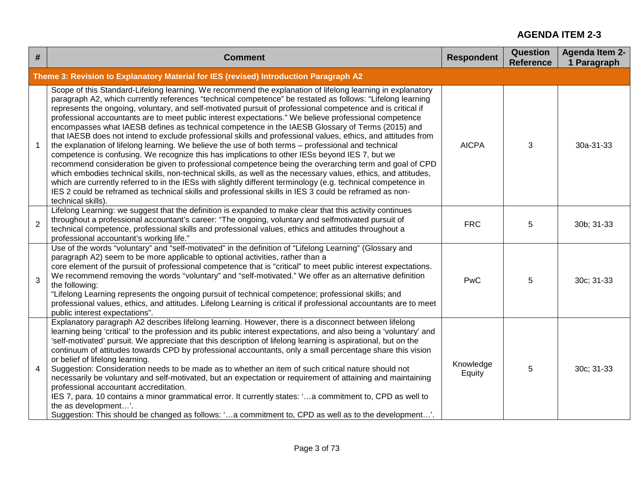| #              | <b>Comment</b>                                                                                                                                                                                                                                                                                                                                                                                                                                                                                                                                                                                                                                                                                                                                                                                                                                                                                                                                                                                                                                                                                                                                                                                                                                                                                                                                               | <b>Respondent</b>   | <b>Question</b><br><b>Reference</b> | <b>Agenda Item 2-</b><br>1 Paragraph |
|----------------|--------------------------------------------------------------------------------------------------------------------------------------------------------------------------------------------------------------------------------------------------------------------------------------------------------------------------------------------------------------------------------------------------------------------------------------------------------------------------------------------------------------------------------------------------------------------------------------------------------------------------------------------------------------------------------------------------------------------------------------------------------------------------------------------------------------------------------------------------------------------------------------------------------------------------------------------------------------------------------------------------------------------------------------------------------------------------------------------------------------------------------------------------------------------------------------------------------------------------------------------------------------------------------------------------------------------------------------------------------------|---------------------|-------------------------------------|--------------------------------------|
|                | Theme 3: Revision to Explanatory Material for IES (revised) Introduction Paragraph A2                                                                                                                                                                                                                                                                                                                                                                                                                                                                                                                                                                                                                                                                                                                                                                                                                                                                                                                                                                                                                                                                                                                                                                                                                                                                        |                     |                                     |                                      |
| $\overline{1}$ | Scope of this Standard-Lifelong learning. We recommend the explanation of lifelong learning in explanatory<br>paragraph A2, which currently references "technical competence" be restated as follows: "Lifelong learning<br>represents the ongoing, voluntary, and self-motivated pursuit of professional competence and is critical if<br>professional accountants are to meet public interest expectations." We believe professional competence<br>encompasses what IAESB defines as technical competence in the IAESB Glossary of Terms (2015) and<br>that IAESB does not intend to exclude professional skills and professional values, ethics, and attitudes from<br>the explanation of lifelong learning. We believe the use of both terms - professional and technical<br>competence is confusing. We recognize this has implications to other IESs beyond IES 7, but we<br>recommend consideration be given to professional competence being the overarching term and goal of CPD<br>which embodies technical skills, non-technical skills, as well as the necessary values, ethics, and attitudes,<br>which are currently referred to in the IESs with slightly different terminology (e.g. technical competence in<br>IES 2 could be reframed as technical skills and professional skills in IES 3 could be reframed as non-<br>technical skills). | <b>AICPA</b>        | 3                                   | 30a-31-33                            |
| 2              | Lifelong Learning: we suggest that the definition is expanded to make clear that this activity continues<br>throughout a professional accountant's career: "The ongoing, voluntary and selfmotivated pursuit of<br>technical competence, professional skills and professional values, ethics and attitudes throughout a<br>professional accountant's working life."                                                                                                                                                                                                                                                                                                                                                                                                                                                                                                                                                                                                                                                                                                                                                                                                                                                                                                                                                                                          | <b>FRC</b>          | 5                                   | 30b; 31-33                           |
| 3              | Use of the words "voluntary" and "self-motivated" in the definition of "Lifelong Learning" (Glossary and<br>paragraph A2) seem to be more applicable to optional activities, rather than a<br>core element of the pursuit of professional competence that is "critical" to meet public interest expectations.<br>We recommend removing the words "voluntary" and "self-motivated." We offer as an alternative definition<br>the following:<br>"Lifelong Learning represents the ongoing pursuit of technical competence; professional skills; and<br>professional values, ethics, and attitudes. Lifelong Learning is critical if professional accountants are to meet<br>public interest expectations".                                                                                                                                                                                                                                                                                                                                                                                                                                                                                                                                                                                                                                                     | <b>PwC</b>          | 5                                   | 30c; 31-33                           |
| 4              | Explanatory paragraph A2 describes lifelong learning. However, there is a disconnect between lifelong<br>learning being 'critical' to the profession and its public interest expectations, and also being a 'voluntary' and<br>'self-motivated' pursuit. We appreciate that this description of lifelong learning is aspirational, but on the<br>continuum of attitudes towards CPD by professional accountants, only a small percentage share this vision<br>or belief of lifelong learning.<br>Suggestion: Consideration needs to be made as to whether an item of such critical nature should not<br>necessarily be voluntary and self-motivated, but an expectation or requirement of attaining and maintaining<br>professional accountant accreditation.<br>IES 7, para. 10 contains a minor grammatical error. It currently states: 'a commitment to, CPD as well to<br>the as development'.<br>Suggestion: This should be changed as follows: 'a commitment to, CPD as well as to the development'.                                                                                                                                                                                                                                                                                                                                                   | Knowledge<br>Equity | 5                                   | 30c; 31-33                           |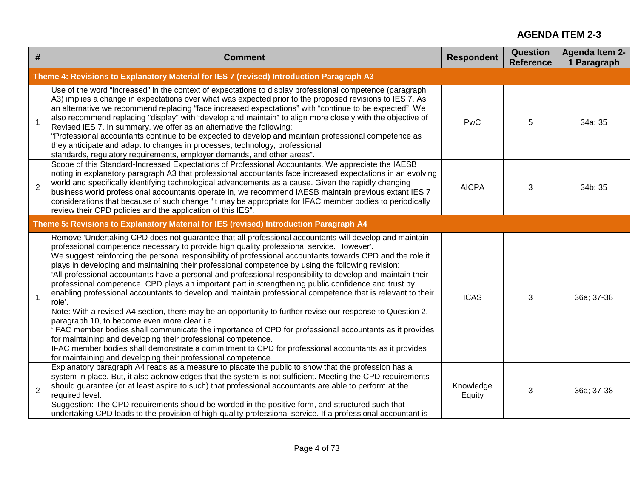| #              | <b>Comment</b>                                                                                                                                                                                                                                                                                                                                                                                                                                                                                                                                                                                                                                                                                                                                                                                                                                                                                                                                                                                                                                                                                                                                                                                                                                                                             | <b>Respondent</b>   | <b>Question</b><br><b>Reference</b> | <b>Agenda Item 2-</b><br>1 Paragraph |
|----------------|--------------------------------------------------------------------------------------------------------------------------------------------------------------------------------------------------------------------------------------------------------------------------------------------------------------------------------------------------------------------------------------------------------------------------------------------------------------------------------------------------------------------------------------------------------------------------------------------------------------------------------------------------------------------------------------------------------------------------------------------------------------------------------------------------------------------------------------------------------------------------------------------------------------------------------------------------------------------------------------------------------------------------------------------------------------------------------------------------------------------------------------------------------------------------------------------------------------------------------------------------------------------------------------------|---------------------|-------------------------------------|--------------------------------------|
|                | Theme 4: Revisions to Explanatory Material for IES 7 (revised) Introduction Paragraph A3                                                                                                                                                                                                                                                                                                                                                                                                                                                                                                                                                                                                                                                                                                                                                                                                                                                                                                                                                                                                                                                                                                                                                                                                   |                     |                                     |                                      |
| $\mathbf{1}$   | Use of the word "increased" in the context of expectations to display professional competence (paragraph<br>A3) implies a change in expectations over what was expected prior to the proposed revisions to IES 7. As<br>an alternative we recommend replacing "face increased expectations" with "continue to be expected". We<br>also recommend replacing "display" with "develop and maintain" to align more closely with the objective of<br>Revised IES 7. In summary, we offer as an alternative the following:<br>"Professional accountants continue to be expected to develop and maintain professional competence as<br>they anticipate and adapt to changes in processes, technology, professional<br>standards, regulatory requirements, employer demands, and other areas".                                                                                                                                                                                                                                                                                                                                                                                                                                                                                                     | PwC                 | 5                                   | 34a; 35                              |
| $\overline{2}$ | Scope of this Standard-Increased Expectations of Professional Accountants. We appreciate the IAESB<br>noting in explanatory paragraph A3 that professional accountants face increased expectations in an evolving<br>world and specifically identifying technological advancements as a cause. Given the rapidly changing<br>business world professional accountants operate in, we recommend IAESB maintain previous extant IES 7<br>considerations that because of such change "it may be appropriate for IFAC member bodies to periodically<br>review their CPD policies and the application of this IES".                                                                                                                                                                                                                                                                                                                                                                                                                                                                                                                                                                                                                                                                              | <b>AICPA</b>        | 3                                   | 34b: 35                              |
|                | Theme 5: Revisions to Explanatory Material for IES (revised) Introduction Paragraph A4                                                                                                                                                                                                                                                                                                                                                                                                                                                                                                                                                                                                                                                                                                                                                                                                                                                                                                                                                                                                                                                                                                                                                                                                     |                     |                                     |                                      |
| $\mathbf{1}$   | Remove 'Undertaking CPD does not guarantee that all professional accountants will develop and maintain<br>professional competence necessary to provide high quality professional service. However'.<br>We suggest reinforcing the personal responsibility of professional accountants towards CPD and the role it<br>plays in developing and maintaining their professional competence by using the following revision:<br>'All professional accountants have a personal and professional responsibility to develop and maintain their<br>professional competence. CPD plays an important part in strengthening public confidence and trust by<br>enabling professional accountants to develop and maintain professional competence that is relevant to their<br>role'.<br>Note: With a revised A4 section, there may be an opportunity to further revise our response to Question 2,<br>paragraph 10, to become even more clear i.e.<br>'IFAC member bodies shall communicate the importance of CPD for professional accountants as it provides<br>for maintaining and developing their professional competence.<br>IFAC member bodies shall demonstrate a commitment to CPD for professional accountants as it provides<br>for maintaining and developing their professional competence. | <b>ICAS</b>         | 3                                   | 36a; 37-38                           |
| $\overline{2}$ | Explanatory paragraph A4 reads as a measure to placate the public to show that the profession has a<br>system in place. But, it also acknowledges that the system is not sufficient. Meeting the CPD requirements<br>should guarantee (or at least aspire to such) that professional accountants are able to perform at the<br>required level.<br>Suggestion: The CPD requirements should be worded in the positive form, and structured such that<br>undertaking CPD leads to the provision of high-quality professional service. If a professional accountant is                                                                                                                                                                                                                                                                                                                                                                                                                                                                                                                                                                                                                                                                                                                         | Knowledge<br>Equity | 3                                   | 36a; 37-38                           |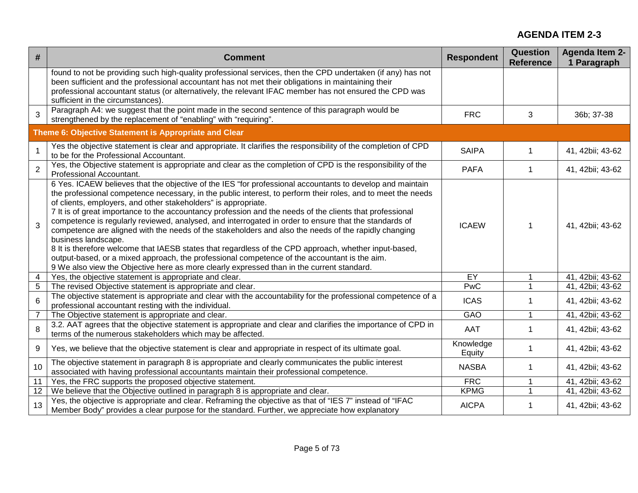| #              | <b>Comment</b>                                                                                                                                                                                                                                                                                                                                                                                                                                                                                                                                                                                                                                                                                                                                                                                                                                                                                                                                        | <b>Respondent</b>   | Question<br><b>Reference</b> | <b>Agenda Item 2-</b><br>1 Paragraph |
|----------------|-------------------------------------------------------------------------------------------------------------------------------------------------------------------------------------------------------------------------------------------------------------------------------------------------------------------------------------------------------------------------------------------------------------------------------------------------------------------------------------------------------------------------------------------------------------------------------------------------------------------------------------------------------------------------------------------------------------------------------------------------------------------------------------------------------------------------------------------------------------------------------------------------------------------------------------------------------|---------------------|------------------------------|--------------------------------------|
|                | found to not be providing such high-quality professional services, then the CPD undertaken (if any) has not<br>been sufficient and the professional accountant has not met their obligations in maintaining their<br>professional accountant status (or alternatively, the relevant IFAC member has not ensured the CPD was<br>sufficient in the circumstances)                                                                                                                                                                                                                                                                                                                                                                                                                                                                                                                                                                                       |                     |                              |                                      |
| 3              | Paragraph A4: we suggest that the point made in the second sentence of this paragraph would be<br>strengthened by the replacement of "enabling" with "requiring".                                                                                                                                                                                                                                                                                                                                                                                                                                                                                                                                                                                                                                                                                                                                                                                     | <b>FRC</b>          | 3                            | 36b; 37-38                           |
|                | Theme 6: Objective Statement is Appropriate and Clear                                                                                                                                                                                                                                                                                                                                                                                                                                                                                                                                                                                                                                                                                                                                                                                                                                                                                                 |                     |                              |                                      |
| $\mathbf{1}$   | Yes the objective statement is clear and appropriate. It clarifies the responsibility of the completion of CPD<br>to be for the Professional Accountant.                                                                                                                                                                                                                                                                                                                                                                                                                                                                                                                                                                                                                                                                                                                                                                                              | <b>SAIPA</b>        | $\mathbf{1}$                 | 41, 42bii; 43-62                     |
| $\overline{2}$ | Yes, the Objective statement is appropriate and clear as the completion of CPD is the responsibility of the<br>Professional Accountant.                                                                                                                                                                                                                                                                                                                                                                                                                                                                                                                                                                                                                                                                                                                                                                                                               | <b>PAFA</b>         | 1                            | 41, 42bii; 43-62                     |
| 3              | 6 Yes. ICAEW believes that the objective of the IES "for professional accountants to develop and maintain<br>the professional competence necessary, in the public interest, to perform their roles, and to meet the needs<br>of clients, employers, and other stakeholders" is appropriate.<br>7 It is of great importance to the accountancy profession and the needs of the clients that professional<br>competence is regularly reviewed, analysed, and interrogated in order to ensure that the standards of<br>competence are aligned with the needs of the stakeholders and also the needs of the rapidly changing<br>business landscape.<br>8 It is therefore welcome that IAESB states that regardless of the CPD approach, whether input-based,<br>output-based, or a mixed approach, the professional competence of the accountant is the aim.<br>9 We also view the Objective here as more clearly expressed than in the current standard. | <b>ICAEW</b>        | 1                            | 41, 42bii; 43-62                     |
| 4              | Yes, the objective statement is appropriate and clear.                                                                                                                                                                                                                                                                                                                                                                                                                                                                                                                                                                                                                                                                                                                                                                                                                                                                                                | EY                  |                              | 41, 42bii; 43-62                     |
| 5              | The revised Objective statement is appropriate and clear.                                                                                                                                                                                                                                                                                                                                                                                                                                                                                                                                                                                                                                                                                                                                                                                                                                                                                             | PwC                 |                              | 41, 42bii; 43-62                     |
| 6              | The objective statement is appropriate and clear with the accountability for the professional competence of a<br>professional accountant resting with the individual.                                                                                                                                                                                                                                                                                                                                                                                                                                                                                                                                                                                                                                                                                                                                                                                 | <b>ICAS</b>         | -1                           | 41, 42bii; 43-62                     |
| $\overline{7}$ | The Objective statement is appropriate and clear.                                                                                                                                                                                                                                                                                                                                                                                                                                                                                                                                                                                                                                                                                                                                                                                                                                                                                                     | GAO                 | $\overline{1}$               | 41, 42bii; 43-62                     |
| 8              | 3.2. AAT agrees that the objective statement is appropriate and clear and clarifies the importance of CPD in<br>terms of the numerous stakeholders which may be affected.                                                                                                                                                                                                                                                                                                                                                                                                                                                                                                                                                                                                                                                                                                                                                                             | <b>AAT</b>          |                              | 41, 42bii; 43-62                     |
| 9              | Yes, we believe that the objective statement is clear and appropriate in respect of its ultimate goal.                                                                                                                                                                                                                                                                                                                                                                                                                                                                                                                                                                                                                                                                                                                                                                                                                                                | Knowledge<br>Equity |                              | 41, 42bii; 43-62                     |
| 10             | The objective statement in paragraph 8 is appropriate and clearly communicates the public interest<br>associated with having professional accountants maintain their professional competence.                                                                                                                                                                                                                                                                                                                                                                                                                                                                                                                                                                                                                                                                                                                                                         | <b>NASBA</b>        | $\mathbf 1$                  | 41, 42bii; 43-62                     |
| 11             | Yes, the FRC supports the proposed objective statement.                                                                                                                                                                                                                                                                                                                                                                                                                                                                                                                                                                                                                                                                                                                                                                                                                                                                                               | <b>FRC</b>          | $\mathbf{1}$                 | 41, 42bii; 43-62                     |
| 12             | We believe that the Objective outlined in paragraph 8 is appropriate and clear.                                                                                                                                                                                                                                                                                                                                                                                                                                                                                                                                                                                                                                                                                                                                                                                                                                                                       | <b>KPMG</b>         | $\mathbf{1}$                 | 41, 42bii; 43-62                     |
| 13             | Yes, the objective is appropriate and clear. Reframing the objective as that of "IES 7" instead of "IFAC<br>Member Body" provides a clear purpose for the standard. Further, we appreciate how explanatory                                                                                                                                                                                                                                                                                                                                                                                                                                                                                                                                                                                                                                                                                                                                            | <b>AICPA</b>        | 1                            | 41, 42bii; 43-62                     |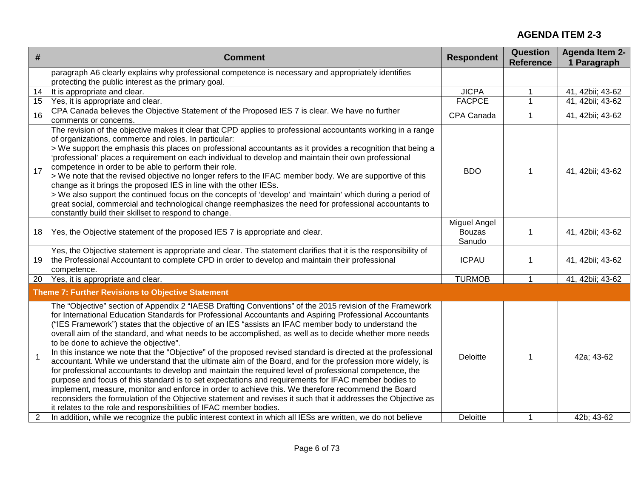| #              | <b>Comment</b>                                                                                                                                                                                                                                                                                                                                                                                                                                                                                                                                                                                                                                                                                                                                                                                                                                                                                                                                                                                                                                                                                                                                                                                                                   | <b>Respondent</b>                       | <b>Question</b><br><b>Reference</b> | <b>Agenda Item 2-</b><br>1 Paragraph |
|----------------|----------------------------------------------------------------------------------------------------------------------------------------------------------------------------------------------------------------------------------------------------------------------------------------------------------------------------------------------------------------------------------------------------------------------------------------------------------------------------------------------------------------------------------------------------------------------------------------------------------------------------------------------------------------------------------------------------------------------------------------------------------------------------------------------------------------------------------------------------------------------------------------------------------------------------------------------------------------------------------------------------------------------------------------------------------------------------------------------------------------------------------------------------------------------------------------------------------------------------------|-----------------------------------------|-------------------------------------|--------------------------------------|
|                | paragraph A6 clearly explains why professional competence is necessary and appropriately identifies<br>protecting the public interest as the primary goal.                                                                                                                                                                                                                                                                                                                                                                                                                                                                                                                                                                                                                                                                                                                                                                                                                                                                                                                                                                                                                                                                       |                                         |                                     |                                      |
| 14             | It is appropriate and clear.                                                                                                                                                                                                                                                                                                                                                                                                                                                                                                                                                                                                                                                                                                                                                                                                                                                                                                                                                                                                                                                                                                                                                                                                     | <b>JICPA</b>                            | $\mathbf{1}$                        | 41, 42bii; 43-62                     |
| 15             | Yes, it is appropriate and clear.                                                                                                                                                                                                                                                                                                                                                                                                                                                                                                                                                                                                                                                                                                                                                                                                                                                                                                                                                                                                                                                                                                                                                                                                | <b>FACPCE</b>                           | 1                                   | 41, 42bii; 43-62                     |
| 16             | CPA Canada believes the Objective Statement of the Proposed IES 7 is clear. We have no further<br>comments or concerns.                                                                                                                                                                                                                                                                                                                                                                                                                                                                                                                                                                                                                                                                                                                                                                                                                                                                                                                                                                                                                                                                                                          | CPA Canada                              | 1                                   | 41, 42bii; 43-62                     |
| 17             | The revision of the objective makes it clear that CPD applies to professional accountants working in a range<br>of organizations, commerce and roles. In particular:<br>> We support the emphasis this places on professional accountants as it provides a recognition that being a<br>'professional' places a requirement on each individual to develop and maintain their own professional<br>competence in order to be able to perform their role.<br>> We note that the revised objective no longer refers to the IFAC member body. We are supportive of this<br>change as it brings the proposed IES in line with the other IESs.<br>> We also support the continued focus on the concepts of 'develop' and 'maintain' which during a period of<br>great social, commercial and technological change reemphasizes the need for professional accountants to<br>constantly build their skillset to respond to change.                                                                                                                                                                                                                                                                                                         | <b>BDO</b>                              | 1                                   | 41, 42bii; 43-62                     |
| 18             | Yes, the Objective statement of the proposed IES 7 is appropriate and clear.                                                                                                                                                                                                                                                                                                                                                                                                                                                                                                                                                                                                                                                                                                                                                                                                                                                                                                                                                                                                                                                                                                                                                     | Miguel Angel<br><b>Bouzas</b><br>Sanudo | $\mathbf{1}$                        | 41, 42bii; 43-62                     |
| 19             | Yes, the Objective statement is appropriate and clear. The statement clarifies that it is the responsibility of<br>the Professional Accountant to complete CPD in order to develop and maintain their professional<br>competence.                                                                                                                                                                                                                                                                                                                                                                                                                                                                                                                                                                                                                                                                                                                                                                                                                                                                                                                                                                                                | <b>ICPAU</b>                            | 1                                   | 41, 42bii; 43-62                     |
| 20             | Yes, it is appropriate and clear.                                                                                                                                                                                                                                                                                                                                                                                                                                                                                                                                                                                                                                                                                                                                                                                                                                                                                                                                                                                                                                                                                                                                                                                                | <b>TURMOB</b>                           | $\mathbf{1}$                        | 41, 42bii; 43-62                     |
|                | <b>Theme 7: Further Revisions to Objective Statement</b>                                                                                                                                                                                                                                                                                                                                                                                                                                                                                                                                                                                                                                                                                                                                                                                                                                                                                                                                                                                                                                                                                                                                                                         |                                         |                                     |                                      |
| $\mathbf{1}$   | The "Objective" section of Appendix 2 "IAESB Drafting Conventions" of the 2015 revision of the Framework<br>for International Education Standards for Professional Accountants and Aspiring Professional Accountants<br>("IES Framework") states that the objective of an IES "assists an IFAC member body to understand the<br>overall aim of the standard, and what needs to be accomplished, as well as to decide whether more needs<br>to be done to achieve the objective".<br>In this instance we note that the "Objective" of the proposed revised standard is directed at the professional<br>accountant. While we understand that the ultimate aim of the Board, and for the profession more widely, is<br>for professional accountants to develop and maintain the required level of professional competence, the<br>purpose and focus of this standard is to set expectations and requirements for IFAC member bodies to<br>implement, measure, monitor and enforce in order to achieve this. We therefore recommend the Board<br>reconsiders the formulation of the Objective statement and revises it such that it addresses the Objective as<br>it relates to the role and responsibilities of IFAC member bodies. | Deloitte                                | 1                                   | 42a; 43-62                           |
| $\overline{2}$ | In addition, while we recognize the public interest context in which all IESs are written, we do not believe                                                                                                                                                                                                                                                                                                                                                                                                                                                                                                                                                                                                                                                                                                                                                                                                                                                                                                                                                                                                                                                                                                                     | <b>Deloitte</b>                         | 1                                   | 42b: 43-62                           |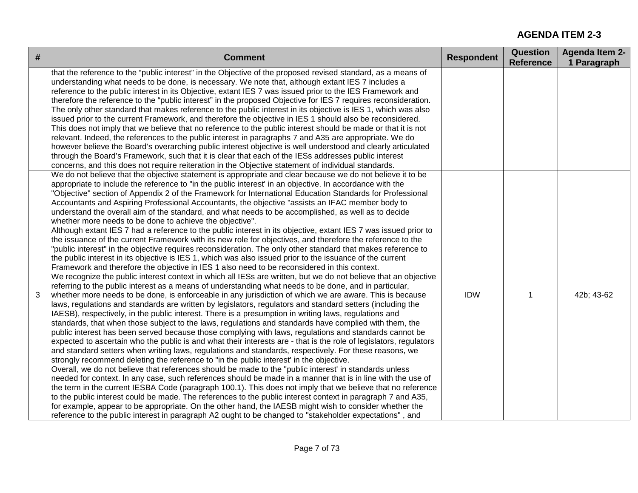| # | <b>Comment</b>                                                                                                                                                                                                                                                                                                                                                                                                                                                                                                                                                                                                                                                                                                                                                                                                                                                                                                                                                                                                                                                                                                                                                                                                                                                                                                                                                                                                                                                                                                                                                                                                                                                                                                                                                                                                                                                                                                                                                                                                                                                                                                                                                                                                                                                                                                                                                                                                                                                                                                                                                                                                                                                                                                                                                                                                                                                                                                                                                      | <b>Respondent</b> | <b>Question</b><br><b>Reference</b> | <b>Agenda Item 2-</b><br>1 Paragraph |
|---|---------------------------------------------------------------------------------------------------------------------------------------------------------------------------------------------------------------------------------------------------------------------------------------------------------------------------------------------------------------------------------------------------------------------------------------------------------------------------------------------------------------------------------------------------------------------------------------------------------------------------------------------------------------------------------------------------------------------------------------------------------------------------------------------------------------------------------------------------------------------------------------------------------------------------------------------------------------------------------------------------------------------------------------------------------------------------------------------------------------------------------------------------------------------------------------------------------------------------------------------------------------------------------------------------------------------------------------------------------------------------------------------------------------------------------------------------------------------------------------------------------------------------------------------------------------------------------------------------------------------------------------------------------------------------------------------------------------------------------------------------------------------------------------------------------------------------------------------------------------------------------------------------------------------------------------------------------------------------------------------------------------------------------------------------------------------------------------------------------------------------------------------------------------------------------------------------------------------------------------------------------------------------------------------------------------------------------------------------------------------------------------------------------------------------------------------------------------------------------------------------------------------------------------------------------------------------------------------------------------------------------------------------------------------------------------------------------------------------------------------------------------------------------------------------------------------------------------------------------------------------------------------------------------------------------------------------------------------|-------------------|-------------------------------------|--------------------------------------|
|   | that the reference to the "public interest" in the Objective of the proposed revised standard, as a means of<br>understanding what needs to be done, is necessary. We note that, although extant IES 7 includes a<br>reference to the public interest in its Objective, extant IES 7 was issued prior to the IES Framework and<br>therefore the reference to the "public interest" in the proposed Objective for IES 7 requires reconsideration.<br>The only other standard that makes reference to the public interest in its objective is IES 1, which was also<br>issued prior to the current Framework, and therefore the objective in IES 1 should also be reconsidered.<br>This does not imply that we believe that no reference to the public interest should be made or that it is not<br>relevant. Indeed, the references to the public interest in paragraphs 7 and A35 are appropriate. We do<br>however believe the Board's overarching public interest objective is well understood and clearly articulated<br>through the Board's Framework, such that it is clear that each of the IESs addresses public interest<br>concerns, and this does not require reiteration in the Objective statement of individual standards.                                                                                                                                                                                                                                                                                                                                                                                                                                                                                                                                                                                                                                                                                                                                                                                                                                                                                                                                                                                                                                                                                                                                                                                                                                                                                                                                                                                                                                                                                                                                                                                                                                                                                                                             |                   |                                     |                                      |
|   | We do not believe that the objective statement is appropriate and clear because we do not believe it to be<br>appropriate to include the reference to "in the public interest' in an objective. In accordance with the<br>"Objective" section of Appendix 2 of the Framework for International Education Standards for Professional<br>Accountants and Aspiring Professional Accountants, the objective "assists an IFAC member body to<br>understand the overall aim of the standard, and what needs to be accomplished, as well as to decide<br>whether more needs to be done to achieve the objective".<br>Although extant IES 7 had a reference to the public interest in its objective, extant IES 7 was issued prior to<br>the issuance of the current Framework with its new role for objectives, and therefore the reference to the<br>"public interest" in the objective requires reconsideration. The only other standard that makes reference to<br>the public interest in its objective is IES 1, which was also issued prior to the issuance of the current<br>Framework and therefore the objective in IES 1 also need to be reconsidered in this context.<br>We recognize the public interest context in which all IESs are written, but we do not believe that an objective<br>referring to the public interest as a means of understanding what needs to be done, and in particular,<br>whether more needs to be done, is enforceable in any jurisdiction of which we are aware. This is because<br>laws, regulations and standards are written by legislators, regulators and standard setters (including the<br>IAESB), respectively, in the public interest. There is a presumption in writing laws, regulations and<br>standards, that when those subject to the laws, regulations and standards have complied with them, the<br>public interest has been served because those complying with laws, regulations and standards cannot be<br>expected to ascertain who the public is and what their interests are - that is the role of legislators, regulators<br>and standard setters when writing laws, regulations and standards, respectively. For these reasons, we<br>strongly recommend deleting the reference to "in the public interest' in the objective.<br>Overall, we do not believe that references should be made to the "public interest' in standards unless<br>needed for context. In any case, such references should be made in a manner that is in line with the use of<br>the term in the current IESBA Code (paragraph 100.1). This does not imply that we believe that no reference<br>to the public interest could be made. The references to the public interest context in paragraph 7 and A35,<br>for example, appear to be appropriate. On the other hand, the IAESB might wish to consider whether the<br>reference to the public interest in paragraph A2 ought to be changed to "stakeholder expectations", and | <b>IDW</b>        |                                     | 42b; 43-62                           |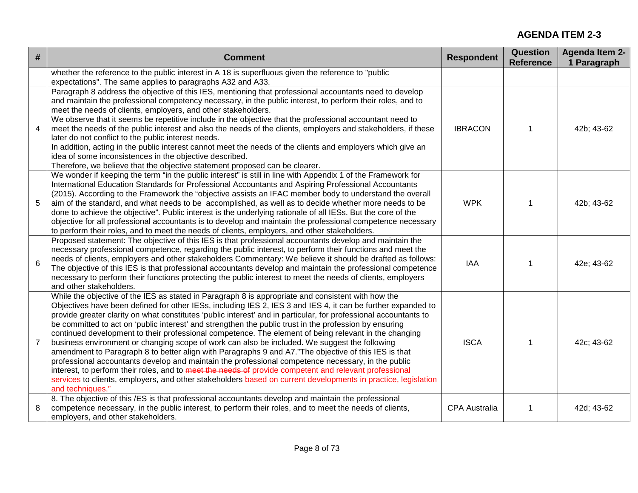| #              | <b>Comment</b>                                                                                                                                                                                                                                                                                                                                                                                                                                                                                                                                                                                                                                                                                                                                                                                                                                                                                                                                                                                                                                                                                                          | <b>Respondent</b>    | <b>Question</b><br><b>Reference</b> | <b>Agenda Item 2-</b><br>1 Paragraph |
|----------------|-------------------------------------------------------------------------------------------------------------------------------------------------------------------------------------------------------------------------------------------------------------------------------------------------------------------------------------------------------------------------------------------------------------------------------------------------------------------------------------------------------------------------------------------------------------------------------------------------------------------------------------------------------------------------------------------------------------------------------------------------------------------------------------------------------------------------------------------------------------------------------------------------------------------------------------------------------------------------------------------------------------------------------------------------------------------------------------------------------------------------|----------------------|-------------------------------------|--------------------------------------|
|                | whether the reference to the public interest in A 18 is superfluous given the reference to "public<br>expectations". The same applies to paragraphs A32 and A33.                                                                                                                                                                                                                                                                                                                                                                                                                                                                                                                                                                                                                                                                                                                                                                                                                                                                                                                                                        |                      |                                     |                                      |
| 4              | Paragraph 8 address the objective of this IES, mentioning that professional accountants need to develop<br>and maintain the professional competency necessary, in the public interest, to perform their roles, and to<br>meet the needs of clients, employers, and other stakeholders.<br>We observe that it seems be repetitive include in the objective that the professional accountant need to<br>meet the needs of the public interest and also the needs of the clients, employers and stakeholders, if these<br>later do not conflict to the public interest needs.<br>In addition, acting in the public interest cannot meet the needs of the clients and employers which give an<br>idea of some inconsistences in the objective described.<br>Therefore, we believe that the objective statement proposed can be clearer.                                                                                                                                                                                                                                                                                     | <b>IBRACON</b>       | 1                                   | 42b; 43-62                           |
| 5              | We wonder if keeping the term "in the public interest" is still in line with Appendix 1 of the Framework for<br>International Education Standards for Professional Accountants and Aspiring Professional Accountants<br>(2015). According to the Framework the "objective assists an IFAC member body to understand the overall<br>aim of the standard, and what needs to be accomplished, as well as to decide whether more needs to be<br>done to achieve the objective". Public interest is the underlying rationale of all IESs. But the core of the<br>objective for all professional accountants is to develop and maintain the professional competence necessary<br>to perform their roles, and to meet the needs of clients, employers, and other stakeholders.                                                                                                                                                                                                                                                                                                                                                 | <b>WPK</b>           |                                     | 42b; 43-62                           |
| 6              | Proposed statement: The objective of this IES is that professional accountants develop and maintain the<br>necessary professional competence, regarding the public interest, to perform their functions and meet the<br>needs of clients, employers and other stakeholders Commentary: We believe it should be drafted as follows:<br>The objective of this IES is that professional accountants develop and maintain the professional competence<br>necessary to perform their functions protecting the public interest to meet the needs of clients, employers<br>and other stakeholders.                                                                                                                                                                                                                                                                                                                                                                                                                                                                                                                             | IAA                  |                                     | 42e; 43-62                           |
| $\overline{7}$ | While the objective of the IES as stated in Paragraph 8 is appropriate and consistent with how the<br>Objectives have been defined for other IESs, including IES 2, IES 3 and IES 4, it can be further expanded to<br>provide greater clarity on what constitutes 'public interest' and in particular, for professional accountants to<br>be committed to act on 'public interest' and strengthen the public trust in the profession by ensuring<br>continued development to their professional competence. The element of being relevant in the changing<br>business environment or changing scope of work can also be included. We suggest the following<br>amendment to Paragraph 8 to better align with Paragraphs 9 and A7."The objective of this IES is that<br>professional accountants develop and maintain the professional competence necessary, in the public<br>interest, to perform their roles, and to meet the needs of provide competent and relevant professional<br>services to clients, employers, and other stakeholders based on current developments in practice, legislation<br>and techniques." | <b>ISCA</b>          | 1                                   | 42c; 43-62                           |
| 8              | 8. The objective of this /ES is that professional accountants develop and maintain the professional<br>competence necessary, in the public interest, to perform their roles, and to meet the needs of clients,<br>employers, and other stakeholders.                                                                                                                                                                                                                                                                                                                                                                                                                                                                                                                                                                                                                                                                                                                                                                                                                                                                    | <b>CPA Australia</b> | 1                                   | 42d; 43-62                           |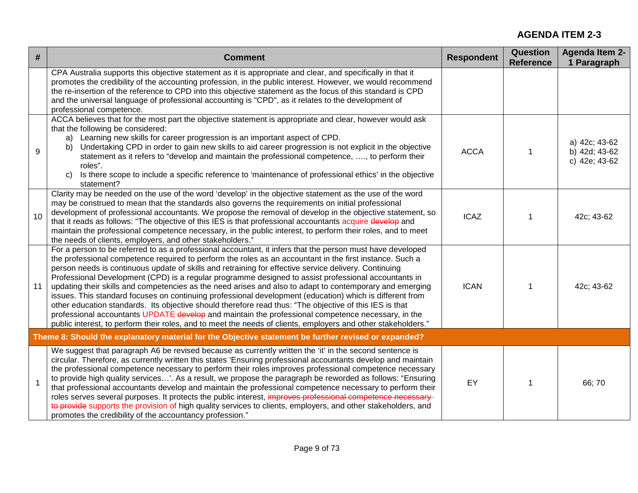| #  | <b>Comment</b>                                                                                                                                                                                                                                                                                                                                                                                                                                                                                                                                                                                                                                                                                                                                                                                                                                                                                                                                                                                    | <b>Respondent</b> | <b>Question</b><br><b>Reference</b> | <b>Agenda Item 2-</b><br>1 Paragraph            |
|----|---------------------------------------------------------------------------------------------------------------------------------------------------------------------------------------------------------------------------------------------------------------------------------------------------------------------------------------------------------------------------------------------------------------------------------------------------------------------------------------------------------------------------------------------------------------------------------------------------------------------------------------------------------------------------------------------------------------------------------------------------------------------------------------------------------------------------------------------------------------------------------------------------------------------------------------------------------------------------------------------------|-------------------|-------------------------------------|-------------------------------------------------|
|    | CPA Australia supports this objective statement as it is appropriate and clear, and specifically in that it<br>promotes the credibility of the accounting profession, in the public interest. However, we would recommend<br>the re-insertion of the reference to CPD into this objective statement as the focus of this standard is CPD<br>and the universal language of professional accounting is "CPD", as it relates to the development of<br>professional competence.                                                                                                                                                                                                                                                                                                                                                                                                                                                                                                                       |                   |                                     |                                                 |
| 9  | ACCA believes that for the most part the objective statement is appropriate and clear, however would ask<br>that the following be considered:<br>Learning new skills for career progression is an important aspect of CPD.<br>a)<br>Undertaking CPD in order to gain new skills to aid career progression is not explicit in the objective<br>b)<br>statement as it refers to "develop and maintain the professional competence, , to perform their<br>roles".<br>Is there scope to include a specific reference to 'maintenance of professional ethics' in the objective<br>C)<br>statement?                                                                                                                                                                                                                                                                                                                                                                                                     | <b>ACCA</b>       | $\mathbf 1$                         | a) 42c; 43-62<br>b) 42d; 43-62<br>c) 42e; 43-62 |
| 10 | Clarity may be needed on the use of the word 'develop' in the objective statement as the use of the word<br>may be construed to mean that the standards also governs the requirements on initial professional<br>development of professional accountants. We propose the removal of develop in the objective statement, so<br>that it reads as follows: "The objective of this IES is that professional accountants acquire develop and<br>maintain the professional competence necessary, in the public interest, to perform their roles, and to meet<br>the needs of clients, employers, and other stakeholders."                                                                                                                                                                                                                                                                                                                                                                               | <b>ICAZ</b>       |                                     | 42c; 43-62                                      |
| 11 | For a person to be referred to as a professional accountant, it infers that the person must have developed<br>the professional competence required to perform the roles as an accountant in the first instance. Such a<br>person needs is continuous update of skills and retraining for effective service delivery. Continuing<br>Professional Development (CPD) is a regular programme designed to assist professional accountants in<br>updating their skills and competencies as the need arises and also to adapt to contemporary and emerging<br>issues. This standard focuses on continuing professional development (education) which is different from<br>other education standards. Its objective should therefore read thus: "The objective of this IES is that<br>professional accountants UPDATE develop and maintain the professional competence necessary, in the<br>public interest, to perform their roles, and to meet the needs of clients, employers and other stakeholders." | <b>ICAN</b>       |                                     | 42c; 43-62                                      |
|    | Theme 8: Should the explanatory material for the Objective statement be further revised or expanded?                                                                                                                                                                                                                                                                                                                                                                                                                                                                                                                                                                                                                                                                                                                                                                                                                                                                                              |                   |                                     |                                                 |
| 1  | We suggest that paragraph A6 be revised because as currently written the 'it' in the second sentence is<br>circular. Therefore, as currently written this states 'Ensuring professional accountants develop and maintain<br>the professional competence necessary to perform their roles improves professional competence necessary<br>to provide high quality services'. As a result, we propose the paragraph be reworded as follows: "Ensuring<br>that professional accountants develop and maintain the professional competence necessary to perform their<br>roles serves several purposes. It protects the public interest, improves professional competence necessary<br>to provide supports the provision of high quality services to clients, employers, and other stakeholders, and<br>promotes the credibility of the accountancy profession."                                                                                                                                         | <b>EY</b>         |                                     | 66;70                                           |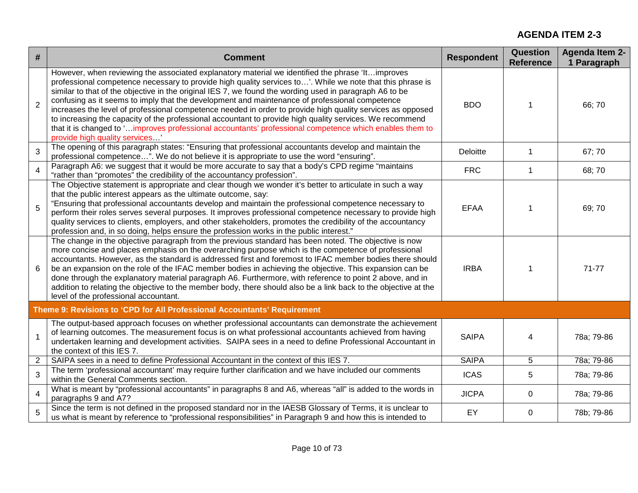| #              | <b>Comment</b>                                                                                                                                                                                                                                                                                                                                                                                                                                                                                                                                                                                                                                                                                                                                                                                    | <b>Respondent</b> | <b>Question</b><br><b>Reference</b> | <b>Agenda Item 2-</b><br>1 Paragraph |
|----------------|---------------------------------------------------------------------------------------------------------------------------------------------------------------------------------------------------------------------------------------------------------------------------------------------------------------------------------------------------------------------------------------------------------------------------------------------------------------------------------------------------------------------------------------------------------------------------------------------------------------------------------------------------------------------------------------------------------------------------------------------------------------------------------------------------|-------------------|-------------------------------------|--------------------------------------|
| $\overline{2}$ | However, when reviewing the associated explanatory material we identified the phrase 'lt improves<br>professional competence necessary to provide high quality services to'. While we note that this phrase is<br>similar to that of the objective in the original IES 7, we found the wording used in paragraph A6 to be<br>confusing as it seems to imply that the development and maintenance of professional competence<br>increases the level of professional competence needed in order to provide high quality services as opposed<br>to increasing the capacity of the professional accountant to provide high quality services. We recommend<br>that it is changed to 'improves professional accountants' professional competence which enables them to<br>provide high quality services | <b>BDO</b>        |                                     | 66;70                                |
| 3              | The opening of this paragraph states: "Ensuring that professional accountants develop and maintain the<br>professional competence". We do not believe it is appropriate to use the word "ensuring".                                                                                                                                                                                                                                                                                                                                                                                                                                                                                                                                                                                               | Deloitte          | $\mathbf{1}$                        | 67; 70                               |
| $\overline{4}$ | Paragraph A6: we suggest that it would be more accurate to say that a body's CPD regime "maintains"<br>"rather than "promotes" the credibility of the accountancy profession".                                                                                                                                                                                                                                                                                                                                                                                                                                                                                                                                                                                                                    | <b>FRC</b>        | $\mathbf 1$                         | 68;70                                |
| 5              | The Objective statement is appropriate and clear though we wonder it's better to articulate in such a way<br>that the public interest appears as the ultimate outcome, say:<br>"Ensuring that professional accountants develop and maintain the professional competence necessary to<br>perform their roles serves several purposes. It improves professional competence necessary to provide high<br>quality services to clients, employers, and other stakeholders, promotes the credibility of the accountancy<br>profession and, in so doing, helps ensure the profession works in the public interest."                                                                                                                                                                                      | <b>EFAA</b>       |                                     | 69;70                                |
| 6              | The change in the objective paragraph from the previous standard has been noted. The objective is now<br>more concise and places emphasis on the overarching purpose which is the competence of professional<br>accountants. However, as the standard is addressed first and foremost to IFAC member bodies there should<br>be an expansion on the role of the IFAC member bodies in achieving the objective. This expansion can be<br>done through the explanatory material paragraph A6. Furthermore, with reference to point 2 above, and in<br>addition to relating the objective to the member body, there should also be a link back to the objective at the<br>level of the professional accountant.                                                                                       | <b>IRBA</b>       | 1                                   | $71 - 77$                            |
|                | Theme 9: Revisions to 'CPD for All Professional Accountants' Requirement                                                                                                                                                                                                                                                                                                                                                                                                                                                                                                                                                                                                                                                                                                                          |                   |                                     |                                      |
| $\mathbf{1}$   | The output-based approach focuses on whether professional accountants can demonstrate the achievement<br>of learning outcomes. The measurement focus is on what professional accountants achieved from having<br>undertaken learning and development activities. SAIPA sees in a need to define Professional Accountant in<br>the context of this IES 7.                                                                                                                                                                                                                                                                                                                                                                                                                                          | <b>SAIPA</b>      | 4                                   | 78a; 79-86                           |
| $\overline{2}$ | SAIPA sees in a need to define Professional Accountant in the context of this IES 7.                                                                                                                                                                                                                                                                                                                                                                                                                                                                                                                                                                                                                                                                                                              | <b>SAIPA</b>      | 5                                   | 78a; 79-86                           |
| 3              | The term 'professional accountant' may require further clarification and we have included our comments<br>within the General Comments section.                                                                                                                                                                                                                                                                                                                                                                                                                                                                                                                                                                                                                                                    | <b>ICAS</b>       | 5                                   | 78a; 79-86                           |
| $\overline{4}$ | What is meant by "professional accountants" in paragraphs 8 and A6, whereas "all" is added to the words in<br>paragraphs 9 and A7?                                                                                                                                                                                                                                                                                                                                                                                                                                                                                                                                                                                                                                                                | <b>JICPA</b>      | 0                                   | 78a; 79-86                           |
| 5              | Since the term is not defined in the proposed standard nor in the IAESB Glossary of Terms, it is unclear to<br>us what is meant by reference to "professional responsibilities" in Paragraph 9 and how this is intended to                                                                                                                                                                                                                                                                                                                                                                                                                                                                                                                                                                        | EY                | $\mathbf 0$                         | 78b; 79-86                           |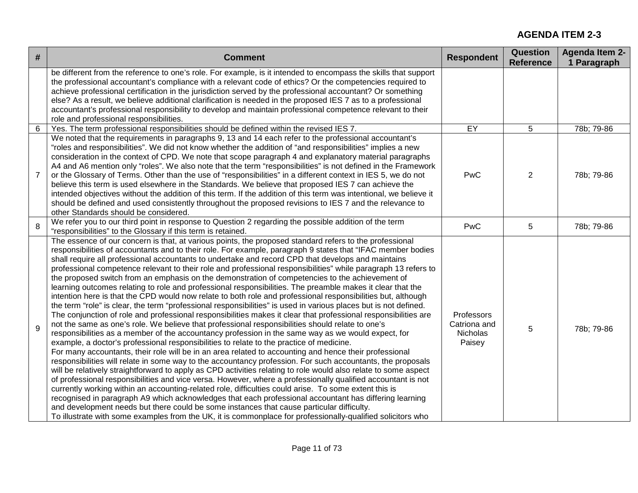| # | <b>Comment</b>                                                                                                                                                                                                                                                                                                                                                                                                                                                                                                                                                                                                                                                                                                                                                                                                                                                                                                                                                                                                                                                                                                                                                                                                                                                                                                                                                                                                                                                                                                                                                                                                                                                                                                                                                                                                                                                                                                                                                                                                                                                                                                                                                                                                          | <b>Respondent</b>                                | <b>Question</b><br><b>Reference</b> | <b>Agenda Item 2-</b><br>1 Paragraph |
|---|-------------------------------------------------------------------------------------------------------------------------------------------------------------------------------------------------------------------------------------------------------------------------------------------------------------------------------------------------------------------------------------------------------------------------------------------------------------------------------------------------------------------------------------------------------------------------------------------------------------------------------------------------------------------------------------------------------------------------------------------------------------------------------------------------------------------------------------------------------------------------------------------------------------------------------------------------------------------------------------------------------------------------------------------------------------------------------------------------------------------------------------------------------------------------------------------------------------------------------------------------------------------------------------------------------------------------------------------------------------------------------------------------------------------------------------------------------------------------------------------------------------------------------------------------------------------------------------------------------------------------------------------------------------------------------------------------------------------------------------------------------------------------------------------------------------------------------------------------------------------------------------------------------------------------------------------------------------------------------------------------------------------------------------------------------------------------------------------------------------------------------------------------------------------------------------------------------------------------|--------------------------------------------------|-------------------------------------|--------------------------------------|
|   | be different from the reference to one's role. For example, is it intended to encompass the skills that support<br>the professional accountant's compliance with a relevant code of ethics? Or the competencies required to<br>achieve professional certification in the jurisdiction served by the professional accountant? Or something<br>else? As a result, we believe additional clarification is needed in the proposed IES 7 as to a professional<br>accountant's professional responsibility to develop and maintain professional competence relevant to their<br>role and professional responsibilities.                                                                                                                                                                                                                                                                                                                                                                                                                                                                                                                                                                                                                                                                                                                                                                                                                                                                                                                                                                                                                                                                                                                                                                                                                                                                                                                                                                                                                                                                                                                                                                                                       |                                                  |                                     |                                      |
| 6 | Yes. The term professional responsibilities should be defined within the revised IES 7.                                                                                                                                                                                                                                                                                                                                                                                                                                                                                                                                                                                                                                                                                                                                                                                                                                                                                                                                                                                                                                                                                                                                                                                                                                                                                                                                                                                                                                                                                                                                                                                                                                                                                                                                                                                                                                                                                                                                                                                                                                                                                                                                 | EY                                               | 5                                   | 78b; 79-86                           |
| 7 | We noted that the requirements in paragraphs 9, 13 and 14 each refer to the professional accountant's<br>"roles and responsibilities". We did not know whether the addition of "and responsibilities" implies a new<br>consideration in the context of CPD. We note that scope paragraph 4 and explanatory material paragraphs<br>A4 and A6 mention only "roles". We also note that the term "responsibilities" is not defined in the Framework<br>or the Glossary of Terms. Other than the use of "responsibilities" in a different context in IES 5, we do not<br>believe this term is used elsewhere in the Standards. We believe that proposed IES 7 can achieve the<br>intended objectives without the addition of this term. If the addition of this term was intentional, we believe it<br>should be defined and used consistently throughout the proposed revisions to IES 7 and the relevance to<br>other Standards should be considered.                                                                                                                                                                                                                                                                                                                                                                                                                                                                                                                                                                                                                                                                                                                                                                                                                                                                                                                                                                                                                                                                                                                                                                                                                                                                      | PwC                                              | 2                                   | 78b; 79-86                           |
| 8 | We refer you to our third point in response to Question 2 regarding the possible addition of the term<br>"responsibilities" to the Glossary if this term is retained.                                                                                                                                                                                                                                                                                                                                                                                                                                                                                                                                                                                                                                                                                                                                                                                                                                                                                                                                                                                                                                                                                                                                                                                                                                                                                                                                                                                                                                                                                                                                                                                                                                                                                                                                                                                                                                                                                                                                                                                                                                                   | PwC                                              | 5                                   | 78b; 79-86                           |
| 9 | The essence of our concern is that, at various points, the proposed standard refers to the professional<br>responsibilities of accountants and to their role. For example, paragraph 9 states that "IFAC member bodies<br>shall require all professional accountants to undertake and record CPD that develops and maintains<br>professional competence relevant to their role and professional responsibilities" while paragraph 13 refers to<br>the proposed switch from an emphasis on the demonstration of competencies to the achievement of<br>learning outcomes relating to role and professional responsibilities. The preamble makes it clear that the<br>intention here is that the CPD would now relate to both role and professional responsibilities but, although<br>the term "role" is clear, the term "professional responsibilities" is used in various places but is not defined.<br>The conjunction of role and professional responsibilities makes it clear that professional responsibilities are<br>not the same as one's role. We believe that professional responsibilities should relate to one's<br>responsibilities as a member of the accountancy profession in the same way as we would expect, for<br>example, a doctor's professional responsibilities to relate to the practice of medicine.<br>For many accountants, their role will be in an area related to accounting and hence their professional<br>responsibilities will relate in some way to the accountancy profession. For such accountants, the proposals<br>will be relatively straightforward to apply as CPD activities relating to role would also relate to some aspect<br>of professional responsibilities and vice versa. However, where a professionally qualified accountant is not<br>currently working within an accounting-related role, difficulties could arise. To some extent this is<br>recognised in paragraph A9 which acknowledges that each professional accountant has differing learning<br>and development needs but there could be some instances that cause particular difficulty.<br>To illustrate with some examples from the UK, it is commonplace for professionally-qualified solicitors who | Professors<br>Catriona and<br>Nicholas<br>Paisey | 5                                   | 78b; 79-86                           |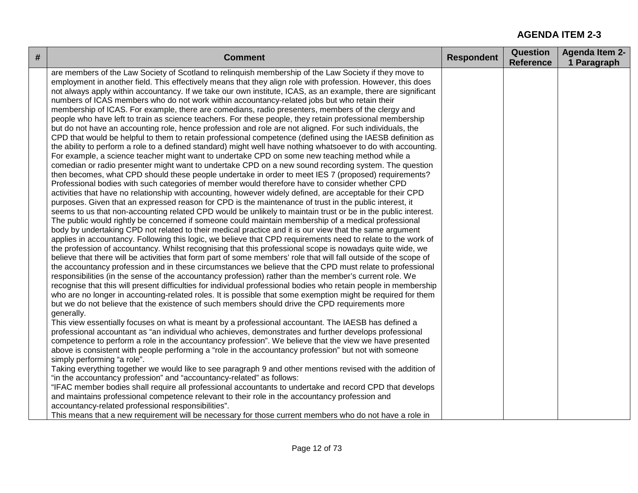| # | <b>Comment</b>                                                                                                                                                                                                                                                                                                                                                                                                                                                                                                                                                                                                                                                                                                                                                                                                                                                                                                                                                                                                                                                                                                                                                                                                                                                                                                                                                                                                                                                                                                                                                                                                                                                                                                                                                                                                                                                                                                                                                                                                                                                                                                                                                                                                                                                                                                                                                                                                                                                                                                                                                                                                                                                                                                                                                                                                                                                                                                                                                                                                                                                                                                                                                                                                                                                                                                                                                                                                                                                                                                                                                                                                                                                                                                                                                                                                                                                                                                                                                       | <b>Respondent</b> | <b>Question</b><br><b>Reference</b> | <b>Agenda Item 2-</b><br>1 Paragraph |
|---|----------------------------------------------------------------------------------------------------------------------------------------------------------------------------------------------------------------------------------------------------------------------------------------------------------------------------------------------------------------------------------------------------------------------------------------------------------------------------------------------------------------------------------------------------------------------------------------------------------------------------------------------------------------------------------------------------------------------------------------------------------------------------------------------------------------------------------------------------------------------------------------------------------------------------------------------------------------------------------------------------------------------------------------------------------------------------------------------------------------------------------------------------------------------------------------------------------------------------------------------------------------------------------------------------------------------------------------------------------------------------------------------------------------------------------------------------------------------------------------------------------------------------------------------------------------------------------------------------------------------------------------------------------------------------------------------------------------------------------------------------------------------------------------------------------------------------------------------------------------------------------------------------------------------------------------------------------------------------------------------------------------------------------------------------------------------------------------------------------------------------------------------------------------------------------------------------------------------------------------------------------------------------------------------------------------------------------------------------------------------------------------------------------------------------------------------------------------------------------------------------------------------------------------------------------------------------------------------------------------------------------------------------------------------------------------------------------------------------------------------------------------------------------------------------------------------------------------------------------------------------------------------------------------------------------------------------------------------------------------------------------------------------------------------------------------------------------------------------------------------------------------------------------------------------------------------------------------------------------------------------------------------------------------------------------------------------------------------------------------------------------------------------------------------------------------------------------------------------------------------------------------------------------------------------------------------------------------------------------------------------------------------------------------------------------------------------------------------------------------------------------------------------------------------------------------------------------------------------------------------------------------------------------------------------------------------------------------------|-------------------|-------------------------------------|--------------------------------------|
|   | are members of the Law Society of Scotland to relinquish membership of the Law Society if they move to<br>employment in another field. This effectively means that they align role with profession. However, this does<br>not always apply within accountancy. If we take our own institute, ICAS, as an example, there are significant<br>numbers of ICAS members who do not work within accountancy-related jobs but who retain their<br>membership of ICAS. For example, there are comedians, radio presenters, members of the clergy and<br>people who have left to train as science teachers. For these people, they retain professional membership<br>but do not have an accounting role, hence profession and role are not aligned. For such individuals, the<br>CPD that would be helpful to them to retain professional competence (defined using the IAESB definition as<br>the ability to perform a role to a defined standard) might well have nothing whatsoever to do with accounting.<br>For example, a science teacher might want to undertake CPD on some new teaching method while a<br>comedian or radio presenter might want to undertake CPD on a new sound recording system. The question<br>then becomes, what CPD should these people undertake in order to meet IES 7 (proposed) requirements?<br>Professional bodies with such categories of member would therefore have to consider whether CPD<br>activities that have no relationship with accounting, however widely defined, are acceptable for their CPD<br>purposes. Given that an expressed reason for CPD is the maintenance of trust in the public interest, it<br>seems to us that non-accounting related CPD would be unlikely to maintain trust or be in the public interest.<br>The public would rightly be concerned if someone could maintain membership of a medical professional<br>body by undertaking CPD not related to their medical practice and it is our view that the same argument<br>applies in accountancy. Following this logic, we believe that CPD requirements need to relate to the work of<br>the profession of accountancy. Whilst recognising that this professional scope is nowadays quite wide, we<br>believe that there will be activities that form part of some members' role that will fall outside of the scope of<br>the accountancy profession and in these circumstances we believe that the CPD must relate to professional<br>responsibilities (in the sense of the accountancy profession) rather than the member's current role. We<br>recognise that this will present difficulties for individual professional bodies who retain people in membership<br>who are no longer in accounting-related roles. It is possible that some exemption might be required for them<br>but we do not believe that the existence of such members should drive the CPD requirements more<br>generally.<br>This view essentially focuses on what is meant by a professional accountant. The IAESB has defined a<br>professional accountant as "an individual who achieves, demonstrates and further develops professional<br>competence to perform a role in the accountancy profession". We believe that the view we have presented<br>above is consistent with people performing a "role in the accountancy profession" but not with someone<br>simply performing "a role".<br>Taking everything together we would like to see paragraph 9 and other mentions revised with the addition of<br>"in the accountancy profession" and "accountancy-related" as follows:<br>"IFAC member bodies shall require all professional accountants to undertake and record CPD that develops<br>and maintains professional competence relevant to their role in the accountancy profession and<br>accountancy-related professional responsibilities".<br>This means that a new requirement will be necessary for those current members who do not have a role in |                   |                                     |                                      |
|   |                                                                                                                                                                                                                                                                                                                                                                                                                                                                                                                                                                                                                                                                                                                                                                                                                                                                                                                                                                                                                                                                                                                                                                                                                                                                                                                                                                                                                                                                                                                                                                                                                                                                                                                                                                                                                                                                                                                                                                                                                                                                                                                                                                                                                                                                                                                                                                                                                                                                                                                                                                                                                                                                                                                                                                                                                                                                                                                                                                                                                                                                                                                                                                                                                                                                                                                                                                                                                                                                                                                                                                                                                                                                                                                                                                                                                                                                                                                                                                      |                   |                                     |                                      |

I.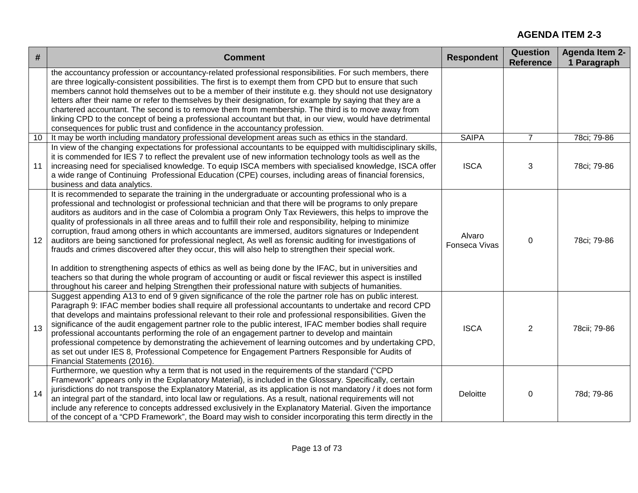| $\#$ | <b>Comment</b>                                                                                                                                                                                                                                                                                                                                                                                                                                                                                                                                                                                                                                                                                                                                                                                                                                                                                                                                                                                                                                                                                                 | <b>Respondent</b>       | <b>Question</b><br><b>Reference</b> | <b>Agenda Item 2-</b><br>1 Paragraph |
|------|----------------------------------------------------------------------------------------------------------------------------------------------------------------------------------------------------------------------------------------------------------------------------------------------------------------------------------------------------------------------------------------------------------------------------------------------------------------------------------------------------------------------------------------------------------------------------------------------------------------------------------------------------------------------------------------------------------------------------------------------------------------------------------------------------------------------------------------------------------------------------------------------------------------------------------------------------------------------------------------------------------------------------------------------------------------------------------------------------------------|-------------------------|-------------------------------------|--------------------------------------|
|      | the accountancy profession or accountancy-related professional responsibilities. For such members, there<br>are three logically-consistent possibilities. The first is to exempt them from CPD but to ensure that such<br>members cannot hold themselves out to be a member of their institute e.g. they should not use designatory<br>letters after their name or refer to themselves by their designation, for example by saying that they are a<br>chartered accountant. The second is to remove them from membership. The third is to move away from<br>linking CPD to the concept of being a professional accountant but that, in our view, would have detrimental<br>consequences for public trust and confidence in the accountancy profession.                                                                                                                                                                                                                                                                                                                                                         |                         |                                     |                                      |
| 10   | It may be worth including mandatory professional development areas such as ethics in the standard.                                                                                                                                                                                                                                                                                                                                                                                                                                                                                                                                                                                                                                                                                                                                                                                                                                                                                                                                                                                                             | <b>SAIPA</b>            | $\overline{7}$                      | 78ci; 79-86                          |
| 11   | In view of the changing expectations for professional accountants to be equipped with multidisciplinary skills,<br>it is commended for IES 7 to reflect the prevalent use of new information technology tools as well as the<br>increasing need for specialised knowledge. To equip ISCA members with specialised knowledge, ISCA offer<br>a wide range of Continuing Professional Education (CPE) courses, including areas of financial forensics,<br>business and data analytics.                                                                                                                                                                                                                                                                                                                                                                                                                                                                                                                                                                                                                            | <b>ISCA</b>             | 3                                   | 78ci; 79-86                          |
| 12   | It is recommended to separate the training in the undergraduate or accounting professional who is a<br>professional and technologist or professional technician and that there will be programs to only prepare<br>auditors as auditors and in the case of Colombia a program Only Tax Reviewers, this helps to improve the<br>quality of professionals in all three areas and to fulfill their role and responsibility, helping to minimize<br>corruption, fraud among others in which accountants are immersed, auditors signatures or Independent<br>auditors are being sanctioned for professional neglect, As well as forensic auditing for investigations of<br>frauds and crimes discovered after they occur, this will also help to strengthen their special work.<br>In addition to strengthening aspects of ethics as well as being done by the IFAC, but in universities and<br>teachers so that during the whole program of accounting or audit or fiscal reviewer this aspect is instilled<br>throughout his career and helping Strengthen their professional nature with subjects of humanities. | Alvaro<br>Fonseca Vivas | 0                                   | 78ci; 79-86                          |
| 13   | Suggest appending A13 to end of 9 given significance of the role the partner role has on public interest.<br>Paragraph 9: IFAC member bodies shall require all professional accountants to undertake and record CPD<br>that develops and maintains professional relevant to their role and professional responsibilities. Given the<br>significance of the audit engagement partner role to the public interest, IFAC member bodies shall require<br>professional accountants performing the role of an engagement partner to develop and maintain<br>professional competence by demonstrating the achievement of learning outcomes and by undertaking CPD,<br>as set out under IES 8, Professional Competence for Engagement Partners Responsible for Audits of<br>Financial Statements (2016).                                                                                                                                                                                                                                                                                                               | <b>ISCA</b>             | 2                                   | 78cii; 79-86                         |
| 14   | Furthermore, we question why a term that is not used in the requirements of the standard ("CPD<br>Framework" appears only in the Explanatory Material), is included in the Glossary. Specifically, certain<br>jurisdictions do not transpose the Explanatory Material, as its application is not mandatory / it does not form<br>an integral part of the standard, into local law or regulations. As a result, national requirements will not<br>include any reference to concepts addressed exclusively in the Explanatory Material. Given the importance<br>of the concept of a "CPD Framework", the Board may wish to consider incorporating this term directly in the                                                                                                                                                                                                                                                                                                                                                                                                                                      | Deloitte                | 0                                   | 78d; 79-86                           |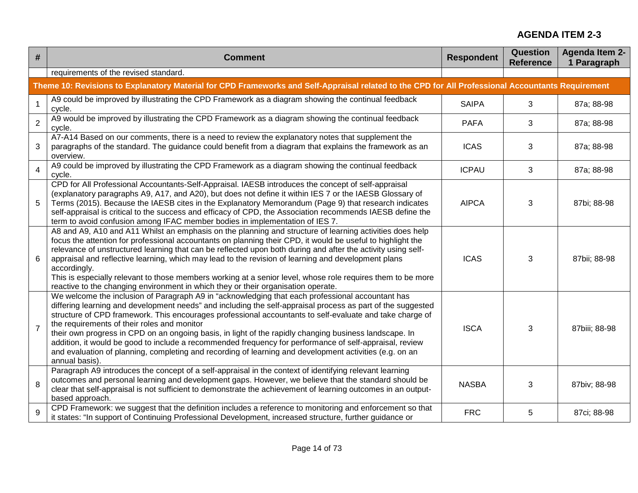| $\#$           | <b>Comment</b>                                                                                                                                                                                                                                                                                                                                                                                                                                                                                                                                                                                                                                                                                                               | <b>Respondent</b> | <b>Question</b><br><b>Reference</b> | <b>Agenda Item 2-</b><br>1 Paragraph |
|----------------|------------------------------------------------------------------------------------------------------------------------------------------------------------------------------------------------------------------------------------------------------------------------------------------------------------------------------------------------------------------------------------------------------------------------------------------------------------------------------------------------------------------------------------------------------------------------------------------------------------------------------------------------------------------------------------------------------------------------------|-------------------|-------------------------------------|--------------------------------------|
|                | requirements of the revised standard.                                                                                                                                                                                                                                                                                                                                                                                                                                                                                                                                                                                                                                                                                        |                   |                                     |                                      |
|                | Theme 10: Revisions to Explanatory Material for CPD Frameworks and Self-Appraisal related to the CPD for All Professional Accountants Requirement                                                                                                                                                                                                                                                                                                                                                                                                                                                                                                                                                                            |                   |                                     |                                      |
| $\mathbf{1}$   | A9 could be improved by illustrating the CPD Framework as a diagram showing the continual feedback<br>cycle.                                                                                                                                                                                                                                                                                                                                                                                                                                                                                                                                                                                                                 | <b>SAIPA</b>      | 3                                   | 87a; 88-98                           |
| $\overline{c}$ | A9 would be improved by illustrating the CPD Framework as a diagram showing the continual feedback<br>cycle.                                                                                                                                                                                                                                                                                                                                                                                                                                                                                                                                                                                                                 | <b>PAFA</b>       | 3                                   | 87a; 88-98                           |
| 3              | A7-A14 Based on our comments, there is a need to review the explanatory notes that supplement the<br>paragraphs of the standard. The guidance could benefit from a diagram that explains the framework as an<br>overview.                                                                                                                                                                                                                                                                                                                                                                                                                                                                                                    | <b>ICAS</b>       | 3                                   | 87a; 88-98                           |
| $\overline{4}$ | A9 could be improved by illustrating the CPD Framework as a diagram showing the continual feedback<br>cycle.                                                                                                                                                                                                                                                                                                                                                                                                                                                                                                                                                                                                                 | <b>ICPAU</b>      | 3                                   | 87a; 88-98                           |
| 5              | CPD for All Professional Accountants-Self-Appraisal. IAESB introduces the concept of self-appraisal<br>(explanatory paragraphs A9, A17, and A20), but does not define it within IES 7 or the IAESB Glossary of<br>Terms (2015). Because the IAESB cites in the Explanatory Memorandum (Page 9) that research indicates<br>self-appraisal is critical to the success and efficacy of CPD, the Association recommends IAESB define the<br>term to avoid confusion among IFAC member bodies in implementation of IES 7.                                                                                                                                                                                                         | <b>AIPCA</b>      | 3                                   | 87bi; 88-98                          |
| 6              | A8 and A9, A10 and A11 Whilst an emphasis on the planning and structure of learning activities does help<br>focus the attention for professional accountants on planning their CPD, it would be useful to highlight the<br>relevance of unstructured learning that can be reflected upon both during and after the activity using self-<br>appraisal and reflective learning, which may lead to the revision of learning and development plans<br>accordingly.<br>This is especially relevant to those members working at a senior level, whose role requires them to be more<br>reactive to the changing environment in which they or their organisation operate.                                                           | <b>ICAS</b>       | 3                                   | 87bii; 88-98                         |
| $\overline{7}$ | We welcome the inclusion of Paragraph A9 in "acknowledging that each professional accountant has<br>differing learning and development needs" and including the self-appraisal process as part of the suggested<br>structure of CPD framework. This encourages professional accountants to self-evaluate and take charge of<br>the requirements of their roles and monitor<br>their own progress in CPD on an ongoing basis, in light of the rapidly changing business landscape. In<br>addition, it would be good to include a recommended frequency for performance of self-appraisal, review<br>and evaluation of planning, completing and recording of learning and development activities (e.g. on an<br>annual basis). | <b>ISCA</b>       | 3                                   | 87biii; 88-98                        |
| 8              | Paragraph A9 introduces the concept of a self-appraisal in the context of identifying relevant learning<br>outcomes and personal learning and development gaps. However, we believe that the standard should be<br>clear that self-appraisal is not sufficient to demonstrate the achievement of learning outcomes in an output-<br>based approach.                                                                                                                                                                                                                                                                                                                                                                          | <b>NASBA</b>      | 3                                   | 87biv; 88-98                         |
| 9              | CPD Framework: we suggest that the definition includes a reference to monitoring and enforcement so that<br>it states: "In support of Continuing Professional Development, increased structure, further guidance or                                                                                                                                                                                                                                                                                                                                                                                                                                                                                                          | <b>FRC</b>        | 5                                   | 87ci; 88-98                          |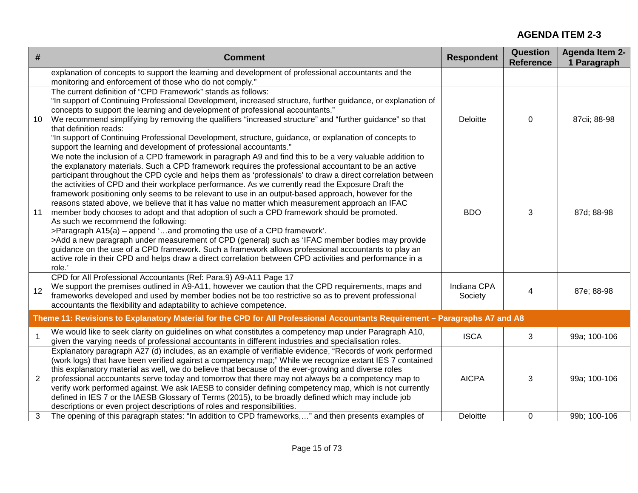| #              | <b>Comment</b>                                                                                                                                                                                                                                                                                                                                                                                                                                                                                                                                                                                                                                                                                                                                                                                                                                                                                                                                                                                                                                                                                                                                                                                 | <b>Respondent</b>      | <b>Question</b><br><b>Reference</b> | <b>Agenda Item 2-</b><br>1 Paragraph |
|----------------|------------------------------------------------------------------------------------------------------------------------------------------------------------------------------------------------------------------------------------------------------------------------------------------------------------------------------------------------------------------------------------------------------------------------------------------------------------------------------------------------------------------------------------------------------------------------------------------------------------------------------------------------------------------------------------------------------------------------------------------------------------------------------------------------------------------------------------------------------------------------------------------------------------------------------------------------------------------------------------------------------------------------------------------------------------------------------------------------------------------------------------------------------------------------------------------------|------------------------|-------------------------------------|--------------------------------------|
|                | explanation of concepts to support the learning and development of professional accountants and the<br>monitoring and enforcement of those who do not comply."                                                                                                                                                                                                                                                                                                                                                                                                                                                                                                                                                                                                                                                                                                                                                                                                                                                                                                                                                                                                                                 |                        |                                     |                                      |
| 10             | The current definition of "CPD Framework" stands as follows:<br>"In support of Continuing Professional Development, increased structure, further guidance, or explanation of<br>concepts to support the learning and development of professional accountants."<br>We recommend simplifying by removing the qualifiers "increased structure" and "further guidance" so that<br>that definition reads:<br>"In support of Continuing Professional Development, structure, guidance, or explanation of concepts to<br>support the learning and development of professional accountants."                                                                                                                                                                                                                                                                                                                                                                                                                                                                                                                                                                                                           | Deloitte               | 0                                   | 87cii; 88-98                         |
| 11             | We note the inclusion of a CPD framework in paragraph A9 and find this to be a very valuable addition to<br>the explanatory materials. Such a CPD framework requires the professional accountant to be an active<br>participant throughout the CPD cycle and helps them as 'professionals' to draw a direct correlation between<br>the activities of CPD and their workplace performance. As we currently read the Exposure Draft the<br>framework positioning only seems to be relevant to use in an output-based approach, however for the<br>reasons stated above, we believe that it has value no matter which measurement approach an IFAC<br>member body chooses to adopt and that adoption of such a CPD framework should be promoted.<br>As such we recommend the following:<br>>Paragraph A15(a) - append 'and promoting the use of a CPD framework'.<br>>Add a new paragraph under measurement of CPD (general) such as 'IFAC member bodies may provide<br>guidance on the use of a CPD framework. Such a framework allows professional accountants to play an<br>active role in their CPD and helps draw a direct correlation between CPD activities and performance in a<br>role.' | <b>BDO</b>             | 3                                   | 87d; 88-98                           |
| 12             | CPD for All Professional Accountants (Ref: Para.9) A9-A11 Page 17<br>We support the premises outlined in A9-A11, however we caution that the CPD requirements, maps and<br>frameworks developed and used by member bodies not be too restrictive so as to prevent professional<br>accountants the flexibility and adaptability to achieve competence.                                                                                                                                                                                                                                                                                                                                                                                                                                                                                                                                                                                                                                                                                                                                                                                                                                          | Indiana CPA<br>Society | $\overline{4}$                      | 87e; 88-98                           |
|                | Theme 11: Revisions to Explanatory Material for the CPD for All Professional Accountants Requirement - Paragraphs A7 and A8                                                                                                                                                                                                                                                                                                                                                                                                                                                                                                                                                                                                                                                                                                                                                                                                                                                                                                                                                                                                                                                                    |                        |                                     |                                      |
| $\overline{1}$ | We would like to seek clarity on guidelines on what constitutes a competency map under Paragraph A10,<br>given the varying needs of professional accountants in different industries and specialisation roles.                                                                                                                                                                                                                                                                                                                                                                                                                                                                                                                                                                                                                                                                                                                                                                                                                                                                                                                                                                                 | <b>ISCA</b>            | 3                                   | 99a; 100-106                         |
| $\overline{2}$ | Explanatory paragraph A27 (d) includes, as an example of verifiable evidence, "Records of work performed<br>(work logs) that have been verified against a competency map;" While we recognize extant IES 7 contained<br>this explanatory material as well, we do believe that because of the ever-growing and diverse roles<br>professional accountants serve today and tomorrow that there may not always be a competency map to<br>verify work performed against. We ask IAESB to consider defining competency map, which is not currently<br>defined in IES 7 or the IAESB Glossary of Terms (2015), to be broadly defined which may include job<br>descriptions or even project descriptions of roles and responsibilities.                                                                                                                                                                                                                                                                                                                                                                                                                                                                | <b>AICPA</b>           | 3                                   | 99a; 100-106                         |
| 3              | The opening of this paragraph states: "In addition to CPD frameworks," and then presents examples of                                                                                                                                                                                                                                                                                                                                                                                                                                                                                                                                                                                                                                                                                                                                                                                                                                                                                                                                                                                                                                                                                           | Deloitte               | 0                                   | 99b; 100-106                         |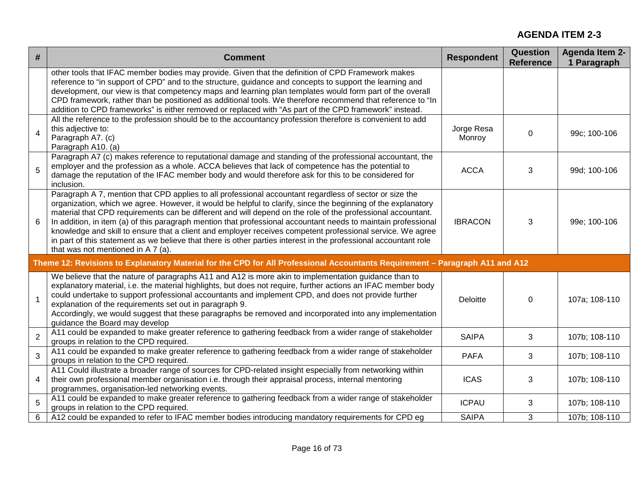| #              | <b>Comment</b>                                                                                                                                                                                                                                                                                                                                                                                                                                                                                                                                                                                                                                                                                                                    | <b>Respondent</b>    | <b>Question</b><br><b>Reference</b> | <b>Agenda Item 2-</b><br>1 Paragraph |
|----------------|-----------------------------------------------------------------------------------------------------------------------------------------------------------------------------------------------------------------------------------------------------------------------------------------------------------------------------------------------------------------------------------------------------------------------------------------------------------------------------------------------------------------------------------------------------------------------------------------------------------------------------------------------------------------------------------------------------------------------------------|----------------------|-------------------------------------|--------------------------------------|
|                | other tools that IFAC member bodies may provide. Given that the definition of CPD Framework makes<br>reference to "in support of CPD" and to the structure, guidance and concepts to support the learning and<br>development, our view is that competency maps and learning plan templates would form part of the overall<br>CPD framework, rather than be positioned as additional tools. We therefore recommend that reference to "In<br>addition to CPD frameworks" is either removed or replaced with "As part of the CPD framework" instead.                                                                                                                                                                                 |                      |                                     |                                      |
| $\overline{4}$ | All the reference to the profession should be to the accountancy profession therefore is convenient to add<br>this adjective to:<br>Paragraph A7. (c)<br>Paragraph A10. (a)                                                                                                                                                                                                                                                                                                                                                                                                                                                                                                                                                       | Jorge Resa<br>Monroy | $\Omega$                            | 99c; 100-106                         |
| 5              | Paragraph A7 (c) makes reference to reputational damage and standing of the professional accountant, the<br>employer and the profession as a whole. ACCA believes that lack of competence has the potential to<br>damage the reputation of the IFAC member body and would therefore ask for this to be considered for<br>inclusion.                                                                                                                                                                                                                                                                                                                                                                                               | <b>ACCA</b>          | 3                                   | 99d; 100-106                         |
| 6              | Paragraph A 7, mention that CPD applies to all professional accountant regardless of sector or size the<br>organization, which we agree. However, it would be helpful to clarify, since the beginning of the explanatory<br>material that CPD requirements can be different and will depend on the role of the professional accountant.<br>In addition, in item (a) of this paragraph mention that professional accountant needs to maintain professional<br>knowledge and skill to ensure that a client and employer receives competent professional service. We agree<br>in part of this statement as we believe that there is other parties interest in the professional accountant role<br>that was not mentioned in A 7 (a). | <b>IBRACON</b>       | 3                                   | 99e; 100-106                         |
|                | Theme 12: Revisions to Explanatory Material for the CPD for All Professional Accountants Requirement - Paragraph A11 and A12                                                                                                                                                                                                                                                                                                                                                                                                                                                                                                                                                                                                      |                      |                                     |                                      |
| $\mathbf{1}$   | We believe that the nature of paragraphs A11 and A12 is more akin to implementation guidance than to<br>explanatory material, i.e. the material highlights, but does not require, further actions an IFAC member body<br>could undertake to support professional accountants and implement CPD, and does not provide further<br>explanation of the requirements set out in paragraph 9.<br>Accordingly, we would suggest that these paragraphs be removed and incorporated into any implementation<br>guidance the Board may develop                                                                                                                                                                                              | Deloitte             | $\mathbf 0$                         | 107a; 108-110                        |
| $\overline{2}$ | A11 could be expanded to make greater reference to gathering feedback from a wider range of stakeholder<br>groups in relation to the CPD required.                                                                                                                                                                                                                                                                                                                                                                                                                                                                                                                                                                                | <b>SAIPA</b>         | 3                                   | 107b; 108-110                        |
| $\overline{3}$ | A11 could be expanded to make greater reference to gathering feedback from a wider range of stakeholder<br>groups in relation to the CPD required.                                                                                                                                                                                                                                                                                                                                                                                                                                                                                                                                                                                | <b>PAFA</b>          | 3                                   | 107b; 108-110                        |
| 4              | A11 Could illustrate a broader range of sources for CPD-related insight especially from networking within<br>their own professional member organisation i.e. through their appraisal process, internal mentoring<br>programmes, organisation-led networking events.                                                                                                                                                                                                                                                                                                                                                                                                                                                               | <b>ICAS</b>          | 3                                   | 107b; 108-110                        |
| 5              | A11 could be expanded to make greater reference to gathering feedback from a wider range of stakeholder<br>groups in relation to the CPD required.                                                                                                                                                                                                                                                                                                                                                                                                                                                                                                                                                                                | <b>ICPAU</b>         | 3                                   | 107b; 108-110                        |
| 6              | A12 could be expanded to refer to IFAC member bodies introducing mandatory requirements for CPD eq                                                                                                                                                                                                                                                                                                                                                                                                                                                                                                                                                                                                                                | <b>SAIPA</b>         | 3                                   | 107b; 108-110                        |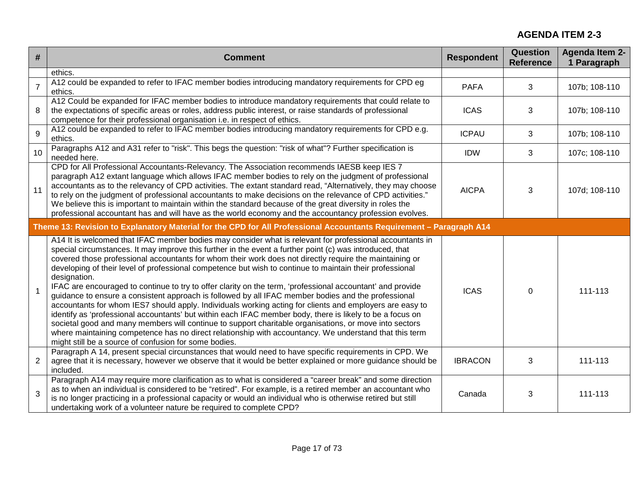| #              | <b>Comment</b>                                                                                                                                                                                                                                                                                                                                                                                                                                                                                                                                                                                                                                                                                                                                                                                                                                                                                                                                                                                                                                                                                                                                                                         | <b>Respondent</b> | Question<br><b>Reference</b> | <b>Agenda Item 2-</b><br>1 Paragraph |
|----------------|----------------------------------------------------------------------------------------------------------------------------------------------------------------------------------------------------------------------------------------------------------------------------------------------------------------------------------------------------------------------------------------------------------------------------------------------------------------------------------------------------------------------------------------------------------------------------------------------------------------------------------------------------------------------------------------------------------------------------------------------------------------------------------------------------------------------------------------------------------------------------------------------------------------------------------------------------------------------------------------------------------------------------------------------------------------------------------------------------------------------------------------------------------------------------------------|-------------------|------------------------------|--------------------------------------|
|                | ethics.                                                                                                                                                                                                                                                                                                                                                                                                                                                                                                                                                                                                                                                                                                                                                                                                                                                                                                                                                                                                                                                                                                                                                                                |                   |                              |                                      |
| $\overline{7}$ | A12 could be expanded to refer to IFAC member bodies introducing mandatory requirements for CPD eg<br>ethics.                                                                                                                                                                                                                                                                                                                                                                                                                                                                                                                                                                                                                                                                                                                                                                                                                                                                                                                                                                                                                                                                          | <b>PAFA</b>       | 3                            | 107b; 108-110                        |
| 8              | A12 Could be expanded for IFAC member bodies to introduce mandatory requirements that could relate to<br>the expectations of specific areas or roles, address public interest, or raise standards of professional<br>competence for their professional organisation i.e. in respect of ethics.                                                                                                                                                                                                                                                                                                                                                                                                                                                                                                                                                                                                                                                                                                                                                                                                                                                                                         | <b>ICAS</b>       | 3                            | 107b; 108-110                        |
| 9              | A12 could be expanded to refer to IFAC member bodies introducing mandatory requirements for CPD e.g.<br>ethics.                                                                                                                                                                                                                                                                                                                                                                                                                                                                                                                                                                                                                                                                                                                                                                                                                                                                                                                                                                                                                                                                        | <b>ICPAU</b>      | 3                            | 107b; 108-110                        |
| 10             | Paragraphs A12 and A31 refer to "risk". This begs the question: "risk of what"? Further specification is<br>needed here.                                                                                                                                                                                                                                                                                                                                                                                                                                                                                                                                                                                                                                                                                                                                                                                                                                                                                                                                                                                                                                                               | <b>IDW</b>        | 3                            | 107c; 108-110                        |
| 11             | CPD for All Professional Accountants-Relevancy. The Association recommends IAESB keep IES 7<br>paragraph A12 extant language which allows IFAC member bodies to rely on the judgment of professional<br>accountants as to the relevancy of CPD activities. The extant standard read, "Alternatively, they may choose<br>to rely on the judgment of professional accountants to make decisions on the relevance of CPD activities."<br>We believe this is important to maintain within the standard because of the great diversity in roles the<br>professional accountant has and will have as the world economy and the accountancy profession evolves.                                                                                                                                                                                                                                                                                                                                                                                                                                                                                                                               | <b>AICPA</b>      | 3                            | 107d; 108-110                        |
|                | Theme 13: Revision to Explanatory Material for the CPD for All Professional Accountants Requirement - Paragraph A14                                                                                                                                                                                                                                                                                                                                                                                                                                                                                                                                                                                                                                                                                                                                                                                                                                                                                                                                                                                                                                                                    |                   |                              |                                      |
| $\overline{1}$ | A14 It is welcomed that IFAC member bodies may consider what is relevant for professional accountants in<br>special circumstances. It may improve this further in the event a further point (c) was introduced, that<br>covered those professional accountants for whom their work does not directly require the maintaining or<br>developing of their level of professional competence but wish to continue to maintain their professional<br>designation.<br>IFAC are encouraged to continue to try to offer clarity on the term, 'professional accountant' and provide<br>guidance to ensure a consistent approach is followed by all IFAC member bodies and the professional<br>accountants for whom IES7 should apply. Individuals working acting for clients and employers are easy to<br>identify as 'professional accountants' but within each IFAC member body, there is likely to be a focus on<br>societal good and many members will continue to support charitable organisations, or move into sectors<br>where maintaining competence has no direct relationship with accountancy. We understand that this term<br>might still be a source of confusion for some bodies. | <b>ICAS</b>       | $\mathbf 0$                  | 111-113                              |
| $\overline{2}$ | Paragraph A 14, present special circunstances that would need to have specific requirements in CPD. We<br>agree that it is necessary, however we observe that it would be better explained or more guidance should be<br>included.                                                                                                                                                                                                                                                                                                                                                                                                                                                                                                                                                                                                                                                                                                                                                                                                                                                                                                                                                     | <b>IBRACON</b>    | 3                            | 111-113                              |
| 3              | Paragraph A14 may require more clarification as to what is considered a "career break" and some direction<br>as to when an individual is considered to be "retired". For example, is a retired member an accountant who<br>is no longer practicing in a professional capacity or would an individual who is otherwise retired but still<br>undertaking work of a volunteer nature be required to complete CPD?                                                                                                                                                                                                                                                                                                                                                                                                                                                                                                                                                                                                                                                                                                                                                                         | Canada            | 3                            | 111-113                              |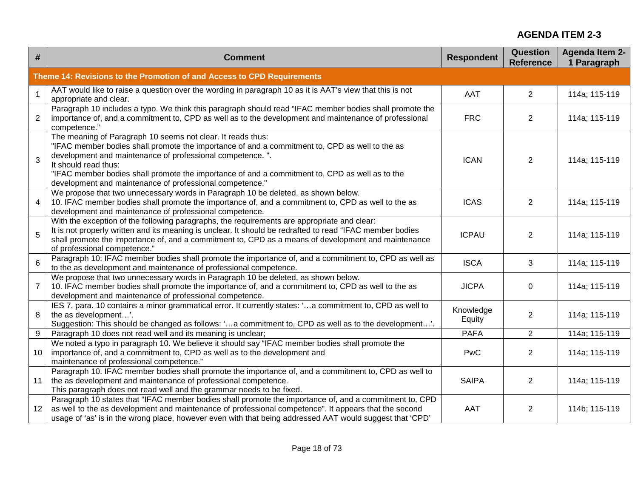| #                       | <b>Comment</b>                                                                                                                                                                                                                                                                                                                                                                                                   | <b>Respondent</b>   | <b>Question</b><br><b>Reference</b> | <b>Agenda Item 2-</b><br>1 Paragraph |
|-------------------------|------------------------------------------------------------------------------------------------------------------------------------------------------------------------------------------------------------------------------------------------------------------------------------------------------------------------------------------------------------------------------------------------------------------|---------------------|-------------------------------------|--------------------------------------|
|                         | Theme 14: Revisions to the Promotion of and Access to CPD Requirements                                                                                                                                                                                                                                                                                                                                           |                     |                                     |                                      |
| $\mathbf{1}$            | AAT would like to raise a question over the wording in paragraph 10 as it is AAT's view that this is not<br>appropriate and clear.                                                                                                                                                                                                                                                                               | AAT                 | 2                                   | 114a; 115-119                        |
| $\overline{2}$          | Paragraph 10 includes a typo. We think this paragraph should read "IFAC member bodies shall promote the<br>importance of, and a commitment to, CPD as well as to the development and maintenance of professional<br>competence."                                                                                                                                                                                 | <b>FRC</b>          | $\overline{2}$                      | 114a; 115-119                        |
| 3                       | The meaning of Paragraph 10 seems not clear. It reads thus:<br>"IFAC member bodies shall promote the importance of and a commitment to, CPD as well to the as<br>development and maintenance of professional competence.".<br>It should read thus:<br>"IFAC member bodies shall promote the importance of and a commitment to, CPD as well as to the<br>development and maintenance of professional competence." | <b>ICAN</b>         | 2                                   | 114a; 115-119                        |
| $\overline{\mathbf{4}}$ | We propose that two unnecessary words in Paragraph 10 be deleted, as shown below.<br>10. IFAC member bodies shall promote the importance of, and a commitment to, CPD as well to the as<br>development and maintenance of professional competence.                                                                                                                                                               | <b>ICAS</b>         | $\overline{2}$                      | 114a; 115-119                        |
| 5                       | With the exception of the following paragraphs, the requirements are appropriate and clear:<br>It is not properly written and its meaning is unclear. It should be redrafted to read "IFAC member bodies<br>shall promote the importance of, and a commitment to, CPD as a means of development and maintenance<br>of professional competence."                                                                  | <b>ICPAU</b>        | 2                                   | 114a; 115-119                        |
| $6\overline{6}$         | Paragraph 10: IFAC member bodies shall promote the importance of, and a commitment to, CPD as well as<br>to the as development and maintenance of professional competence.                                                                                                                                                                                                                                       | <b>ISCA</b>         | 3                                   | 114a; 115-119                        |
| $\overline{7}$          | We propose that two unnecessary words in Paragraph 10 be deleted, as shown below.<br>10. IFAC member bodies shall promote the importance of, and a commitment to, CPD as well to the as<br>development and maintenance of professional competence.                                                                                                                                                               | <b>JICPA</b>        | 0                                   | 114a; 115-119                        |
| 8                       | IES 7, para. 10 contains a minor grammatical error. It currently states: 'a commitment to, CPD as well to<br>the as development'.<br>Suggestion: This should be changed as follows: 'a commitment to, CPD as well as to the development'.                                                                                                                                                                        | Knowledge<br>Equity | $\overline{2}$                      | 114a; 115-119                        |
| 9                       | Paragraph 10 does not read well and its meaning is unclear;                                                                                                                                                                                                                                                                                                                                                      | <b>PAFA</b>         | $\overline{2}$                      | 114a; 115-119                        |
| 10                      | We noted a typo in paragraph 10. We believe it should say "IFAC member bodies shall promote the<br>importance of, and a commitment to, CPD as well as to the development and<br>maintenance of professional competence."                                                                                                                                                                                         | PwC                 | 2                                   | 114a; 115-119                        |
| 11                      | Paragraph 10. IFAC member bodies shall promote the importance of, and a commitment to, CPD as well to<br>the as development and maintenance of professional competence.<br>This paragraph does not read well and the grammar needs to be fixed.                                                                                                                                                                  | <b>SAIPA</b>        | 2                                   | 114a; 115-119                        |
| 12                      | Paragraph 10 states that "IFAC member bodies shall promote the importance of, and a commitment to, CPD<br>as well to the as development and maintenance of professional competence". It appears that the second<br>usage of 'as' is in the wrong place, however even with that being addressed AAT would suggest that 'CPD'                                                                                      | AAT                 | $\overline{2}$                      | 114b; 115-119                        |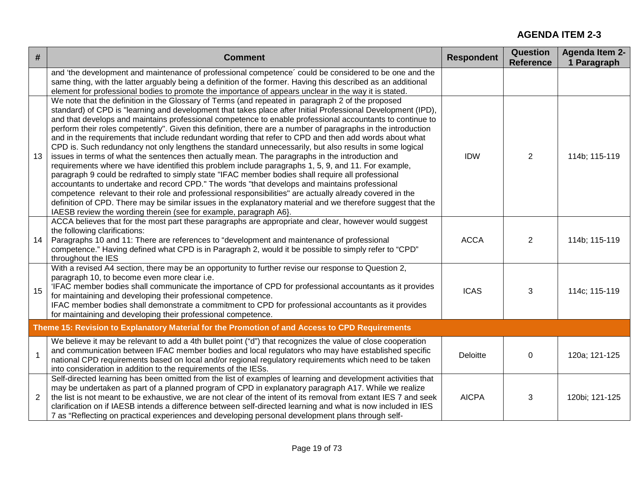| #            | <b>Comment</b>                                                                                                                                                                                                                                                                                                                                                                                                                                                                                                                                                                                                                                                                                                                                                                                                                                                                                                                                                                                                                                                                                                                                                                                                                                                                                                                                                                         | <b>Respondent</b> | <b>Question</b><br><b>Reference</b> | <b>Agenda Item 2-</b><br>1 Paragraph |
|--------------|----------------------------------------------------------------------------------------------------------------------------------------------------------------------------------------------------------------------------------------------------------------------------------------------------------------------------------------------------------------------------------------------------------------------------------------------------------------------------------------------------------------------------------------------------------------------------------------------------------------------------------------------------------------------------------------------------------------------------------------------------------------------------------------------------------------------------------------------------------------------------------------------------------------------------------------------------------------------------------------------------------------------------------------------------------------------------------------------------------------------------------------------------------------------------------------------------------------------------------------------------------------------------------------------------------------------------------------------------------------------------------------|-------------------|-------------------------------------|--------------------------------------|
|              | and 'the development and maintenance of professional competence' could be considered to be one and the<br>same thing, with the latter arguably being a definition of the former. Having this described as an additional<br>element for professional bodies to promote the importance of appears unclear in the way it is stated.                                                                                                                                                                                                                                                                                                                                                                                                                                                                                                                                                                                                                                                                                                                                                                                                                                                                                                                                                                                                                                                       |                   |                                     |                                      |
| 13           | We note that the definition in the Glossary of Terms (and repeated in paragraph 2 of the proposed<br>standard) of CPD is "learning and development that takes place after Initial Professional Development (IPD),<br>and that develops and maintains professional competence to enable professional accountants to continue to<br>perform their roles competently". Given this definition, there are a number of paragraphs in the introduction<br>and in the requirements that include redundant wording that refer to CPD and then add words about what<br>CPD is. Such redundancy not only lengthens the standard unnecessarily, but also results in some logical<br>issues in terms of what the sentences then actually mean. The paragraphs in the introduction and<br>requirements where we have identified this problem include paragraphs 1, 5, 9, and 11. For example,<br>paragraph 9 could be redrafted to simply state "IFAC member bodies shall require all professional<br>accountants to undertake and record CPD." The words "that develops and maintains professional<br>competence relevant to their role and professional responsibilities" are actually already covered in the<br>definition of CPD. There may be similar issues in the explanatory material and we therefore suggest that the<br>IAESB review the wording therein (see for example, paragraph A6}. | <b>IDW</b>        | 2                                   | 114b; 115-119                        |
| 14           | ACCA believes that for the most part these paragraphs are appropriate and clear, however would suggest<br>the following clarifications:<br>Paragraphs 10 and 11: There are references to "development and maintenance of professional<br>competence." Having defined what CPD is in Paragraph 2, would it be possible to simply refer to "CPD"<br>throughout the IES                                                                                                                                                                                                                                                                                                                                                                                                                                                                                                                                                                                                                                                                                                                                                                                                                                                                                                                                                                                                                   | <b>ACCA</b>       | 2                                   | 114b; 115-119                        |
| 15           | With a revised A4 section, there may be an opportunity to further revise our response to Question 2,<br>paragraph 10, to become even more clear i.e.<br>'IFAC member bodies shall communicate the importance of CPD for professional accountants as it provides<br>for maintaining and developing their professional competence.<br>IFAC member bodies shall demonstrate a commitment to CPD for professional accountants as it provides<br>for maintaining and developing their professional competence.                                                                                                                                                                                                                                                                                                                                                                                                                                                                                                                                                                                                                                                                                                                                                                                                                                                                              | <b>ICAS</b>       | 3                                   | 114c; 115-119                        |
|              | Theme 15: Revision to Explanatory Material for the Promotion of and Access to CPD Requirements                                                                                                                                                                                                                                                                                                                                                                                                                                                                                                                                                                                                                                                                                                                                                                                                                                                                                                                                                                                                                                                                                                                                                                                                                                                                                         |                   |                                     |                                      |
| $\mathbf{1}$ | We believe it may be relevant to add a 4th bullet point ("d") that recognizes the value of close cooperation<br>and communication between IFAC member bodies and local regulators who may have established specific<br>national CPD requirements based on local and/or regional regulatory requirements which need to be taken<br>into consideration in addition to the requirements of the IESs.                                                                                                                                                                                                                                                                                                                                                                                                                                                                                                                                                                                                                                                                                                                                                                                                                                                                                                                                                                                      | <b>Deloitte</b>   | $\mathbf 0$                         | 120a; 121-125                        |
| 2            | Self-directed learning has been omitted from the list of examples of learning and development activities that<br>may be undertaken as part of a planned program of CPD in explanatory paragraph A17. While we realize<br>the list is not meant to be exhaustive, we are not clear of the intent of its removal from extant IES 7 and seek<br>clarification on if IAESB intends a difference between self-directed learning and what is now included in IES<br>7 as "Reflecting on practical experiences and developing personal development plans through self-                                                                                                                                                                                                                                                                                                                                                                                                                                                                                                                                                                                                                                                                                                                                                                                                                        | <b>AICPA</b>      | 3                                   | 120bi; 121-125                       |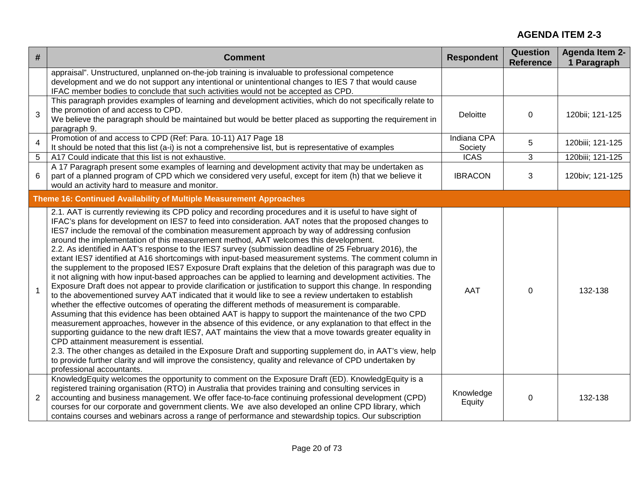| #              | <b>Comment</b>                                                                                                                                                                                                                                                                                                                                                                                                                                                                                                                                                                                                                                                                                                                                                                                                                                                                                                                                                                                                                                                                                                                                                                                                                                                                                                                                                                                                                                                                                                                                                                                                                                                                                                                                                                                                                    | <b>Respondent</b>      | <b>Question</b><br><b>Reference</b> | <b>Agenda Item 2-</b><br>1 Paragraph |
|----------------|-----------------------------------------------------------------------------------------------------------------------------------------------------------------------------------------------------------------------------------------------------------------------------------------------------------------------------------------------------------------------------------------------------------------------------------------------------------------------------------------------------------------------------------------------------------------------------------------------------------------------------------------------------------------------------------------------------------------------------------------------------------------------------------------------------------------------------------------------------------------------------------------------------------------------------------------------------------------------------------------------------------------------------------------------------------------------------------------------------------------------------------------------------------------------------------------------------------------------------------------------------------------------------------------------------------------------------------------------------------------------------------------------------------------------------------------------------------------------------------------------------------------------------------------------------------------------------------------------------------------------------------------------------------------------------------------------------------------------------------------------------------------------------------------------------------------------------------|------------------------|-------------------------------------|--------------------------------------|
|                | appraisal". Unstructured, unplanned on-the-job training is invaluable to professional competence<br>development and we do not support any intentional or unintentional changes to IES 7 that would cause<br>IFAC member bodies to conclude that such activities would not be accepted as CPD.                                                                                                                                                                                                                                                                                                                                                                                                                                                                                                                                                                                                                                                                                                                                                                                                                                                                                                                                                                                                                                                                                                                                                                                                                                                                                                                                                                                                                                                                                                                                     |                        |                                     |                                      |
| 3              | This paragraph provides examples of learning and development activities, which do not specifically relate to<br>the promotion of and access to CPD.<br>We believe the paragraph should be maintained but would be better placed as supporting the requirement in<br>paragraph 9.                                                                                                                                                                                                                                                                                                                                                                                                                                                                                                                                                                                                                                                                                                                                                                                                                                                                                                                                                                                                                                                                                                                                                                                                                                                                                                                                                                                                                                                                                                                                                  | Deloitte               | $\mathbf 0$                         | 120bii; 121-125                      |
| $\overline{4}$ | Promotion of and access to CPD (Ref: Para. 10-11) A17 Page 18<br>It should be noted that this list (a-i) is not a comprehensive list, but is representative of examples                                                                                                                                                                                                                                                                                                                                                                                                                                                                                                                                                                                                                                                                                                                                                                                                                                                                                                                                                                                                                                                                                                                                                                                                                                                                                                                                                                                                                                                                                                                                                                                                                                                           | Indiana CPA<br>Society | 5                                   | 120biii; 121-125                     |
| 5              | A17 Could indicate that this list is not exhaustive.                                                                                                                                                                                                                                                                                                                                                                                                                                                                                                                                                                                                                                                                                                                                                                                                                                                                                                                                                                                                                                                                                                                                                                                                                                                                                                                                                                                                                                                                                                                                                                                                                                                                                                                                                                              | <b>ICAS</b>            | 3                                   | 120biii; 121-125                     |
| 6              | A 17 Paragraph present some examples of learning and development activity that may be undertaken as<br>part of a planned program of CPD which we considered very useful, except for item (h) that we believe it<br>would an activity hard to measure and monitor.                                                                                                                                                                                                                                                                                                                                                                                                                                                                                                                                                                                                                                                                                                                                                                                                                                                                                                                                                                                                                                                                                                                                                                                                                                                                                                                                                                                                                                                                                                                                                                 | <b>IBRACON</b>         | 3                                   | 120biv; 121-125                      |
|                | Theme 16: Continued Availability of Multiple Measurement Approaches                                                                                                                                                                                                                                                                                                                                                                                                                                                                                                                                                                                                                                                                                                                                                                                                                                                                                                                                                                                                                                                                                                                                                                                                                                                                                                                                                                                                                                                                                                                                                                                                                                                                                                                                                               |                        |                                     |                                      |
| $\mathbf 1$    | 2.1. AAT is currently reviewing its CPD policy and recording procedures and it is useful to have sight of<br>IFAC's plans for development on IES7 to feed into consideration. AAT notes that the proposed changes to<br>IES7 include the removal of the combination measurement approach by way of addressing confusion<br>around the implementation of this measurement method, AAT welcomes this development.<br>2.2. As identified in AAT's response to the IES7 survey (submission deadline of 25 February 2016), the<br>extant IES7 identified at A16 shortcomings with input-based measurement systems. The comment column in<br>the supplement to the proposed IES7 Exposure Draft explains that the deletion of this paragraph was due to<br>it not aligning with how input-based approaches can be applied to learning and development activities. The<br>Exposure Draft does not appear to provide clarification or justification to support this change. In responding<br>to the abovementioned survey AAT indicated that it would like to see a review undertaken to establish<br>whether the effective outcomes of operating the different methods of measurement is comparable.<br>Assuming that this evidence has been obtained AAT is happy to support the maintenance of the two CPD<br>measurement approaches, however in the absence of this evidence, or any explanation to that effect in the<br>supporting guidance to the new draft IES7, AAT maintains the view that a move towards greater equality in<br>CPD attainment measurement is essential.<br>2.3. The other changes as detailed in the Exposure Draft and supporting supplement do, in AAT's view, help<br>to provide further clarity and will improve the consistency, quality and relevance of CPD undertaken by<br>professional accountants. | AAT                    | $\mathbf 0$                         | 132-138                              |
| $\overline{2}$ | KnowledgEquity welcomes the opportunity to comment on the Exposure Draft (ED). KnowledgEquity is a<br>registered training organisation (RTO) in Australia that provides training and consulting services in<br>accounting and business management. We offer face-to-face continuing professional development (CPD)<br>courses for our corporate and government clients. We ave also developed an online CPD library, which<br>contains courses and webinars across a range of performance and stewardship topics. Our subscription                                                                                                                                                                                                                                                                                                                                                                                                                                                                                                                                                                                                                                                                                                                                                                                                                                                                                                                                                                                                                                                                                                                                                                                                                                                                                                | Knowledge<br>Equity    | $\mathbf 0$                         | 132-138                              |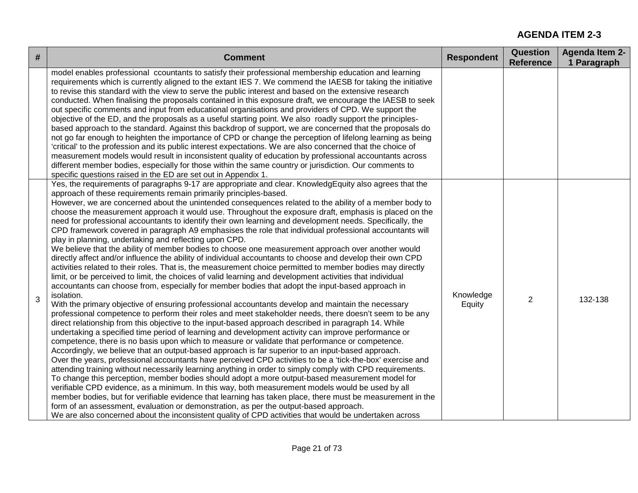| # | <b>Comment</b>                                                                                                                                                                                                                                                                                                                                                                                                                                                                                                                                                                                                                                                                                                                                                                                                                                                                                                                                                                                                                                                                                                                                                                                                                                                                                                                                                                                                                                                                                                                                                                                                                                                                                                                                                                                                                                                                                                                                                                                                                                                                                                                                                                                                                                                                                                                                                                                                                                                                                                                                                                                                                                 | <b>Respondent</b>   | <b>Question</b><br><b>Reference</b> | Agenda Item 2-<br>1 Paragraph |
|---|------------------------------------------------------------------------------------------------------------------------------------------------------------------------------------------------------------------------------------------------------------------------------------------------------------------------------------------------------------------------------------------------------------------------------------------------------------------------------------------------------------------------------------------------------------------------------------------------------------------------------------------------------------------------------------------------------------------------------------------------------------------------------------------------------------------------------------------------------------------------------------------------------------------------------------------------------------------------------------------------------------------------------------------------------------------------------------------------------------------------------------------------------------------------------------------------------------------------------------------------------------------------------------------------------------------------------------------------------------------------------------------------------------------------------------------------------------------------------------------------------------------------------------------------------------------------------------------------------------------------------------------------------------------------------------------------------------------------------------------------------------------------------------------------------------------------------------------------------------------------------------------------------------------------------------------------------------------------------------------------------------------------------------------------------------------------------------------------------------------------------------------------------------------------------------------------------------------------------------------------------------------------------------------------------------------------------------------------------------------------------------------------------------------------------------------------------------------------------------------------------------------------------------------------------------------------------------------------------------------------------------------------|---------------------|-------------------------------------|-------------------------------|
|   | model enables professional ccountants to satisfy their professional membership education and learning<br>requirements which is currently aligned to the extant IES 7. We commend the IAESB for taking the initiative<br>to revise this standard with the view to serve the public interest and based on the extensive research<br>conducted. When finalising the proposals contained in this exposure draft, we encourage the IAESB to seek<br>out specific comments and input from educational organisations and providers of CPD. We support the<br>objective of the ED, and the proposals as a useful starting point. We also roadly support the principles-<br>based approach to the standard. Against this backdrop of support, we are concerned that the proposals do<br>not go far enough to heighten the importance of CPD or change the perception of lifelong learning as being<br>'critical' to the profession and its public interest expectations. We are also concerned that the choice of<br>measurement models would result in inconsistent quality of education by professional accountants across<br>different member bodies, especially for those within the same country or jurisdiction. Our comments to<br>specific questions raised in the ED are set out in Appendix 1.                                                                                                                                                                                                                                                                                                                                                                                                                                                                                                                                                                                                                                                                                                                                                                                                                                                                                                                                                                                                                                                                                                                                                                                                                                                                                                                                                |                     |                                     |                               |
| 3 | Yes, the requirements of paragraphs 9-17 are appropriate and clear. KnowledgEquity also agrees that the<br>approach of these requirements remain primarily principles-based.<br>However, we are concerned about the unintended consequences related to the ability of a member body to<br>choose the measurement approach it would use. Throughout the exposure draft, emphasis is placed on the<br>need for professional accountants to identify their own learning and development needs. Specifically, the<br>CPD framework covered in paragraph A9 emphasises the role that individual professional accountants will<br>play in planning, undertaking and reflecting upon CPD.<br>We believe that the ability of member bodies to choose one measurement approach over another would<br>directly affect and/or influence the ability of individual accountants to choose and develop their own CPD<br>activities related to their roles. That is, the measurement choice permitted to member bodies may directly<br>limit, or be perceived to limit, the choices of valid learning and development activities that individual<br>accountants can choose from, especially for member bodies that adopt the input-based approach in<br>isolation.<br>With the primary objective of ensuring professional accountants develop and maintain the necessary<br>professional competence to perform their roles and meet stakeholder needs, there doesn't seem to be any<br>direct relationship from this objective to the input-based approach described in paragraph 14. While<br>undertaking a specified time period of learning and development activity can improve performance or<br>competence, there is no basis upon which to measure or validate that performance or competence.<br>Accordingly, we believe that an output-based approach is far superior to an input-based approach.<br>Over the years, professional accountants have perceived CPD activities to be a 'tick-the-box' exercise and<br>attending training without necessarily learning anything in order to simply comply with CPD requirements.<br>To change this perception, member bodies should adopt a more output-based measurement model for<br>verifiable CPD evidence, as a minimum. In this way, both measurement models would be used by all<br>member bodies, but for verifiable evidence that learning has taken place, there must be measurement in the<br>form of an assessment, evaluation or demonstration, as per the output-based approach.<br>We are also concerned about the inconsistent quality of CPD activities that would be undertaken across | Knowledge<br>Equity | $\overline{2}$                      | 132-138                       |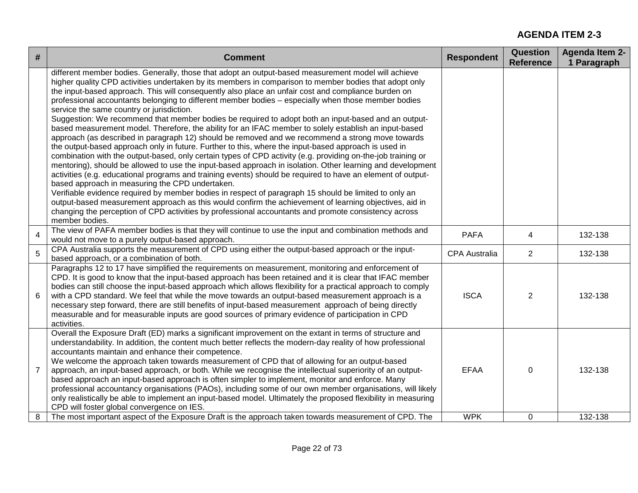| #              | <b>Comment</b>                                                                                                                                                                                                                                                                                                                                                                                                                                                                                                                                                                                                                                                                                                                                                                                                                                                                                                                                                                                                                                                                                                                                                                                                                                                                                                                                                                                                                                                                                                                                                                                                                                    | <b>Respondent</b>    | <b>Question</b><br><b>Reference</b> | <b>Agenda Item 2-</b><br>1 Paragraph |
|----------------|---------------------------------------------------------------------------------------------------------------------------------------------------------------------------------------------------------------------------------------------------------------------------------------------------------------------------------------------------------------------------------------------------------------------------------------------------------------------------------------------------------------------------------------------------------------------------------------------------------------------------------------------------------------------------------------------------------------------------------------------------------------------------------------------------------------------------------------------------------------------------------------------------------------------------------------------------------------------------------------------------------------------------------------------------------------------------------------------------------------------------------------------------------------------------------------------------------------------------------------------------------------------------------------------------------------------------------------------------------------------------------------------------------------------------------------------------------------------------------------------------------------------------------------------------------------------------------------------------------------------------------------------------|----------------------|-------------------------------------|--------------------------------------|
|                | different member bodies. Generally, those that adopt an output-based measurement model will achieve<br>higher quality CPD activities undertaken by its members in comparison to member bodies that adopt only<br>the input-based approach. This will consequently also place an unfair cost and compliance burden on<br>professional accountants belonging to different member bodies - especially when those member bodies<br>service the same country or jurisdiction.<br>Suggestion: We recommend that member bodies be required to adopt both an input-based and an output-<br>based measurement model. Therefore, the ability for an IFAC member to solely establish an input-based<br>approach (as described in paragraph 12) should be removed and we recommend a strong move towards<br>the output-based approach only in future. Further to this, where the input-based approach is used in<br>combination with the output-based, only certain types of CPD activity (e.g. providing on-the-job training or<br>mentoring), should be allowed to use the input-based approach in isolation. Other learning and development<br>activities (e.g. educational programs and training events) should be required to have an element of output-<br>based approach in measuring the CPD undertaken.<br>Verifiable evidence required by member bodies in respect of paragraph 15 should be limited to only an<br>output-based measurement approach as this would confirm the achievement of learning objectives, aid in<br>changing the perception of CPD activities by professional accountants and promote consistency across<br>member bodies. |                      |                                     |                                      |
| 4              | The view of PAFA member bodies is that they will continue to use the input and combination methods and<br>would not move to a purely output-based approach.                                                                                                                                                                                                                                                                                                                                                                                                                                                                                                                                                                                                                                                                                                                                                                                                                                                                                                                                                                                                                                                                                                                                                                                                                                                                                                                                                                                                                                                                                       | <b>PAFA</b>          | 4                                   | 132-138                              |
| 5              | CPA Australia supports the measurement of CPD using either the output-based approach or the input-<br>based approach, or a combination of both.                                                                                                                                                                                                                                                                                                                                                                                                                                                                                                                                                                                                                                                                                                                                                                                                                                                                                                                                                                                                                                                                                                                                                                                                                                                                                                                                                                                                                                                                                                   | <b>CPA Australia</b> | $\overline{2}$                      | 132-138                              |
| 6              | Paragraphs 12 to 17 have simplified the requirements on measurement, monitoring and enforcement of<br>CPD. It is good to know that the input-based approach has been retained and it is clear that IFAC member<br>bodies can still choose the input-based approach which allows flexibility for a practical approach to comply<br>with a CPD standard. We feel that while the move towards an output-based measurement approach is a<br>necessary step forward, there are still benefits of input-based measurement approach of being directly<br>measurable and for measurable inputs are good sources of primary evidence of participation in CPD<br>activities.                                                                                                                                                                                                                                                                                                                                                                                                                                                                                                                                                                                                                                                                                                                                                                                                                                                                                                                                                                                | <b>ISCA</b>          | $\overline{2}$                      | 132-138                              |
| $\overline{7}$ | Overall the Exposure Draft (ED) marks a significant improvement on the extant in terms of structure and<br>understandability. In addition, the content much better reflects the modern-day reality of how professional<br>accountants maintain and enhance their competence.<br>We welcome the approach taken towards measurement of CPD that of allowing for an output-based<br>approach, an input-based approach, or both. While we recognise the intellectual superiority of an output-<br>based approach an input-based approach is often simpler to implement, monitor and enforce. Many<br>professional accountancy organisations (PAOs), including some of our own member organisations, will likely<br>only realistically be able to implement an input-based model. Ultimately the proposed flexibility in measuring<br>CPD will foster global convergence on IES.                                                                                                                                                                                                                                                                                                                                                                                                                                                                                                                                                                                                                                                                                                                                                                       | <b>EFAA</b>          | 0                                   | 132-138                              |
| 8              | The most important aspect of the Exposure Draft is the approach taken towards measurement of CPD. The                                                                                                                                                                                                                                                                                                                                                                                                                                                                                                                                                                                                                                                                                                                                                                                                                                                                                                                                                                                                                                                                                                                                                                                                                                                                                                                                                                                                                                                                                                                                             | <b>WPK</b>           | 0                                   | 132-138                              |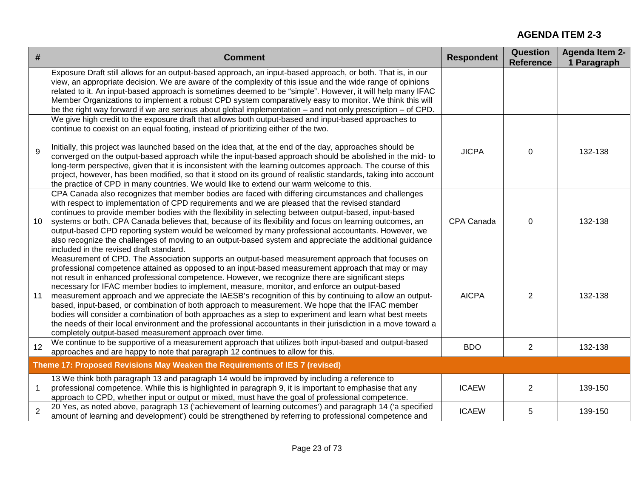| #              | <b>Comment</b>                                                                                                                                                                                                                                                                                                                                                                                                                                                                                                                                                                                                                                                                                                                                                                                                                                                                                                       | <b>Respondent</b> | <b>Question</b><br><b>Reference</b> | <b>Agenda Item 2-</b><br>1 Paragraph |
|----------------|----------------------------------------------------------------------------------------------------------------------------------------------------------------------------------------------------------------------------------------------------------------------------------------------------------------------------------------------------------------------------------------------------------------------------------------------------------------------------------------------------------------------------------------------------------------------------------------------------------------------------------------------------------------------------------------------------------------------------------------------------------------------------------------------------------------------------------------------------------------------------------------------------------------------|-------------------|-------------------------------------|--------------------------------------|
|                | Exposure Draft still allows for an output-based approach, an input-based approach, or both. That is, in our<br>view, an appropriate decision. We are aware of the complexity of this issue and the wide range of opinions<br>related to it. An input-based approach is sometimes deemed to be "simple". However, it will help many IFAC<br>Member Organizations to implement a robust CPD system comparatively easy to monitor. We think this will<br>be the right way forward if we are serious about global implementation – and not only prescription – of CPD.                                                                                                                                                                                                                                                                                                                                                   |                   |                                     |                                      |
| 9              | We give high credit to the exposure draft that allows both output-based and input-based approaches to<br>continue to coexist on an equal footing, instead of prioritizing either of the two.<br>Initially, this project was launched based on the idea that, at the end of the day, approaches should be<br>converged on the output-based approach while the input-based approach should be abolished in the mid- to<br>long-term perspective, given that it is inconsistent with the learning outcomes approach. The course of this<br>project, however, has been modified, so that it stood on its ground of realistic standards, taking into account<br>the practice of CPD in many countries. We would like to extend our warm welcome to this.                                                                                                                                                                  | <b>JICPA</b>      | $\mathbf 0$                         | 132-138                              |
| 10             | CPA Canada also recognizes that member bodies are faced with differing circumstances and challenges<br>with respect to implementation of CPD requirements and we are pleased that the revised standard<br>continues to provide member bodies with the flexibility in selecting between output-based, input-based<br>systems or both. CPA Canada believes that, because of its flexibility and focus on learning outcomes, an<br>output-based CPD reporting system would be welcomed by many professional accountants. However, we<br>also recognize the challenges of moving to an output-based system and appreciate the additional guidance<br>included in the revised draft standard.                                                                                                                                                                                                                             | CPA Canada        | $\mathbf 0$                         | 132-138                              |
| 11             | Measurement of CPD. The Association supports an output-based measurement approach that focuses on<br>professional competence attained as opposed to an input-based measurement approach that may or may<br>not result in enhanced professional competence. However, we recognize there are significant steps<br>necessary for IFAC member bodies to implement, measure, monitor, and enforce an output-based<br>measurement approach and we appreciate the IAESB's recognition of this by continuing to allow an output-<br>based, input-based, or combination of both approach to measurement. We hope that the IFAC member<br>bodies will consider a combination of both approaches as a step to experiment and learn what best meets<br>the needs of their local environment and the professional accountants in their jurisdiction in a move toward a<br>completely output-based measurement approach over time. | <b>AICPA</b>      | $\overline{2}$                      | 132-138                              |
| 12             | We continue to be supportive of a measurement approach that utilizes both input-based and output-based<br>approaches and are happy to note that paragraph 12 continues to allow for this.                                                                                                                                                                                                                                                                                                                                                                                                                                                                                                                                                                                                                                                                                                                            | <b>BDO</b>        | $\overline{2}$                      | 132-138                              |
|                | Theme 17: Proposed Revisions May Weaken the Requirements of IES 7 (revised)                                                                                                                                                                                                                                                                                                                                                                                                                                                                                                                                                                                                                                                                                                                                                                                                                                          |                   |                                     |                                      |
| $\mathbf{1}$   | 13 We think both paragraph 13 and paragraph 14 would be improved by including a reference to<br>professional competence. While this is highlighted in paragraph 9, it is important to emphasise that any<br>approach to CPD, whether input or output or mixed, must have the goal of professional competence.                                                                                                                                                                                                                                                                                                                                                                                                                                                                                                                                                                                                        | <b>ICAEW</b>      | $\overline{2}$                      | 139-150                              |
| $\overline{2}$ | 20 Yes, as noted above, paragraph 13 ('achievement of learning outcomes') and paragraph 14 ('a specified<br>amount of learning and development') could be strengthened by referring to professional competence and                                                                                                                                                                                                                                                                                                                                                                                                                                                                                                                                                                                                                                                                                                   | <b>ICAEW</b>      | 5                                   | 139-150                              |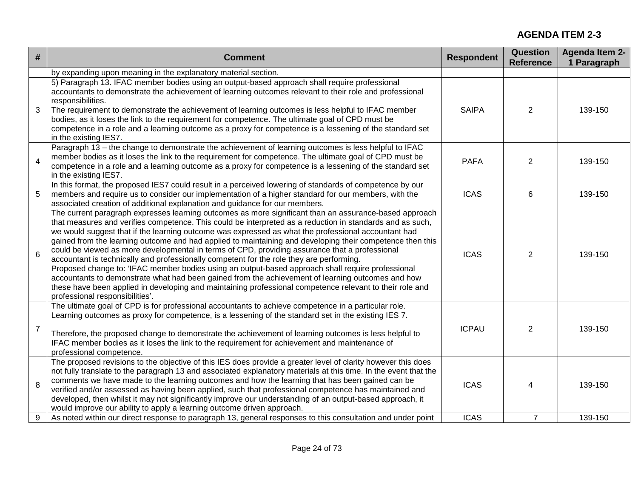| #               | <b>Comment</b>                                                                                                                                                                                                                                                                                                                                                                                                                                                                                                                                                                                                                                                                                                                                                                                                                                                                                                                                                                                 | <b>Respondent</b> | <b>Question</b><br><b>Reference</b> | <b>Agenda Item 2-</b><br>1 Paragraph |
|-----------------|------------------------------------------------------------------------------------------------------------------------------------------------------------------------------------------------------------------------------------------------------------------------------------------------------------------------------------------------------------------------------------------------------------------------------------------------------------------------------------------------------------------------------------------------------------------------------------------------------------------------------------------------------------------------------------------------------------------------------------------------------------------------------------------------------------------------------------------------------------------------------------------------------------------------------------------------------------------------------------------------|-------------------|-------------------------------------|--------------------------------------|
|                 | by expanding upon meaning in the explanatory material section.                                                                                                                                                                                                                                                                                                                                                                                                                                                                                                                                                                                                                                                                                                                                                                                                                                                                                                                                 |                   |                                     |                                      |
| 3               | 5) Paragraph 13. IFAC member bodies using an output-based approach shall require professional<br>accountants to demonstrate the achievement of learning outcomes relevant to their role and professional<br>responsibilities.<br>The requirement to demonstrate the achievement of learning outcomes is less helpful to IFAC member<br>bodies, as it loses the link to the requirement for competence. The ultimate goal of CPD must be<br>competence in a role and a learning outcome as a proxy for competence is a lessening of the standard set<br>in the existing IES7.                                                                                                                                                                                                                                                                                                                                                                                                                   | <b>SAIPA</b>      | $\overline{2}$                      | 139-150                              |
| $\overline{4}$  | Paragraph 13 - the change to demonstrate the achievement of learning outcomes is less helpful to IFAC<br>member bodies as it loses the link to the requirement for competence. The ultimate goal of CPD must be<br>competence in a role and a learning outcome as a proxy for competence is a lessening of the standard set<br>in the existing IES7.                                                                                                                                                                                                                                                                                                                                                                                                                                                                                                                                                                                                                                           | <b>PAFA</b>       | $\overline{2}$                      | 139-150                              |
| 5               | In this format, the proposed IES7 could result in a perceived lowering of standards of competence by our<br>members and require us to consider our implementation of a higher standard for our members, with the<br>associated creation of additional explanation and guidance for our members.                                                                                                                                                                                                                                                                                                                                                                                                                                                                                                                                                                                                                                                                                                | <b>ICAS</b>       | 6                                   | 139-150                              |
| $6\phantom{1}6$ | The current paragraph expresses learning outcomes as more significant than an assurance-based approach<br>that measures and verifies competence. This could be interpreted as a reduction in standards and as such,<br>we would suggest that if the learning outcome was expressed as what the professional accountant had<br>gained from the learning outcome and had applied to maintaining and developing their competence then this<br>could be viewed as more developmental in terms of CPD, providing assurance that a professional<br>accountant is technically and professionally competent for the role they are performing.<br>Proposed change to: 'IFAC member bodies using an output-based approach shall require professional<br>accountants to demonstrate what had been gained from the achievement of learning outcomes and how<br>these have been applied in developing and maintaining professional competence relevant to their role and<br>professional responsibilities'. | <b>ICAS</b>       | $\overline{2}$                      | 139-150                              |
| $\overline{7}$  | The ultimate goal of CPD is for professional accountants to achieve competence in a particular role.<br>Learning outcomes as proxy for competence, is a lessening of the standard set in the existing IES 7.<br>Therefore, the proposed change to demonstrate the achievement of learning outcomes is less helpful to<br>IFAC member bodies as it loses the link to the requirement for achievement and maintenance of<br>professional competence.                                                                                                                                                                                                                                                                                                                                                                                                                                                                                                                                             | <b>ICPAU</b>      | $\overline{2}$                      | 139-150                              |
| 8               | The proposed revisions to the objective of this IES does provide a greater level of clarity however this does<br>not fully translate to the paragraph 13 and associated explanatory materials at this time. In the event that the<br>comments we have made to the learning outcomes and how the learning that has been gained can be<br>verified and/or assessed as having been applied, such that professional competence has maintained and<br>developed, then whilst it may not significantly improve our understanding of an output-based approach, it<br>would improve our ability to apply a learning outcome driven approach.                                                                                                                                                                                                                                                                                                                                                           | <b>ICAS</b>       | 4                                   | 139-150                              |
| 9               | As noted within our direct response to paragraph 13, general responses to this consultation and under point                                                                                                                                                                                                                                                                                                                                                                                                                                                                                                                                                                                                                                                                                                                                                                                                                                                                                    | <b>ICAS</b>       | $\overline{7}$                      | 139-150                              |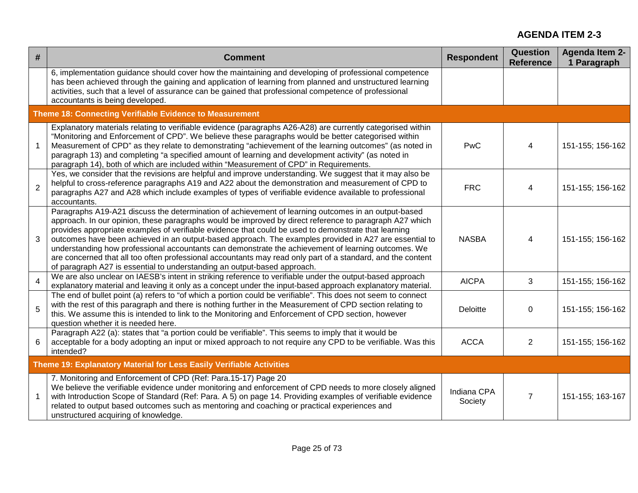| #              | <b>Comment</b>                                                                                                                                                                                                                                                                                                                                                                                                                                                                                                                                                                                                                                                                                                                     | <b>Respondent</b>      | <b>Question</b><br><b>Reference</b> | <b>Agenda Item 2-</b><br>1 Paragraph |  |  |
|----------------|------------------------------------------------------------------------------------------------------------------------------------------------------------------------------------------------------------------------------------------------------------------------------------------------------------------------------------------------------------------------------------------------------------------------------------------------------------------------------------------------------------------------------------------------------------------------------------------------------------------------------------------------------------------------------------------------------------------------------------|------------------------|-------------------------------------|--------------------------------------|--|--|
|                | 6, implementation guidance should cover how the maintaining and developing of professional competence<br>has been achieved through the gaining and application of learning from planned and unstructured learning<br>activities, such that a level of assurance can be gained that professional competence of professional<br>accountants is being developed.                                                                                                                                                                                                                                                                                                                                                                      |                        |                                     |                                      |  |  |
|                | Theme 18: Connecting Verifiable Evidence to Measurement                                                                                                                                                                                                                                                                                                                                                                                                                                                                                                                                                                                                                                                                            |                        |                                     |                                      |  |  |
| $\mathbf{1}$   | Explanatory materials relating to verifiable evidence (paragraphs A26-A28) are currently categorised within<br>"Monitoring and Enforcement of CPD". We believe these paragraphs would be better categorised within<br>Measurement of CPD" as they relate to demonstrating "achievement of the learning outcomes" (as noted in<br>paragraph 13) and completing "a specified amount of learning and development activity" (as noted in<br>paragraph 14), both of which are included within "Measurement of CPD" in Requirements.                                                                                                                                                                                                     | PwC                    | 4                                   | 151-155; 156-162                     |  |  |
| $\overline{2}$ | Yes, we consider that the revisions are helpful and improve understanding. We suggest that it may also be<br>helpful to cross-reference paragraphs A19 and A22 about the demonstration and measurement of CPD to<br>paragraphs A27 and A28 which include examples of types of verifiable evidence available to professional<br>accountants.                                                                                                                                                                                                                                                                                                                                                                                        | <b>FRC</b>             | 4                                   | 151-155; 156-162                     |  |  |
| 3              | Paragraphs A19-A21 discuss the determination of achievement of learning outcomes in an output-based<br>approach. In our opinion, these paragraphs would be improved by direct reference to paragraph A27 which<br>provides appropriate examples of verifiable evidence that could be used to demonstrate that learning<br>outcomes have been achieved in an output-based approach. The examples provided in A27 are essential to<br>understanding how professional accountants can demonstrate the achievement of learning outcomes. We<br>are concerned that all too often professional accountants may read only part of a standard, and the content<br>of paragraph A27 is essential to understanding an output-based approach. | <b>NASBA</b>           | 4                                   | 151-155; 156-162                     |  |  |
| $\overline{4}$ | We are also unclear on IAESB's intent in striking reference to verifiable under the output-based approach<br>explanatory material and leaving it only as a concept under the input-based approach explanatory material.                                                                                                                                                                                                                                                                                                                                                                                                                                                                                                            | <b>AICPA</b>           | 3                                   | 151-155; 156-162                     |  |  |
| 5              | The end of bullet point (a) refers to "of which a portion could be verifiable". This does not seem to connect<br>with the rest of this paragraph and there is nothing further in the Measurement of CPD section relating to<br>this. We assume this is intended to link to the Monitoring and Enforcement of CPD section, however<br>question whether it is needed here.                                                                                                                                                                                                                                                                                                                                                           | <b>Deloitte</b>        | $\mathbf 0$                         | 151-155; 156-162                     |  |  |
| 6              | Paragraph A22 (a): states that "a portion could be verifiable". This seems to imply that it would be<br>acceptable for a body adopting an input or mixed approach to not require any CPD to be verifiable. Was this<br>intended?                                                                                                                                                                                                                                                                                                                                                                                                                                                                                                   | <b>ACCA</b>            | $\overline{2}$                      | 151-155; 156-162                     |  |  |
|                | Theme 19: Explanatory Material for Less Easily Verifiable Activities                                                                                                                                                                                                                                                                                                                                                                                                                                                                                                                                                                                                                                                               |                        |                                     |                                      |  |  |
| $\mathbf{1}$   | 7. Monitoring and Enforcement of CPD (Ref: Para.15-17) Page 20<br>We believe the verifiable evidence under monitoring and enforcement of CPD needs to more closely aligned<br>with Introduction Scope of Standard (Ref: Para. A 5) on page 14. Providing examples of verifiable evidence<br>related to output based outcomes such as mentoring and coaching or practical experiences and<br>unstructured acquiring of knowledge.                                                                                                                                                                                                                                                                                                   | Indiana CPA<br>Society | $\overline{7}$                      | 151-155; 163-167                     |  |  |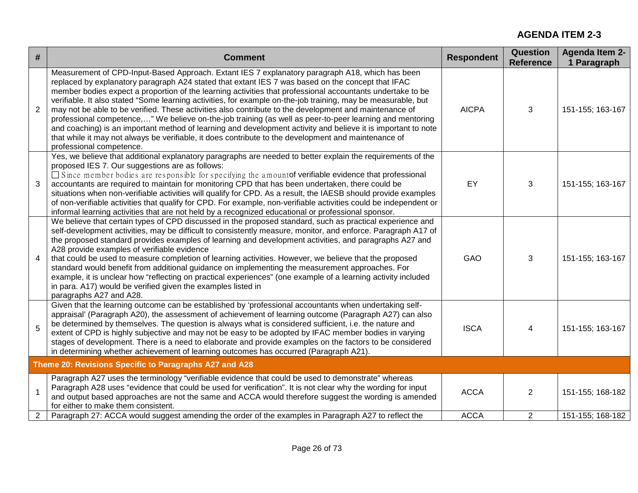| #              | <b>Comment</b>                                                                                                                                                                                                                                                                                                                                                                                                                                                                                                                                                                                                                                                                                                                                                                                                                                                                                                 | <b>Respondent</b> | Question<br><b>Reference</b> | <b>Agenda Item 2-</b><br>1 Paragraph |
|----------------|----------------------------------------------------------------------------------------------------------------------------------------------------------------------------------------------------------------------------------------------------------------------------------------------------------------------------------------------------------------------------------------------------------------------------------------------------------------------------------------------------------------------------------------------------------------------------------------------------------------------------------------------------------------------------------------------------------------------------------------------------------------------------------------------------------------------------------------------------------------------------------------------------------------|-------------------|------------------------------|--------------------------------------|
| 2              | Measurement of CPD-Input-Based Approach. Extant IES 7 explanatory paragraph A18, which has been<br>replaced by explanatory paragraph A24 stated that extant IES 7 was based on the concept that IFAC<br>member bodies expect a proportion of the learning activities that professional accountants undertake to be<br>verifiable. It also stated "Some learning activities, for example on-the-job training, may be measurable, but<br>may not be able to be verified. These activities also contribute to the development and maintenance of<br>professional competence," We believe on-the-job training (as well as peer-to-peer learning and mentoring<br>and coaching) is an important method of learning and development activity and believe it is important to note<br>that while it may not always be verifiable, it does contribute to the development and maintenance of<br>professional competence. | <b>AICPA</b>      | 3                            | 151-155; 163-167                     |
| 3              | Yes, we believe that additional explanatory paragraphs are needed to better explain the requirements of the<br>proposed IES 7. Our suggestions are as follows:<br>$\Box$ Since member bodies are responsible for specifying the amount of verifiable evidence that professional<br>accountants are required to maintain for monitoring CPD that has been undertaken, there could be<br>situations when non-verifiable activities will qualify for CPD. As a result, the IAESB should provide examples<br>of non-verifiable activities that qualify for CPD. For example, non-verifiable activities could be independent or<br>informal learning activities that are not held by a recognized educational or professional sponsor.                                                                                                                                                                              | EY                | 3                            | 151-155; 163-167                     |
| $\overline{4}$ | We believe that certain types of CPD discussed in the proposed standard, such as practical experience and<br>self-development activities, may be difficult to consistently measure, monitor, and enforce. Paragraph A17 of<br>the proposed standard provides examples of learning and development activities, and paragraphs A27 and<br>A28 provide examples of verifiable evidence<br>that could be used to measure completion of learning activities. However, we believe that the proposed<br>standard would benefit from additional guidance on implementing the measurement approaches. For<br>example, it is unclear how "reflecting on practical experiences" (one example of a learning activity included<br>in para. A17) would be verified given the examples listed in<br>paragraphs A27 and A28.                                                                                                   | GAO               | 3                            | 151-155; 163-167                     |
| 5              | Given that the learning outcome can be established by 'professional accountants when undertaking self-<br>appraisal' (Paragraph A20), the assessment of achievement of learning outcome (Paragraph A27) can also<br>be determined by themselves. The question is always what is considered sufficient, i.e. the nature and<br>extent of CPD is highly subjective and may not be easy to be adopted by IFAC member bodies in varying<br>stages of development. There is a need to elaborate and provide examples on the factors to be considered<br>in determining whether achievement of learning outcomes has occurred (Paragraph A21).                                                                                                                                                                                                                                                                       | <b>ISCA</b>       | 4                            | 151-155; 163-167                     |
|                | Theme 20: Revisions Specific to Paragraphs A27 and A28                                                                                                                                                                                                                                                                                                                                                                                                                                                                                                                                                                                                                                                                                                                                                                                                                                                         |                   |                              |                                      |
| $\mathbf{1}$   | Paragraph A27 uses the terminology "verifiable evidence that could be used to demonstrate" whereas<br>Paragraph A28 uses "evidence that could be used for verification". It is not clear why the wording for input<br>and output based approaches are not the same and ACCA would therefore suggest the wording is amended<br>for either to make them consistent.                                                                                                                                                                                                                                                                                                                                                                                                                                                                                                                                              | <b>ACCA</b>       | 2                            | 151-155; 168-182                     |
| $\overline{2}$ | Paragraph 27: ACCA would suggest amending the order of the examples in Paragraph A27 to reflect the                                                                                                                                                                                                                                                                                                                                                                                                                                                                                                                                                                                                                                                                                                                                                                                                            | <b>ACCA</b>       | 2                            | 151-155; 168-182                     |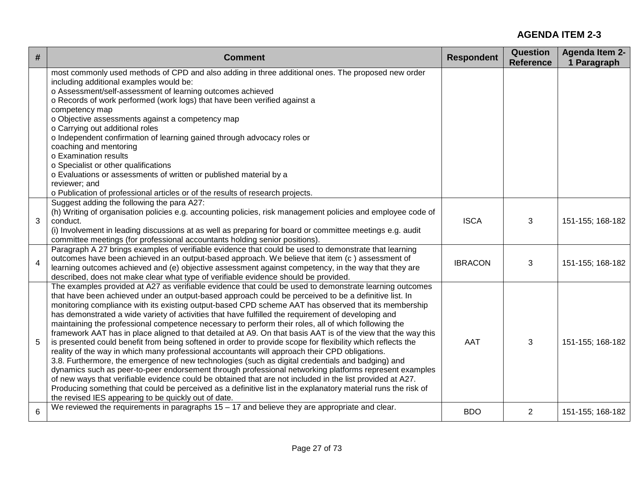| #              | <b>Comment</b>                                                                                                                                                                                                                                                                                                                                                                                                                                                                                                                                                                                                                                                                                                                                                                                                                                                                                                                                                                                                                                                                                                                                                                                                                                                                                                                                                                 | <b>Respondent</b> | <b>Question</b><br><b>Reference</b> | <b>Agenda Item 2-</b><br>1 Paragraph |
|----------------|--------------------------------------------------------------------------------------------------------------------------------------------------------------------------------------------------------------------------------------------------------------------------------------------------------------------------------------------------------------------------------------------------------------------------------------------------------------------------------------------------------------------------------------------------------------------------------------------------------------------------------------------------------------------------------------------------------------------------------------------------------------------------------------------------------------------------------------------------------------------------------------------------------------------------------------------------------------------------------------------------------------------------------------------------------------------------------------------------------------------------------------------------------------------------------------------------------------------------------------------------------------------------------------------------------------------------------------------------------------------------------|-------------------|-------------------------------------|--------------------------------------|
|                | most commonly used methods of CPD and also adding in three additional ones. The proposed new order<br>including additional examples would be:<br>o Assessment/self-assessment of learning outcomes achieved<br>o Records of work performed (work logs) that have been verified against a<br>competency map<br>o Objective assessments against a competency map<br>o Carrying out additional roles<br>o Independent confirmation of learning gained through advocacy roles or<br>coaching and mentoring<br>o Examination results<br>o Specialist or other qualifications<br>o Evaluations or assessments of written or published material by a<br>reviewer; and<br>o Publication of professional articles or of the results of research projects.                                                                                                                                                                                                                                                                                                                                                                                                                                                                                                                                                                                                                               |                   |                                     |                                      |
| 3              | Suggest adding the following the para A27:<br>(h) Writing of organisation policies e.g. accounting policies, risk management policies and employee code of<br>conduct.<br>(i) Involvement in leading discussions at as well as preparing for board or committee meetings e.g. audit<br>committee meetings (for professional accountants holding senior positions).                                                                                                                                                                                                                                                                                                                                                                                                                                                                                                                                                                                                                                                                                                                                                                                                                                                                                                                                                                                                             | <b>ISCA</b>       | 3                                   | 151-155; 168-182                     |
| $\overline{4}$ | Paragraph A 27 brings examples of verifiable evidence that could be used to demonstrate that learning<br>outcomes have been achieved in an output-based approach. We believe that item (c) assessment of<br>learning outcomes achieved and (e) objective assessment against competency, in the way that they are<br>described, does not make clear what type of verifiable evidence should be provided.                                                                                                                                                                                                                                                                                                                                                                                                                                                                                                                                                                                                                                                                                                                                                                                                                                                                                                                                                                        | <b>IBRACON</b>    | 3                                   | 151-155; 168-182                     |
| 5              | The examples provided at A27 as verifiable evidence that could be used to demonstrate learning outcomes<br>that have been achieved under an output-based approach could be perceived to be a definitive list. In<br>monitoring compliance with its existing output-based CPD scheme AAT has observed that its membership<br>has demonstrated a wide variety of activities that have fulfilled the requirement of developing and<br>maintaining the professional competence necessary to perform their roles, all of which following the<br>framework AAT has in place aligned to that detailed at A9. On that basis AAT is of the view that the way this<br>is presented could benefit from being softened in order to provide scope for flexibility which reflects the<br>reality of the way in which many professional accountants will approach their CPD obligations.<br>3.8. Furthermore, the emergence of new technologies (such as digital credentials and badging) and<br>dynamics such as peer-to-peer endorsement through professional networking platforms represent examples<br>of new ways that verifiable evidence could be obtained that are not included in the list provided at A27.<br>Producing something that could be perceived as a definitive list in the explanatory material runs the risk of<br>the revised IES appearing to be quickly out of date. | AAT               | 3                                   | 151-155; 168-182                     |
| 6              | We reviewed the requirements in paragraphs $15 - 17$ and believe they are appropriate and clear.                                                                                                                                                                                                                                                                                                                                                                                                                                                                                                                                                                                                                                                                                                                                                                                                                                                                                                                                                                                                                                                                                                                                                                                                                                                                               | <b>BDO</b>        | 2                                   | 151-155; 168-182                     |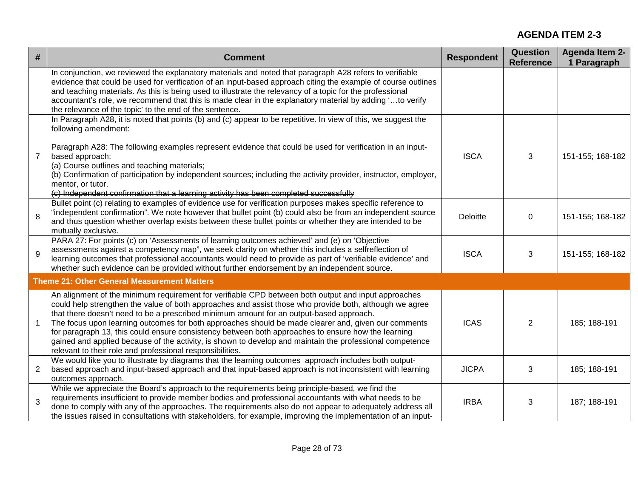| $\#$           | <b>Comment</b>                                                                                                                                                                                                                                                                                                                                                                                                                                                                                                                                                                                                                                                                                  | <b>Respondent</b> | <b>Question</b><br><b>Reference</b> | <b>Agenda Item 2-</b><br>1 Paragraph |
|----------------|-------------------------------------------------------------------------------------------------------------------------------------------------------------------------------------------------------------------------------------------------------------------------------------------------------------------------------------------------------------------------------------------------------------------------------------------------------------------------------------------------------------------------------------------------------------------------------------------------------------------------------------------------------------------------------------------------|-------------------|-------------------------------------|--------------------------------------|
|                | In conjunction, we reviewed the explanatory materials and noted that paragraph A28 refers to verifiable<br>evidence that could be used for verification of an input-based approach citing the example of course outlines<br>and teaching materials. As this is being used to illustrate the relevancy of a topic for the professional<br>accountant's role, we recommend that this is made clear in the explanatory material by adding 'to verify<br>the relevance of the topic' to the end of the sentence.                                                                                                                                                                                    |                   |                                     |                                      |
| $\overline{7}$ | In Paragraph A28, it is noted that points (b) and (c) appear to be repetitive. In view of this, we suggest the<br>following amendment:<br>Paragraph A28: The following examples represent evidence that could be used for verification in an input-<br>based approach:<br>(a) Course outlines and teaching materials;<br>(b) Confirmation of participation by independent sources; including the activity provider, instructor, employer,<br>mentor, or tutor.<br>(c) Independent confirmation that a learning activity has been completed successfully                                                                                                                                         | <b>ISCA</b>       | 3                                   | 151-155; 168-182                     |
| 8              | Bullet point (c) relating to examples of evidence use for verification purposes makes specific reference to<br>"independent confirmation". We note however that bullet point (b) could also be from an independent source<br>and thus question whether overlap exists between these bullet points or whether they are intended to be<br>mutually exclusive.                                                                                                                                                                                                                                                                                                                                     | Deloitte          | $\mathbf 0$                         | 151-155; 168-182                     |
| 9              | PARA 27: For points (c) on 'Assessments of learning outcomes achieved' and (e) on 'Objective<br>assessments against a competency map", we seek clarity on whether this includes a selfreflection of<br>learning outcomes that professional accountants would need to provide as part of 'verifiable evidence' and<br>whether such evidence can be provided without further endorsement by an independent source.                                                                                                                                                                                                                                                                                | <b>ISCA</b>       | 3                                   | 151-155; 168-182                     |
|                | <b>Theme 21: Other General Measurement Matters</b>                                                                                                                                                                                                                                                                                                                                                                                                                                                                                                                                                                                                                                              |                   |                                     |                                      |
| $\mathbf 1$    | An alignment of the minimum requirement for verifiable CPD between both output and input approaches<br>could help strengthen the value of both approaches and assist those who provide both, although we agree<br>that there doesn't need to be a prescribed minimum amount for an output-based approach.<br>The focus upon learning outcomes for both approaches should be made clearer and, given our comments<br>for paragraph 13, this could ensure consistency between both approaches to ensure how the learning<br>gained and applied because of the activity, is shown to develop and maintain the professional competence<br>relevant to their role and professional responsibilities. | <b>ICAS</b>       | $\overline{2}$                      | 185; 188-191                         |
| $\overline{2}$ | We would like you to illustrate by diagrams that the learning outcomes approach includes both output-<br>based approach and input-based approach and that input-based approach is not inconsistent with learning<br>outcomes approach.                                                                                                                                                                                                                                                                                                                                                                                                                                                          | <b>JICPA</b>      | 3                                   | 185; 188-191                         |
| 3              | While we appreciate the Board's approach to the requirements being principle-based, we find the<br>requirements insufficient to provide member bodies and professional accountants with what needs to be<br>done to comply with any of the approaches. The requirements also do not appear to adequately address all<br>the issues raised in consultations with stakeholders, for example, improving the implementation of an input-                                                                                                                                                                                                                                                            | <b>IRBA</b>       | 3                                   | 187; 188-191                         |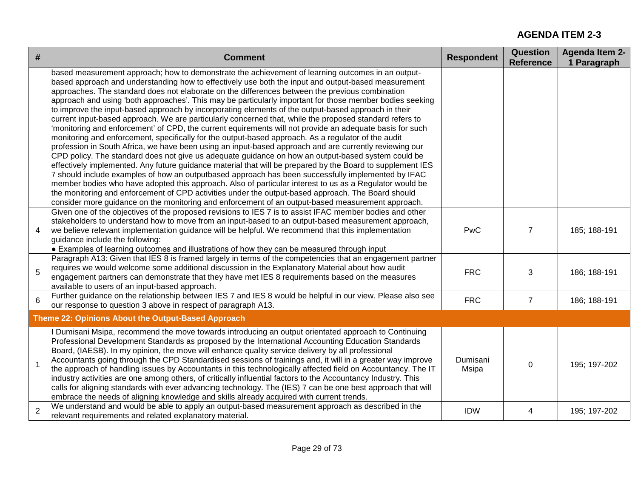| $\#$           | <b>Comment</b>                                                                                                                                                                                                                                                                                                                                                                                                                                                                                                                                                                                                                                                                                                                                                                                                                                                                                                                                                                                                                                                                                                                                                                                                                                                                                                                                                                                                                                                                                                                                                                                                         | <b>Respondent</b> | Question<br><b>Reference</b> | <b>Agenda Item 2-</b><br>1 Paragraph |
|----------------|------------------------------------------------------------------------------------------------------------------------------------------------------------------------------------------------------------------------------------------------------------------------------------------------------------------------------------------------------------------------------------------------------------------------------------------------------------------------------------------------------------------------------------------------------------------------------------------------------------------------------------------------------------------------------------------------------------------------------------------------------------------------------------------------------------------------------------------------------------------------------------------------------------------------------------------------------------------------------------------------------------------------------------------------------------------------------------------------------------------------------------------------------------------------------------------------------------------------------------------------------------------------------------------------------------------------------------------------------------------------------------------------------------------------------------------------------------------------------------------------------------------------------------------------------------------------------------------------------------------------|-------------------|------------------------------|--------------------------------------|
|                | based measurement approach; how to demonstrate the achievement of learning outcomes in an output-<br>based approach and understanding how to effectively use both the input and output-based measurement<br>approaches. The standard does not elaborate on the differences between the previous combination<br>approach and using 'both approaches'. This may be particularly important for those member bodies seeking<br>to improve the input-based approach by incorporating elements of the output-based approach in their<br>current input-based approach. We are particularly concerned that, while the proposed standard refers to<br>'monitoring and enforcement' of CPD, the current equirements will not provide an adequate basis for such<br>monitoring and enforcement, specifically for the output-based approach. As a regulator of the audit<br>profession in South Africa, we have been using an input-based approach and are currently reviewing our<br>CPD policy. The standard does not give us adequate guidance on how an output-based system could be<br>effectively implemented. Any future guidance material that will be prepared by the Board to supplement IES<br>7 should include examples of how an outputbased approach has been successfully implemented by IFAC<br>member bodies who have adopted this approach. Also of particular interest to us as a Regulator would be<br>the monitoring and enforcement of CPD activities under the output-based approach. The Board should<br>consider more guidance on the monitoring and enforcement of an output-based measurement approach. |                   |                              |                                      |
| 4              | Given one of the objectives of the proposed revisions to IES 7 is to assist IFAC member bodies and other<br>stakeholders to understand how to move from an input-based to an output-based measurement approach,<br>we believe relevant implementation guidance will be helpful. We recommend that this implementation<br>guidance include the following:<br>• Examples of learning outcomes and illustrations of how they can be measured through input                                                                                                                                                                                                                                                                                                                                                                                                                                                                                                                                                                                                                                                                                                                                                                                                                                                                                                                                                                                                                                                                                                                                                                | <b>PwC</b>        | $\overline{7}$               | 185; 188-191                         |
| 5              | Paragraph A13: Given that IES 8 is framed largely in terms of the competencies that an engagement partner<br>requires we would welcome some additional discussion in the Explanatory Material about how audit<br>engagement partners can demonstrate that they have met IES 8 requirements based on the measures<br>available to users of an input-based approach.                                                                                                                                                                                                                                                                                                                                                                                                                                                                                                                                                                                                                                                                                                                                                                                                                                                                                                                                                                                                                                                                                                                                                                                                                                                     | <b>FRC</b>        | 3                            | 186; 188-191                         |
| 6              | Further guidance on the relationship between IES 7 and IES 8 would be helpful in our view. Please also see<br>our response to question 3 above in respect of paragraph A13.                                                                                                                                                                                                                                                                                                                                                                                                                                                                                                                                                                                                                                                                                                                                                                                                                                                                                                                                                                                                                                                                                                                                                                                                                                                                                                                                                                                                                                            | <b>FRC</b>        | $\overline{7}$               | 186; 188-191                         |
|                | Theme 22: Opinions About the Output-Based Approach                                                                                                                                                                                                                                                                                                                                                                                                                                                                                                                                                                                                                                                                                                                                                                                                                                                                                                                                                                                                                                                                                                                                                                                                                                                                                                                                                                                                                                                                                                                                                                     |                   |                              |                                      |
| $\mathbf{1}$   | I Dumisani Msipa, recommend the move towards introducing an output orientated approach to Continuing<br>Professional Development Standards as proposed by the International Accounting Education Standards<br>Board, (IAESB). In my opinion, the move will enhance quality service delivery by all professional<br>Accountants going through the CPD Standardised sessions of trainings and, it will in a greater way improve<br>the approach of handling issues by Accountants in this technologically affected field on Accountancy. The IT<br>industry activities are one among others, of critically influential factors to the Accountancy Industry. This<br>calls for aligning standards with ever advancing technology. The (IES) 7 can be one best approach that will<br>embrace the needs of aligning knowledge and skills already acquired with current trends.                                                                                                                                                                                                                                                                                                                                                                                                                                                                                                                                                                                                                                                                                                                                              | Dumisani<br>Msipa | $\mathbf 0$                  | 195; 197-202                         |
| $\overline{2}$ | We understand and would be able to apply an output-based measurement approach as described in the<br>relevant requirements and related explanatory material.                                                                                                                                                                                                                                                                                                                                                                                                                                                                                                                                                                                                                                                                                                                                                                                                                                                                                                                                                                                                                                                                                                                                                                                                                                                                                                                                                                                                                                                           | <b>IDW</b>        | 4                            | 195; 197-202                         |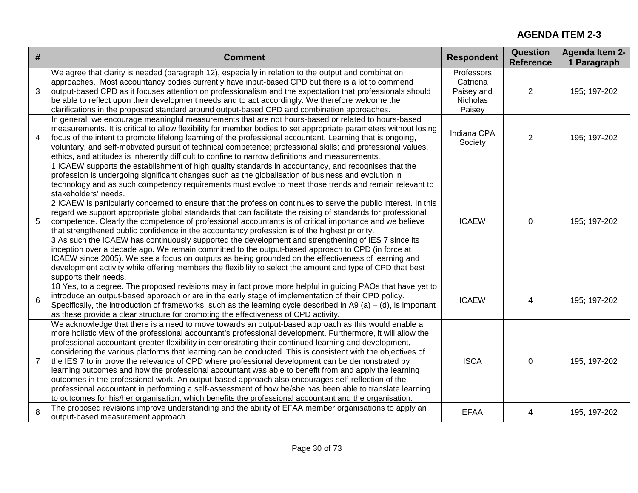| # | <b>Comment</b>                                                                                                                                                                                                                                                                                                                                                                                                                                                                                                                                                                                                                                                                                                                                                                                                                                                                                                                                                                                                                                                                                                                                                                                                                                         | <b>Respondent</b>                                          | <b>Question</b><br><b>Reference</b> | <b>Agenda Item 2-</b><br>1 Paragraph |
|---|--------------------------------------------------------------------------------------------------------------------------------------------------------------------------------------------------------------------------------------------------------------------------------------------------------------------------------------------------------------------------------------------------------------------------------------------------------------------------------------------------------------------------------------------------------------------------------------------------------------------------------------------------------------------------------------------------------------------------------------------------------------------------------------------------------------------------------------------------------------------------------------------------------------------------------------------------------------------------------------------------------------------------------------------------------------------------------------------------------------------------------------------------------------------------------------------------------------------------------------------------------|------------------------------------------------------------|-------------------------------------|--------------------------------------|
| 3 | We agree that clarity is needed (paragraph 12), especially in relation to the output and combination<br>approaches. Most accountancy bodies currently have input-based CPD but there is a lot to commend<br>output-based CPD as it focuses attention on professionalism and the expectation that professionals should<br>be able to reflect upon their development needs and to act accordingly. We therefore welcome the<br>clarifications in the proposed standard around output-based CPD and combination approaches.                                                                                                                                                                                                                                                                                                                                                                                                                                                                                                                                                                                                                                                                                                                               | Professors<br>Catriona<br>Paisey and<br>Nicholas<br>Paisey | $\overline{2}$                      | 195; 197-202                         |
| 4 | In general, we encourage meaningful measurements that are not hours-based or related to hours-based<br>measurements. It is critical to allow flexibility for member bodies to set appropriate parameters without losing<br>focus of the intent to promote lifelong learning of the professional accountant. Learning that is ongoing,<br>voluntary, and self-motivated pursuit of technical competence; professional skills; and professional values,<br>ethics, and attitudes is inherently difficult to confine to narrow definitions and measurements.                                                                                                                                                                                                                                                                                                                                                                                                                                                                                                                                                                                                                                                                                              | Indiana CPA<br>Society                                     | 2                                   | 195; 197-202                         |
| 5 | 1 ICAEW supports the establishment of high quality standards in accountancy, and recognises that the<br>profession is undergoing significant changes such as the globalisation of business and evolution in<br>technology and as such competency requirements must evolve to meet those trends and remain relevant to<br>stakeholders' needs.<br>2 ICAEW is particularly concerned to ensure that the profession continues to serve the public interest. In this<br>regard we support appropriate global standards that can facilitate the raising of standards for professional<br>competence. Clearly the competence of professional accountants is of critical importance and we believe<br>that strengthened public confidence in the accountancy profession is of the highest priority.<br>3 As such the ICAEW has continuously supported the development and strengthening of IES 7 since its<br>inception over a decade ago. We remain committed to the output-based approach to CPD (in force at<br>ICAEW since 2005). We see a focus on outputs as being grounded on the effectiveness of learning and<br>development activity while offering members the flexibility to select the amount and type of CPD that best<br>supports their needs. | <b>ICAEW</b>                                               | $\mathbf 0$                         | 195; 197-202                         |
| 6 | 18 Yes, to a degree. The proposed revisions may in fact prove more helpful in guiding PAOs that have yet to<br>introduce an output-based approach or are in the early stage of implementation of their CPD policy.<br>Specifically, the introduction of frameworks, such as the learning cycle described in A9 (a) – (d), is important<br>as these provide a clear structure for promoting the effectiveness of CPD activity.                                                                                                                                                                                                                                                                                                                                                                                                                                                                                                                                                                                                                                                                                                                                                                                                                          | <b>ICAEW</b>                                               | 4                                   | 195; 197-202                         |
| 7 | We acknowledge that there is a need to move towards an output-based approach as this would enable a<br>more holistic view of the professional accountant's professional development. Furthermore, it will allow the<br>professional accountant greater flexibility in demonstrating their continued learning and development,<br>considering the various platforms that learning can be conducted. This is consistent with the objectives of<br>the IES 7 to improve the relevance of CPD where professional development can be demonstrated by<br>learning outcomes and how the professional accountant was able to benefit from and apply the learning<br>outcomes in the professional work. An output-based approach also encourages self-reflection of the<br>professional accountant in performing a self-assessment of how he/she has been able to translate learning<br>to outcomes for his/her organisation, which benefits the professional accountant and the organisation.                                                                                                                                                                                                                                                                  | <b>ISCA</b>                                                | $\Omega$                            | 195; 197-202                         |
| 8 | The proposed revisions improve understanding and the ability of EFAA member organisations to apply an<br>output-based measurement approach.                                                                                                                                                                                                                                                                                                                                                                                                                                                                                                                                                                                                                                                                                                                                                                                                                                                                                                                                                                                                                                                                                                            | <b>EFAA</b>                                                | 4                                   | 195; 197-202                         |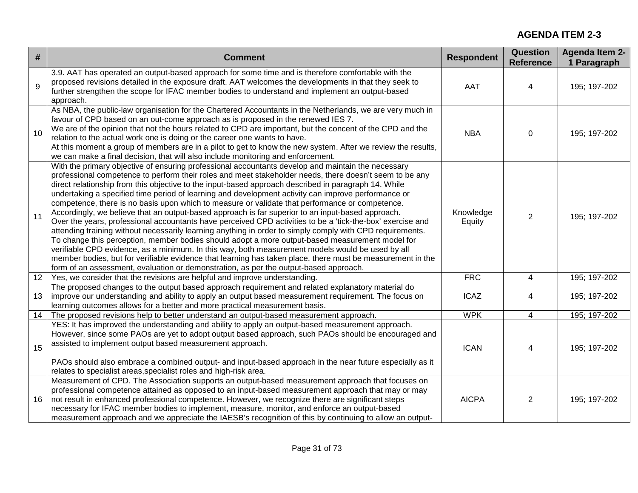| #               | <b>Comment</b>                                                                                                                                                                                                                                                                                                                                                                                                                                                                                                                                                                                                                                                                                                                                                                                                                                                                                                                                                                                                                                                                                                                                                                                                                                                                | <b>Respondent</b>   | <b>Question</b><br><b>Reference</b> | <b>Agenda Item 2-</b><br>1 Paragraph |
|-----------------|-------------------------------------------------------------------------------------------------------------------------------------------------------------------------------------------------------------------------------------------------------------------------------------------------------------------------------------------------------------------------------------------------------------------------------------------------------------------------------------------------------------------------------------------------------------------------------------------------------------------------------------------------------------------------------------------------------------------------------------------------------------------------------------------------------------------------------------------------------------------------------------------------------------------------------------------------------------------------------------------------------------------------------------------------------------------------------------------------------------------------------------------------------------------------------------------------------------------------------------------------------------------------------|---------------------|-------------------------------------|--------------------------------------|
| 9               | 3.9. AAT has operated an output-based approach for some time and is therefore comfortable with the<br>proposed revisions detailed in the exposure draft. AAT welcomes the developments in that they seek to<br>further strengthen the scope for IFAC member bodies to understand and implement an output-based<br>approach.                                                                                                                                                                                                                                                                                                                                                                                                                                                                                                                                                                                                                                                                                                                                                                                                                                                                                                                                                   | <b>AAT</b>          | 4                                   | 195; 197-202                         |
| 10              | As NBA, the public-law organisation for the Chartered Accountants in the Netherlands, we are very much in<br>favour of CPD based on an out-come approach as is proposed in the renewed IES 7.<br>We are of the opinion that not the hours related to CPD are important, but the concent of the CPD and the<br>relation to the actual work one is doing or the career one wants to have.<br>At this moment a group of members are in a pilot to get to know the new system. After we review the results,<br>we can make a final decision, that will also include monitoring and enforcement.                                                                                                                                                                                                                                                                                                                                                                                                                                                                                                                                                                                                                                                                                   | <b>NBA</b>          | 0                                   | 195; 197-202                         |
| 11              | With the primary objective of ensuring professional accountants develop and maintain the necessary<br>professional competence to perform their roles and meet stakeholder needs, there doesn't seem to be any<br>direct relationship from this objective to the input-based approach described in paragraph 14. While<br>undertaking a specified time period of learning and development activity can improve performance or<br>competence, there is no basis upon which to measure or validate that performance or competence.<br>Accordingly, we believe that an output-based approach is far superior to an input-based approach.<br>Over the years, professional accountants have perceived CPD activities to be a 'tick-the-box' exercise and<br>attending training without necessarily learning anything in order to simply comply with CPD requirements.<br>To change this perception, member bodies should adopt a more output-based measurement model for<br>verifiable CPD evidence, as a minimum. In this way, both measurement models would be used by all<br>member bodies, but for verifiable evidence that learning has taken place, there must be measurement in the<br>form of an assessment, evaluation or demonstration, as per the output-based approach. | Knowledge<br>Equity | $\overline{2}$                      | 195; 197-202                         |
| 12 <sup>7</sup> | Yes, we consider that the revisions are helpful and improve understanding.                                                                                                                                                                                                                                                                                                                                                                                                                                                                                                                                                                                                                                                                                                                                                                                                                                                                                                                                                                                                                                                                                                                                                                                                    | FRC                 | 4                                   | 195; 197-202                         |
| 13              | The proposed changes to the output based approach requirement and related explanatory material do<br>improve our understanding and ability to apply an output based measurement requirement. The focus on<br>learning outcomes allows for a better and more practical measurement basis.                                                                                                                                                                                                                                                                                                                                                                                                                                                                                                                                                                                                                                                                                                                                                                                                                                                                                                                                                                                      | <b>ICAZ</b>         | 4                                   | 195; 197-202                         |
| 14              | The proposed revisions help to better understand an output-based measurement approach.                                                                                                                                                                                                                                                                                                                                                                                                                                                                                                                                                                                                                                                                                                                                                                                                                                                                                                                                                                                                                                                                                                                                                                                        | <b>WPK</b>          | 4                                   | 195; 197-202                         |
| 15              | YES: It has improved the understanding and ability to apply an output-based measurement approach.<br>However, since some PAOs are yet to adopt output based approach, such PAOs should be encouraged and<br>assisted to implement output based measurement approach.<br>PAOs should also embrace a combined output- and input-based approach in the near future especially as it<br>relates to specialist areas, specialist roles and high-risk area.                                                                                                                                                                                                                                                                                                                                                                                                                                                                                                                                                                                                                                                                                                                                                                                                                         | <b>ICAN</b>         | 4                                   | 195; 197-202                         |
| 16              | Measurement of CPD. The Association supports an output-based measurement approach that focuses on<br>professional competence attained as opposed to an input-based measurement approach that may or may<br>not result in enhanced professional competence. However, we recognize there are significant steps<br>necessary for IFAC member bodies to implement, measure, monitor, and enforce an output-based<br>measurement approach and we appreciate the IAESB's recognition of this by continuing to allow an output-                                                                                                                                                                                                                                                                                                                                                                                                                                                                                                                                                                                                                                                                                                                                                      | <b>AICPA</b>        | 2                                   | 195; 197-202                         |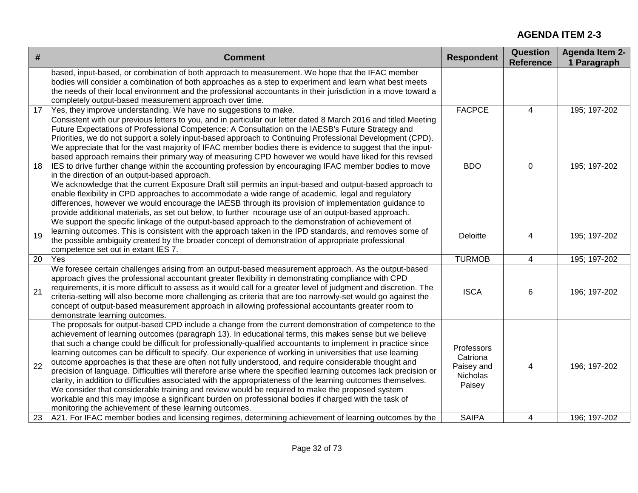| $\#$ | <b>Comment</b>                                                                                                                                                                                                                                                                                                                                                                                                                                                                                                                                                                                                                                                                                                                                                                                                                                                                                                                                                                                                                                                                                                                                           | <b>Respondent</b>                                          | Question<br><b>Reference</b> | <b>Agenda Item 2-</b><br>1 Paragraph |
|------|----------------------------------------------------------------------------------------------------------------------------------------------------------------------------------------------------------------------------------------------------------------------------------------------------------------------------------------------------------------------------------------------------------------------------------------------------------------------------------------------------------------------------------------------------------------------------------------------------------------------------------------------------------------------------------------------------------------------------------------------------------------------------------------------------------------------------------------------------------------------------------------------------------------------------------------------------------------------------------------------------------------------------------------------------------------------------------------------------------------------------------------------------------|------------------------------------------------------------|------------------------------|--------------------------------------|
|      | based, input-based, or combination of both approach to measurement. We hope that the IFAC member<br>bodies will consider a combination of both approaches as a step to experiment and learn what best meets<br>the needs of their local environment and the professional accountants in their jurisdiction in a move toward a<br>completely output-based measurement approach over time.                                                                                                                                                                                                                                                                                                                                                                                                                                                                                                                                                                                                                                                                                                                                                                 |                                                            |                              |                                      |
| 17   | Yes, they improve understanding. We have no suggestions to make.                                                                                                                                                                                                                                                                                                                                                                                                                                                                                                                                                                                                                                                                                                                                                                                                                                                                                                                                                                                                                                                                                         | <b>FACPCE</b>                                              | $\overline{4}$               | 195; 197-202                         |
| 18   | Consistent with our previous letters to you, and in particular our letter dated 8 March 2016 and titled Meeting<br>Future Expectations of Professional Competence: A Consultation on the IAESB's Future Strategy and<br>Priorities, we do not support a solely input-based approach to Continuing Professional Development (CPD).<br>We appreciate that for the vast majority of IFAC member bodies there is evidence to suggest that the input-<br>based approach remains their primary way of measuring CPD however we would have liked for this revised<br>IES to drive further change within the accounting profession by encouraging IFAC member bodies to move<br>in the direction of an output-based approach.<br>We acknowledge that the current Exposure Draft still permits an input-based and output-based approach to<br>enable flexibility in CPD approaches to accommodate a wide range of academic, legal and regulatory<br>differences, however we would encourage the IAESB through its provision of implementation guidance to<br>provide additional materials, as set out below, to further ncourage use of an output-based approach. | <b>BDO</b>                                                 | $\pmb{0}$                    | 195; 197-202                         |
| 19   | We support the specific linkage of the output-based approach to the demonstration of achievement of<br>learning outcomes. This is consistent with the approach taken in the IPD standards, and removes some of<br>the possible ambiguity created by the broader concept of demonstration of appropriate professional<br>competence set out in extant IES 7.                                                                                                                                                                                                                                                                                                                                                                                                                                                                                                                                                                                                                                                                                                                                                                                              | Deloitte                                                   | 4                            | 195; 197-202                         |
| 20   | Yes                                                                                                                                                                                                                                                                                                                                                                                                                                                                                                                                                                                                                                                                                                                                                                                                                                                                                                                                                                                                                                                                                                                                                      | <b>TURMOB</b>                                              | 4                            | 195; 197-202                         |
| 21   | We foresee certain challenges arising from an output-based measurement approach. As the output-based<br>approach gives the professional accountant greater flexibility in demonstrating compliance with CPD<br>requirements, it is more difficult to assess as it would call for a greater level of judgment and discretion. The<br>criteria-setting will also become more challenging as criteria that are too narrowly-set would go against the<br>concept of output-based measurement approach in allowing professional accountants greater room to<br>demonstrate learning outcomes.                                                                                                                                                                                                                                                                                                                                                                                                                                                                                                                                                                 | <b>ISCA</b>                                                | 6                            | 196; 197-202                         |
| 22   | The proposals for output-based CPD include a change from the current demonstration of competence to the<br>achievement of learning outcomes (paragraph 13). In educational terms, this makes sense but we believe<br>that such a change could be difficult for professionally-qualified accountants to implement in practice since<br>learning outcomes can be difficult to specify. Our experience of working in universities that use learning<br>outcome approaches is that these are often not fully understood, and require considerable thought and<br>precision of language. Difficulties will therefore arise where the specified learning outcomes lack precision or<br>clarity, in addition to difficulties associated with the appropriateness of the learning outcomes themselves.<br>We consider that considerable training and review would be required to make the proposed system<br>workable and this may impose a significant burden on professional bodies if charged with the task of<br>monitoring the achievement of these learning outcomes.                                                                                      | Professors<br>Catriona<br>Paisey and<br>Nicholas<br>Paisey | 4                            | 196; 197-202                         |
| 23   | A21. For IFAC member bodies and licensing regimes, determining achievement of learning outcomes by the                                                                                                                                                                                                                                                                                                                                                                                                                                                                                                                                                                                                                                                                                                                                                                                                                                                                                                                                                                                                                                                   | <b>SAIPA</b>                                               | 4                            | 196; 197-202                         |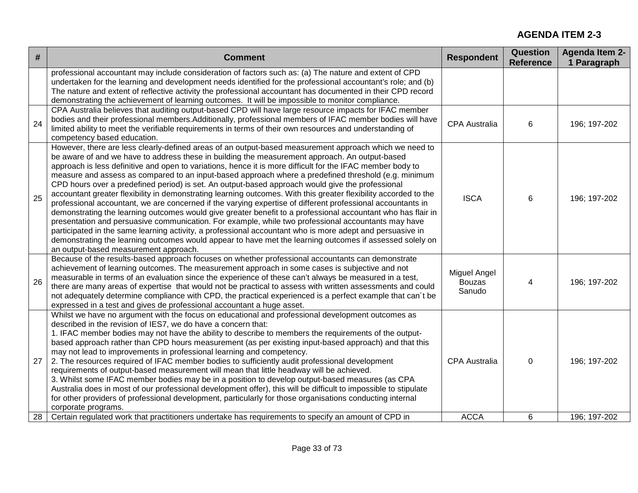| #  | <b>Comment</b>                                                                                                                                                                                                                                                                                                                                                                                                                                                                                                                                                                                                                                                                                                                                                                                                                                                                                                                                                                                                                                                                                                                                                                                                                                                 | <b>Respondent</b>                       | Question<br><b>Reference</b> | <b>Agenda Item 2-</b><br>1 Paragraph |
|----|----------------------------------------------------------------------------------------------------------------------------------------------------------------------------------------------------------------------------------------------------------------------------------------------------------------------------------------------------------------------------------------------------------------------------------------------------------------------------------------------------------------------------------------------------------------------------------------------------------------------------------------------------------------------------------------------------------------------------------------------------------------------------------------------------------------------------------------------------------------------------------------------------------------------------------------------------------------------------------------------------------------------------------------------------------------------------------------------------------------------------------------------------------------------------------------------------------------------------------------------------------------|-----------------------------------------|------------------------------|--------------------------------------|
|    | professional accountant may include consideration of factors such as: (a) The nature and extent of CPD<br>undertaken for the learning and development needs identified for the professional accountant's role; and (b)<br>The nature and extent of reflective activity the professional accountant has documented in their CPD record<br>demonstrating the achievement of learning outcomes. It will be impossible to monitor compliance.                                                                                                                                                                                                                                                                                                                                                                                                                                                                                                                                                                                                                                                                                                                                                                                                                      |                                         |                              |                                      |
| 24 | CPA Australia believes that auditing output-based CPD will have large resource impacts for IFAC member<br>bodies and their professional members. Additionally, professional members of IFAC member bodies will have<br>limited ability to meet the verifiable requirements in terms of their own resources and understanding of<br>competency based education.                                                                                                                                                                                                                                                                                                                                                                                                                                                                                                                                                                                                                                                                                                                                                                                                                                                                                                 | <b>CPA Australia</b>                    | 6                            | 196; 197-202                         |
| 25 | However, there are less clearly-defined areas of an output-based measurement approach which we need to<br>be aware of and we have to address these in building the measurement approach. An output-based<br>approach is less definitive and open to variations, hence it is more difficult for the IFAC member body to<br>measure and assess as compared to an input-based approach where a predefined threshold (e.g. minimum<br>CPD hours over a predefined period) is set. An output-based approach would give the professional<br>accountant greater flexibility in demonstrating learning outcomes. With this greater flexibility accorded to the<br>professional accountant, we are concerned if the varying expertise of different professional accountants in<br>demonstrating the learning outcomes would give greater benefit to a professional accountant who has flair in<br>presentation and persuasive communication. For example, while two professional accountants may have<br>participated in the same learning activity, a professional accountant who is more adept and persuasive in<br>demonstrating the learning outcomes would appear to have met the learning outcomes if assessed solely on<br>an output-based measurement approach. | <b>ISCA</b>                             | 6                            | 196; 197-202                         |
| 26 | Because of the results-based approach focuses on whether professional accountants can demonstrate<br>achievement of learning outcomes. The measurement approach in some cases is subjective and not<br>measurable in terms of an evaluation since the experience of these can't always be measured in a test,<br>there are many areas of expertise that would not be practical to assess with written assessments and could<br>not adequately determine compliance with CPD, the practical experienced is a perfect example that can't be<br>expressed in a test and gives de professional accountant a huge asset.                                                                                                                                                                                                                                                                                                                                                                                                                                                                                                                                                                                                                                            | Miguel Angel<br><b>Bouzas</b><br>Sanudo | 4                            | 196; 197-202                         |
| 27 | Whilst we have no argument with the focus on educational and professional development outcomes as<br>described in the revision of IES7, we do have a concern that:<br>1. IFAC member bodies may not have the ability to describe to members the requirements of the output-<br>based approach rather than CPD hours measurement (as per existing input-based approach) and that this<br>may not lead to improvements in professional learning and competency.<br>2. The resources required of IFAC member bodies to sufficiently audit professional development<br>requirements of output-based measurement will mean that little headway will be achieved.<br>3. Whilst some IFAC member bodies may be in a position to develop output-based measures (as CPA<br>Australia does in most of our professional development offer), this will be difficult to impossible to stipulate<br>for other providers of professional development, particularly for those organisations conducting internal<br>corporate programs.                                                                                                                                                                                                                                         | <b>CPA Australia</b>                    | $\Omega$                     | 196; 197-202                         |
| 28 | Certain regulated work that practitioners undertake has requirements to specify an amount of CPD in                                                                                                                                                                                                                                                                                                                                                                                                                                                                                                                                                                                                                                                                                                                                                                                                                                                                                                                                                                                                                                                                                                                                                            | <b>ACCA</b>                             | 6                            | 196; 197-202                         |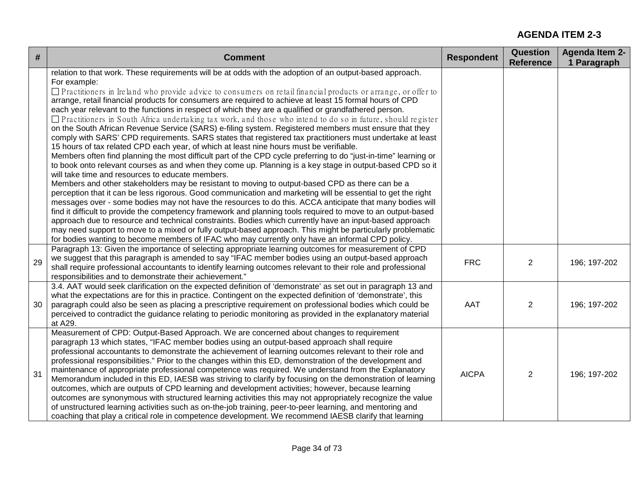| #  | <b>Comment</b>                                                                                                                                                                                                                                                                                                                                                                                                                                                                                                                                                                                                                                                                                                                                                                                                                                                                                                                                                                                                                                                                                                                                                                                                                                                                                                                                                                                                                                                                                                                                                                                                                                                                                                                                                                                                                                                                                                                                                                 | <b>Respondent</b> | <b>Question</b><br><b>Reference</b> | <b>Agenda Item 2-</b><br>1 Paragraph |
|----|--------------------------------------------------------------------------------------------------------------------------------------------------------------------------------------------------------------------------------------------------------------------------------------------------------------------------------------------------------------------------------------------------------------------------------------------------------------------------------------------------------------------------------------------------------------------------------------------------------------------------------------------------------------------------------------------------------------------------------------------------------------------------------------------------------------------------------------------------------------------------------------------------------------------------------------------------------------------------------------------------------------------------------------------------------------------------------------------------------------------------------------------------------------------------------------------------------------------------------------------------------------------------------------------------------------------------------------------------------------------------------------------------------------------------------------------------------------------------------------------------------------------------------------------------------------------------------------------------------------------------------------------------------------------------------------------------------------------------------------------------------------------------------------------------------------------------------------------------------------------------------------------------------------------------------------------------------------------------------|-------------------|-------------------------------------|--------------------------------------|
|    | relation to that work. These requirements will be at odds with the adoption of an output-based approach.<br>For example:<br>$\Box$ Practitioners in Ireland who provide advice to consumers on retail financial products or arrange, or offer to<br>arrange, retail financial products for consumers are required to achieve at least 15 formal hours of CPD<br>each year relevant to the functions in respect of which they are a qualified or grandfathered person.<br>$\Box$ Practitioners in South Africa undertaking tax work, and those who intend to do so in future, should register<br>on the South African Revenue Service (SARS) e-filing system. Registered members must ensure that they<br>comply with SARS' CPD requirements. SARS states that registered tax practitioners must undertake at least<br>15 hours of tax related CPD each year, of which at least nine hours must be verifiable.<br>Members often find planning the most difficult part of the CPD cycle preferring to do "just-in-time" learning or<br>to book onto relevant courses as and when they come up. Planning is a key stage in output-based CPD so it<br>will take time and resources to educate members.<br>Members and other stakeholders may be resistant to moving to output-based CPD as there can be a<br>perception that it can be less rigorous. Good communication and marketing will be essential to get the right<br>messages over - some bodies may not have the resources to do this. ACCA anticipate that many bodies will<br>find it difficult to provide the competency framework and planning tools required to move to an output-based<br>approach due to resource and technical constraints. Bodies which currently have an input-based approach<br>may need support to move to a mixed or fully output-based approach. This might be particularly problematic<br>for bodies wanting to become members of IFAC who may currently only have an informal CPD policy. |                   |                                     |                                      |
| 29 | Paragraph 13: Given the importance of selecting appropriate learning outcomes for measurement of CPD<br>we suggest that this paragraph is amended to say "IFAC member bodies using an output-based approach<br>shall require professional accountants to identify learning outcomes relevant to their role and professional<br>responsibilities and to demonstrate their achievement."                                                                                                                                                                                                                                                                                                                                                                                                                                                                                                                                                                                                                                                                                                                                                                                                                                                                                                                                                                                                                                                                                                                                                                                                                                                                                                                                                                                                                                                                                                                                                                                         | <b>FRC</b>        | 2                                   | 196; 197-202                         |
| 30 | 3.4. AAT would seek clarification on the expected definition of 'demonstrate' as set out in paragraph 13 and<br>what the expectations are for this in practice. Contingent on the expected definition of 'demonstrate', this<br>paragraph could also be seen as placing a prescriptive requirement on professional bodies which could be<br>perceived to contradict the guidance relating to periodic monitoring as provided in the explanatory material<br>at A29.                                                                                                                                                                                                                                                                                                                                                                                                                                                                                                                                                                                                                                                                                                                                                                                                                                                                                                                                                                                                                                                                                                                                                                                                                                                                                                                                                                                                                                                                                                            | AAT               | 2                                   | 196; 197-202                         |
| 31 | Measurement of CPD: Output-Based Approach. We are concerned about changes to requirement<br>paragraph 13 which states, "IFAC member bodies using an output-based approach shall require<br>professional accountants to demonstrate the achievement of learning outcomes relevant to their role and<br>professional responsibilities." Prior to the changes within this ED, demonstration of the development and<br>maintenance of appropriate professional competence was required. We understand from the Explanatory<br>Memorandum included in this ED, IAESB was striving to clarify by focusing on the demonstration of learning<br>outcomes, which are outputs of CPD learning and development activities; however, because learning<br>outcomes are synonymous with structured learning activities this may not appropriately recognize the value<br>of unstructured learning activities such as on-the-job training, peer-to-peer learning, and mentoring and<br>coaching that play a critical role in competence development. We recommend IAESB clarify that learning                                                                                                                                                                                                                                                                                                                                                                                                                                                                                                                                                                                                                                                                                                                                                                                                                                                                                                 | <b>AICPA</b>      | $\overline{2}$                      | 196; 197-202                         |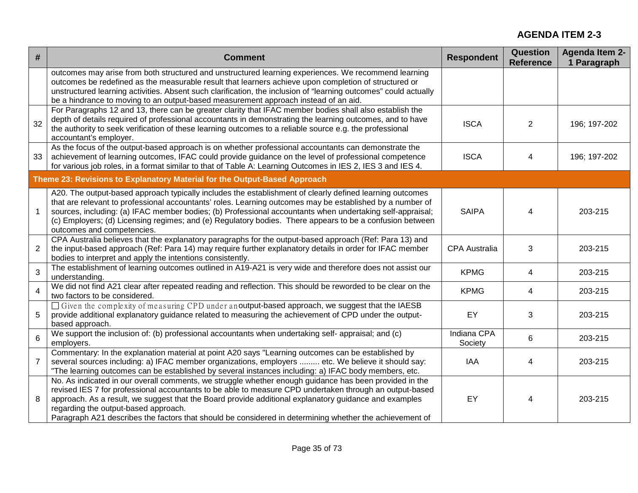| #              | <b>Comment</b>                                                                                                                                                                                                                                                                                                                                                                                                                                                                | <b>Respondent</b>      | Question<br><b>Reference</b> | <b>Agenda Item 2-</b><br>1 Paragraph |
|----------------|-------------------------------------------------------------------------------------------------------------------------------------------------------------------------------------------------------------------------------------------------------------------------------------------------------------------------------------------------------------------------------------------------------------------------------------------------------------------------------|------------------------|------------------------------|--------------------------------------|
|                | outcomes may arise from both structured and unstructured learning experiences. We recommend learning<br>outcomes be redefined as the measurable result that learners achieve upon completion of structured or<br>unstructured learning activities. Absent such clarification, the inclusion of "learning outcomes" could actually<br>be a hindrance to moving to an output-based measurement approach instead of an aid.                                                      |                        |                              |                                      |
| 32             | For Paragraphs 12 and 13, there can be greater clarity that IFAC member bodies shall also establish the<br>depth of details required of professional accountants in demonstrating the learning outcomes, and to have<br>the authority to seek verification of these learning outcomes to a reliable source e.g. the professional<br>accountant's employer.                                                                                                                    | <b>ISCA</b>            | $\overline{2}$               | 196; 197-202                         |
| 33             | As the focus of the output-based approach is on whether professional accountants can demonstrate the<br>achievement of learning outcomes, IFAC could provide guidance on the level of professional competence<br>for various job roles, in a format similar to that of Table A: Learning Outcomes in IES 2, IES 3 and IES 4.                                                                                                                                                  | <b>ISCA</b>            | 4                            | 196; 197-202                         |
|                | Theme 23: Revisions to Explanatory Material for the Output-Based Approach                                                                                                                                                                                                                                                                                                                                                                                                     |                        |                              |                                      |
|                | A20. The output-based approach typically includes the establishment of clearly defined learning outcomes<br>that are relevant to professional accountants' roles. Learning outcomes may be established by a number of<br>sources, including: (a) IFAC member bodies; (b) Professional accountants when undertaking self-appraisal;<br>(c) Employers; (d) Licensing regimes; and (e) Regulatory bodies. There appears to be a confusion between<br>outcomes and competencies.  | <b>SAIPA</b>           | 4                            | 203-215                              |
| $\overline{2}$ | CPA Australia believes that the explanatory paragraphs for the output-based approach (Ref: Para 13) and<br>the input-based approach (Ref: Para 14) may require further explanatory details in order for IFAC member<br>bodies to interpret and apply the intentions consistently.                                                                                                                                                                                             | <b>CPA Australia</b>   | 3                            | 203-215                              |
| $\overline{3}$ | The establishment of learning outcomes outlined in A19-A21 is very wide and therefore does not assist our<br>understanding.                                                                                                                                                                                                                                                                                                                                                   | <b>KPMG</b>            | 4                            | 203-215                              |
| $\overline{4}$ | We did not find A21 clear after repeated reading and reflection. This should be reworded to be clear on the<br>two factors to be considered.                                                                                                                                                                                                                                                                                                                                  | <b>KPMG</b>            | 4                            | 203-215                              |
| 5              | □ Given the complexity of measuring CPD under anoutput-based approach, we suggest that the IAESB<br>provide additional explanatory guidance related to measuring the achievement of CPD under the output-<br>based approach.                                                                                                                                                                                                                                                  | EY                     | 3                            | 203-215                              |
| 6              | We support the inclusion of: (b) professional accountants when undertaking self- appraisal; and (c)<br>employers.                                                                                                                                                                                                                                                                                                                                                             | Indiana CPA<br>Society | 6                            | 203-215                              |
| $\overline{7}$ | Commentary: In the explanation material at point A20 says "Learning outcomes can be established by<br>several sources including: a) IFAC member organizations, employers  etc. We believe it should say:<br>"The learning outcomes can be established by several instances including: a) IFAC body members, etc.                                                                                                                                                              | <b>IAA</b>             | 4                            | 203-215                              |
| 8              | No. As indicated in our overall comments, we struggle whether enough guidance has been provided in the<br>revised IES 7 for professional accountants to be able to measure CPD undertaken through an output-based<br>approach. As a result, we suggest that the Board provide additional explanatory guidance and examples<br>regarding the output-based approach.<br>Paragraph A21 describes the factors that should be considered in determining whether the achievement of | EY                     | 4                            | 203-215                              |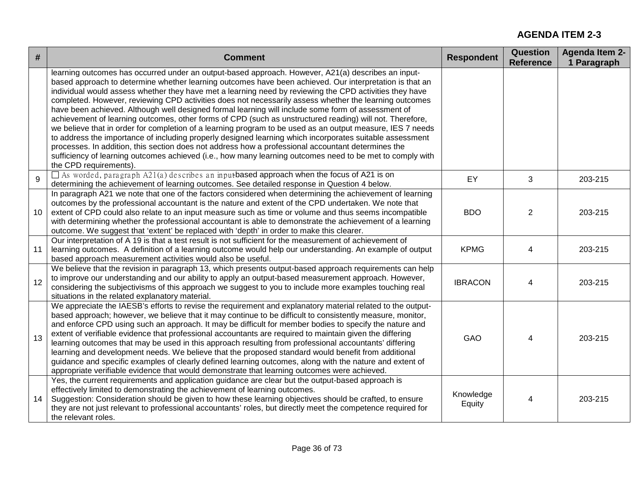| #  | <b>Comment</b>                                                                                                                                                                                                                                                                                                                                                                                                                                                                                                                                                                                                                                                                                                                                                                                                                                                                                                                                                                                                                                                                                                              | <b>Respondent</b>   | <b>Question</b><br><b>Reference</b> | <b>Agenda Item 2-</b><br>1 Paragraph |
|----|-----------------------------------------------------------------------------------------------------------------------------------------------------------------------------------------------------------------------------------------------------------------------------------------------------------------------------------------------------------------------------------------------------------------------------------------------------------------------------------------------------------------------------------------------------------------------------------------------------------------------------------------------------------------------------------------------------------------------------------------------------------------------------------------------------------------------------------------------------------------------------------------------------------------------------------------------------------------------------------------------------------------------------------------------------------------------------------------------------------------------------|---------------------|-------------------------------------|--------------------------------------|
|    | learning outcomes has occurred under an output-based approach. However, A21(a) describes an input-<br>based approach to determine whether learning outcomes have been achieved. Our interpretation is that an<br>individual would assess whether they have met a learning need by reviewing the CPD activities they have<br>completed. However, reviewing CPD activities does not necessarily assess whether the learning outcomes<br>have been achieved. Although well designed formal learning will include some form of assessment of<br>achievement of learning outcomes, other forms of CPD (such as unstructured reading) will not. Therefore,<br>we believe that in order for completion of a learning program to be used as an output measure, IES 7 needs<br>to address the importance of including properly designed learning which incorporates suitable assessment<br>processes. In addition, this section does not address how a professional accountant determines the<br>sufficiency of learning outcomes achieved (i.e., how many learning outcomes need to be met to comply with<br>the CPD requirements). |                     |                                     |                                      |
| 9  | $\Box$ As worded, paragraph A21(a) describes an input based approach when the focus of A21 is on<br>determining the achievement of learning outcomes. See detailed response in Question 4 below.                                                                                                                                                                                                                                                                                                                                                                                                                                                                                                                                                                                                                                                                                                                                                                                                                                                                                                                            | EY                  | 3                                   | 203-215                              |
| 10 | In paragraph A21 we note that one of the factors considered when determining the achievement of learning<br>outcomes by the professional accountant is the nature and extent of the CPD undertaken. We note that<br>extent of CPD could also relate to an input measure such as time or volume and thus seems incompatible<br>with determining whether the professional accountant is able to demonstrate the achievement of a learning<br>outcome. We suggest that 'extent' be replaced with 'depth' in order to make this clearer.                                                                                                                                                                                                                                                                                                                                                                                                                                                                                                                                                                                        | <b>BDO</b>          | $\overline{2}$                      | 203-215                              |
| 11 | Our interpretation of A 19 is that a test result is not sufficient for the measurement of achievement of<br>learning outcomes. A definition of a learning outcome would help our understanding. An example of output<br>based approach measurement activities would also be useful.                                                                                                                                                                                                                                                                                                                                                                                                                                                                                                                                                                                                                                                                                                                                                                                                                                         | <b>KPMG</b>         | 4                                   | 203-215                              |
| 12 | We believe that the revision in paragraph 13, which presents output-based approach requirements can help<br>to improve our understanding and our ability to apply an output-based measurement approach. However,<br>considering the subjectivisms of this approach we suggest to you to include more examples touching real<br>situations in the related explanatory material.                                                                                                                                                                                                                                                                                                                                                                                                                                                                                                                                                                                                                                                                                                                                              | <b>IBRACON</b>      | $\overline{4}$                      | 203-215                              |
| 13 | We appreciate the IAESB's efforts to revise the requirement and explanatory material related to the output-<br>based approach; however, we believe that it may continue to be difficult to consistently measure, monitor,<br>and enforce CPD using such an approach. It may be difficult for member bodies to specify the nature and<br>extent of verifiable evidence that professional accountants are required to maintain given the differing<br>learning outcomes that may be used in this approach resulting from professional accountants' differing<br>learning and development needs. We believe that the proposed standard would benefit from additional<br>guidance and specific examples of clearly defined learning outcomes, along with the nature and extent of<br>appropriate verifiable evidence that would demonstrate that learning outcomes were achieved.                                                                                                                                                                                                                                               | GAO                 | 4                                   | 203-215                              |
| 14 | Yes, the current requirements and application guidance are clear but the output-based approach is<br>effectively limited to demonstrating the achievement of learning outcomes.<br>Suggestion: Consideration should be given to how these learning objectives should be crafted, to ensure<br>they are not just relevant to professional accountants' roles, but directly meet the competence required for<br>the relevant roles.                                                                                                                                                                                                                                                                                                                                                                                                                                                                                                                                                                                                                                                                                           | Knowledge<br>Equity | 4                                   | 203-215                              |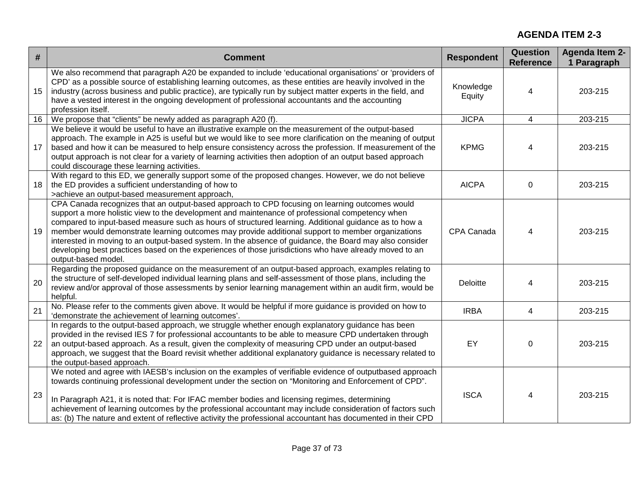| $\#$ | <b>Comment</b>                                                                                                                                                                                                                                                                                                                                                                                                                                                                                                                                                                                                                                              | <b>Respondent</b>   | <b>Question</b><br><b>Reference</b> | <b>Agenda Item 2-</b><br>1 Paragraph |
|------|-------------------------------------------------------------------------------------------------------------------------------------------------------------------------------------------------------------------------------------------------------------------------------------------------------------------------------------------------------------------------------------------------------------------------------------------------------------------------------------------------------------------------------------------------------------------------------------------------------------------------------------------------------------|---------------------|-------------------------------------|--------------------------------------|
| 15   | We also recommend that paragraph A20 be expanded to include 'educational organisations' or 'providers of<br>CPD' as a possible source of establishing learning outcomes, as these entities are heavily involved in the<br>industry (across business and public practice), are typically run by subject matter experts in the field, and<br>have a vested interest in the ongoing development of professional accountants and the accounting<br>profession itself.                                                                                                                                                                                           | Knowledge<br>Equity | 4                                   | 203-215                              |
| 16   | We propose that "clients" be newly added as paragraph A20 (f).                                                                                                                                                                                                                                                                                                                                                                                                                                                                                                                                                                                              | <b>JICPA</b>        | 4                                   | 203-215                              |
| 17   | We believe it would be useful to have an illustrative example on the measurement of the output-based<br>approach. The example in A25 is useful but we would like to see more clarification on the meaning of output<br>based and how it can be measured to help ensure consistency across the profession. If measurement of the<br>output approach is not clear for a variety of learning activities then adoption of an output based approach<br>could discourage these learning activities.                                                                                                                                                               | <b>KPMG</b>         | 4                                   | 203-215                              |
| 18   | With regard to this ED, we generally support some of the proposed changes. However, we do not believe<br>the ED provides a sufficient understanding of how to<br>>achieve an output-based measurement approach,                                                                                                                                                                                                                                                                                                                                                                                                                                             | <b>AICPA</b>        | 0                                   | 203-215                              |
| 19   | CPA Canada recognizes that an output-based approach to CPD focusing on learning outcomes would<br>support a more holistic view to the development and maintenance of professional competency when<br>compared to input-based measure such as hours of structured learning. Additional guidance as to how a<br>member would demonstrate learning outcomes may provide additional support to member organizations<br>interested in moving to an output-based system. In the absence of guidance, the Board may also consider<br>developing best practices based on the experiences of those jurisdictions who have already moved to an<br>output-based model. | CPA Canada          | 4                                   | 203-215                              |
| 20   | Regarding the proposed guidance on the measurement of an output-based approach, examples relating to<br>the structure of self-developed individual learning plans and self-assessment of those plans, including the<br>review and/or approval of those assessments by senior learning management within an audit firm, would be<br>helpful.                                                                                                                                                                                                                                                                                                                 | Deloitte            | 4                                   | 203-215                              |
| 21   | No. Please refer to the comments given above. It would be helpful if more guidance is provided on how to<br>'demonstrate the achievement of learning outcomes'.                                                                                                                                                                                                                                                                                                                                                                                                                                                                                             | <b>IRBA</b>         | 4                                   | 203-215                              |
| 22   | In regards to the output-based approach, we struggle whether enough explanatory guidance has been<br>provided in the revised IES 7 for professional accountants to be able to measure CPD undertaken through<br>an output-based approach. As a result, given the complexity of measuring CPD under an output-based<br>approach, we suggest that the Board revisit whether additional explanatory guidance is necessary related to<br>the output-based approach.                                                                                                                                                                                             | EY                  | 0                                   | 203-215                              |
| 23   | We noted and agree with IAESB's inclusion on the examples of verifiable evidence of outputbased approach<br>towards continuing professional development under the section on "Monitoring and Enforcement of CPD".<br>In Paragraph A21, it is noted that: For IFAC member bodies and licensing regimes, determining<br>achievement of learning outcomes by the professional accountant may include consideration of factors such<br>as: (b) The nature and extent of reflective activity the professional accountant has documented in their CPD                                                                                                             | <b>ISCA</b>         | 4                                   | 203-215                              |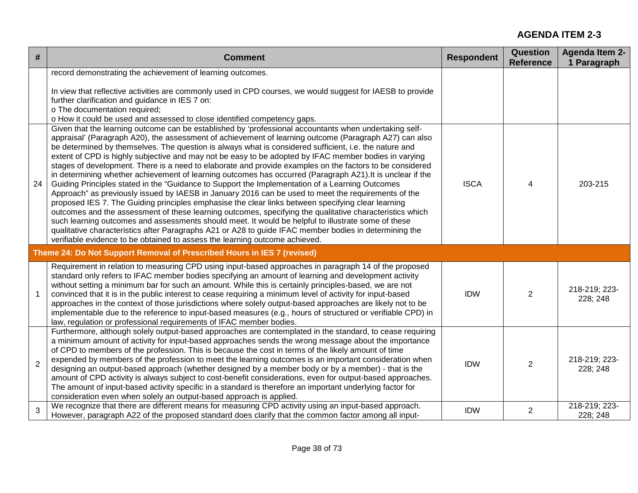| #              | <b>Comment</b>                                                                                                                                                                                                                                                                                                                                                                                                                                                                                                                                                                                                                                                                                                                                                                                                                                                                                                                                                                                                                                                                                                                                                                                                                                                                                                                                                                            | <b>Respondent</b> | <b>Question</b><br><b>Reference</b> | <b>Agenda Item 2-</b><br>1 Paragraph |
|----------------|-------------------------------------------------------------------------------------------------------------------------------------------------------------------------------------------------------------------------------------------------------------------------------------------------------------------------------------------------------------------------------------------------------------------------------------------------------------------------------------------------------------------------------------------------------------------------------------------------------------------------------------------------------------------------------------------------------------------------------------------------------------------------------------------------------------------------------------------------------------------------------------------------------------------------------------------------------------------------------------------------------------------------------------------------------------------------------------------------------------------------------------------------------------------------------------------------------------------------------------------------------------------------------------------------------------------------------------------------------------------------------------------|-------------------|-------------------------------------|--------------------------------------|
|                | record demonstrating the achievement of learning outcomes.<br>In view that reflective activities are commonly used in CPD courses, we would suggest for IAESB to provide<br>further clarification and guidance in IES 7 on:<br>o The documentation required;<br>o How it could be used and assessed to close identified competency gaps.                                                                                                                                                                                                                                                                                                                                                                                                                                                                                                                                                                                                                                                                                                                                                                                                                                                                                                                                                                                                                                                  |                   |                                     |                                      |
| 24             | Given that the learning outcome can be established by 'professional accountants when undertaking self-<br>appraisal' (Paragraph A20), the assessment of achievement of learning outcome (Paragraph A27) can also<br>be determined by themselves. The question is always what is considered sufficient, i.e. the nature and<br>extent of CPD is highly subjective and may not be easy to be adopted by IFAC member bodies in varying<br>stages of development. There is a need to elaborate and provide examples on the factors to be considered<br>in determining whether achievement of learning outcomes has occurred (Paragraph A21). It is unclear if the<br>Guiding Principles stated in the "Guidance to Support the Implementation of a Learning Outcomes<br>Approach" as previously issued by IAESB in January 2016 can be used to meet the requirements of the<br>proposed IES 7. The Guiding principles emphasise the clear links between specifying clear learning<br>outcomes and the assessment of these learning outcomes, specifying the qualitative characteristics which<br>such learning outcomes and assessments should meet. It would be helpful to illustrate some of these<br>qualitative characteristics after Paragraphs A21 or A28 to guide IFAC member bodies in determining the<br>verifiable evidence to be obtained to assess the learning outcome achieved. | <b>ISCA</b>       | $\overline{4}$                      | 203-215                              |
|                | Theme 24: Do Not Support Removal of Prescribed Hours in IES 7 (revised)                                                                                                                                                                                                                                                                                                                                                                                                                                                                                                                                                                                                                                                                                                                                                                                                                                                                                                                                                                                                                                                                                                                                                                                                                                                                                                                   |                   |                                     |                                      |
| $\overline{1}$ | Requirement in relation to measuring CPD using input-based approaches in paragraph 14 of the proposed<br>standard only refers to IFAC member bodies specifying an amount of learning and development activity<br>without setting a minimum bar for such an amount. While this is certainly principles-based, we are not<br>convinced that it is in the public interest to cease requiring a minimum level of activity for input-based<br>approaches in the context of those jurisdictions where solely output-based approaches are likely not to be<br>implementable due to the reference to input-based measures (e.g., hours of structured or verifiable CPD) in<br>law, regulation or professional requirements of IFAC member bodies.                                                                                                                                                                                                                                                                                                                                                                                                                                                                                                                                                                                                                                                 | <b>IDW</b>        | 2                                   | 218-219; 223-<br>228; 248            |
| 2              | Furthermore, although solely output-based approaches are contemplated in the standard, to cease requiring<br>a minimum amount of activity for input-based approaches sends the wrong message about the importance<br>of CPD to members of the profession. This is because the cost in terms of the likely amount of time<br>expended by members of the profession to meet the learning outcomes is an important consideration when<br>designing an output-based approach (whether designed by a member body or by a member) - that is the<br>amount of CPD activity is always subject to cost-benefit considerations, even for output-based approaches.<br>The amount of input-based activity specific in a standard is therefore an important underlying factor for<br>consideration even when solely an output-based approach is applied.                                                                                                                                                                                                                                                                                                                                                                                                                                                                                                                                               | <b>IDW</b>        | 2                                   | 218-219; 223-<br>228; 248            |
| 3              | We recognize that there are different means for measuring CPD activity using an input-based approach.<br>However, paragraph A22 of the proposed standard does clarify that the common factor among all input-                                                                                                                                                                                                                                                                                                                                                                                                                                                                                                                                                                                                                                                                                                                                                                                                                                                                                                                                                                                                                                                                                                                                                                             | <b>IDW</b>        | $\overline{2}$                      | 218-219; 223-<br>228; 248            |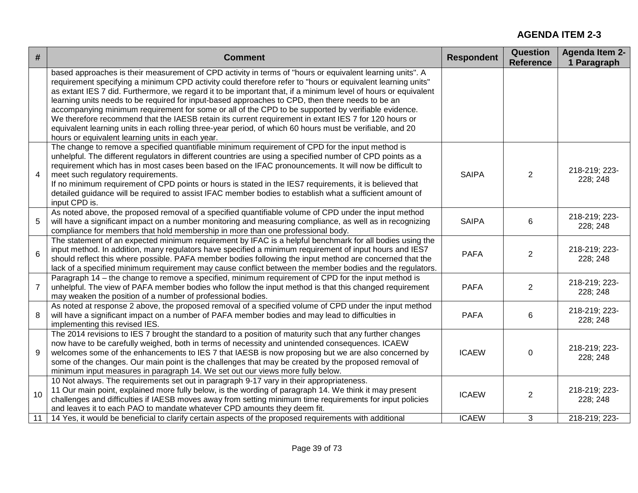| #               | <b>Comment</b>                                                                                                                                                                                                                                                                                                                                                                                                                                                                                                                                                                                                                                                                                                                                                                                                                  | <b>Respondent</b> | <b>Question</b><br><b>Reference</b> | <b>Agenda Item 2-</b><br>1 Paragraph |
|-----------------|---------------------------------------------------------------------------------------------------------------------------------------------------------------------------------------------------------------------------------------------------------------------------------------------------------------------------------------------------------------------------------------------------------------------------------------------------------------------------------------------------------------------------------------------------------------------------------------------------------------------------------------------------------------------------------------------------------------------------------------------------------------------------------------------------------------------------------|-------------------|-------------------------------------|--------------------------------------|
|                 | based approaches is their measurement of CPD activity in terms of "hours or equivalent learning units". A<br>requirement specifying a minimum CPD activity could therefore refer to "hours or equivalent learning units"<br>as extant IES 7 did. Furthermore, we regard it to be important that, if a minimum level of hours or equivalent<br>learning units needs to be required for input-based approaches to CPD, then there needs to be an<br>accompanying minimum requirement for some or all of the CPD to be supported by verifiable evidence.<br>We therefore recommend that the IAESB retain its current requirement in extant IES 7 for 120 hours or<br>equivalent learning units in each rolling three-year period, of which 60 hours must be verifiable, and 20<br>hours or equivalent learning units in each year. |                   |                                     |                                      |
| $\overline{4}$  | The change to remove a specified quantifiable minimum requirement of CPD for the input method is<br>unhelpful. The different regulators in different countries are using a specified number of CPD points as a<br>requirement which has in most cases been based on the IFAC pronouncements. It will now be difficult to<br>meet such regulatory requirements.<br>If no minimum requirement of CPD points or hours is stated in the IES7 requirements, it is believed that<br>detailed guidance will be required to assist IFAC member bodies to establish what a sufficient amount of<br>input CPD is.                                                                                                                                                                                                                         | <b>SAIPA</b>      | 2                                   | 218-219; 223-<br>228; 248            |
| 5               | As noted above, the proposed removal of a specified quantifiable volume of CPD under the input method<br>will have a significant impact on a number monitoring and measuring compliance, as well as in recognizing<br>compliance for members that hold membership in more than one professional body.                                                                                                                                                                                                                                                                                                                                                                                                                                                                                                                           | <b>SAIPA</b>      | 6                                   | 218-219; 223-<br>228; 248            |
| $6\phantom{1}6$ | The statement of an expected minimum requirement by IFAC is a helpful benchmark for all bodies using the<br>input method. In addition, many regulators have specified a minimum requirement of input hours and IES7<br>should reflect this where possible. PAFA member bodies following the input method are concerned that the<br>lack of a specified minimum requirement may cause conflict between the member bodies and the regulators.                                                                                                                                                                                                                                                                                                                                                                                     | <b>PAFA</b>       | 2                                   | 218-219; 223-<br>228; 248            |
| $\overline{7}$  | Paragraph 14 – the change to remove a specified, minimum requirement of CPD for the input method is<br>unhelpful. The view of PAFA member bodies who follow the input method is that this changed requirement<br>may weaken the position of a number of professional bodies.                                                                                                                                                                                                                                                                                                                                                                                                                                                                                                                                                    | <b>PAFA</b>       | 2                                   | 218-219; 223-<br>228; 248            |
| 8               | As noted at response 2 above, the proposed removal of a specified volume of CPD under the input method<br>will have a significant impact on a number of PAFA member bodies and may lead to difficulties in<br>implementing this revised IES.                                                                                                                                                                                                                                                                                                                                                                                                                                                                                                                                                                                    | <b>PAFA</b>       | 6                                   | 218-219; 223-<br>228; 248            |
| 9               | The 2014 revisions to IES 7 brought the standard to a position of maturity such that any further changes<br>now have to be carefully weighed, both in terms of necessity and unintended consequences. ICAEW<br>welcomes some of the enhancements to IES 7 that IAESB is now proposing but we are also concerned by<br>some of the changes. Our main point is the challenges that may be created by the proposed removal of<br>minimum input measures in paragraph 14. We set out our views more fully below.                                                                                                                                                                                                                                                                                                                    | <b>ICAEW</b>      | $\mathbf 0$                         | 218-219; 223-<br>228; 248            |
| 10              | 10 Not always. The requirements set out in paragraph 9-17 vary in their appropriateness.<br>11 Our main point, explained more fully below, is the wording of paragraph 14. We think it may present<br>challenges and difficulties if IAESB moves away from setting minimum time requirements for input policies<br>and leaves it to each PAO to mandate whatever CPD amounts they deem fit.                                                                                                                                                                                                                                                                                                                                                                                                                                     | <b>ICAEW</b>      | 2                                   | 218-219; 223-<br>228; 248            |
| 11              | 14 Yes, it would be beneficial to clarify certain aspects of the proposed requirements with additional                                                                                                                                                                                                                                                                                                                                                                                                                                                                                                                                                                                                                                                                                                                          | <b>ICAEW</b>      | 3                                   | 218-219; 223-                        |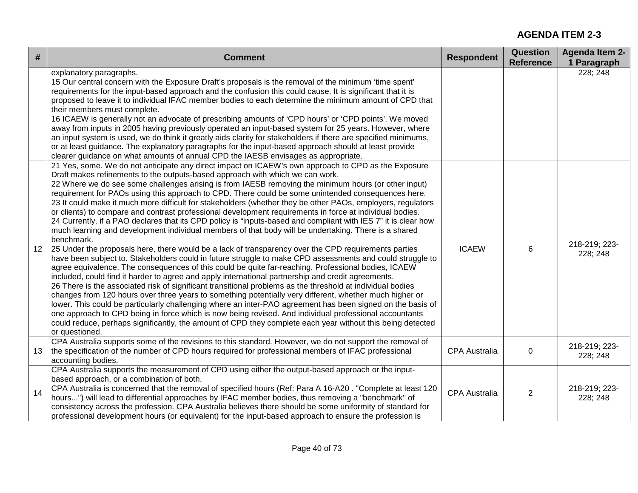| #  | <b>Comment</b>                                                                                                                                                                                                                                                                                                                                                                                                                                                                                                                                                                                                                                                                                                                                                                                                                                                                                                                                                                                                                                                                                                                                                                                                                                                                                                                                                                                                                                                                                                                                                                                                                                                                                                                                                                                                                                                                           | <b>Respondent</b>    | <b>Question</b><br><b>Reference</b> | <b>Agenda Item 2-</b><br>1 Paragraph |
|----|------------------------------------------------------------------------------------------------------------------------------------------------------------------------------------------------------------------------------------------------------------------------------------------------------------------------------------------------------------------------------------------------------------------------------------------------------------------------------------------------------------------------------------------------------------------------------------------------------------------------------------------------------------------------------------------------------------------------------------------------------------------------------------------------------------------------------------------------------------------------------------------------------------------------------------------------------------------------------------------------------------------------------------------------------------------------------------------------------------------------------------------------------------------------------------------------------------------------------------------------------------------------------------------------------------------------------------------------------------------------------------------------------------------------------------------------------------------------------------------------------------------------------------------------------------------------------------------------------------------------------------------------------------------------------------------------------------------------------------------------------------------------------------------------------------------------------------------------------------------------------------------|----------------------|-------------------------------------|--------------------------------------|
|    | explanatory paragraphs.<br>15 Our central concern with the Exposure Draft's proposals is the removal of the minimum 'time spent'<br>requirements for the input-based approach and the confusion this could cause. It is significant that it is<br>proposed to leave it to individual IFAC member bodies to each determine the minimum amount of CPD that<br>their members must complete.<br>16 ICAEW is generally not an advocate of prescribing amounts of 'CPD hours' or 'CPD points'. We moved<br>away from inputs in 2005 having previously operated an input-based system for 25 years. However, where<br>an input system is used, we do think it greatly aids clarity for stakeholders if there are specified minimums,<br>or at least guidance. The explanatory paragraphs for the input-based approach should at least provide<br>clearer guidance on what amounts of annual CPD the IAESB envisages as appropriate.                                                                                                                                                                                                                                                                                                                                                                                                                                                                                                                                                                                                                                                                                                                                                                                                                                                                                                                                                             |                      |                                     | 228; 248                             |
| 12 | 21 Yes, some. We do not anticipate any direct impact on ICAEW's own approach to CPD as the Exposure<br>Draft makes refinements to the outputs-based approach with which we can work.<br>22 Where we do see some challenges arising is from IAESB removing the minimum hours (or other input)<br>requirement for PAOs using this approach to CPD. There could be some unintended consequences here.<br>23 It could make it much more difficult for stakeholders (whether they be other PAOs, employers, regulators<br>or clients) to compare and contrast professional development requirements in force at individual bodies.<br>24 Currently, if a PAO declares that its CPD policy is "inputs-based and compliant with IES 7" it is clear how<br>much learning and development individual members of that body will be undertaking. There is a shared<br>benchmark.<br>25 Under the proposals here, there would be a lack of transparency over the CPD requirements parties<br>have been subject to. Stakeholders could in future struggle to make CPD assessments and could struggle to<br>agree equivalence. The consequences of this could be quite far-reaching. Professional bodies, ICAEW<br>included, could find it harder to agree and apply international partnership and credit agreements.<br>26 There is the associated risk of significant transitional problems as the threshold at individual bodies<br>changes from 120 hours over three years to something potentially very different, whether much higher or<br>lower. This could be particularly challenging where an inter-PAO agreement has been signed on the basis of<br>one approach to CPD being in force which is now being revised. And individual professional accountants<br>could reduce, perhaps significantly, the amount of CPD they complete each year without this being detected<br>or questioned. | <b>ICAEW</b>         | 6                                   | 218-219; 223-<br>228; 248            |
| 13 | CPA Australia supports some of the revisions to this standard. However, we do not support the removal of<br>the specification of the number of CPD hours required for professional members of IFAC professional<br>accounting bodies.                                                                                                                                                                                                                                                                                                                                                                                                                                                                                                                                                                                                                                                                                                                                                                                                                                                                                                                                                                                                                                                                                                                                                                                                                                                                                                                                                                                                                                                                                                                                                                                                                                                    | <b>CPA Australia</b> | $\mathbf 0$                         | 218-219; 223-<br>228; 248            |
| 14 | CPA Australia supports the measurement of CPD using either the output-based approach or the input-<br>based approach, or a combination of both.<br>CPA Australia is concerned that the removal of specified hours (Ref: Para A 16-A20. "Complete at least 120<br>hours") will lead to differential approaches by IFAC member bodies, thus removing a "benchmark" of<br>consistency across the profession. CPA Australia believes there should be some uniformity of standard for<br>professional development hours (or equivalent) for the input-based approach to ensure the profession is                                                                                                                                                                                                                                                                                                                                                                                                                                                                                                                                                                                                                                                                                                                                                                                                                                                                                                                                                                                                                                                                                                                                                                                                                                                                                              | <b>CPA Australia</b> | $\overline{2}$                      | 218-219; 223-<br>228; 248            |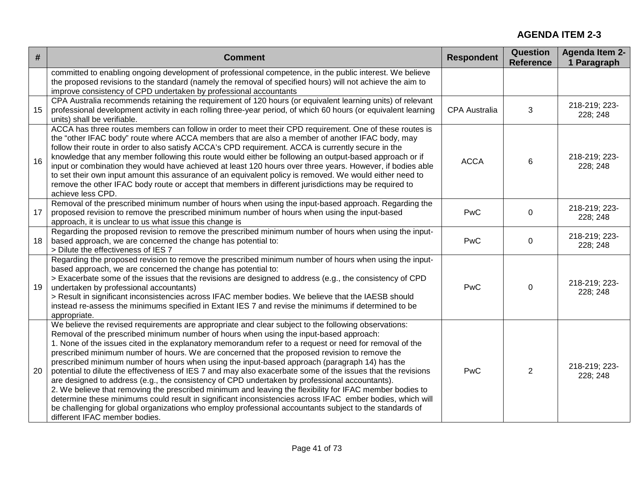| #  | <b>Comment</b>                                                                                                                                                                                                                                                                                                                                                                                                                                                                                                                                                                                                                                                                                                                                                                                                                                                                                                                                                                                                                                                                                     | <b>Respondent</b>    | Question<br><b>Reference</b> | <b>Agenda Item 2-</b><br>1 Paragraph |
|----|----------------------------------------------------------------------------------------------------------------------------------------------------------------------------------------------------------------------------------------------------------------------------------------------------------------------------------------------------------------------------------------------------------------------------------------------------------------------------------------------------------------------------------------------------------------------------------------------------------------------------------------------------------------------------------------------------------------------------------------------------------------------------------------------------------------------------------------------------------------------------------------------------------------------------------------------------------------------------------------------------------------------------------------------------------------------------------------------------|----------------------|------------------------------|--------------------------------------|
|    | committed to enabling ongoing development of professional competence, in the public interest. We believe<br>the proposed revisions to the standard (namely the removal of specified hours) will not achieve the aim to<br>improve consistency of CPD undertaken by professional accountants                                                                                                                                                                                                                                                                                                                                                                                                                                                                                                                                                                                                                                                                                                                                                                                                        |                      |                              |                                      |
| 15 | CPA Australia recommends retaining the requirement of 120 hours (or equivalent learning units) of relevant<br>professional development activity in each rolling three-year period, of which 60 hours (or equivalent learning<br>units) shall be verifiable.                                                                                                                                                                                                                                                                                                                                                                                                                                                                                                                                                                                                                                                                                                                                                                                                                                        | <b>CPA Australia</b> | 3                            | 218-219; 223-<br>228; 248            |
| 16 | ACCA has three routes members can follow in order to meet their CPD requirement. One of these routes is<br>the "other IFAC body" route where ACCA members that are also a member of another IFAC body, may<br>follow their route in order to also satisfy ACCA's CPD requirement. ACCA is currently secure in the<br>knowledge that any member following this route would either be following an output-based approach or if<br>input or combination they would have achieved at least 120 hours over three years. However, if bodies able<br>to set their own input amount this assurance of an equivalent policy is removed. We would either need to<br>remove the other IFAC body route or accept that members in different jurisdictions may be required to<br>achieve less CPD.                                                                                                                                                                                                                                                                                                               | <b>ACCA</b>          | 6                            | 218-219; 223-<br>228; 248            |
| 17 | Removal of the prescribed minimum number of hours when using the input-based approach. Regarding the<br>proposed revision to remove the prescribed minimum number of hours when using the input-based<br>approach, it is unclear to us what issue this change is                                                                                                                                                                                                                                                                                                                                                                                                                                                                                                                                                                                                                                                                                                                                                                                                                                   | <b>PwC</b>           | $\mathbf 0$                  | 218-219; 223-<br>228; 248            |
| 18 | Regarding the proposed revision to remove the prescribed minimum number of hours when using the input-<br>based approach, we are concerned the change has potential to:<br>> Dilute the effectiveness of IES 7                                                                                                                                                                                                                                                                                                                                                                                                                                                                                                                                                                                                                                                                                                                                                                                                                                                                                     | PwC                  | 0                            | 218-219; 223-<br>228; 248            |
| 19 | Regarding the proposed revision to remove the prescribed minimum number of hours when using the input-<br>based approach, we are concerned the change has potential to:<br>> Exacerbate some of the issues that the revisions are designed to address (e.g., the consistency of CPD<br>undertaken by professional accountants)<br>> Result in significant inconsistencies across IFAC member bodies. We believe that the IAESB should<br>instead re-assess the minimums specified in Extant IES 7 and revise the minimums if determined to be<br>appropriate.                                                                                                                                                                                                                                                                                                                                                                                                                                                                                                                                      | PwC                  | $\mathbf 0$                  | 218-219; 223-<br>228; 248            |
| 20 | We believe the revised requirements are appropriate and clear subject to the following observations:<br>Removal of the prescribed minimum number of hours when using the input-based approach:<br>1. None of the issues cited in the explanatory memorandum refer to a request or need for removal of the<br>prescribed minimum number of hours. We are concerned that the proposed revision to remove the<br>prescribed minimum number of hours when using the input-based approach (paragraph 14) has the<br>potential to dilute the effectiveness of IES 7 and may also exacerbate some of the issues that the revisions<br>are designed to address (e.g., the consistency of CPD undertaken by professional accountants).<br>2. We believe that removing the prescribed minimum and leaving the flexibility for IFAC member bodies to<br>determine these minimums could result in significant inconsistencies across IFAC ember bodies, which will<br>be challenging for global organizations who employ professional accountants subject to the standards of<br>different IFAC member bodies. | <b>PwC</b>           | $\overline{2}$               | 218-219; 223-<br>228; 248            |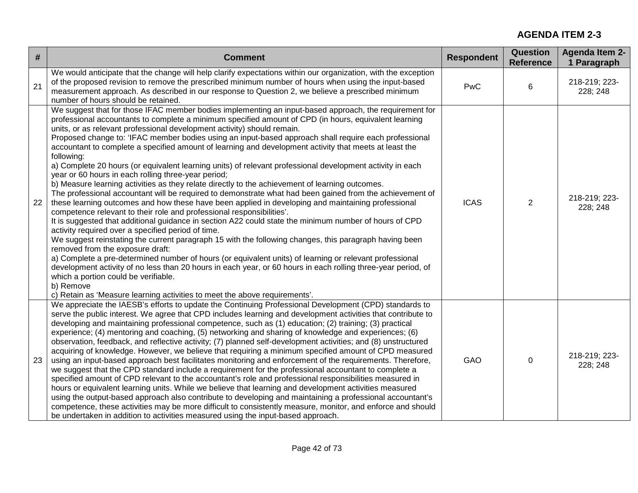| $\#$ | <b>Comment</b>                                                                                                                                                                                                                                                                                                                                                                                                                                                                                                                                                                                                                                                                                                                                                                                                                                                                                                                                                                                                                                                                                                                                                                                                                                                                                                                                                                                                                                                                                                                                                                                                                                                                                                                                                             | <b>Respondent</b> | Question<br><b>Reference</b> | <b>Agenda Item 2-</b><br>1 Paragraph |
|------|----------------------------------------------------------------------------------------------------------------------------------------------------------------------------------------------------------------------------------------------------------------------------------------------------------------------------------------------------------------------------------------------------------------------------------------------------------------------------------------------------------------------------------------------------------------------------------------------------------------------------------------------------------------------------------------------------------------------------------------------------------------------------------------------------------------------------------------------------------------------------------------------------------------------------------------------------------------------------------------------------------------------------------------------------------------------------------------------------------------------------------------------------------------------------------------------------------------------------------------------------------------------------------------------------------------------------------------------------------------------------------------------------------------------------------------------------------------------------------------------------------------------------------------------------------------------------------------------------------------------------------------------------------------------------------------------------------------------------------------------------------------------------|-------------------|------------------------------|--------------------------------------|
| 21   | We would anticipate that the change will help clarify expectations within our organization, with the exception<br>of the proposed revision to remove the prescribed minimum number of hours when using the input-based<br>measurement approach. As described in our response to Question 2, we believe a prescribed minimum<br>number of hours should be retained.                                                                                                                                                                                                                                                                                                                                                                                                                                                                                                                                                                                                                                                                                                                                                                                                                                                                                                                                                                                                                                                                                                                                                                                                                                                                                                                                                                                                         | PwC               | 6                            | 218-219; 223-<br>228; 248            |
| 22   | We suggest that for those IFAC member bodies implementing an input-based approach, the requirement for<br>professional accountants to complete a minimum specified amount of CPD (in hours, equivalent learning<br>units, or as relevant professional development activity) should remain.<br>Proposed change to: 'IFAC member bodies using an input-based approach shall require each professional<br>accountant to complete a specified amount of learning and development activity that meets at least the<br>following:<br>a) Complete 20 hours (or equivalent learning units) of relevant professional development activity in each<br>year or 60 hours in each rolling three-year period;<br>b) Measure learning activities as they relate directly to the achievement of learning outcomes.<br>The professional accountant will be required to demonstrate what had been gained from the achievement of<br>these learning outcomes and how these have been applied in developing and maintaining professional<br>competence relevant to their role and professional responsibilities'.<br>It is suggested that additional guidance in section A22 could state the minimum number of hours of CPD<br>activity required over a specified period of time.<br>We suggest reinstating the current paragraph 15 with the following changes, this paragraph having been<br>removed from the exposure draft:<br>a) Complete a pre-determined number of hours (or equivalent units) of learning or relevant professional<br>development activity of no less than 20 hours in each year, or 60 hours in each rolling three-year period, of<br>which a portion could be verifiable.<br>b) Remove<br>c) Retain as 'Measure learning activities to meet the above requirements'. | <b>ICAS</b>       | $\overline{2}$               | 218-219; 223-<br>228; 248            |
| 23   | We appreciate the IAESB's efforts to update the Continuing Professional Development (CPD) standards to<br>serve the public interest. We agree that CPD includes learning and development activities that contribute to<br>developing and maintaining professional competence, such as (1) education; (2) training; (3) practical<br>experience; (4) mentoring and coaching, (5) networking and sharing of knowledge and experiences; (6)<br>observation, feedback, and reflective activity; (7) planned self-development activities; and (8) unstructured<br>acquiring of knowledge. However, we believe that requiring a minimum specified amount of CPD measured<br>using an input-based approach best facilitates monitoring and enforcement of the requirements. Therefore,<br>we suggest that the CPD standard include a requirement for the professional accountant to complete a<br>specified amount of CPD relevant to the accountant's role and professional responsibilities measured in<br>hours or equivalent learning units. While we believe that learning and development activities measured<br>using the output-based approach also contribute to developing and maintaining a professional accountant's<br>competence, these activities may be more difficult to consistently measure, monitor, and enforce and should<br>be undertaken in addition to activities measured using the input-based approach.                                                                                                                                                                                                                                                                                                                                               | GAO               | $\pmb{0}$                    | 218-219; 223-<br>228; 248            |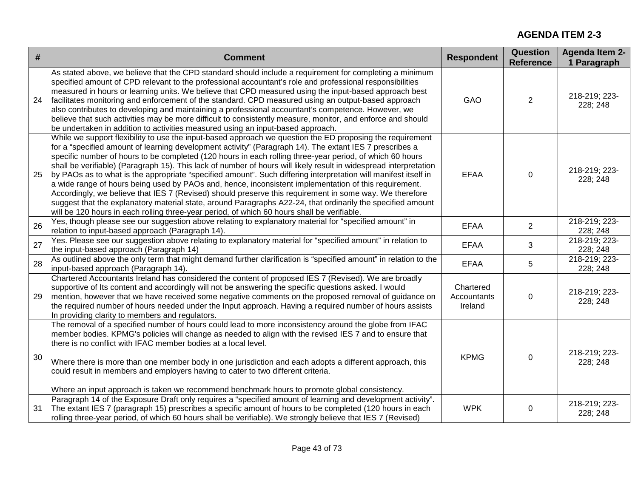| $\#$ | <b>Comment</b>                                                                                                                                                                                                                                                                                                                                                                                                                                                                                                                                                                                                                                                                                                                                                                                                                                                                                                                                                                                             | <b>Respondent</b>                   | Question<br><b>Reference</b> | <b>Agenda Item 2-</b><br>1 Paragraph |
|------|------------------------------------------------------------------------------------------------------------------------------------------------------------------------------------------------------------------------------------------------------------------------------------------------------------------------------------------------------------------------------------------------------------------------------------------------------------------------------------------------------------------------------------------------------------------------------------------------------------------------------------------------------------------------------------------------------------------------------------------------------------------------------------------------------------------------------------------------------------------------------------------------------------------------------------------------------------------------------------------------------------|-------------------------------------|------------------------------|--------------------------------------|
| 24   | As stated above, we believe that the CPD standard should include a requirement for completing a minimum<br>specified amount of CPD relevant to the professional accountant's role and professional responsibilities<br>measured in hours or learning units. We believe that CPD measured using the input-based approach best<br>facilitates monitoring and enforcement of the standard. CPD measured using an output-based approach<br>also contributes to developing and maintaining a professional accountant's competence. However, we<br>believe that such activities may be more difficult to consistently measure, monitor, and enforce and should<br>be undertaken in addition to activities measured using an input-based approach.                                                                                                                                                                                                                                                                | GAO                                 | 2                            | 218-219; 223-<br>228; 248            |
| 25   | While we support flexibility to use the input-based approach we question the ED proposing the requirement<br>for a "specified amount of learning development activity" (Paragraph 14). The extant IES 7 prescribes a<br>specific number of hours to be completed (120 hours in each rolling three-year period, of which 60 hours<br>shall be verifiable) (Paragraph 15). This lack of number of hours will likely result in widespread interpretation<br>by PAOs as to what is the appropriate "specified amount". Such differing interpretation will manifest itself in<br>a wide range of hours being used by PAOs and, hence, inconsistent implementation of this requirement.<br>Accordingly, we believe that IES 7 (Revised) should preserve this requirement in some way. We therefore<br>suggest that the explanatory material state, around Paragraphs A22-24, that ordinarily the specified amount<br>will be 120 hours in each rolling three-year period, of which 60 hours shall be verifiable. | <b>EFAA</b>                         | 0                            | 218-219; 223-<br>228; 248            |
| 26   | Yes, though please see our suggestion above relating to explanatory material for "specified amount" in<br>relation to input-based approach (Paragraph 14).                                                                                                                                                                                                                                                                                                                                                                                                                                                                                                                                                                                                                                                                                                                                                                                                                                                 | <b>EFAA</b>                         | 2                            | 218-219; 223-<br>228; 248            |
| 27   | Yes. Please see our suggestion above relating to explanatory material for "specified amount" in relation to<br>the input-based approach (Paragraph 14)                                                                                                                                                                                                                                                                                                                                                                                                                                                                                                                                                                                                                                                                                                                                                                                                                                                     | <b>EFAA</b>                         | 3                            | 218-219; 223-<br>228; 248            |
| 28   | As outlined above the only term that might demand further clarification is "specified amount" in relation to the<br>input-based approach (Paragraph 14).                                                                                                                                                                                                                                                                                                                                                                                                                                                                                                                                                                                                                                                                                                                                                                                                                                                   | <b>EFAA</b>                         | 5                            | 218-219; 223-<br>228; 248            |
| 29   | Chartered Accountants Ireland has considered the content of proposed IES 7 (Revised). We are broadly<br>supportive of Its content and accordingly will not be answering the specific questions asked. I would<br>mention, however that we have received some negative comments on the proposed removal of guidance on<br>the required number of hours needed under the Input approach. Having a required number of hours assists<br>In providing clarity to members and regulators.                                                                                                                                                                                                                                                                                                                                                                                                                                                                                                                        | Chartered<br>Accountants<br>Ireland | $\mathbf 0$                  | 218-219; 223-<br>228; 248            |
| 30   | The removal of a specified number of hours could lead to more inconsistency around the globe from IFAC<br>member bodies. KPMG's policies will change as needed to align with the revised IES 7 and to ensure that<br>there is no conflict with IFAC member bodies at a local level.<br>Where there is more than one member body in one jurisdiction and each adopts a different approach, this<br>could result in members and employers having to cater to two different criteria.<br>Where an input approach is taken we recommend benchmark hours to promote global consistency.                                                                                                                                                                                                                                                                                                                                                                                                                         | <b>KPMG</b>                         | $\mathbf 0$                  | 218-219; 223-<br>228; 248            |
| 31   | Paragraph 14 of the Exposure Draft only requires a "specified amount of learning and development activity".<br>The extant IES 7 (paragraph 15) prescribes a specific amount of hours to be completed (120 hours in each<br>rolling three-year period, of which 60 hours shall be verifiable). We strongly believe that IES 7 (Revised)                                                                                                                                                                                                                                                                                                                                                                                                                                                                                                                                                                                                                                                                     | <b>WPK</b>                          | $\boldsymbol{0}$             | 218-219; 223-<br>228; 248            |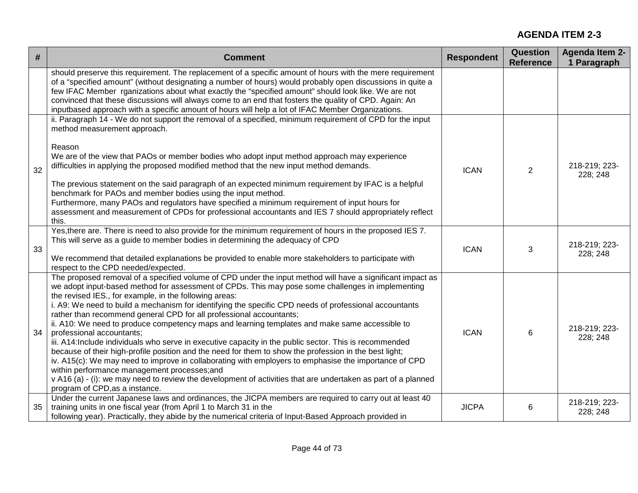| #  | <b>Comment</b>                                                                                                                                                                                                                                                                                                                                                                                                                                                                                                                                                                                                                                                                                                                                                                                                                                                                                                                                                                                                                                                                                                           | <b>Respondent</b> | Question<br><b>Reference</b> | <b>Agenda Item 2-</b><br>1 Paragraph |
|----|--------------------------------------------------------------------------------------------------------------------------------------------------------------------------------------------------------------------------------------------------------------------------------------------------------------------------------------------------------------------------------------------------------------------------------------------------------------------------------------------------------------------------------------------------------------------------------------------------------------------------------------------------------------------------------------------------------------------------------------------------------------------------------------------------------------------------------------------------------------------------------------------------------------------------------------------------------------------------------------------------------------------------------------------------------------------------------------------------------------------------|-------------------|------------------------------|--------------------------------------|
|    | should preserve this requirement. The replacement of a specific amount of hours with the mere requirement<br>of a "specified amount" (without designating a number of hours) would probably open discussions in quite a<br>few IFAC Member rganizations about what exactly the "specified amount" should look like. We are not<br>convinced that these discussions will always come to an end that fosters the quality of CPD. Again: An<br>inputbased approach with a specific amount of hours will help a lot of IFAC Member Organizations.                                                                                                                                                                                                                                                                                                                                                                                                                                                                                                                                                                            |                   |                              |                                      |
| 32 | ii. Paragraph 14 - We do not support the removal of a specified, minimum requirement of CPD for the input<br>method measurement approach.<br>Reason<br>We are of the view that PAOs or member bodies who adopt input method approach may experience<br>difficulties in applying the proposed modified method that the new input method demands.<br>The previous statement on the said paragraph of an expected minimum requirement by IFAC is a helpful<br>benchmark for PAOs and member bodies using the input method.<br>Furthermore, many PAOs and regulators have specified a minimum requirement of input hours for<br>assessment and measurement of CPDs for professional accountants and IES 7 should appropriately reflect<br>this.                                                                                                                                                                                                                                                                                                                                                                              | <b>ICAN</b>       | 2                            | 218-219; 223-<br>228; 248            |
| 33 | Yes, there are. There is need to also provide for the minimum requirement of hours in the proposed IES 7.<br>This will serve as a guide to member bodies in determining the adequacy of CPD<br>We recommend that detailed explanations be provided to enable more stakeholders to participate with<br>respect to the CPD needed/expected.                                                                                                                                                                                                                                                                                                                                                                                                                                                                                                                                                                                                                                                                                                                                                                                | <b>ICAN</b>       | 3                            | 218-219; 223-<br>228; 248            |
| 34 | The proposed removal of a specified volume of CPD under the input method will have a significant impact as<br>we adopt input-based method for assessment of CPDs. This may pose some challenges in implementing<br>the revised IES., for example, in the following areas:<br>i. A9: We need to build a mechanism for identifying the specific CPD needs of professional accountants<br>rather than recommend general CPD for all professional accountants;<br>ii. A10: We need to produce competency maps and learning templates and make same accessible to<br>professional accountants;<br>iii. A14:Include individuals who serve in executive capacity in the public sector. This is recommended<br>because of their high-profile position and the need for them to show the profession in the best light;<br>iv. A15(c): We may need to improve in collaborating with employers to emphasise the importance of CPD<br>within performance management processes;and<br>v A16 (a) - (i): we may need to review the development of activities that are undertaken as part of a planned<br>program of CPD, as a instance. | <b>ICAN</b>       | 6                            | 218-219; 223-<br>228; 248            |
| 35 | Under the current Japanese laws and ordinances, the JICPA members are required to carry out at least 40<br>training units in one fiscal year (from April 1 to March 31 in the<br>following year). Practically, they abide by the numerical criteria of Input-Based Approach provided in                                                                                                                                                                                                                                                                                                                                                                                                                                                                                                                                                                                                                                                                                                                                                                                                                                  | <b>JICPA</b>      | 6                            | 218-219; 223-<br>228; 248            |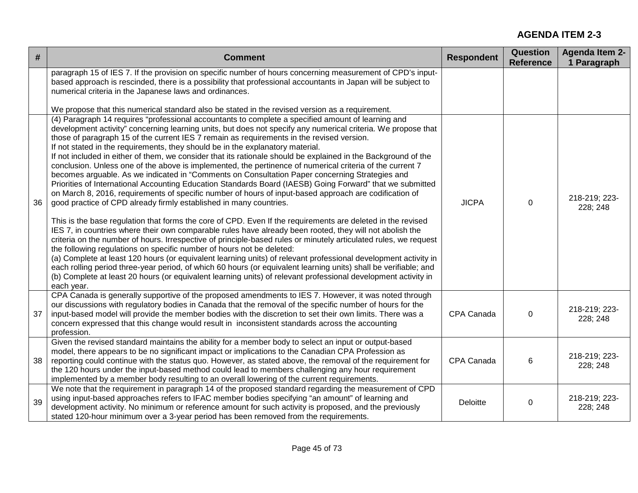| #  | <b>Comment</b>                                                                                                                                                                                                                                                                                                                                                                                                                                                                                                                                                                                                                                                                                                                                                                                                                                                                                                                                                                                                                                                                                                                                                                                                                                                                                                                                                                                                                                                                                                                                                                                                                                                                                                                                                                                                                  | <b>Respondent</b> | Question<br><b>Reference</b> | <b>Agenda Item 2-</b><br>1 Paragraph |
|----|---------------------------------------------------------------------------------------------------------------------------------------------------------------------------------------------------------------------------------------------------------------------------------------------------------------------------------------------------------------------------------------------------------------------------------------------------------------------------------------------------------------------------------------------------------------------------------------------------------------------------------------------------------------------------------------------------------------------------------------------------------------------------------------------------------------------------------------------------------------------------------------------------------------------------------------------------------------------------------------------------------------------------------------------------------------------------------------------------------------------------------------------------------------------------------------------------------------------------------------------------------------------------------------------------------------------------------------------------------------------------------------------------------------------------------------------------------------------------------------------------------------------------------------------------------------------------------------------------------------------------------------------------------------------------------------------------------------------------------------------------------------------------------------------------------------------------------|-------------------|------------------------------|--------------------------------------|
|    | paragraph 15 of IES 7. If the provision on specific number of hours concerning measurement of CPD's input-<br>based approach is rescinded, there is a possibility that professional accountants in Japan will be subject to<br>numerical criteria in the Japanese laws and ordinances.<br>We propose that this numerical standard also be stated in the revised version as a requirement.                                                                                                                                                                                                                                                                                                                                                                                                                                                                                                                                                                                                                                                                                                                                                                                                                                                                                                                                                                                                                                                                                                                                                                                                                                                                                                                                                                                                                                       |                   |                              |                                      |
| 36 | (4) Paragraph 14 requires "professional accountants to complete a specified amount of learning and<br>development activity" concerning learning units, but does not specify any numerical criteria. We propose that<br>those of paragraph 15 of the current IES 7 remain as requirements in the revised version.<br>If not stated in the requirements, they should be in the explanatory material.<br>If not included in either of them, we consider that its rationale should be explained in the Background of the<br>conclusion. Unless one of the above is implemented, the pertinence of numerical criteria of the current 7<br>becomes arguable. As we indicated in "Comments on Consultation Paper concerning Strategies and<br>Priorities of International Accounting Education Standards Board (IAESB) Going Forward" that we submitted<br>on March 8, 2016, requirements of specific number of hours of input-based approach are codification of<br>good practice of CPD already firmly established in many countries.<br>This is the base regulation that forms the core of CPD. Even If the requirements are deleted in the revised<br>IES 7, in countries where their own comparable rules have already been rooted, they will not abolish the<br>criteria on the number of hours. Irrespective of principle-based rules or minutely articulated rules, we request<br>the following regulations on specific number of hours not be deleted:<br>(a) Complete at least 120 hours (or equivalent learning units) of relevant professional development activity in<br>each rolling period three-year period, of which 60 hours (or equivalent learning units) shall be verifiable; and<br>(b) Complete at least 20 hours (or equivalent learning units) of relevant professional development activity in<br>each year. | <b>JICPA</b>      | $\mathbf 0$                  | 218-219; 223-<br>228; 248            |
| 37 | CPA Canada is generally supportive of the proposed amendments to IES 7. However, it was noted through<br>our discussions with regulatory bodies in Canada that the removal of the specific number of hours for the<br>input-based model will provide the member bodies with the discretion to set their own limits. There was a<br>concern expressed that this change would result in inconsistent standards across the accounting<br>profession.                                                                                                                                                                                                                                                                                                                                                                                                                                                                                                                                                                                                                                                                                                                                                                                                                                                                                                                                                                                                                                                                                                                                                                                                                                                                                                                                                                               | CPA Canada        | 0                            | 218-219; 223-<br>228; 248            |
| 38 | Given the revised standard maintains the ability for a member body to select an input or output-based<br>model, there appears to be no significant impact or implications to the Canadian CPA Profession as<br>reporting could continue with the status quo. However, as stated above, the removal of the requirement for<br>the 120 hours under the input-based method could lead to members challenging any hour requirement<br>implemented by a member body resulting to an overall lowering of the current requirements.                                                                                                                                                                                                                                                                                                                                                                                                                                                                                                                                                                                                                                                                                                                                                                                                                                                                                                                                                                                                                                                                                                                                                                                                                                                                                                    | CPA Canada        | 6                            | 218-219; 223-<br>228; 248            |
| 39 | We note that the requirement in paragraph 14 of the proposed standard regarding the measurement of CPD<br>using input-based approaches refers to IFAC member bodies specifying "an amount" of learning and<br>development activity. No minimum or reference amount for such activity is proposed, and the previously<br>stated 120-hour minimum over a 3-year period has been removed from the requirements.                                                                                                                                                                                                                                                                                                                                                                                                                                                                                                                                                                                                                                                                                                                                                                                                                                                                                                                                                                                                                                                                                                                                                                                                                                                                                                                                                                                                                    | Deloitte          | $\mathbf 0$                  | 218-219; 223-<br>228; 248            |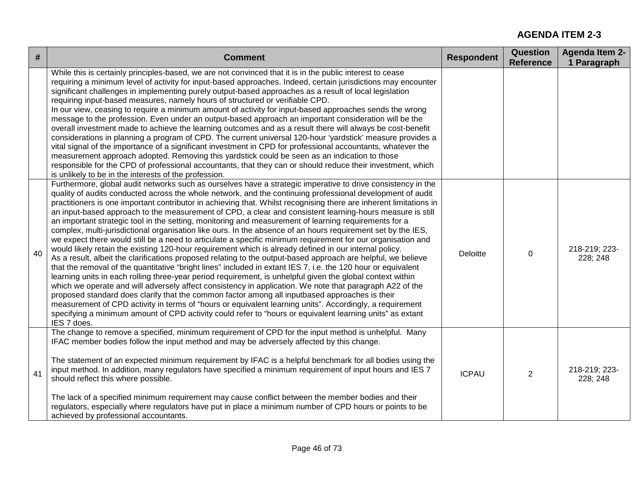| #  | <b>Comment</b>                                                                                                                                                                                                                                                                                                                                                                                                                                                                                                                                                                                                                                                                                                                                                                                                                                                                                                                                                                                                                                                                                                                                                                                                                                                                                                                                                                                                                                                                                                                                                                                                                                                                                                        | <b>Respondent</b> | <b>Question</b><br><b>Reference</b> | <b>Agenda Item 2-</b><br>1 Paragraph |
|----|-----------------------------------------------------------------------------------------------------------------------------------------------------------------------------------------------------------------------------------------------------------------------------------------------------------------------------------------------------------------------------------------------------------------------------------------------------------------------------------------------------------------------------------------------------------------------------------------------------------------------------------------------------------------------------------------------------------------------------------------------------------------------------------------------------------------------------------------------------------------------------------------------------------------------------------------------------------------------------------------------------------------------------------------------------------------------------------------------------------------------------------------------------------------------------------------------------------------------------------------------------------------------------------------------------------------------------------------------------------------------------------------------------------------------------------------------------------------------------------------------------------------------------------------------------------------------------------------------------------------------------------------------------------------------------------------------------------------------|-------------------|-------------------------------------|--------------------------------------|
|    | While this is certainly principles-based, we are not convinced that it is in the public interest to cease<br>requiring a minimum level of activity for input-based approaches. Indeed, certain jurisdictions may encounter<br>significant challenges in implementing purely output-based approaches as a result of local legislation<br>requiring input-based measures, namely hours of structured or verifiable CPD.<br>In our view, ceasing to require a minimum amount of activity for input-based approaches sends the wrong<br>message to the profession. Even under an output-based approach an important consideration will be the<br>overall investment made to achieve the learning outcomes and as a result there will always be cost-benefit<br>considerations in planning a program of CPD. The current universal 120-hour 'yardstick' measure provides a<br>vital signal of the importance of a significant investment in CPD for professional accountants, whatever the<br>measurement approach adopted. Removing this yardstick could be seen as an indication to those<br>responsible for the CPD of professional accountants, that they can or should reduce their investment, which<br>is unlikely to be in the interests of the profession.                                                                                                                                                                                                                                                                                                                                                                                                                                                        |                   |                                     |                                      |
| 40 | Furthermore, global audit networks such as ourselves have a strategic imperative to drive consistency in the<br>quality of audits conducted across the whole network, and the continuing professional development of audit<br>practitioners is one important contributor in achieving that. Whilst recognising there are inherent limitations in<br>an input-based approach to the measurement of CPD, a clear and consistent learning-hours measure is still<br>an important strategic tool in the setting, monitoring and measurement of learning requirements for a<br>complex, multi-jurisdictional organisation like ours. In the absence of an hours requirement set by the IES,<br>we expect there would still be a need to articulate a specific minimum requirement for our organisation and<br>would likely retain the existing 120-hour requirement which is already defined in our internal policy.<br>As a result, albeit the clarifications proposed relating to the output-based approach are helpful, we believe<br>that the removal of the quantitative "bright lines" included in extant IES 7, i.e. the 120 hour or equivalent<br>learning units in each rolling three-year period requirement, is unhelpful given the global context within<br>which we operate and will adversely affect consistency in application. We note that paragraph A22 of the<br>proposed standard does clarify that the common factor among all inputbased approaches is their<br>measurement of CPD activity in terms of "hours or equivalent learning units". Accordingly, a requirement<br>specifying a minimum amount of CPD activity could refer to "hours or equivalent learning units" as extant<br>IES 7 does. | Deloitte          | 0                                   | 218-219; 223-<br>228; 248            |
| 41 | The change to remove a specified, minimum requirement of CPD for the input method is unhelpful. Many<br>IFAC member bodies follow the input method and may be adversely affected by this change.<br>The statement of an expected minimum requirement by IFAC is a helpful benchmark for all bodies using the<br>input method. In addition, many regulators have specified a minimum requirement of input hours and IES 7<br>should reflect this where possible.<br>The lack of a specified minimum requirement may cause conflict between the member bodies and their<br>regulators, especially where regulators have put in place a minimum number of CPD hours or points to be<br>achieved by professional accountants.                                                                                                                                                                                                                                                                                                                                                                                                                                                                                                                                                                                                                                                                                                                                                                                                                                                                                                                                                                                             | <b>ICPAU</b>      | $\overline{2}$                      | 218-219; 223-<br>228; 248            |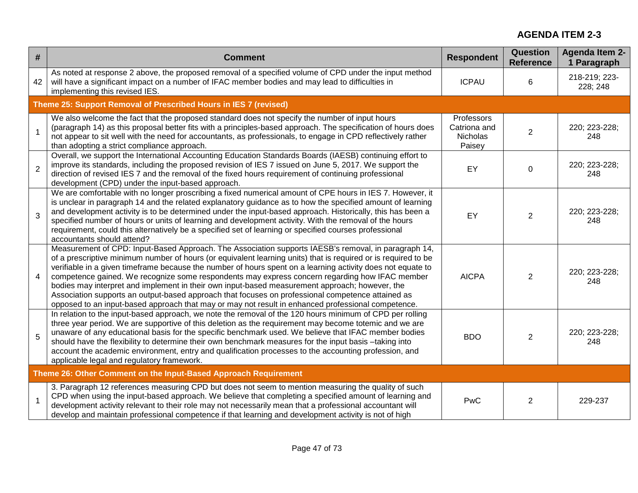| #              | <b>Comment</b>                                                                                                                                                                                                                                                                                                                                                                                                                                                                                                                                                                                                                                                                                                                                       | <b>Respondent</b>                                | Question<br><b>Reference</b> | <b>Agenda Item 2-</b><br>1 Paragraph |
|----------------|------------------------------------------------------------------------------------------------------------------------------------------------------------------------------------------------------------------------------------------------------------------------------------------------------------------------------------------------------------------------------------------------------------------------------------------------------------------------------------------------------------------------------------------------------------------------------------------------------------------------------------------------------------------------------------------------------------------------------------------------------|--------------------------------------------------|------------------------------|--------------------------------------|
| 42             | As noted at response 2 above, the proposed removal of a specified volume of CPD under the input method<br>will have a significant impact on a number of IFAC member bodies and may lead to difficulties in<br>implementing this revised IES.                                                                                                                                                                                                                                                                                                                                                                                                                                                                                                         | <b>ICPAU</b>                                     | 6                            | 218-219; 223-<br>228; 248            |
|                | Theme 25: Support Removal of Prescribed Hours in IES 7 (revised)                                                                                                                                                                                                                                                                                                                                                                                                                                                                                                                                                                                                                                                                                     |                                                  |                              |                                      |
| $\mathbf{1}$   | We also welcome the fact that the proposed standard does not specify the number of input hours<br>(paragraph 14) as this proposal better fits with a principles-based approach. The specification of hours does<br>not appear to sit well with the need for accountants, as professionals, to engage in CPD reflectively rather<br>than adopting a strict compliance approach.                                                                                                                                                                                                                                                                                                                                                                       | Professors<br>Catriona and<br>Nicholas<br>Paisey | $\overline{2}$               | 220; 223-228;<br>248                 |
| $\overline{2}$ | Overall, we support the International Accounting Education Standards Boards (IAESB) continuing effort to<br>improve its standards, including the proposed revision of IES 7 issued on June 5, 2017. We support the<br>direction of revised IES 7 and the removal of the fixed hours requirement of continuing professional<br>development (CPD) under the input-based approach.                                                                                                                                                                                                                                                                                                                                                                      | EY                                               | $\Omega$                     | 220; 223-228;<br>248                 |
| 3              | We are comfortable with no longer proscribing a fixed numerical amount of CPE hours in IES 7. However, it<br>is unclear in paragraph 14 and the related explanatory guidance as to how the specified amount of learning<br>and development activity is to be determined under the input-based approach. Historically, this has been a<br>specified number of hours or units of learning and development activity. With the removal of the hours<br>requirement, could this alternatively be a specified set of learning or specified courses professional<br>accountants should attend?                                                                                                                                                              | EY                                               | $\overline{2}$               | 220; 223-228;<br>248                 |
| $\overline{4}$ | Measurement of CPD: Input-Based Approach. The Association supports IAESB's removal, in paragraph 14,<br>of a prescriptive minimum number of hours (or equivalent learning units) that is required or is required to be<br>verifiable in a given timeframe because the number of hours spent on a learning activity does not equate to<br>competence gained. We recognize some respondents may express concern regarding how IFAC member<br>bodies may interpret and implement in their own input-based measurement approach; however, the<br>Association supports an output-based approach that focuses on professional competence attained as<br>opposed to an input-based approach that may or may not result in enhanced professional competence. | <b>AICPA</b>                                     | 2                            | 220; 223-228;<br>248                 |
| 5              | In relation to the input-based approach, we note the removal of the 120 hours minimum of CPD per rolling<br>three year period. We are supportive of this deletion as the requirement may become totemic and we are<br>unaware of any educational basis for the specific benchmark used. We believe that IFAC member bodies<br>should have the flexibility to determine their own benchmark measures for the input basis -taking into<br>account the academic environment, entry and qualification processes to the accounting profession, and<br>applicable legal and regulatory framework.                                                                                                                                                          | <b>BDO</b>                                       | 2                            | 220; 223-228;<br>248                 |
|                | Theme 26: Other Comment on the Input-Based Approach Requirement                                                                                                                                                                                                                                                                                                                                                                                                                                                                                                                                                                                                                                                                                      |                                                  |                              |                                      |
| $\mathbf{1}$   | 3. Paragraph 12 references measuring CPD but does not seem to mention measuring the quality of such<br>CPD when using the input-based approach. We believe that completing a specified amount of learning and<br>development activity relevant to their role may not necessarily mean that a professional accountant will<br>develop and maintain professional competence if that learning and development activity is not of high                                                                                                                                                                                                                                                                                                                   | PwC                                              | $\overline{2}$               | 229-237                              |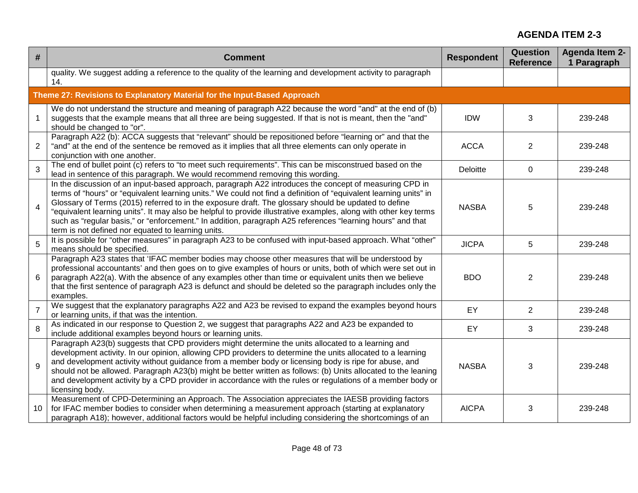| #              | <b>Comment</b>                                                                                                                                                                                                                                                                                                                                                                                                                                                                                                                                                                                                              | <b>Respondent</b> | <b>Question</b><br><b>Reference</b> | <b>Agenda Item 2-</b><br>1 Paragraph |
|----------------|-----------------------------------------------------------------------------------------------------------------------------------------------------------------------------------------------------------------------------------------------------------------------------------------------------------------------------------------------------------------------------------------------------------------------------------------------------------------------------------------------------------------------------------------------------------------------------------------------------------------------------|-------------------|-------------------------------------|--------------------------------------|
|                | quality. We suggest adding a reference to the quality of the learning and development activity to paragraph<br>14.                                                                                                                                                                                                                                                                                                                                                                                                                                                                                                          |                   |                                     |                                      |
|                | Theme 27: Revisions to Explanatory Material for the Input-Based Approach                                                                                                                                                                                                                                                                                                                                                                                                                                                                                                                                                    |                   |                                     |                                      |
| $\mathbf{1}$   | We do not understand the structure and meaning of paragraph A22 because the word "and" at the end of (b)<br>suggests that the example means that all three are being suggested. If that is not is meant, then the "and"<br>should be changed to "or".                                                                                                                                                                                                                                                                                                                                                                       | <b>IDW</b>        | 3                                   | 239-248                              |
| 2              | Paragraph A22 (b): ACCA suggests that "relevant" should be repositioned before "learning or" and that the<br>"and" at the end of the sentence be removed as it implies that all three elements can only operate in<br>conjunction with one another.                                                                                                                                                                                                                                                                                                                                                                         | <b>ACCA</b>       | $\overline{2}$                      | 239-248                              |
| 3              | The end of bullet point (c) refers to "to meet such requirements". This can be misconstrued based on the<br>lead in sentence of this paragraph. We would recommend removing this wording.                                                                                                                                                                                                                                                                                                                                                                                                                                   | Deloitte          | 0                                   | 239-248                              |
| $\overline{4}$ | In the discussion of an input-based approach, paragraph A22 introduces the concept of measuring CPD in<br>terms of "hours" or "equivalent learning units." We could not find a definition of "equivalent learning units" in<br>Glossary of Terms (2015) referred to in the exposure draft. The glossary should be updated to define<br>"equivalent learning units". It may also be helpful to provide illustrative examples, along with other key terms<br>such as "regular basis," or "enforcement." In addition, paragraph A25 references "learning hours" and that<br>term is not defined nor equated to learning units. | <b>NASBA</b>      | 5                                   | 239-248                              |
| 5              | It is possible for "other measures" in paragraph A23 to be confused with input-based approach. What "other"<br>means should be specified.                                                                                                                                                                                                                                                                                                                                                                                                                                                                                   | <b>JICPA</b>      | 5                                   | 239-248                              |
| 6              | Paragraph A23 states that 'IFAC member bodies may choose other measures that will be understood by<br>professional accountants' and then goes on to give examples of hours or units, both of which were set out in<br>paragraph A22(a). With the absence of any examples other than time or equivalent units then we believe<br>that the first sentence of paragraph A23 is defunct and should be deleted so the paragraph includes only the<br>examples.                                                                                                                                                                   | <b>BDO</b>        | $\overline{2}$                      | 239-248                              |
| $\overline{7}$ | We suggest that the explanatory paragraphs A22 and A23 be revised to expand the examples beyond hours<br>or learning units, if that was the intention.                                                                                                                                                                                                                                                                                                                                                                                                                                                                      | EY                | $\overline{2}$                      | 239-248                              |
| 8              | As indicated in our response to Question 2, we suggest that paragraphs A22 and A23 be expanded to<br>include additional examples beyond hours or learning units.                                                                                                                                                                                                                                                                                                                                                                                                                                                            | EY                | 3                                   | 239-248                              |
| 9              | Paragraph A23(b) suggests that CPD providers might determine the units allocated to a learning and<br>development activity. In our opinion, allowing CPD providers to determine the units allocated to a learning<br>and development activity without guidance from a member body or licensing body is ripe for abuse, and<br>should not be allowed. Paragraph A23(b) might be better written as follows: (b) Units allocated to the leaning<br>and development activity by a CPD provider in accordance with the rules or regulations of a member body or<br>licensing body.                                               | <b>NASBA</b>      | 3                                   | 239-248                              |
| 10             | Measurement of CPD-Determining an Approach. The Association appreciates the IAESB providing factors<br>for IFAC member bodies to consider when determining a measurement approach (starting at explanatory<br>paragraph A18); however, additional factors would be helpful including considering the shortcomings of an                                                                                                                                                                                                                                                                                                     | <b>AICPA</b>      | 3                                   | 239-248                              |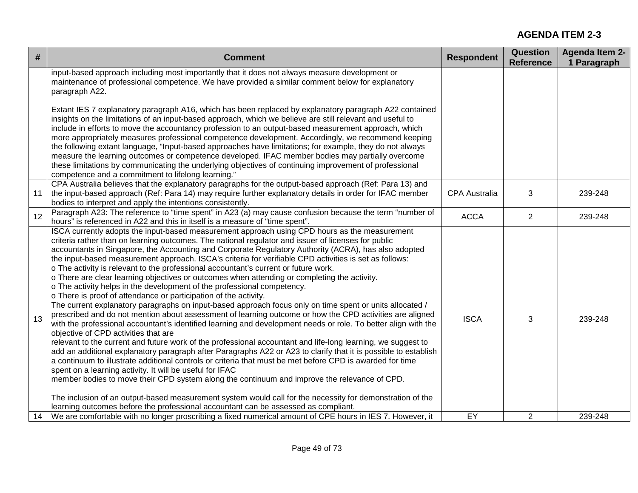| $\#$ | <b>Comment</b>                                                                                                                                                                                                                                                                                                                                                                                                                                                                                                                                                                                                                                                                                                                                                                                                                                                                                                                                                                                                                                                                                                                                                                                                                                                                                                                                                                                                                                                                                                                                                                                                                                                                                                                                                                                                                                                | <b>Respondent</b>    | <b>Question</b><br><b>Reference</b> | <b>Agenda Item 2-</b><br>1 Paragraph |
|------|---------------------------------------------------------------------------------------------------------------------------------------------------------------------------------------------------------------------------------------------------------------------------------------------------------------------------------------------------------------------------------------------------------------------------------------------------------------------------------------------------------------------------------------------------------------------------------------------------------------------------------------------------------------------------------------------------------------------------------------------------------------------------------------------------------------------------------------------------------------------------------------------------------------------------------------------------------------------------------------------------------------------------------------------------------------------------------------------------------------------------------------------------------------------------------------------------------------------------------------------------------------------------------------------------------------------------------------------------------------------------------------------------------------------------------------------------------------------------------------------------------------------------------------------------------------------------------------------------------------------------------------------------------------------------------------------------------------------------------------------------------------------------------------------------------------------------------------------------------------|----------------------|-------------------------------------|--------------------------------------|
|      | input-based approach including most importantly that it does not always measure development or<br>maintenance of professional competence. We have provided a similar comment below for explanatory<br>paragraph A22.                                                                                                                                                                                                                                                                                                                                                                                                                                                                                                                                                                                                                                                                                                                                                                                                                                                                                                                                                                                                                                                                                                                                                                                                                                                                                                                                                                                                                                                                                                                                                                                                                                          |                      |                                     |                                      |
|      | Extant IES 7 explanatory paragraph A16, which has been replaced by explanatory paragraph A22 contained<br>insights on the limitations of an input-based approach, which we believe are still relevant and useful to<br>include in efforts to move the accountancy profession to an output-based measurement approach, which<br>more appropriately measures professional competence development. Accordingly, we recommend keeping<br>the following extant language, "Input-based approaches have limitations; for example, they do not always<br>measure the learning outcomes or competence developed. IFAC member bodies may partially overcome<br>these limitations by communicating the underlying objectives of continuing improvement of professional<br>competence and a commitment to lifelong learning."                                                                                                                                                                                                                                                                                                                                                                                                                                                                                                                                                                                                                                                                                                                                                                                                                                                                                                                                                                                                                                             |                      |                                     |                                      |
| 11   | CPA Australia believes that the explanatory paragraphs for the output-based approach (Ref: Para 13) and<br>the input-based approach (Ref: Para 14) may require further explanatory details in order for IFAC member<br>bodies to interpret and apply the intentions consistently.                                                                                                                                                                                                                                                                                                                                                                                                                                                                                                                                                                                                                                                                                                                                                                                                                                                                                                                                                                                                                                                                                                                                                                                                                                                                                                                                                                                                                                                                                                                                                                             | <b>CPA Australia</b> | 3                                   | 239-248                              |
| 12   | Paragraph A23: The reference to "time spent" in A23 (a) may cause confusion because the term "number of<br>hours" is referenced in A22 and this in itself is a measure of "time spent".                                                                                                                                                                                                                                                                                                                                                                                                                                                                                                                                                                                                                                                                                                                                                                                                                                                                                                                                                                                                                                                                                                                                                                                                                                                                                                                                                                                                                                                                                                                                                                                                                                                                       | <b>ACCA</b>          | $\overline{2}$                      | 239-248                              |
| 13   | ISCA currently adopts the input-based measurement approach using CPD hours as the measurement<br>criteria rather than on learning outcomes. The national regulator and issuer of licenses for public<br>accountants in Singapore, the Accounting and Corporate Regulatory Authority (ACRA), has also adopted<br>the input-based measurement approach. ISCA's criteria for verifiable CPD activities is set as follows:<br>o The activity is relevant to the professional accountant's current or future work.<br>o There are clear learning objectives or outcomes when attending or completing the activity.<br>o The activity helps in the development of the professional competency.<br>o There is proof of attendance or participation of the activity.<br>The current explanatory paragraphs on input-based approach focus only on time spent or units allocated /<br>prescribed and do not mention about assessment of learning outcome or how the CPD activities are aligned<br>with the professional accountant's identified learning and development needs or role. To better align with the<br>objective of CPD activities that are<br>relevant to the current and future work of the professional accountant and life-long learning, we suggest to<br>add an additional explanatory paragraph after Paragraphs A22 or A23 to clarify that it is possible to establish<br>a continuum to illustrate additional controls or criteria that must be met before CPD is awarded for time<br>spent on a learning activity. It will be useful for IFAC<br>member bodies to move their CPD system along the continuum and improve the relevance of CPD.<br>The inclusion of an output-based measurement system would call for the necessity for demonstration of the<br>learning outcomes before the professional accountant can be assessed as compliant. | <b>ISCA</b>          | 3                                   | 239-248                              |
| 14   | We are comfortable with no longer proscribing a fixed numerical amount of CPE hours in IES 7. However, it                                                                                                                                                                                                                                                                                                                                                                                                                                                                                                                                                                                                                                                                                                                                                                                                                                                                                                                                                                                                                                                                                                                                                                                                                                                                                                                                                                                                                                                                                                                                                                                                                                                                                                                                                     | EY                   | 2                                   | 239-248                              |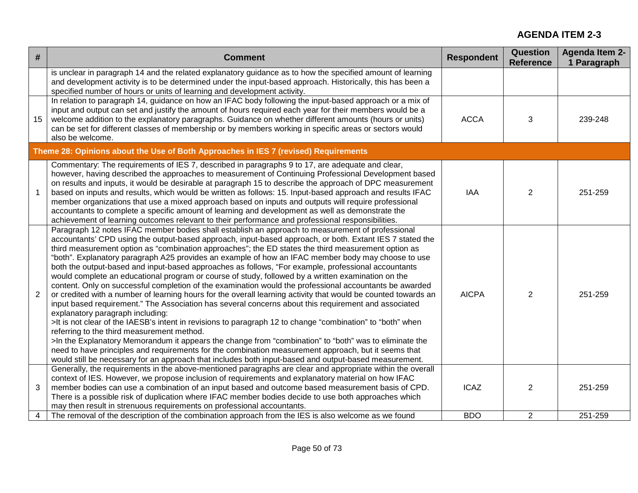| #              | <b>Comment</b>                                                                                                                                                                                                                                                                                                                                                                                                                                                                                                                                                                                                                                                                                                                                                                                                                                                                                                                                                                                                                                                                                                                                                                                                                                                                                                                                                                                                                                                                                         | <b>Respondent</b> | <b>Question</b><br><b>Reference</b> | <b>Agenda Item 2-</b><br>1 Paragraph |
|----------------|--------------------------------------------------------------------------------------------------------------------------------------------------------------------------------------------------------------------------------------------------------------------------------------------------------------------------------------------------------------------------------------------------------------------------------------------------------------------------------------------------------------------------------------------------------------------------------------------------------------------------------------------------------------------------------------------------------------------------------------------------------------------------------------------------------------------------------------------------------------------------------------------------------------------------------------------------------------------------------------------------------------------------------------------------------------------------------------------------------------------------------------------------------------------------------------------------------------------------------------------------------------------------------------------------------------------------------------------------------------------------------------------------------------------------------------------------------------------------------------------------------|-------------------|-------------------------------------|--------------------------------------|
|                | is unclear in paragraph 14 and the related explanatory guidance as to how the specified amount of learning<br>and development activity is to be determined under the input-based approach. Historically, this has been a<br>specified number of hours or units of learning and development activity.                                                                                                                                                                                                                                                                                                                                                                                                                                                                                                                                                                                                                                                                                                                                                                                                                                                                                                                                                                                                                                                                                                                                                                                                   |                   |                                     |                                      |
| 15             | In relation to paragraph 14, guidance on how an IFAC body following the input-based approach or a mix of<br>input and output can set and justify the amount of hours required each year for their members would be a<br>welcome addition to the explanatory paragraphs. Guidance on whether different amounts (hours or units)<br>can be set for different classes of membership or by members working in specific areas or sectors would<br>also be welcome.                                                                                                                                                                                                                                                                                                                                                                                                                                                                                                                                                                                                                                                                                                                                                                                                                                                                                                                                                                                                                                          | <b>ACCA</b>       | 3                                   | 239-248                              |
|                | Theme 28: Opinions about the Use of Both Approaches in IES 7 (revised) Requirements                                                                                                                                                                                                                                                                                                                                                                                                                                                                                                                                                                                                                                                                                                                                                                                                                                                                                                                                                                                                                                                                                                                                                                                                                                                                                                                                                                                                                    |                   |                                     |                                      |
| $\mathbf 1$    | Commentary: The requirements of IES 7, described in paragraphs 9 to 17, are adequate and clear,<br>however, having described the approaches to measurement of Continuing Professional Development based<br>on results and inputs, it would be desirable at paragraph 15 to describe the approach of DPC measurement<br>based on inputs and results, which would be written as follows: 15. Input-based approach and results IFAC<br>member organizations that use a mixed approach based on inputs and outputs will require professional<br>accountants to complete a specific amount of learning and development as well as demonstrate the<br>achievement of learning outcomes relevant to their performance and professional responsibilities.                                                                                                                                                                                                                                                                                                                                                                                                                                                                                                                                                                                                                                                                                                                                                      | <b>IAA</b>        | $\overline{2}$                      | 251-259                              |
| $\overline{2}$ | Paragraph 12 notes IFAC member bodies shall establish an approach to measurement of professional<br>accountants' CPD using the output-based approach, input-based approach, or both. Extant IES 7 stated the<br>third measurement option as "combination approaches"; the ED states the third measurement option as<br>"both". Explanatory paragraph A25 provides an example of how an IFAC member body may choose to use<br>both the output-based and input-based approaches as follows, "For example, professional accountants<br>would complete an educational program or course of study, followed by a written examination on the<br>content. Only on successful completion of the examination would the professional accountants be awarded<br>or credited with a number of learning hours for the overall learning activity that would be counted towards an<br>input based requirement." The Association has several concerns about this requirement and associated<br>explanatory paragraph including:<br>>It is not clear of the IAESB's intent in revisions to paragraph 12 to change "combination" to "both" when<br>referring to the third measurement method.<br>>In the Explanatory Memorandum it appears the change from "combination" to "both" was to eliminate the<br>need to have principles and requirements for the combination measurement approach, but it seems that<br>would still be necessary for an approach that includes both input-based and output-based measurement. | <b>AICPA</b>      | 2                                   | 251-259                              |
| 3              | Generally, the requirements in the above-mentioned paragraphs are clear and appropriate within the overall<br>context of IES. However, we propose inclusion of requirements and explanatory material on how IFAC<br>member bodies can use a combination of an input based and outcome based measurement basis of CPD.<br>There is a possible risk of duplication where IFAC member bodies decide to use both approaches which<br>may then result in strenuous requirements on professional accountants.                                                                                                                                                                                                                                                                                                                                                                                                                                                                                                                                                                                                                                                                                                                                                                                                                                                                                                                                                                                                | <b>ICAZ</b>       | $\overline{2}$                      | 251-259                              |
| 4              | The removal of the description of the combination approach from the IES is also welcome as we found                                                                                                                                                                                                                                                                                                                                                                                                                                                                                                                                                                                                                                                                                                                                                                                                                                                                                                                                                                                                                                                                                                                                                                                                                                                                                                                                                                                                    | <b>BDO</b>        | 2                                   | 251-259                              |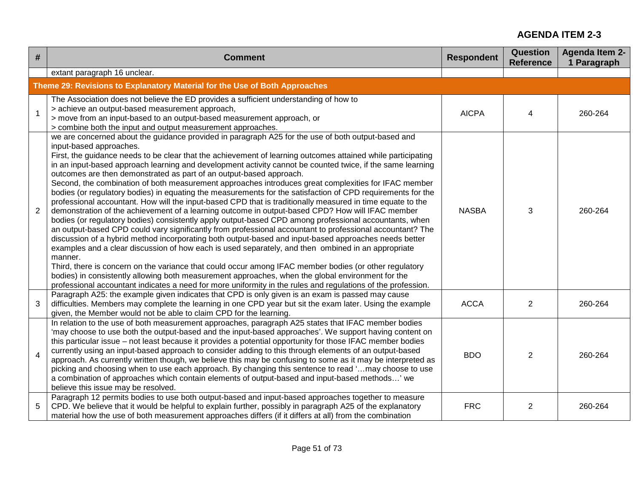| #              | <b>Comment</b>                                                                                                                                                                                                                                                                                                                                                                                                                                                                                                                                                                                                                                                                                                                                                                                                                                                                                                                                                                                                                                                                                                                                                                                                                                                                                                                                                                                                                                                                                                                                                                                                                                              | <b>Respondent</b> | <b>Question</b><br><b>Reference</b> | <b>Agenda Item 2-</b><br>1 Paragraph |
|----------------|-------------------------------------------------------------------------------------------------------------------------------------------------------------------------------------------------------------------------------------------------------------------------------------------------------------------------------------------------------------------------------------------------------------------------------------------------------------------------------------------------------------------------------------------------------------------------------------------------------------------------------------------------------------------------------------------------------------------------------------------------------------------------------------------------------------------------------------------------------------------------------------------------------------------------------------------------------------------------------------------------------------------------------------------------------------------------------------------------------------------------------------------------------------------------------------------------------------------------------------------------------------------------------------------------------------------------------------------------------------------------------------------------------------------------------------------------------------------------------------------------------------------------------------------------------------------------------------------------------------------------------------------------------------|-------------------|-------------------------------------|--------------------------------------|
|                | extant paragraph 16 unclear.                                                                                                                                                                                                                                                                                                                                                                                                                                                                                                                                                                                                                                                                                                                                                                                                                                                                                                                                                                                                                                                                                                                                                                                                                                                                                                                                                                                                                                                                                                                                                                                                                                |                   |                                     |                                      |
|                | Theme 29: Revisions to Explanatory Material for the Use of Both Approaches                                                                                                                                                                                                                                                                                                                                                                                                                                                                                                                                                                                                                                                                                                                                                                                                                                                                                                                                                                                                                                                                                                                                                                                                                                                                                                                                                                                                                                                                                                                                                                                  |                   |                                     |                                      |
|                | The Association does not believe the ED provides a sufficient understanding of how to<br>> achieve an output-based measurement approach,<br>> move from an input-based to an output-based measurement approach, or<br>> combine both the input and output measurement approaches.                                                                                                                                                                                                                                                                                                                                                                                                                                                                                                                                                                                                                                                                                                                                                                                                                                                                                                                                                                                                                                                                                                                                                                                                                                                                                                                                                                           | <b>AICPA</b>      | 4                                   | 260-264                              |
| 2              | we are concerned about the guidance provided in paragraph A25 for the use of both output-based and<br>input-based approaches.<br>First, the guidance needs to be clear that the achievement of learning outcomes attained while participating<br>in an input-based approach learning and development activity cannot be counted twice, if the same learning<br>outcomes are then demonstrated as part of an output-based approach.<br>Second, the combination of both measurement approaches introduces great complexities for IFAC member<br>bodies (or regulatory bodies) in equating the measurements for the satisfaction of CPD requirements for the<br>professional accountant. How will the input-based CPD that is traditionally measured in time equate to the<br>demonstration of the achievement of a learning outcome in output-based CPD? How will IFAC member<br>bodies (or regulatory bodies) consistently apply output-based CPD among professional accountants, when<br>an output-based CPD could vary significantly from professional accountant to professional accountant? The<br>discussion of a hybrid method incorporating both output-based and input-based approaches needs better<br>examples and a clear discussion of how each is used separately, and then ombined in an appropriate<br>manner.<br>Third, there is concern on the variance that could occur among IFAC member bodies (or other regulatory<br>bodies) in consistently allowing both measurement approaches, when the global environment for the<br>professional accountant indicates a need for more uniformity in the rules and regulations of the profession. | <b>NASBA</b>      | 3                                   | 260-264                              |
| 3              | Paragraph A25: the example given indicates that CPD is only given is an exam is passed may cause<br>difficulties. Members may complete the learning in one CPD year but sit the exam later. Using the example<br>given, the Member would not be able to claim CPD for the learning.                                                                                                                                                                                                                                                                                                                                                                                                                                                                                                                                                                                                                                                                                                                                                                                                                                                                                                                                                                                                                                                                                                                                                                                                                                                                                                                                                                         | <b>ACCA</b>       | $\overline{2}$                      | 260-264                              |
| $\overline{4}$ | In relation to the use of both measurement approaches, paragraph A25 states that IFAC member bodies<br>'may choose to use both the output-based and the input-based approaches'. We support having content on<br>this particular issue – not least because it provides a potential opportunity for those IFAC member bodies<br>currently using an input-based approach to consider adding to this through elements of an output-based<br>approach. As currently written though, we believe this may be confusing to some as it may be interpreted as<br>picking and choosing when to use each approach. By changing this sentence to read 'may choose to use<br>a combination of approaches which contain elements of output-based and input-based methods' we<br>believe this issue may be resolved.                                                                                                                                                                                                                                                                                                                                                                                                                                                                                                                                                                                                                                                                                                                                                                                                                                                       | <b>BDO</b>        | 2                                   | 260-264                              |
| 5              | Paragraph 12 permits bodies to use both output-based and input-based approaches together to measure<br>CPD. We believe that it would be helpful to explain further, possibly in paragraph A25 of the explanatory<br>material how the use of both measurement approaches differs (if it differs at all) from the combination                                                                                                                                                                                                                                                                                                                                                                                                                                                                                                                                                                                                                                                                                                                                                                                                                                                                                                                                                                                                                                                                                                                                                                                                                                                                                                                                 | <b>FRC</b>        | 2                                   | 260-264                              |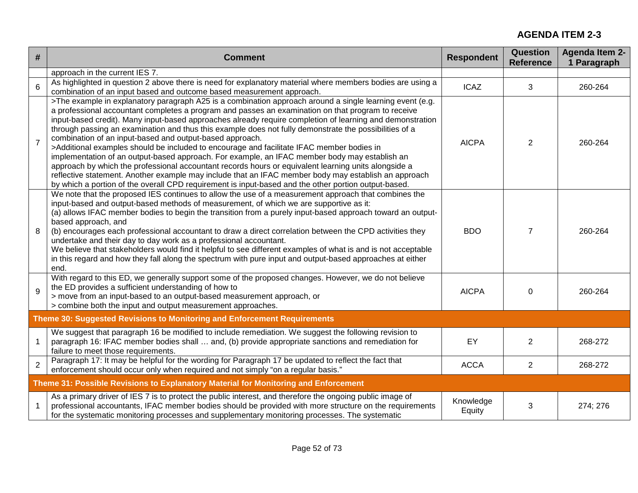| #              | <b>Comment</b>                                                                                                                                                                                                                                                                                                                                                                                                                                                                                                                                                                                                                                                                                                                                                                                                                                                                                                                                                                                                          | <b>Respondent</b>   | <b>Question</b><br><b>Reference</b> | <b>Agenda Item 2-</b><br>1 Paragraph |
|----------------|-------------------------------------------------------------------------------------------------------------------------------------------------------------------------------------------------------------------------------------------------------------------------------------------------------------------------------------------------------------------------------------------------------------------------------------------------------------------------------------------------------------------------------------------------------------------------------------------------------------------------------------------------------------------------------------------------------------------------------------------------------------------------------------------------------------------------------------------------------------------------------------------------------------------------------------------------------------------------------------------------------------------------|---------------------|-------------------------------------|--------------------------------------|
|                | approach in the current IES 7.                                                                                                                                                                                                                                                                                                                                                                                                                                                                                                                                                                                                                                                                                                                                                                                                                                                                                                                                                                                          |                     |                                     |                                      |
| $6\phantom{a}$ | As highlighted in question 2 above there is need for explanatory material where members bodies are using a<br>combination of an input based and outcome based measurement approach.                                                                                                                                                                                                                                                                                                                                                                                                                                                                                                                                                                                                                                                                                                                                                                                                                                     | <b>ICAZ</b>         | 3                                   | 260-264                              |
| $\overline{7}$ | >The example in explanatory paragraph A25 is a combination approach around a single learning event (e.g.<br>a professional accountant completes a program and passes an examination on that program to receive<br>input-based credit). Many input-based approaches already require completion of learning and demonstration<br>through passing an examination and thus this example does not fully demonstrate the possibilities of a<br>combination of an input-based and output-based approach.<br>>Additional examples should be included to encourage and facilitate IFAC member bodies in<br>implementation of an output-based approach. For example, an IFAC member body may establish an<br>approach by which the professional accountant records hours or equivalent learning units alongside a<br>reflective statement. Another example may include that an IFAC member body may establish an approach<br>by which a portion of the overall CPD requirement is input-based and the other portion output-based. | <b>AICPA</b>        | $\overline{2}$                      | 260-264                              |
| 8              | We note that the proposed IES continues to allow the use of a measurement approach that combines the<br>input-based and output-based methods of measurement, of which we are supportive as it:<br>(a) allows IFAC member bodies to begin the transition from a purely input-based approach toward an output-<br>based approach, and<br>(b) encourages each professional accountant to draw a direct correlation between the CPD activities they<br>undertake and their day to day work as a professional accountant.<br>We believe that stakeholders would find it helpful to see different examples of what is and is not acceptable<br>in this regard and how they fall along the spectrum with pure input and output-based approaches at either<br>end.                                                                                                                                                                                                                                                              | <b>BDO</b>          | $\overline{7}$                      | 260-264                              |
| 9              | With regard to this ED, we generally support some of the proposed changes. However, we do not believe<br>the ED provides a sufficient understanding of how to<br>> move from an input-based to an output-based measurement approach, or<br>> combine both the input and output measurement approaches.                                                                                                                                                                                                                                                                                                                                                                                                                                                                                                                                                                                                                                                                                                                  | <b>AICPA</b>        | 0                                   | 260-264                              |
|                | Theme 30: Suggested Revisions to Monitoring and Enforcement Requirements                                                                                                                                                                                                                                                                                                                                                                                                                                                                                                                                                                                                                                                                                                                                                                                                                                                                                                                                                |                     |                                     |                                      |
| $\mathbf{1}$   | We suggest that paragraph 16 be modified to include remediation. We suggest the following revision to<br>paragraph 16: IFAC member bodies shall  and, (b) provide appropriate sanctions and remediation for<br>failure to meet those requirements.                                                                                                                                                                                                                                                                                                                                                                                                                                                                                                                                                                                                                                                                                                                                                                      | EY                  | $\overline{2}$                      | 268-272                              |
| $\overline{2}$ | Paragraph 17: It may be helpful for the wording for Paragraph 17 be updated to reflect the fact that<br>enforcement should occur only when required and not simply "on a regular basis."                                                                                                                                                                                                                                                                                                                                                                                                                                                                                                                                                                                                                                                                                                                                                                                                                                | <b>ACCA</b>         | $\overline{2}$                      | 268-272                              |
|                | Theme 31: Possible Revisions to Explanatory Material for Monitoring and Enforcement                                                                                                                                                                                                                                                                                                                                                                                                                                                                                                                                                                                                                                                                                                                                                                                                                                                                                                                                     |                     |                                     |                                      |
|                | As a primary driver of IES 7 is to protect the public interest, and therefore the ongoing public image of<br>professional accountants, IFAC member bodies should be provided with more structure on the requirements<br>for the systematic monitoring processes and supplementary monitoring processes. The systematic                                                                                                                                                                                                                                                                                                                                                                                                                                                                                                                                                                                                                                                                                                  | Knowledge<br>Equity | 3                                   | 274; 276                             |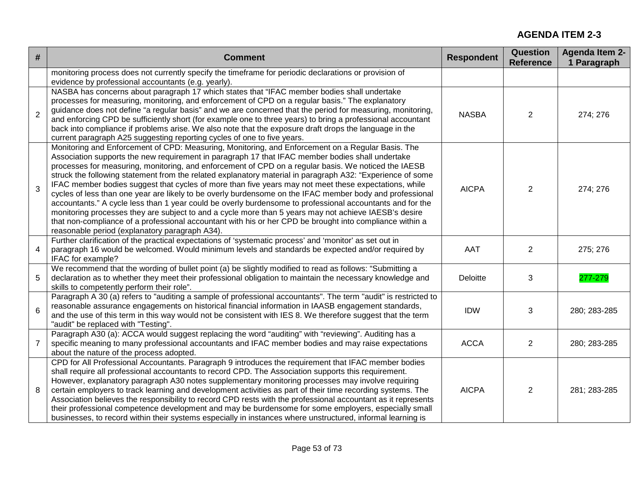| #              | <b>Comment</b>                                                                                                                                                                                                                                                                                                                                                                                                                                                                                                                                                                                                                                                                                                                                                                                                                                                                                                                                                                                                                       | <b>Respondent</b> | <b>Question</b><br><b>Reference</b> | <b>Agenda Item 2-</b><br>1 Paragraph |
|----------------|--------------------------------------------------------------------------------------------------------------------------------------------------------------------------------------------------------------------------------------------------------------------------------------------------------------------------------------------------------------------------------------------------------------------------------------------------------------------------------------------------------------------------------------------------------------------------------------------------------------------------------------------------------------------------------------------------------------------------------------------------------------------------------------------------------------------------------------------------------------------------------------------------------------------------------------------------------------------------------------------------------------------------------------|-------------------|-------------------------------------|--------------------------------------|
|                | monitoring process does not currently specify the timeframe for periodic declarations or provision of<br>evidence by professional accountants (e.g. yearly).                                                                                                                                                                                                                                                                                                                                                                                                                                                                                                                                                                                                                                                                                                                                                                                                                                                                         |                   |                                     |                                      |
| $\overline{2}$ | NASBA has concerns about paragraph 17 which states that "IFAC member bodies shall undertake<br>processes for measuring, monitoring, and enforcement of CPD on a regular basis." The explanatory<br>guidance does not define "a regular basis" and we are concerned that the period for measuring, monitoring,<br>and enforcing CPD be sufficiently short (for example one to three years) to bring a professional accountant<br>back into compliance if problems arise. We also note that the exposure draft drops the language in the<br>current paragraph A25 suggesting reporting cycles of one to five years.                                                                                                                                                                                                                                                                                                                                                                                                                    | <b>NASBA</b>      | $\overline{2}$                      | 274; 276                             |
| 3              | Monitoring and Enforcement of CPD: Measuring, Monitoring, and Enforcement on a Regular Basis. The<br>Association supports the new requirement in paragraph 17 that IFAC member bodies shall undertake<br>processes for measuring, monitoring, and enforcement of CPD on a regular basis. We noticed the IAESB<br>struck the following statement from the related explanatory material in paragraph A32: "Experience of some<br>IFAC member bodies suggest that cycles of more than five years may not meet these expectations, while<br>cycles of less than one year are likely to be overly burdensome on the IFAC member body and professional<br>accountants." A cycle less than 1 year could be overly burdensome to professional accountants and for the<br>monitoring processes they are subject to and a cycle more than 5 years may not achieve IAESB's desire<br>that non-compliance of a professional accountant with his or her CPD be brought into compliance within a<br>reasonable period (explanatory paragraph A34). | <b>AICPA</b>      | 2                                   | 274; 276                             |
| $\overline{4}$ | Further clarification of the practical expectations of 'systematic process' and 'monitor' as set out in<br>paragraph 16 would be welcomed. Would minimum levels and standards be expected and/or required by<br>IFAC for example?                                                                                                                                                                                                                                                                                                                                                                                                                                                                                                                                                                                                                                                                                                                                                                                                    | AAT               | $\overline{2}$                      | 275; 276                             |
| 5              | We recommend that the wording of bullet point (a) be slightly modified to read as follows: "Submitting a<br>declaration as to whether they meet their professional obligation to maintain the necessary knowledge and<br>skills to competently perform their role".                                                                                                                                                                                                                                                                                                                                                                                                                                                                                                                                                                                                                                                                                                                                                                  | <b>Deloitte</b>   | 3                                   | 277-279                              |
| 6              | Paragraph A 30 (a) refers to "auditing a sample of professional accountants". The term "audit" is restricted to<br>reasonable assurance engagements on historical financial information in IAASB engagement standards,<br>and the use of this term in this way would not be consistent with IES 8. We therefore suggest that the term<br>"audit" be replaced with "Testing".                                                                                                                                                                                                                                                                                                                                                                                                                                                                                                                                                                                                                                                         | <b>IDW</b>        | 3                                   | 280; 283-285                         |
| $\overline{7}$ | Paragraph A30 (a): ACCA would suggest replacing the word "auditing" with "reviewing". Auditing has a<br>specific meaning to many professional accountants and IFAC member bodies and may raise expectations<br>about the nature of the process adopted.                                                                                                                                                                                                                                                                                                                                                                                                                                                                                                                                                                                                                                                                                                                                                                              | <b>ACCA</b>       | $\overline{2}$                      | 280; 283-285                         |
| 8              | CPD for All Professional Accountants. Paragraph 9 introduces the requirement that IFAC member bodies<br>shall require all professional accountants to record CPD. The Association supports this requirement.<br>However, explanatory paragraph A30 notes supplementary monitoring processes may involve requiring<br>certain employers to track learning and development activities as part of their time recording systems. The<br>Association believes the responsibility to record CPD rests with the professional accountant as it represents<br>their professional competence development and may be burdensome for some employers, especially small<br>businesses, to record within their systems especially in instances where unstructured, informal learning is                                                                                                                                                                                                                                                             | <b>AICPA</b>      | $\overline{2}$                      | 281; 283-285                         |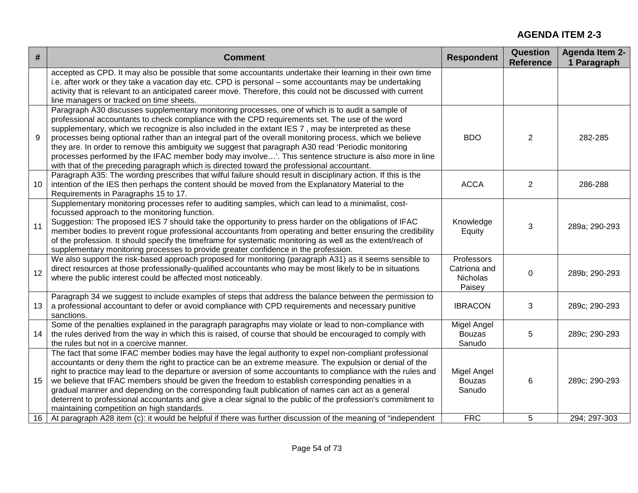| $\#$            | <b>Comment</b>                                                                                                                                                                                                                                                                                                                                                                                                                                                                                                                                                                                                                                                                                                                         | <b>Respondent</b>                                | Question<br><b>Reference</b> | <b>Agenda Item 2-</b><br>1 Paragraph |
|-----------------|----------------------------------------------------------------------------------------------------------------------------------------------------------------------------------------------------------------------------------------------------------------------------------------------------------------------------------------------------------------------------------------------------------------------------------------------------------------------------------------------------------------------------------------------------------------------------------------------------------------------------------------------------------------------------------------------------------------------------------------|--------------------------------------------------|------------------------------|--------------------------------------|
|                 | accepted as CPD. It may also be possible that some accountants undertake their learning in their own time<br>i.e. after work or they take a vacation day etc. CPD is personal – some accountants may be undertaking<br>activity that is relevant to an anticipated career move. Therefore, this could not be discussed with current<br>line managers or tracked on time sheets.                                                                                                                                                                                                                                                                                                                                                        |                                                  |                              |                                      |
| 9               | Paragraph A30 discusses supplementary monitoring processes, one of which is to audit a sample of<br>professional accountants to check compliance with the CPD requirements set. The use of the word<br>supplementary, which we recognize is also included in the extant IES 7, may be interpreted as these<br>processes being optional rather than an integral part of the overall monitoring process, which we believe<br>they are. In order to remove this ambiguity we suggest that paragraph A30 read 'Periodic monitoring<br>processes performed by the IFAC member body may involve'. This sentence structure is also more in line<br>with that of the preceding paragraph which is directed toward the professional accountant. | <b>BDO</b>                                       | 2                            | 282-285                              |
| 10              | Paragraph A35: The wording prescribes that wilful failure should result in disciplinary action. If this is the<br>intention of the IES then perhaps the content should be moved from the Explanatory Material to the<br>Requirements in Paragraphs 15 to 17.                                                                                                                                                                                                                                                                                                                                                                                                                                                                           | <b>ACCA</b>                                      | 2                            | 286-288                              |
| 11              | Supplementary monitoring processes refer to auditing samples, which can lead to a minimalist, cost-<br>focussed approach to the monitoring function.<br>Suggestion: The proposed IES 7 should take the opportunity to press harder on the obligations of IFAC<br>member bodies to prevent rogue professional accountants from operating and better ensuring the credibility<br>of the profession. It should specify the timeframe for systematic monitoring as well as the extent/reach of<br>supplementary monitoring processes to provide greater confidence in the profession.                                                                                                                                                      | Knowledge<br>Equity                              | 3                            | 289a; 290-293                        |
| 12              | We also support the risk-based approach proposed for monitoring (paragraph A31) as it seems sensible to<br>direct resources at those professionally-qualified accountants who may be most likely to be in situations<br>where the public interest could be affected most noticeably.                                                                                                                                                                                                                                                                                                                                                                                                                                                   | Professors<br>Catriona and<br>Nicholas<br>Paisey | $\mathbf 0$                  | 289b; 290-293                        |
| 13              | Paragraph 34 we suggest to include examples of steps that address the balance between the permission to<br>a professional accountant to defer or avoid compliance with CPD requirements and necessary punitive<br>sanctions.                                                                                                                                                                                                                                                                                                                                                                                                                                                                                                           | <b>IBRACON</b>                                   | 3                            | 289c; 290-293                        |
| 14              | Some of the penalties explained in the paragraph paragraphs may violate or lead to non-compliance with<br>the rules derived from the way in which this is raised, of course that should be encouraged to comply with<br>the rules but not in a coercive manner.                                                                                                                                                                                                                                                                                                                                                                                                                                                                        | Migel Angel<br><b>Bouzas</b><br>Sanudo           | 5                            | 289c; 290-293                        |
| 15              | The fact that some IFAC member bodies may have the legal authority to expel non-compliant professional<br>accountants or deny them the right to practice can be an extreme measure. The expulsion or denial of the<br>right to practice may lead to the departure or aversion of some accountants to compliance with the rules and<br>we believe that IFAC members should be given the freedom to establish corresponding penalties in a<br>gradual manner and depending on the corresponding fault publication of names can act as a general<br>deterrent to professional accountants and give a clear signal to the public of the profession's commitment to<br>maintaining competition on high standards.                           | Migel Angel<br><b>Bouzas</b><br>Sanudo           | 6                            | 289c; 290-293                        |
| 16 <sup>1</sup> | At paragraph A28 item (c): it would be helpful if there was further discussion of the meaning of "independent                                                                                                                                                                                                                                                                                                                                                                                                                                                                                                                                                                                                                          | <b>FRC</b>                                       | 5                            | 294; 297-303                         |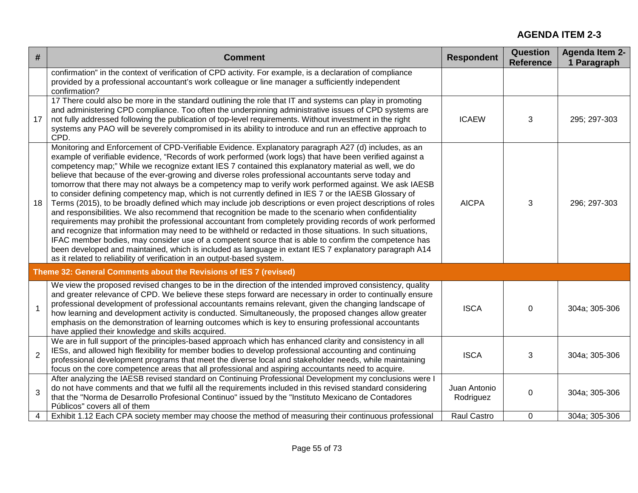| #              | <b>Comment</b>                                                                                                                                                                                                                                                                                                                                                                                                                                                                                                                                                                                                                                                                                                                                                                                                                                                                                                                                                                                                                                                                                                                                                                                                                                                                                                                                                                                      | <b>Respondent</b>         | <b>Question</b><br><b>Reference</b> | <b>Agenda Item 2-</b><br>1 Paragraph |
|----------------|-----------------------------------------------------------------------------------------------------------------------------------------------------------------------------------------------------------------------------------------------------------------------------------------------------------------------------------------------------------------------------------------------------------------------------------------------------------------------------------------------------------------------------------------------------------------------------------------------------------------------------------------------------------------------------------------------------------------------------------------------------------------------------------------------------------------------------------------------------------------------------------------------------------------------------------------------------------------------------------------------------------------------------------------------------------------------------------------------------------------------------------------------------------------------------------------------------------------------------------------------------------------------------------------------------------------------------------------------------------------------------------------------------|---------------------------|-------------------------------------|--------------------------------------|
|                | confirmation" in the context of verification of CPD activity. For example, is a declaration of compliance<br>provided by a professional accountant's work colleague or line manager a sufficiently independent<br>confirmation?                                                                                                                                                                                                                                                                                                                                                                                                                                                                                                                                                                                                                                                                                                                                                                                                                                                                                                                                                                                                                                                                                                                                                                     |                           |                                     |                                      |
| 17             | 17 There could also be more in the standard outlining the role that IT and systems can play in promoting<br>and administering CPD compliance. Too often the underpinning administrative issues of CPD systems are<br>not fully addressed following the publication of top-level requirements. Without investment in the right<br>systems any PAO will be severely compromised in its ability to introduce and run an effective approach to<br>CPD.                                                                                                                                                                                                                                                                                                                                                                                                                                                                                                                                                                                                                                                                                                                                                                                                                                                                                                                                                  | <b>ICAEW</b>              | 3                                   | 295; 297-303                         |
| 18             | Monitoring and Enforcement of CPD-Verifiable Evidence. Explanatory paragraph A27 (d) includes, as an<br>example of verifiable evidence, "Records of work performed (work logs) that have been verified against a<br>competency map;" While we recognize extant IES 7 contained this explanatory material as well, we do<br>believe that because of the ever-growing and diverse roles professional accountants serve today and<br>tomorrow that there may not always be a competency map to verify work performed against. We ask IAESB<br>to consider defining competency map, which is not currently defined in IES 7 or the IAESB Glossary of<br>Terms (2015), to be broadly defined which may include job descriptions or even project descriptions of roles<br>and responsibilities. We also recommend that recognition be made to the scenario when confidentiality<br>requirements may prohibit the professional accountant from completely providing records of work performed<br>and recognize that information may need to be withheld or redacted in those situations. In such situations,<br>IFAC member bodies, may consider use of a competent source that is able to confirm the competence has<br>been developed and maintained, which is included as language in extant IES 7 explanatory paragraph A14<br>as it related to reliability of verification in an output-based system. | <b>AICPA</b>              | 3                                   | 296; 297-303                         |
|                | Theme 32: General Comments about the Revisions of IES 7 (revised)                                                                                                                                                                                                                                                                                                                                                                                                                                                                                                                                                                                                                                                                                                                                                                                                                                                                                                                                                                                                                                                                                                                                                                                                                                                                                                                                   |                           |                                     |                                      |
| $\overline{1}$ | We view the proposed revised changes to be in the direction of the intended improved consistency, quality<br>and greater relevance of CPD. We believe these steps forward are necessary in order to continually ensure<br>professional development of professional accountants remains relevant, given the changing landscape of<br>how learning and development activity is conducted. Simultaneously, the proposed changes allow greater<br>emphasis on the demonstration of learning outcomes which is key to ensuring professional accountants<br>have applied their knowledge and skills acquired.                                                                                                                                                                                                                                                                                                                                                                                                                                                                                                                                                                                                                                                                                                                                                                                             | <b>ISCA</b>               | 0                                   | 304a; 305-306                        |
| $\overline{2}$ | We are in full support of the principles-based approach which has enhanced clarity and consistency in all<br>IESs, and allowed high flexibility for member bodies to develop professional accounting and continuing<br>professional development programs that meet the diverse local and stakeholder needs, while maintaining<br>focus on the core competence areas that all professional and aspiring accountants need to acquire.                                                                                                                                                                                                                                                                                                                                                                                                                                                                                                                                                                                                                                                                                                                                                                                                                                                                                                                                                                 | <b>ISCA</b>               | 3                                   | 304a; 305-306                        |
| 3              | After analyzing the IAESB revised standard on Continuing Professional Development my conclusions were I<br>do not have comments and that we fulfil all the requirements included in this revised standard considering<br>that the "Norma de Desarrollo Profesional Continuo" issued by the "Instituto Mexicano de Contadores<br>Públicos" covers all of them                                                                                                                                                                                                                                                                                                                                                                                                                                                                                                                                                                                                                                                                                                                                                                                                                                                                                                                                                                                                                                        | Juan Antonio<br>Rodriguez | 0                                   | 304a; 305-306                        |
| 4              | Exhibit 1.12 Each CPA society member may choose the method of measuring their continuous professional                                                                                                                                                                                                                                                                                                                                                                                                                                                                                                                                                                                                                                                                                                                                                                                                                                                                                                                                                                                                                                                                                                                                                                                                                                                                                               | Raul Castro               | 0                                   | 304a: 305-306                        |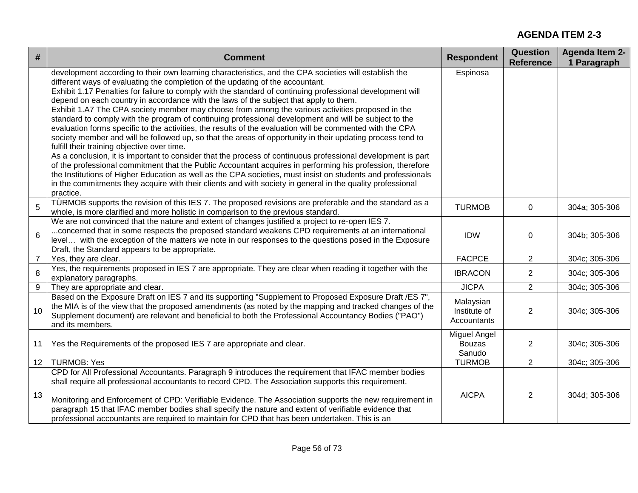| #               | <b>Comment</b>                                                                                                                                                                                                                                                                                                                                                                                                                                                                                                                                                                                                                                                                                                                                                                                                                                                                                                                                                                                                                                                                                                                                                                                                                                                                                                                                                 | <b>Respondent</b>                               | <b>Question</b><br><b>Reference</b> | <b>Agenda Item 2-</b><br>1 Paragraph |
|-----------------|----------------------------------------------------------------------------------------------------------------------------------------------------------------------------------------------------------------------------------------------------------------------------------------------------------------------------------------------------------------------------------------------------------------------------------------------------------------------------------------------------------------------------------------------------------------------------------------------------------------------------------------------------------------------------------------------------------------------------------------------------------------------------------------------------------------------------------------------------------------------------------------------------------------------------------------------------------------------------------------------------------------------------------------------------------------------------------------------------------------------------------------------------------------------------------------------------------------------------------------------------------------------------------------------------------------------------------------------------------------|-------------------------------------------------|-------------------------------------|--------------------------------------|
|                 | development according to their own learning characteristics, and the CPA societies will establish the<br>different ways of evaluating the completion of the updating of the accountant.<br>Exhibit 1.17 Penalties for failure to comply with the standard of continuing professional development will<br>depend on each country in accordance with the laws of the subject that apply to them.<br>Exhibit 1.A7 The CPA society member may choose from among the various activities proposed in the<br>standard to comply with the program of continuing professional development and will be subject to the<br>evaluation forms specific to the activities, the results of the evaluation will be commented with the CPA<br>society member and will be followed up, so that the areas of opportunity in their updating process tend to<br>fulfill their training objective over time.<br>As a conclusion, it is important to consider that the process of continuous professional development is part<br>of the professional commitment that the Public Accountant acquires in performing his profession, therefore<br>the Institutions of Higher Education as well as the CPA societies, must insist on students and professionals<br>in the commitments they acquire with their clients and with society in general in the quality professional<br>practice. | Espinosa                                        |                                     |                                      |
| 5               | TÜRMOB supports the revision of this IES 7. The proposed revisions are preferable and the standard as a<br>whole, is more clarified and more holistic in comparison to the previous standard.                                                                                                                                                                                                                                                                                                                                                                                                                                                                                                                                                                                                                                                                                                                                                                                                                                                                                                                                                                                                                                                                                                                                                                  | <b>TURMOB</b>                                   | 0                                   | 304a; 305-306                        |
| $6\phantom{1}$  | We are not convinced that the nature and extent of changes justified a project to re-open IES 7.<br>concerned that in some respects the proposed standard weakens CPD requirements at an international<br>level with the exception of the matters we note in our responses to the questions posed in the Exposure<br>Draft, the Standard appears to be appropriate.                                                                                                                                                                                                                                                                                                                                                                                                                                                                                                                                                                                                                                                                                                                                                                                                                                                                                                                                                                                            | <b>IDW</b>                                      | 0                                   | 304b; 305-306                        |
| 7               | Yes, they are clear.                                                                                                                                                                                                                                                                                                                                                                                                                                                                                                                                                                                                                                                                                                                                                                                                                                                                                                                                                                                                                                                                                                                                                                                                                                                                                                                                           | <b>FACPCE</b>                                   | $\overline{2}$                      | 304c; 305-306                        |
| 8               | Yes, the requirements proposed in IES 7 are appropriate. They are clear when reading it together with the<br>explanatory paragraphs.                                                                                                                                                                                                                                                                                                                                                                                                                                                                                                                                                                                                                                                                                                                                                                                                                                                                                                                                                                                                                                                                                                                                                                                                                           | <b>IBRACON</b>                                  | 2                                   | 304c; 305-306                        |
| 9               | They are appropriate and clear.                                                                                                                                                                                                                                                                                                                                                                                                                                                                                                                                                                                                                                                                                                                                                                                                                                                                                                                                                                                                                                                                                                                                                                                                                                                                                                                                | <b>JICPA</b>                                    | 2                                   | 304c; 305-306                        |
| 10              | Based on the Exposure Draft on IES 7 and its supporting "Supplement to Proposed Exposure Draft /ES 7",<br>the MIA is of the view that the proposed amendments (as noted by the mapping and tracked changes of the<br>Supplement document) are relevant and beneficial to both the Professional Accountancy Bodies ("PAO")<br>and its members.                                                                                                                                                                                                                                                                                                                                                                                                                                                                                                                                                                                                                                                                                                                                                                                                                                                                                                                                                                                                                  | Malaysian<br>Institute of<br><b>Accountants</b> | 2                                   | 304c; 305-306                        |
| 11              | Yes the Requirements of the proposed IES 7 are appropriate and clear.                                                                                                                                                                                                                                                                                                                                                                                                                                                                                                                                                                                                                                                                                                                                                                                                                                                                                                                                                                                                                                                                                                                                                                                                                                                                                          | Miguel Angel<br><b>Bouzas</b><br>Sanudo         | 2                                   | 304c; 305-306                        |
| 12 <sup>1</sup> | <b>TURMOB: Yes</b>                                                                                                                                                                                                                                                                                                                                                                                                                                                                                                                                                                                                                                                                                                                                                                                                                                                                                                                                                                                                                                                                                                                                                                                                                                                                                                                                             | <b>TURMOB</b>                                   | 2                                   | 304c; 305-306                        |
| 13              | CPD for All Professional Accountants. Paragraph 9 introduces the requirement that IFAC member bodies<br>shall require all professional accountants to record CPD. The Association supports this requirement.<br>Monitoring and Enforcement of CPD: Verifiable Evidence. The Association supports the new requirement in<br>paragraph 15 that IFAC member bodies shall specify the nature and extent of verifiable evidence that<br>professional accountants are required to maintain for CPD that has been undertaken. This is an                                                                                                                                                                                                                                                                                                                                                                                                                                                                                                                                                                                                                                                                                                                                                                                                                              | <b>AICPA</b>                                    | $\overline{2}$                      | 304d; 305-306                        |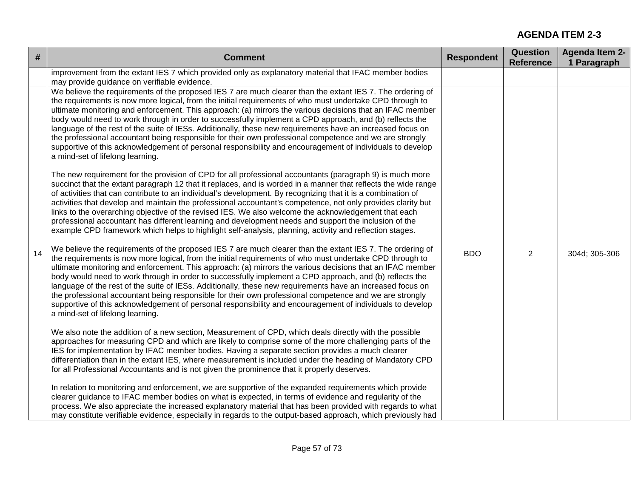| #  | <b>Comment</b>                                                                                                                                                                                                                                                                                                                                                                                                                                                                                                                                                                                                                                                                                                                                                                                                          | <b>Respondent</b> | <b>Question</b><br><b>Reference</b> | <b>Agenda Item 2-</b><br>1 Paragraph |
|----|-------------------------------------------------------------------------------------------------------------------------------------------------------------------------------------------------------------------------------------------------------------------------------------------------------------------------------------------------------------------------------------------------------------------------------------------------------------------------------------------------------------------------------------------------------------------------------------------------------------------------------------------------------------------------------------------------------------------------------------------------------------------------------------------------------------------------|-------------------|-------------------------------------|--------------------------------------|
|    | improvement from the extant IES 7 which provided only as explanatory material that IFAC member bodies<br>may provide guidance on verifiable evidence.                                                                                                                                                                                                                                                                                                                                                                                                                                                                                                                                                                                                                                                                   |                   |                                     |                                      |
|    | We believe the requirements of the proposed IES 7 are much clearer than the extant IES 7. The ordering of<br>the requirements is now more logical, from the initial requirements of who must undertake CPD through to<br>ultimate monitoring and enforcement. This approach: (a) mirrors the various decisions that an IFAC member<br>body would need to work through in order to successfully implement a CPD approach, and (b) reflects the<br>language of the rest of the suite of IESs. Additionally, these new requirements have an increased focus on<br>the professional accountant being responsible for their own professional competence and we are strongly<br>supportive of this acknowledgement of personal responsibility and encouragement of individuals to develop<br>a mind-set of lifelong learning. |                   |                                     | 304d; 305-306                        |
|    | The new requirement for the provision of CPD for all professional accountants (paragraph 9) is much more<br>succinct that the extant paragraph 12 that it replaces, and is worded in a manner that reflects the wide range<br>of activities that can contribute to an individual's development. By recognizing that it is a combination of<br>activities that develop and maintain the professional accountant's competence, not only provides clarity but<br>links to the overarching objective of the revised IES. We also welcome the acknowledgement that each<br>professional accountant has different learning and development needs and support the inclusion of the<br>example CPD framework which helps to highlight self-analysis, planning, activity and reflection stages.                                  | <b>BDO</b>        | $\overline{2}$                      |                                      |
| 14 | We believe the requirements of the proposed IES 7 are much clearer than the extant IES 7. The ordering of<br>the requirements is now more logical, from the initial requirements of who must undertake CPD through to<br>ultimate monitoring and enforcement. This approach: (a) mirrors the various decisions that an IFAC member<br>body would need to work through in order to successfully implement a CPD approach, and (b) reflects the<br>language of the rest of the suite of IESs. Additionally, these new requirements have an increased focus on<br>the professional accountant being responsible for their own professional competence and we are strongly<br>supportive of this acknowledgement of personal responsibility and encouragement of individuals to develop<br>a mind-set of lifelong learning. |                   |                                     |                                      |
|    | We also note the addition of a new section, Measurement of CPD, which deals directly with the possible<br>approaches for measuring CPD and which are likely to comprise some of the more challenging parts of the<br>IES for implementation by IFAC member bodies. Having a separate section provides a much clearer<br>differentiation than in the extant IES, where measurement is included under the heading of Mandatory CPD<br>for all Professional Accountants and is not given the prominence that it properly deserves.                                                                                                                                                                                                                                                                                         |                   |                                     |                                      |
|    | In relation to monitoring and enforcement, we are supportive of the expanded requirements which provide<br>clearer guidance to IFAC member bodies on what is expected, in terms of evidence and regularity of the<br>process. We also appreciate the increased explanatory material that has been provided with regards to what<br>may constitute verifiable evidence, especially in regards to the output-based approach, which previously had                                                                                                                                                                                                                                                                                                                                                                         |                   |                                     |                                      |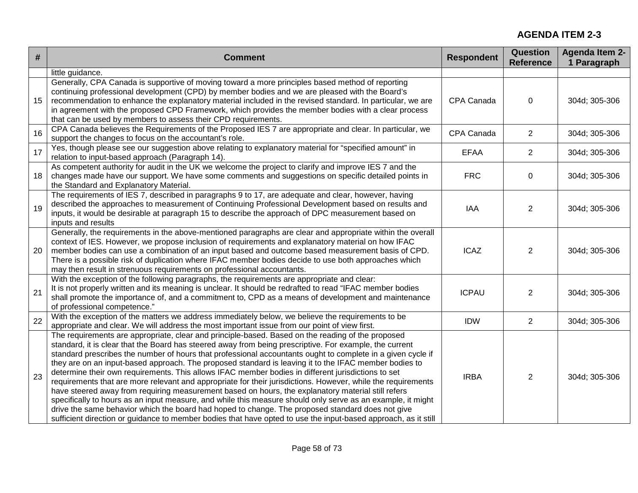| $\#$ | <b>Comment</b>                                                                                                                                                                                                                                                                                                                                                                                                                                                                                                                                                                                                                                                                                                                                                                                                                                                                                                                                                                                                                                                                                        | <b>Respondent</b> | <b>Question</b><br><b>Reference</b> | <b>Agenda Item 2-</b><br>1 Paragraph |
|------|-------------------------------------------------------------------------------------------------------------------------------------------------------------------------------------------------------------------------------------------------------------------------------------------------------------------------------------------------------------------------------------------------------------------------------------------------------------------------------------------------------------------------------------------------------------------------------------------------------------------------------------------------------------------------------------------------------------------------------------------------------------------------------------------------------------------------------------------------------------------------------------------------------------------------------------------------------------------------------------------------------------------------------------------------------------------------------------------------------|-------------------|-------------------------------------|--------------------------------------|
|      | little guidance.                                                                                                                                                                                                                                                                                                                                                                                                                                                                                                                                                                                                                                                                                                                                                                                                                                                                                                                                                                                                                                                                                      |                   |                                     |                                      |
| 15   | Generally, CPA Canada is supportive of moving toward a more principles based method of reporting<br>continuing professional development (CPD) by member bodies and we are pleased with the Board's<br>recommendation to enhance the explanatory material included in the revised standard. In particular, we are<br>in agreement with the proposed CPD Framework, which provides the member bodies with a clear process<br>that can be used by members to assess their CPD requirements.                                                                                                                                                                                                                                                                                                                                                                                                                                                                                                                                                                                                              | CPA Canada        | $\mathbf 0$                         | 304d; 305-306                        |
| 16   | CPA Canada believes the Requirements of the Proposed IES 7 are appropriate and clear. In particular, we<br>support the changes to focus on the accountant's role.                                                                                                                                                                                                                                                                                                                                                                                                                                                                                                                                                                                                                                                                                                                                                                                                                                                                                                                                     | CPA Canada        | 2                                   | 304d; 305-306                        |
| 17   | Yes, though please see our suggestion above relating to explanatory material for "specified amount" in<br>relation to input-based approach (Paragraph 14).                                                                                                                                                                                                                                                                                                                                                                                                                                                                                                                                                                                                                                                                                                                                                                                                                                                                                                                                            | <b>EFAA</b>       | $\overline{2}$                      | 304d; 305-306                        |
| 18   | As competent authority for audit in the UK we welcome the project to clarify and improve IES 7 and the<br>changes made have our support. We have some comments and suggestions on specific detailed points in<br>the Standard and Explanatory Material.                                                                                                                                                                                                                                                                                                                                                                                                                                                                                                                                                                                                                                                                                                                                                                                                                                               | <b>FRC</b>        | $\mathbf 0$                         | 304d; 305-306                        |
| 19   | The requirements of IES 7, described in paragraphs 9 to 17, are adequate and clear, however, having<br>described the approaches to measurement of Continuing Professional Development based on results and<br>inputs, it would be desirable at paragraph 15 to describe the approach of DPC measurement based on<br>inputs and results                                                                                                                                                                                                                                                                                                                                                                                                                                                                                                                                                                                                                                                                                                                                                                | IAA               | 2                                   | 304d; 305-306                        |
| 20   | Generally, the requirements in the above-mentioned paragraphs are clear and appropriate within the overall<br>context of IES. However, we propose inclusion of requirements and explanatory material on how IFAC<br>member bodies can use a combination of an input based and outcome based measurement basis of CPD.<br>There is a possible risk of duplication where IFAC member bodies decide to use both approaches which<br>may then result in strenuous requirements on professional accountants.                                                                                                                                                                                                                                                                                                                                                                                                                                                                                                                                                                                               | <b>ICAZ</b>       | $\overline{2}$                      | 304d; 305-306                        |
| 21   | With the exception of the following paragraphs, the requirements are appropriate and clear:<br>It is not properly written and its meaning is unclear. It should be redrafted to read "IFAC member bodies<br>shall promote the importance of, and a commitment to, CPD as a means of development and maintenance<br>of professional competence."                                                                                                                                                                                                                                                                                                                                                                                                                                                                                                                                                                                                                                                                                                                                                       | <b>ICPAU</b>      | $\overline{2}$                      | 304d; 305-306                        |
| 22   | With the exception of the matters we address immediately below, we believe the requirements to be<br>appropriate and clear. We will address the most important issue from our point of view first.                                                                                                                                                                                                                                                                                                                                                                                                                                                                                                                                                                                                                                                                                                                                                                                                                                                                                                    | <b>IDW</b>        | $\overline{2}$                      | 304d; 305-306                        |
| 23   | The requirements are appropriate, clear and principle-based. Based on the reading of the proposed<br>standard, it is clear that the Board has steered away from being prescriptive. For example, the current<br>standard prescribes the number of hours that professional accountants ought to complete in a given cycle if<br>they are on an input-based approach. The proposed standard is leaving it to the IFAC member bodies to<br>determine their own requirements. This allows IFAC member bodies in different jurisdictions to set<br>requirements that are more relevant and appropriate for their jurisdictions. However, while the requirements<br>have steered away from requiring measurement based on hours, the explanatory material still refers<br>specifically to hours as an input measure, and while this measure should only serve as an example, it might<br>drive the same behavior which the board had hoped to change. The proposed standard does not give<br>sufficient direction or guidance to member bodies that have opted to use the input-based approach, as it still | <b>IRBA</b>       | $\overline{2}$                      | 304d; 305-306                        |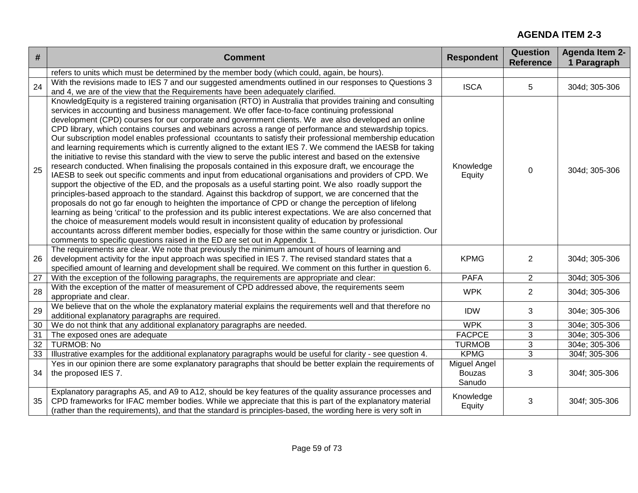| #  | <b>Comment</b>                                                                                                                                                                                                                                                                                                                                                                                                                                                                                                                                                                                                                                                                                                                                                                                                                                                                                                                                                                                                                                                                                                                                                                                                                                                                                                                                                                                                                                                                                                                                                                                                                                                                                                                                     | <b>Respondent</b>                       | Question<br><b>Reference</b> | <b>Agenda Item 2-</b><br>1 Paragraph |
|----|----------------------------------------------------------------------------------------------------------------------------------------------------------------------------------------------------------------------------------------------------------------------------------------------------------------------------------------------------------------------------------------------------------------------------------------------------------------------------------------------------------------------------------------------------------------------------------------------------------------------------------------------------------------------------------------------------------------------------------------------------------------------------------------------------------------------------------------------------------------------------------------------------------------------------------------------------------------------------------------------------------------------------------------------------------------------------------------------------------------------------------------------------------------------------------------------------------------------------------------------------------------------------------------------------------------------------------------------------------------------------------------------------------------------------------------------------------------------------------------------------------------------------------------------------------------------------------------------------------------------------------------------------------------------------------------------------------------------------------------------------|-----------------------------------------|------------------------------|--------------------------------------|
|    | refers to units which must be determined by the member body (which could, again, be hours).                                                                                                                                                                                                                                                                                                                                                                                                                                                                                                                                                                                                                                                                                                                                                                                                                                                                                                                                                                                                                                                                                                                                                                                                                                                                                                                                                                                                                                                                                                                                                                                                                                                        |                                         |                              |                                      |
| 24 | With the revisions made to IES 7 and our suggested amendments outlined in our responses to Questions 3<br>and 4, we are of the view that the Requirements have been adequately clarified.                                                                                                                                                                                                                                                                                                                                                                                                                                                                                                                                                                                                                                                                                                                                                                                                                                                                                                                                                                                                                                                                                                                                                                                                                                                                                                                                                                                                                                                                                                                                                          | <b>ISCA</b>                             | 5                            | 304d; 305-306                        |
| 25 | KnowledgEquity is a registered training organisation (RTO) in Australia that provides training and consulting<br>services in accounting and business management. We offer face-to-face continuing professional<br>development (CPD) courses for our corporate and government clients. We ave also developed an online<br>CPD library, which contains courses and webinars across a range of performance and stewardship topics.<br>Our subscription model enables professional ccountants to satisfy their professional membership education<br>and learning requirements which is currently aligned to the extant IES 7. We commend the IAESB for taking<br>the initiative to revise this standard with the view to serve the public interest and based on the extensive<br>research conducted. When finalising the proposals contained in this exposure draft, we encourage the<br>IAESB to seek out specific comments and input from educational organisations and providers of CPD. We<br>support the objective of the ED, and the proposals as a useful starting point. We also roadly support the<br>principles-based approach to the standard. Against this backdrop of support, we are concerned that the<br>proposals do not go far enough to heighten the importance of CPD or change the perception of lifelong<br>learning as being 'critical' to the profession and its public interest expectations. We are also concerned that<br>the choice of measurement models would result in inconsistent quality of education by professional<br>accountants across different member bodies, especially for those within the same country or jurisdiction. Our<br>comments to specific questions raised in the ED are set out in Appendix 1. | Knowledge<br>Equity                     | $\mathbf 0$                  | 304d; 305-306                        |
| 26 | The requirements are clear. We note that previously the minimum amount of hours of learning and<br>development activity for the input approach was specified in IES 7. The revised standard states that a<br>specified amount of learning and development shall be required. We comment on this further in question 6.                                                                                                                                                                                                                                                                                                                                                                                                                                                                                                                                                                                                                                                                                                                                                                                                                                                                                                                                                                                                                                                                                                                                                                                                                                                                                                                                                                                                                             | <b>KPMG</b>                             | 2                            | 304d; 305-306                        |
| 27 | With the exception of the following paragraphs, the requirements are appropriate and clear:                                                                                                                                                                                                                                                                                                                                                                                                                                                                                                                                                                                                                                                                                                                                                                                                                                                                                                                                                                                                                                                                                                                                                                                                                                                                                                                                                                                                                                                                                                                                                                                                                                                        | <b>PAFA</b>                             | $\overline{2}$               | 304d; 305-306                        |
| 28 | With the exception of the matter of measurement of CPD addressed above, the requirements seem<br>appropriate and clear.                                                                                                                                                                                                                                                                                                                                                                                                                                                                                                                                                                                                                                                                                                                                                                                                                                                                                                                                                                                                                                                                                                                                                                                                                                                                                                                                                                                                                                                                                                                                                                                                                            | <b>WPK</b>                              | $\overline{2}$               | 304d; 305-306                        |
| 29 | We believe that on the whole the explanatory material explains the requirements well and that therefore no<br>additional explanatory paragraphs are required.                                                                                                                                                                                                                                                                                                                                                                                                                                                                                                                                                                                                                                                                                                                                                                                                                                                                                                                                                                                                                                                                                                                                                                                                                                                                                                                                                                                                                                                                                                                                                                                      | <b>IDW</b>                              | 3                            | 304e; 305-306                        |
| 30 | We do not think that any additional explanatory paragraphs are needed.                                                                                                                                                                                                                                                                                                                                                                                                                                                                                                                                                                                                                                                                                                                                                                                                                                                                                                                                                                                                                                                                                                                                                                                                                                                                                                                                                                                                                                                                                                                                                                                                                                                                             | <b>WPK</b>                              | 3                            | 304e; 305-306                        |
| 31 | The exposed ones are adequate                                                                                                                                                                                                                                                                                                                                                                                                                                                                                                                                                                                                                                                                                                                                                                                                                                                                                                                                                                                                                                                                                                                                                                                                                                                                                                                                                                                                                                                                                                                                                                                                                                                                                                                      | <b>FACPCE</b>                           | 3                            | 304e; 305-306                        |
| 32 | <b>TURMOB: No</b>                                                                                                                                                                                                                                                                                                                                                                                                                                                                                                                                                                                                                                                                                                                                                                                                                                                                                                                                                                                                                                                                                                                                                                                                                                                                                                                                                                                                                                                                                                                                                                                                                                                                                                                                  | <b>TURMOB</b>                           | 3                            | 304e; 305-306                        |
| 33 | Illustrative examples for the additional explanatory paragraphs would be useful for clarity - see question 4.                                                                                                                                                                                                                                                                                                                                                                                                                                                                                                                                                                                                                                                                                                                                                                                                                                                                                                                                                                                                                                                                                                                                                                                                                                                                                                                                                                                                                                                                                                                                                                                                                                      | <b>KPMG</b>                             | 3                            | 304f; 305-306                        |
| 34 | Yes in our opinion there are some explanatory paragraphs that should be better explain the requirements of<br>the proposed IES 7.                                                                                                                                                                                                                                                                                                                                                                                                                                                                                                                                                                                                                                                                                                                                                                                                                                                                                                                                                                                                                                                                                                                                                                                                                                                                                                                                                                                                                                                                                                                                                                                                                  | Miguel Angel<br><b>Bouzas</b><br>Sanudo | 3                            | 304f; 305-306                        |
| 35 | Explanatory paragraphs A5, and A9 to A12, should be key features of the quality assurance processes and<br>CPD frameworks for IFAC member bodies. While we appreciate that this is part of the explanatory material<br>(rather than the requirements), and that the standard is principles-based, the wording here is very soft in                                                                                                                                                                                                                                                                                                                                                                                                                                                                                                                                                                                                                                                                                                                                                                                                                                                                                                                                                                                                                                                                                                                                                                                                                                                                                                                                                                                                                 | Knowledge<br>Equity                     | 3                            | 304f; 305-306                        |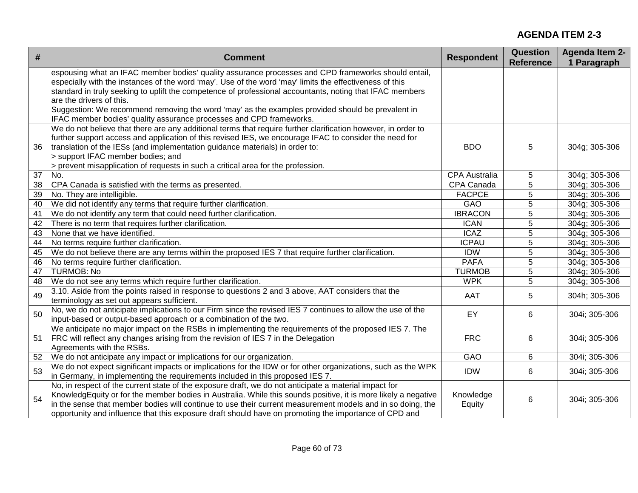| espousing what an IFAC member bodies' quality assurance processes and CPD frameworks should entail,<br>especially with the instances of the word 'may'. Use of the word 'may' limits the effectiveness of this<br>standard in truly seeking to uplift the competence of professional accountants, noting that IFAC members<br>are the drivers of this.<br>Suggestion: We recommend removing the word 'may' as the examples provided should be prevalent in<br>IFAC member bodies' quality assurance processes and CPD frameworks.<br>We do not believe that there are any additional terms that require further clarification however, in order to<br>further support access and application of this revised IES, we encourage IFAC to consider the need for<br>translation of the IESs (and implementation guidance materials) in order to:<br>36<br><b>BDO</b><br>5<br>304g; 305-306 | 1 Paragraph   |
|----------------------------------------------------------------------------------------------------------------------------------------------------------------------------------------------------------------------------------------------------------------------------------------------------------------------------------------------------------------------------------------------------------------------------------------------------------------------------------------------------------------------------------------------------------------------------------------------------------------------------------------------------------------------------------------------------------------------------------------------------------------------------------------------------------------------------------------------------------------------------------------|---------------|
|                                                                                                                                                                                                                                                                                                                                                                                                                                                                                                                                                                                                                                                                                                                                                                                                                                                                                        |               |
|                                                                                                                                                                                                                                                                                                                                                                                                                                                                                                                                                                                                                                                                                                                                                                                                                                                                                        |               |
|                                                                                                                                                                                                                                                                                                                                                                                                                                                                                                                                                                                                                                                                                                                                                                                                                                                                                        |               |
|                                                                                                                                                                                                                                                                                                                                                                                                                                                                                                                                                                                                                                                                                                                                                                                                                                                                                        |               |
|                                                                                                                                                                                                                                                                                                                                                                                                                                                                                                                                                                                                                                                                                                                                                                                                                                                                                        |               |
|                                                                                                                                                                                                                                                                                                                                                                                                                                                                                                                                                                                                                                                                                                                                                                                                                                                                                        |               |
|                                                                                                                                                                                                                                                                                                                                                                                                                                                                                                                                                                                                                                                                                                                                                                                                                                                                                        |               |
|                                                                                                                                                                                                                                                                                                                                                                                                                                                                                                                                                                                                                                                                                                                                                                                                                                                                                        |               |
|                                                                                                                                                                                                                                                                                                                                                                                                                                                                                                                                                                                                                                                                                                                                                                                                                                                                                        |               |
| > support IFAC member bodies; and<br>> prevent misapplication of requests in such a critical area for the profession.                                                                                                                                                                                                                                                                                                                                                                                                                                                                                                                                                                                                                                                                                                                                                                  |               |
| $\overline{37}$<br>No.<br><b>CPA Australia</b><br>5                                                                                                                                                                                                                                                                                                                                                                                                                                                                                                                                                                                                                                                                                                                                                                                                                                    | 304g; 305-306 |
| 38<br>CPA Canada<br>5<br>CPA Canada is satisfied with the terms as presented.                                                                                                                                                                                                                                                                                                                                                                                                                                                                                                                                                                                                                                                                                                                                                                                                          | 304g; 305-306 |
| <b>FACPCE</b><br>39<br>No. They are intelligible.<br>5                                                                                                                                                                                                                                                                                                                                                                                                                                                                                                                                                                                                                                                                                                                                                                                                                                 | 304g; 305-306 |
| 40<br>We did not identify any terms that require further clarification.<br>GAO<br>5                                                                                                                                                                                                                                                                                                                                                                                                                                                                                                                                                                                                                                                                                                                                                                                                    | 304g; 305-306 |
| $\overline{41}$<br>We do not identify any term that could need further clarification.<br><b>IBRACON</b><br>5                                                                                                                                                                                                                                                                                                                                                                                                                                                                                                                                                                                                                                                                                                                                                                           | 304g; 305-306 |
| 42<br>There is no term that requires further clarification.<br><b>ICAN</b><br>5                                                                                                                                                                                                                                                                                                                                                                                                                                                                                                                                                                                                                                                                                                                                                                                                        | 304g; 305-306 |
| 43<br>None that we have identified.<br><b>ICAZ</b><br>5                                                                                                                                                                                                                                                                                                                                                                                                                                                                                                                                                                                                                                                                                                                                                                                                                                | 304g; 305-306 |
| <b>ICPAU</b><br>44<br>No terms require further clarification.<br>5                                                                                                                                                                                                                                                                                                                                                                                                                                                                                                                                                                                                                                                                                                                                                                                                                     | 304g; 305-306 |
| We do not believe there are any terms within the proposed IES 7 that require further clarification.<br>45<br><b>IDW</b><br>5                                                                                                                                                                                                                                                                                                                                                                                                                                                                                                                                                                                                                                                                                                                                                           | 304g; 305-306 |
| <b>PAFA</b><br>5<br>46<br>No terms require further clarification.                                                                                                                                                                                                                                                                                                                                                                                                                                                                                                                                                                                                                                                                                                                                                                                                                      | 304g; 305-306 |
| <b>TURMOB: No</b><br>5<br>47<br><b>TURMOB</b>                                                                                                                                                                                                                                                                                                                                                                                                                                                                                                                                                                                                                                                                                                                                                                                                                                          | 304g; 305-306 |
| 5<br><b>WPK</b><br>48<br>We do not see any terms which require further clarification.                                                                                                                                                                                                                                                                                                                                                                                                                                                                                                                                                                                                                                                                                                                                                                                                  | 304g; 305-306 |
| 3.10. Aside from the points raised in response to questions 2 and 3 above, AAT considers that the<br>49<br>AAT<br>5                                                                                                                                                                                                                                                                                                                                                                                                                                                                                                                                                                                                                                                                                                                                                                    | 304h; 305-306 |
| terminology as set out appears sufficient.                                                                                                                                                                                                                                                                                                                                                                                                                                                                                                                                                                                                                                                                                                                                                                                                                                             |               |
| No, we do not anticipate implications to our Firm since the revised IES 7 continues to allow the use of the<br>50<br>EY<br>6                                                                                                                                                                                                                                                                                                                                                                                                                                                                                                                                                                                                                                                                                                                                                           | 304i; 305-306 |
| input-based or output-based approach or a combination of the two.                                                                                                                                                                                                                                                                                                                                                                                                                                                                                                                                                                                                                                                                                                                                                                                                                      |               |
| We anticipate no major impact on the RSBs in implementing the requirements of the proposed IES 7. The                                                                                                                                                                                                                                                                                                                                                                                                                                                                                                                                                                                                                                                                                                                                                                                  |               |
| FRC will reflect any changes arising from the revision of IES 7 in the Delegation<br><b>FRC</b><br>6<br>51                                                                                                                                                                                                                                                                                                                                                                                                                                                                                                                                                                                                                                                                                                                                                                             | 304i; 305-306 |
| Agreements with the RSBs.                                                                                                                                                                                                                                                                                                                                                                                                                                                                                                                                                                                                                                                                                                                                                                                                                                                              |               |
| GAO<br>52<br>We do not anticipate any impact or implications for our organization.<br>6                                                                                                                                                                                                                                                                                                                                                                                                                                                                                                                                                                                                                                                                                                                                                                                                | 304i; 305-306 |
| We do not expect significant impacts or implications for the IDW or for other organizations, such as the WPK<br>53<br><b>IDW</b><br>6                                                                                                                                                                                                                                                                                                                                                                                                                                                                                                                                                                                                                                                                                                                                                  | 304i; 305-306 |
| in Germany, in implementing the requirements included in this proposed IES 7.                                                                                                                                                                                                                                                                                                                                                                                                                                                                                                                                                                                                                                                                                                                                                                                                          |               |
| No, in respect of the current state of the exposure draft, we do not anticipate a material impact for                                                                                                                                                                                                                                                                                                                                                                                                                                                                                                                                                                                                                                                                                                                                                                                  |               |
| KnowledgEquity or for the member bodies in Australia. While this sounds positive, it is more likely a negative<br>Knowledge<br>54<br>6<br>in the sense that member bodies will continue to use their current measurement models and in so doing, the                                                                                                                                                                                                                                                                                                                                                                                                                                                                                                                                                                                                                                   | 304i; 305-306 |
| Equity<br>opportunity and influence that this exposure draft should have on promoting the importance of CPD and                                                                                                                                                                                                                                                                                                                                                                                                                                                                                                                                                                                                                                                                                                                                                                        |               |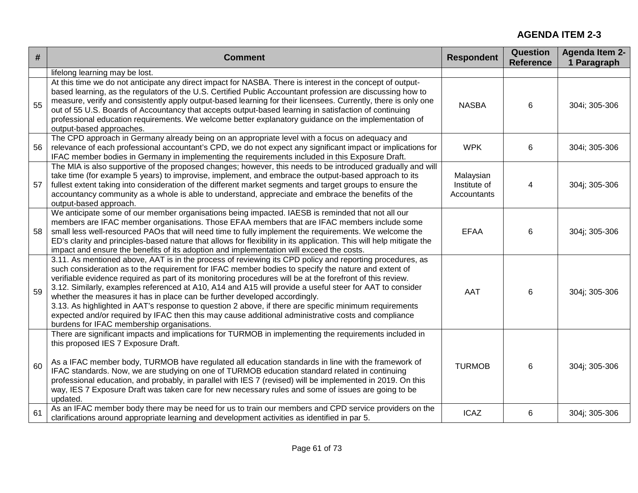| $\#$ | <b>Comment</b>                                                                                                                                                                                                                                                                                                                                                                                                                                                                                                                                                                                                                                                                                                                                                                         | <b>Respondent</b>                               | Question<br><b>Reference</b> | <b>Agenda Item 2-</b><br>1 Paragraph |
|------|----------------------------------------------------------------------------------------------------------------------------------------------------------------------------------------------------------------------------------------------------------------------------------------------------------------------------------------------------------------------------------------------------------------------------------------------------------------------------------------------------------------------------------------------------------------------------------------------------------------------------------------------------------------------------------------------------------------------------------------------------------------------------------------|-------------------------------------------------|------------------------------|--------------------------------------|
|      | lifelong learning may be lost.                                                                                                                                                                                                                                                                                                                                                                                                                                                                                                                                                                                                                                                                                                                                                         |                                                 |                              |                                      |
| 55   | At this time we do not anticipate any direct impact for NASBA. There is interest in the concept of output-<br>based learning, as the regulators of the U.S. Certified Public Accountant profession are discussing how to<br>measure, verify and consistently apply output-based learning for their licensees. Currently, there is only one<br>out of 55 U.S. Boards of Accountancy that accepts output-based learning in satisfaction of continuing<br>professional education requirements. We welcome better explanatory guidance on the implementation of<br>output-based approaches.                                                                                                                                                                                                | <b>NASBA</b>                                    | 6                            | 304i; 305-306                        |
| 56   | The CPD approach in Germany already being on an appropriate level with a focus on adequacy and<br>relevance of each professional accountant's CPD, we do not expect any significant impact or implications for<br>IFAC member bodies in Germany in implementing the requirements included in this Exposure Draft.                                                                                                                                                                                                                                                                                                                                                                                                                                                                      | <b>WPK</b>                                      | 6                            | 304i; 305-306                        |
| 57   | The MIA is also supportive of the proposed changes; however, this needs to be introduced gradually and will<br>take time (for example 5 years) to improvise, implement, and embrace the output-based approach to its<br>fullest extent taking into consideration of the different market segments and target groups to ensure the<br>accountancy community as a whole is able to understand, appreciate and embrace the benefits of the<br>output-based approach.                                                                                                                                                                                                                                                                                                                      | Malaysian<br>Institute of<br><b>Accountants</b> | 4                            | 304j; 305-306                        |
| 58   | We anticipate some of our member organisations being impacted. IAESB is reminded that not all our<br>members are IFAC member organisations. Those EFAA members that are IFAC members include some<br>small less well-resourced PAOs that will need time to fully implement the requirements. We welcome the<br>ED's clarity and principles-based nature that allows for flexibility in its application. This will help mitigate the<br>impact and ensure the benefits of its adoption and implementation will exceed the costs.                                                                                                                                                                                                                                                        | <b>EFAA</b>                                     | 6                            | 304j; 305-306                        |
| 59   | 3.11. As mentioned above, AAT is in the process of reviewing its CPD policy and reporting procedures, as<br>such consideration as to the requirement for IFAC member bodies to specify the nature and extent of<br>verifiable evidence required as part of its monitoring procedures will be at the forefront of this review.<br>3.12. Similarly, examples referenced at A10, A14 and A15 will provide a useful steer for AAT to consider<br>whether the measures it has in place can be further developed accordingly.<br>3.13. As highlighted in AAT's response to question 2 above, if there are specific minimum requirements<br>expected and/or required by IFAC then this may cause additional administrative costs and compliance<br>burdens for IFAC membership organisations. | <b>AAT</b>                                      | 6                            | 304j; 305-306                        |
| 60   | There are significant impacts and implications for TURMOB in implementing the requirements included in<br>this proposed IES 7 Exposure Draft.<br>As a IFAC member body, TURMOB have regulated all education standards in line with the framework of<br>IFAC standards. Now, we are studying on one of TURMOB education standard related in continuing<br>professional education, and probably, in parallel with IES 7 (revised) will be implemented in 2019. On this<br>way, IES 7 Exposure Draft was taken care for new necessary rules and some of issues are going to be<br>updated.                                                                                                                                                                                                | <b>TURMOB</b>                                   | 6                            | 304j; 305-306                        |
| 61   | As an IFAC member body there may be need for us to train our members and CPD service providers on the<br>clarifications around appropriate learning and development activities as identified in par 5.                                                                                                                                                                                                                                                                                                                                                                                                                                                                                                                                                                                 | <b>ICAZ</b>                                     | 6                            | 304j; 305-306                        |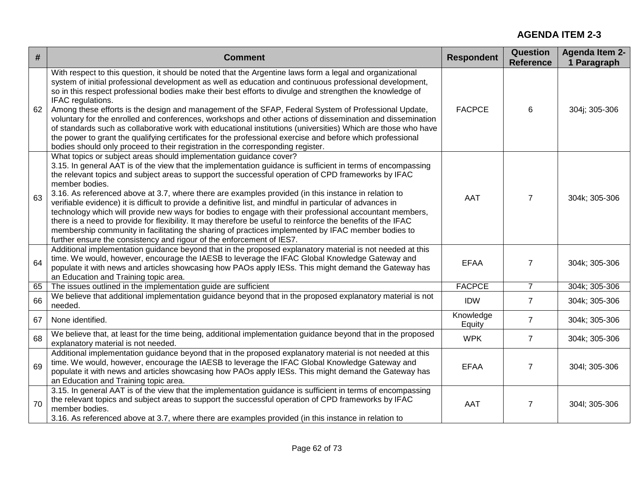| $\#$ | <b>Comment</b>                                                                                                                                                                                                                                                                                                                                                                                                                                                                                                                                                                                                                                                                                                                                                                                                                                                                                                                              | <b>Respondent</b>   | <b>Question</b><br><b>Reference</b> | <b>Agenda Item 2-</b><br>1 Paragraph |
|------|---------------------------------------------------------------------------------------------------------------------------------------------------------------------------------------------------------------------------------------------------------------------------------------------------------------------------------------------------------------------------------------------------------------------------------------------------------------------------------------------------------------------------------------------------------------------------------------------------------------------------------------------------------------------------------------------------------------------------------------------------------------------------------------------------------------------------------------------------------------------------------------------------------------------------------------------|---------------------|-------------------------------------|--------------------------------------|
| 62   | With respect to this question, it should be noted that the Argentine laws form a legal and organizational<br>system of initial professional development as well as education and continuous professional development,<br>so in this respect professional bodies make their best efforts to divulge and strengthen the knowledge of<br>IFAC regulations.<br>Among these efforts is the design and management of the SFAP, Federal System of Professional Update,<br>voluntary for the enrolled and conferences, workshops and other actions of dissemination and dissemination<br>of standards such as collaborative work with educational institutions (universities) Which are those who have<br>the power to grant the qualifying certificates for the professional exercise and before which professional<br>bodies should only proceed to their registration in the corresponding register.                                             | <b>FACPCE</b>       | 6                                   | 304j; 305-306                        |
| 63   | What topics or subject areas should implementation guidance cover?<br>3.15. In general AAT is of the view that the implementation guidance is sufficient in terms of encompassing<br>the relevant topics and subject areas to support the successful operation of CPD frameworks by IFAC<br>member bodies.<br>3.16. As referenced above at 3.7, where there are examples provided (in this instance in relation to<br>verifiable evidence) it is difficult to provide a definitive list, and mindful in particular of advances in<br>technology which will provide new ways for bodies to engage with their professional accountant members,<br>there is a need to provide for flexibility. It may therefore be useful to reinforce the benefits of the IFAC<br>membership community in facilitating the sharing of practices implemented by IFAC member bodies to<br>further ensure the consistency and rigour of the enforcement of IES7. | <b>AAT</b>          | $\overline{7}$                      | 304k; 305-306                        |
| 64   | Additional implementation guidance beyond that in the proposed explanatory material is not needed at this<br>time. We would, however, encourage the IAESB to leverage the IFAC Global Knowledge Gateway and<br>populate it with news and articles showcasing how PAOs apply IESs. This might demand the Gateway has<br>an Education and Training topic area.                                                                                                                                                                                                                                                                                                                                                                                                                                                                                                                                                                                | <b>EFAA</b>         | $\overline{7}$                      | 304k; 305-306                        |
| 65   | The issues outlined in the implementation guide are sufficient                                                                                                                                                                                                                                                                                                                                                                                                                                                                                                                                                                                                                                                                                                                                                                                                                                                                              | <b>FACPCE</b>       | $\overline{7}$                      | 304k; 305-306                        |
| 66   | We believe that additional implementation guidance beyond that in the proposed explanatory material is not<br>needed.                                                                                                                                                                                                                                                                                                                                                                                                                                                                                                                                                                                                                                                                                                                                                                                                                       | <b>IDW</b>          | $\overline{7}$                      | 304k; 305-306                        |
| 67   | None identified.                                                                                                                                                                                                                                                                                                                                                                                                                                                                                                                                                                                                                                                                                                                                                                                                                                                                                                                            | Knowledge<br>Equity | $\overline{7}$                      | 304k; 305-306                        |
| 68   | We believe that, at least for the time being, additional implementation guidance beyond that in the proposed<br>explanatory material is not needed.                                                                                                                                                                                                                                                                                                                                                                                                                                                                                                                                                                                                                                                                                                                                                                                         | <b>WPK</b>          | $\overline{7}$                      | 304k; 305-306                        |
| 69   | Additional implementation guidance beyond that in the proposed explanatory material is not needed at this<br>time. We would, however, encourage the IAESB to leverage the IFAC Global Knowledge Gateway and<br>populate it with news and articles showcasing how PAOs apply IESs. This might demand the Gateway has<br>an Education and Training topic area.                                                                                                                                                                                                                                                                                                                                                                                                                                                                                                                                                                                | <b>EFAA</b>         | 7                                   | 304l; 305-306                        |
| 70   | 3.15. In general AAT is of the view that the implementation guidance is sufficient in terms of encompassing<br>the relevant topics and subject areas to support the successful operation of CPD frameworks by IFAC<br>member bodies.<br>3.16. As referenced above at 3.7, where there are examples provided (in this instance in relation to                                                                                                                                                                                                                                                                                                                                                                                                                                                                                                                                                                                                | <b>AAT</b>          | 7                                   | 304l; 305-306                        |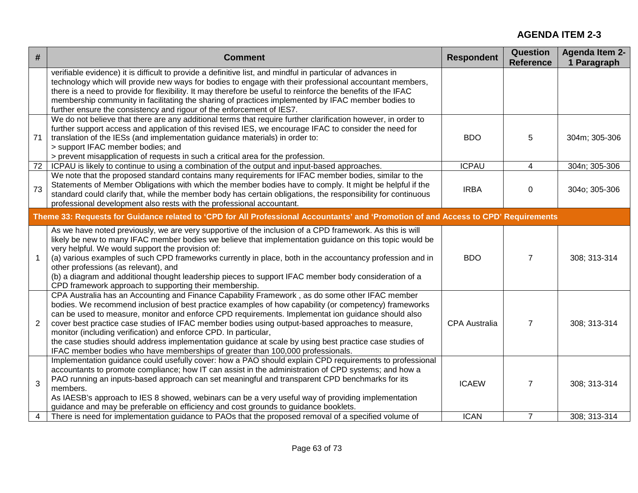| $\#$           | <b>Comment</b>                                                                                                                                                                                                                                                                                                                                                                                                                                                                                                                                                                                                                                                                     | <b>Respondent</b>    | <b>Question</b><br><b>Reference</b> | <b>Agenda Item 2-</b><br>1 Paragraph |
|----------------|------------------------------------------------------------------------------------------------------------------------------------------------------------------------------------------------------------------------------------------------------------------------------------------------------------------------------------------------------------------------------------------------------------------------------------------------------------------------------------------------------------------------------------------------------------------------------------------------------------------------------------------------------------------------------------|----------------------|-------------------------------------|--------------------------------------|
|                | verifiable evidence) it is difficult to provide a definitive list, and mindful in particular of advances in<br>technology which will provide new ways for bodies to engage with their professional accountant members,<br>there is a need to provide for flexibility. It may therefore be useful to reinforce the benefits of the IFAC<br>membership community in facilitating the sharing of practices implemented by IFAC member bodies to<br>further ensure the consistency and rigour of the enforcement of IES7.                                                                                                                                                              |                      |                                     |                                      |
| 71             | We do not believe that there are any additional terms that require further clarification however, in order to<br>further support access and application of this revised IES, we encourage IFAC to consider the need for<br>translation of the IESs (and implementation guidance materials) in order to:<br>> support IFAC member bodies; and<br>> prevent misapplication of requests in such a critical area for the profession.                                                                                                                                                                                                                                                   | <b>BDO</b>           | 5                                   | 304m; 305-306                        |
| 72             | ICPAU is likely to continue to using a combination of the output and input-based approaches.                                                                                                                                                                                                                                                                                                                                                                                                                                                                                                                                                                                       | <b>ICPAU</b>         | 4                                   | 304n; 305-306                        |
| 73             | We note that the proposed standard contains many requirements for IFAC member bodies, similar to the<br>Statements of Member Obligations with which the member bodies have to comply. It might be helpful if the<br>standard could clarify that, while the member body has certain obligations, the responsibility for continuous<br>professional development also rests with the professional accountant.                                                                                                                                                                                                                                                                         | <b>IRBA</b>          | $\Omega$                            | 304o; 305-306                        |
|                | Theme 33: Requests for Guidance related to 'CPD for All Professional Accountants' and 'Promotion of and Access to CPD' Requirements                                                                                                                                                                                                                                                                                                                                                                                                                                                                                                                                                |                      |                                     |                                      |
| $\mathbf{1}$   | As we have noted previously, we are very supportive of the inclusion of a CPD framework. As this is will<br>likely be new to many IFAC member bodies we believe that implementation guidance on this topic would be<br>very helpful. We would support the provision of:<br>(a) various examples of such CPD frameworks currently in place, both in the accountancy profession and in<br>other professions (as relevant), and<br>(b) a diagram and additional thought leadership pieces to support IFAC member body consideration of a<br>CPD framework approach to supporting their membership.                                                                                    | <b>BDO</b>           | 7                                   | 308; 313-314                         |
| $\overline{2}$ | CPA Australia has an Accounting and Finance Capability Framework, as do some other IFAC member<br>bodies. We recommend inclusion of best practice examples of how capability (or competency) frameworks<br>can be used to measure, monitor and enforce CPD requirements. Implementat ion guidance should also<br>cover best practice case studies of IFAC member bodies using output-based approaches to measure,<br>monitor (including verification) and enforce CPD. In particular,<br>the case studies should address implementation guidance at scale by using best practice case studies of<br>IFAC member bodies who have memberships of greater than 100,000 professionals. | <b>CPA Australia</b> | $\overline{7}$                      | 308; 313-314                         |
| 3              | Implementation guidance could usefully cover: how a PAO should explain CPD requirements to professional<br>accountants to promote compliance; how IT can assist in the administration of CPD systems; and how a<br>PAO running an inputs-based approach can set meaningful and transparent CPD benchmarks for its<br>members.<br>As IAESB's approach to IES 8 showed, webinars can be a very useful way of providing implementation<br>guidance and may be preferable on efficiency and cost grounds to guidance booklets.                                                                                                                                                         | <b>ICAEW</b>         | 7                                   | 308; 313-314                         |
| 4              | There is need for implementation guidance to PAOs that the proposed removal of a specified volume of                                                                                                                                                                                                                                                                                                                                                                                                                                                                                                                                                                               | <b>ICAN</b>          | $\overline{7}$                      | 308; 313-314                         |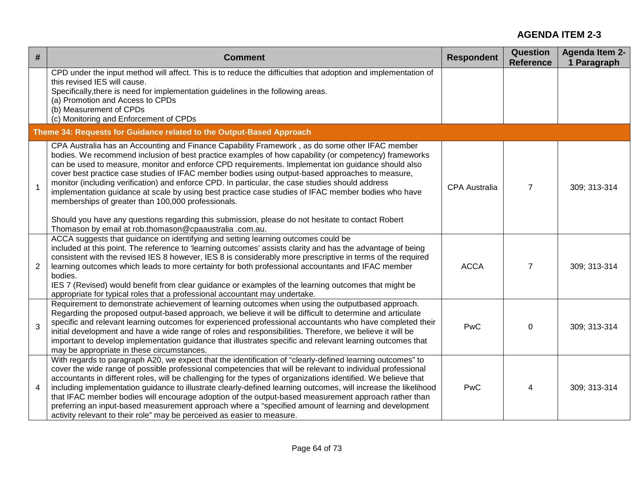| $\#$           | <b>Comment</b>                                                                                                                                                                                                                                                                                                                                                                                                                                                                                                                                                                                                                                                                                                                                                                                                                                     | <b>Respondent</b> | <b>Question</b><br><b>Reference</b> | <b>Agenda Item 2-</b><br>1 Paragraph |
|----------------|----------------------------------------------------------------------------------------------------------------------------------------------------------------------------------------------------------------------------------------------------------------------------------------------------------------------------------------------------------------------------------------------------------------------------------------------------------------------------------------------------------------------------------------------------------------------------------------------------------------------------------------------------------------------------------------------------------------------------------------------------------------------------------------------------------------------------------------------------|-------------------|-------------------------------------|--------------------------------------|
|                | CPD under the input method will affect. This is to reduce the difficulties that adoption and implementation of<br>this revised IES will cause.<br>Specifically, there is need for implementation guidelines in the following areas.<br>(a) Promotion and Access to CPDs<br>(b) Measurement of CPDs<br>(c) Monitoring and Enforcement of CPDs                                                                                                                                                                                                                                                                                                                                                                                                                                                                                                       |                   |                                     |                                      |
|                | Theme 34: Requests for Guidance related to the Output-Based Approach                                                                                                                                                                                                                                                                                                                                                                                                                                                                                                                                                                                                                                                                                                                                                                               |                   |                                     |                                      |
| $\mathbf{1}$   | CPA Australia has an Accounting and Finance Capability Framework, as do some other IFAC member<br>bodies. We recommend inclusion of best practice examples of how capability (or competency) frameworks<br>can be used to measure, monitor and enforce CPD requirements. Implementat ion guidance should also<br>cover best practice case studies of IFAC member bodies using output-based approaches to measure,<br>monitor (including verification) and enforce CPD. In particular, the case studies should address<br>implementation guidance at scale by using best practice case studies of IFAC member bodies who have<br>memberships of greater than 100,000 professionals.<br>Should you have any questions regarding this submission, please do not hesitate to contact Robert<br>Thomason by email at rob.thomason@cpaaustralia .com.au. | CPA Australia     | $\overline{7}$                      | 309; 313-314                         |
| $\overline{2}$ | ACCA suggests that guidance on identifying and setting learning outcomes could be<br>included at this point. The reference to 'learning outcomes' assists clarity and has the advantage of being<br>consistent with the revised IES 8 however, IES 8 is considerably more prescriptive in terms of the required<br>learning outcomes which leads to more certainty for both professional accountants and IFAC member<br>bodies.<br>IES 7 (Revised) would benefit from clear guidance or examples of the learning outcomes that might be<br>appropriate for typical roles that a professional accountant may undertake.                                                                                                                                                                                                                             | <b>ACCA</b>       | $\overline{7}$                      | 309; 313-314                         |
| 3              | Requirement to demonstrate achievement of learning outcomes when using the outputbased approach.<br>Regarding the proposed output-based approach, we believe it will be difficult to determine and articulate<br>specific and relevant learning outcomes for experienced professional accountants who have completed their<br>initial development and have a wide range of roles and responsibilities. Therefore, we believe it will be<br>important to develop implementation guidance that illustrates specific and relevant learning outcomes that<br>may be appropriate in these circumstances.                                                                                                                                                                                                                                                | PwC               | $\Omega$                            | 309; 313-314                         |
| 4              | With regards to paragraph A20, we expect that the identification of "clearly-defined learning outcomes" to<br>cover the wide range of possible professional competencies that will be relevant to individual professional<br>accountants in different roles, will be challenging for the types of organizations identified. We believe that<br>including implementation guidance to illustrate clearly-defined learning outcomes, will increase the likelihood<br>that IFAC member bodies will encourage adoption of the output-based measurement approach rather than<br>preferring an input-based measurement approach where a "specified amount of learning and development<br>activity relevant to their role" may be perceived as easier to measure.                                                                                          | PwC               | 4                                   | 309; 313-314                         |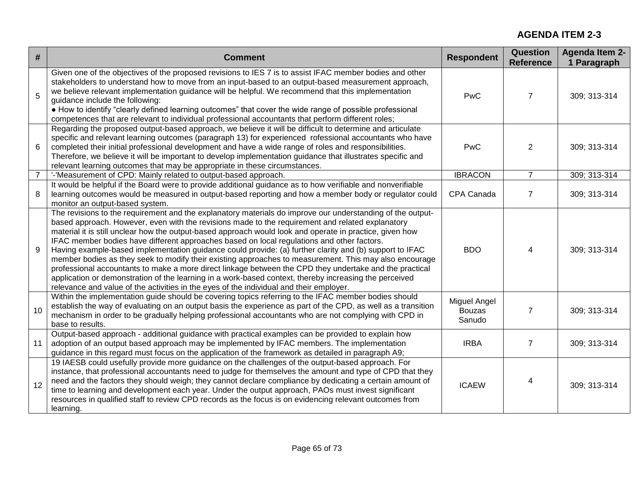| #              | <b>Comment</b>                                                                                                                                                                                                                                                                                                                                                                                                                                                                                                                                                                                                                                                                                                                                                                                                                                                                                                                                                | <b>Respondent</b>                       | Question<br><b>Reference</b> | <b>Agenda Item 2-</b><br>1 Paragraph |
|----------------|---------------------------------------------------------------------------------------------------------------------------------------------------------------------------------------------------------------------------------------------------------------------------------------------------------------------------------------------------------------------------------------------------------------------------------------------------------------------------------------------------------------------------------------------------------------------------------------------------------------------------------------------------------------------------------------------------------------------------------------------------------------------------------------------------------------------------------------------------------------------------------------------------------------------------------------------------------------|-----------------------------------------|------------------------------|--------------------------------------|
| 5              | Given one of the objectives of the proposed revisions to IES 7 is to assist IFAC member bodies and other<br>stakeholders to understand how to move from an input-based to an output-based measurement approach,<br>we believe relevant implementation guidance will be helpful. We recommend that this implementation<br>guidance include the following:<br>• How to identify "clearly defined learning outcomes" that cover the wide range of possible professional<br>competences that are relevant to individual professional accountants that perform different roles;                                                                                                                                                                                                                                                                                                                                                                                    | <b>PwC</b>                              | $\overline{7}$               | 309; 313-314                         |
| 6              | Regarding the proposed output-based approach, we believe it will be difficult to determine and articulate<br>specific and relevant learning outcomes (paragraph 13) for experienced rofessional accountants who have<br>completed their initial professional development and have a wide range of roles and responsibilities.<br>Therefore, we believe it will be important to develop implementation guidance that illustrates specific and<br>relevant learning outcomes that may be appropriate in these circumstances.                                                                                                                                                                                                                                                                                                                                                                                                                                    | <b>PwC</b>                              | 2                            | 309; 313-314                         |
| $\overline{7}$ | '-'Measurement of CPD: Mainly related to output-based approach.                                                                                                                                                                                                                                                                                                                                                                                                                                                                                                                                                                                                                                                                                                                                                                                                                                                                                               | <b>IBRACON</b>                          | $\overline{7}$               | 309; 313-314                         |
| 8              | It would be helpful if the Board were to provide additional guidance as to how verifiable and nonverifiable<br>learning outcomes would be measured in output-based reporting and how a member body or regulator could<br>monitor an output-based system.                                                                                                                                                                                                                                                                                                                                                                                                                                                                                                                                                                                                                                                                                                      | CPA Canada                              | $\overline{7}$               | 309; 313-314                         |
| 9              | The revisions to the requirement and the explanatory materials do improve our understanding of the output-<br>based approach. However, even with the revisions made to the requirement and related explanatory<br>material it is still unclear how the output-based approach would look and operate in practice, given how<br>IFAC member bodies have different approaches based on local regulations and other factors.<br>Having example-based implementation guidance could provide: (a) further clarity and (b) support to IFAC<br>member bodies as they seek to modify their existing approaches to measurement. This may also encourage<br>professional accountants to make a more direct linkage between the CPD they undertake and the practical<br>application or demonstration of the learning in a work-based context, thereby increasing the perceived<br>relevance and value of the activities in the eyes of the individual and their employer. | <b>BDO</b>                              | 4                            | 309; 313-314                         |
| 10             | Within the implementation guide should be covering topics referring to the IFAC member bodies should<br>establish the way of evaluating on an output basis the experience as part of the CPD, as well as a transition<br>mechanism in order to be gradually helping professional accountants who are not complying with CPD in<br>base to results.                                                                                                                                                                                                                                                                                                                                                                                                                                                                                                                                                                                                            | Miguel Angel<br><b>Bouzas</b><br>Sanudo | $\overline{7}$               | 309; 313-314                         |
| 11             | Output-based approach - additional guidance with practical examples can be provided to explain how<br>adoption of an output based approach may be implemented by IFAC members. The implementation<br>guidance in this regard must focus on the application of the framework as detailed in paragraph A9;                                                                                                                                                                                                                                                                                                                                                                                                                                                                                                                                                                                                                                                      | <b>IRBA</b>                             | $\overline{7}$               | 309; 313-314                         |
| 12             | 19 IAESB could usefully provide more guidance on the challenges of the output-based approach. For<br>instance, that professional accountants need to judge for themselves the amount and type of CPD that they<br>need and the factors they should weigh; they cannot declare compliance by dedicating a certain amount of<br>time to learning and development each year. Under the output approach, PAOs must invest significant<br>resources in qualified staff to review CPD records as the focus is on evidencing relevant outcomes from<br>learning.                                                                                                                                                                                                                                                                                                                                                                                                     | <b>ICAEW</b>                            | 4                            | 309; 313-314                         |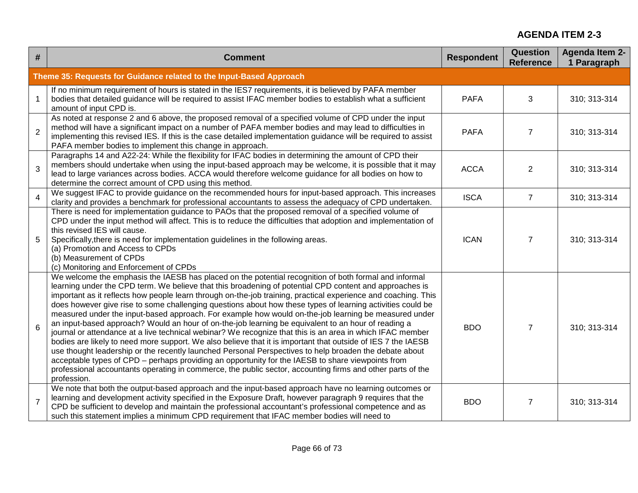| $\#$            | <b>Comment</b>                                                                                                                                                                                                                                                                                                                                                                                                                                                                                                                                                                                                                                                                                                                                                                                                                                                                                                                                                                                                                                                                                                                                                                                                                           | <b>Respondent</b> | <b>Question</b><br><b>Reference</b> | <b>Agenda Item 2-</b><br>1 Paragraph |
|-----------------|------------------------------------------------------------------------------------------------------------------------------------------------------------------------------------------------------------------------------------------------------------------------------------------------------------------------------------------------------------------------------------------------------------------------------------------------------------------------------------------------------------------------------------------------------------------------------------------------------------------------------------------------------------------------------------------------------------------------------------------------------------------------------------------------------------------------------------------------------------------------------------------------------------------------------------------------------------------------------------------------------------------------------------------------------------------------------------------------------------------------------------------------------------------------------------------------------------------------------------------|-------------------|-------------------------------------|--------------------------------------|
|                 | Theme 35: Requests for Guidance related to the Input-Based Approach                                                                                                                                                                                                                                                                                                                                                                                                                                                                                                                                                                                                                                                                                                                                                                                                                                                                                                                                                                                                                                                                                                                                                                      |                   |                                     |                                      |
|                 | If no minimum requirement of hours is stated in the IES7 requirements, it is believed by PAFA member<br>bodies that detailed guidance will be required to assist IFAC member bodies to establish what a sufficient<br>amount of input CPD is.                                                                                                                                                                                                                                                                                                                                                                                                                                                                                                                                                                                                                                                                                                                                                                                                                                                                                                                                                                                            | <b>PAFA</b>       | 3                                   | 310; 313-314                         |
| $\overline{2}$  | As noted at response 2 and 6 above, the proposed removal of a specified volume of CPD under the input<br>method will have a significant impact on a number of PAFA member bodies and may lead to difficulties in<br>implementing this revised IES. If this is the case detailed implementation guidance will be required to assist<br>PAFA member bodies to implement this change in approach.                                                                                                                                                                                                                                                                                                                                                                                                                                                                                                                                                                                                                                                                                                                                                                                                                                           | <b>PAFA</b>       | $\overline{7}$                      | 310; 313-314                         |
| 3               | Paragraphs 14 and A22-24: While the flexibility for IFAC bodies in determining the amount of CPD their<br>members should undertake when using the input-based approach may be welcome, it is possible that it may<br>lead to large variances across bodies. ACCA would therefore welcome guidance for all bodies on how to<br>determine the correct amount of CPD using this method.                                                                                                                                                                                                                                                                                                                                                                                                                                                                                                                                                                                                                                                                                                                                                                                                                                                     | <b>ACCA</b>       | $\overline{2}$                      | 310; 313-314                         |
| $\overline{4}$  | We suggest IFAC to provide guidance on the recommended hours for input-based approach. This increases<br>clarity and provides a benchmark for professional accountants to assess the adequacy of CPD undertaken.                                                                                                                                                                                                                                                                                                                                                                                                                                                                                                                                                                                                                                                                                                                                                                                                                                                                                                                                                                                                                         | <b>ISCA</b>       | $\overline{7}$                      | 310; 313-314                         |
| 5               | There is need for implementation guidance to PAOs that the proposed removal of a specified volume of<br>CPD under the input method will affect. This is to reduce the difficulties that adoption and implementation of<br>this revised IES will cause.<br>Specifically, there is need for implementation guidelines in the following areas.<br>(a) Promotion and Access to CPDs<br>(b) Measurement of CPDs<br>(c) Monitoring and Enforcement of CPDs                                                                                                                                                                                                                                                                                                                                                                                                                                                                                                                                                                                                                                                                                                                                                                                     | <b>ICAN</b>       | $\overline{7}$                      | 310; 313-314                         |
| $6\phantom{1}6$ | We welcome the emphasis the IAESB has placed on the potential recognition of both formal and informal<br>learning under the CPD term. We believe that this broadening of potential CPD content and approaches is<br>important as it reflects how people learn through on-the-job training, practical experience and coaching. This<br>does however give rise to some challenging questions about how these types of learning activities could be<br>measured under the input-based approach. For example how would on-the-job learning be measured under<br>an input-based approach? Would an hour of on-the-job learning be equivalent to an hour of reading a<br>journal or attendance at a live technical webinar? We recognize that this is an area in which IFAC member<br>bodies are likely to need more support. We also believe that it is important that outside of IES 7 the IAESB<br>use thought leadership or the recently launched Personal Perspectives to help broaden the debate about<br>acceptable types of CPD – perhaps providing an opportunity for the IAESB to share viewpoints from<br>professional accountants operating in commerce, the public sector, accounting firms and other parts of the<br>profession. | <b>BDO</b>        | $\overline{7}$                      | 310; 313-314                         |
| $\overline{7}$  | We note that both the output-based approach and the input-based approach have no learning outcomes or<br>learning and development activity specified in the Exposure Draft, however paragraph 9 requires that the<br>CPD be sufficient to develop and maintain the professional accountant's professional competence and as<br>such this statement implies a minimum CPD requirement that IFAC member bodies will need to                                                                                                                                                                                                                                                                                                                                                                                                                                                                                                                                                                                                                                                                                                                                                                                                                | <b>BDO</b>        | $\overline{7}$                      | 310; 313-314                         |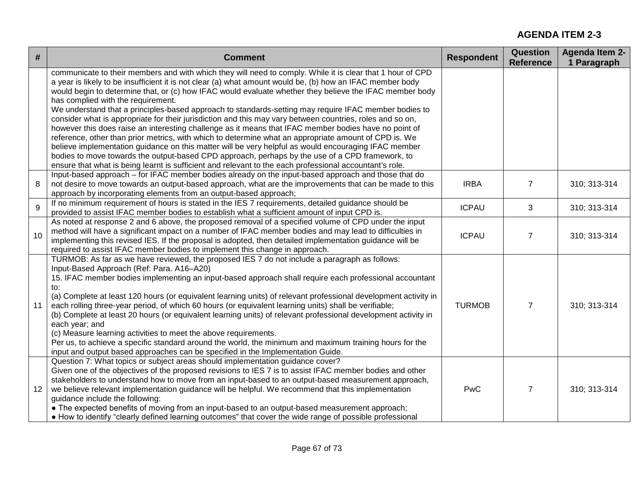| #  | <b>Comment</b>                                                                                                                                                                                                                                                                                                                                                                                                                                                                                                                                                                                                                                                                                                                                                                                                                                                                                                           | <b>Respondent</b> | <b>Question</b><br><b>Reference</b> | <b>Agenda Item 2-</b><br>1 Paragraph |
|----|--------------------------------------------------------------------------------------------------------------------------------------------------------------------------------------------------------------------------------------------------------------------------------------------------------------------------------------------------------------------------------------------------------------------------------------------------------------------------------------------------------------------------------------------------------------------------------------------------------------------------------------------------------------------------------------------------------------------------------------------------------------------------------------------------------------------------------------------------------------------------------------------------------------------------|-------------------|-------------------------------------|--------------------------------------|
|    | communicate to their members and with which they will need to comply. While it is clear that 1 hour of CPD<br>a year is likely to be insufficient it is not clear (a) what amount would be, (b) how an IFAC member body<br>would begin to determine that, or (c) how IFAC would evaluate whether they believe the IFAC member body<br>has complied with the requirement.<br>We understand that a principles-based approach to standards-setting may require IFAC member bodies to<br>consider what is appropriate for their jurisdiction and this may vary between countries, roles and so on,<br>however this does raise an interesting challenge as it means that IFAC member bodies have no point of<br>reference, other than prior metrics, with which to determine what an appropriate amount of CPD is. We<br>believe implementation guidance on this matter will be very helpful as would encouraging IFAC member |                   |                                     |                                      |
|    | bodies to move towards the output-based CPD approach, perhaps by the use of a CPD framework, to<br>ensure that what is being learnt is sufficient and relevant to the each professional accountant's role.                                                                                                                                                                                                                                                                                                                                                                                                                                                                                                                                                                                                                                                                                                               |                   |                                     |                                      |
| 8  | Input-based approach – for IFAC member bodies already on the input-based approach and those that do<br>not desire to move towards an output-based approach, what are the improvements that can be made to this<br>approach by incorporating elements from an output-based approach;                                                                                                                                                                                                                                                                                                                                                                                                                                                                                                                                                                                                                                      | <b>IRBA</b>       | $\overline{7}$                      | 310; 313-314                         |
| 9  | If no minimum requirement of hours is stated in the IES 7 requirements, detailed guidance should be<br>provided to assist IFAC member bodies to establish what a sufficient amount of input CPD is.                                                                                                                                                                                                                                                                                                                                                                                                                                                                                                                                                                                                                                                                                                                      | <b>ICPAU</b>      | 3                                   | 310; 313-314                         |
| 10 | As noted at response 2 and 6 above, the proposed removal of a specified volume of CPD under the input<br>method will have a significant impact on a number of IFAC member bodies and may lead to difficulties in<br>implementing this revised IES. If the proposal is adopted, then detailed implementation guidance will be<br>required to assist IFAC member bodies to implement this change in approach.                                                                                                                                                                                                                                                                                                                                                                                                                                                                                                              | <b>ICPAU</b>      | $\overline{7}$                      | 310; 313-314                         |
| 11 | TURMOB: As far as we have reviewed, the proposed IES 7 do not include a paragraph as follows:<br>Input-Based Approach (Ref: Para. A16-A20)<br>15. IFAC member bodies implementing an input-based approach shall require each professional accountant<br>to:<br>(a) Complete at least 120 hours (or equivalent learning units) of relevant professional development activity in<br>each rolling three-year period, of which 60 hours (or equivalent learning units) shall be verifiable;<br>(b) Complete at least 20 hours (or equivalent learning units) of relevant professional development activity in<br>each year; and<br>(c) Measure learning activities to meet the above requirements.<br>Per us, to achieve a specific standard around the world, the minimum and maximum training hours for the<br>input and output based approaches can be specified in the Implementation Guide.                             | <b>TURMOB</b>     | $\overline{7}$                      | 310; 313-314                         |
| 12 | Question 7: What topics or subject areas should implementation guidance cover?<br>Given one of the objectives of the proposed revisions to IES 7 is to assist IFAC member bodies and other<br>stakeholders to understand how to move from an input-based to an output-based measurement approach,<br>we believe relevant implementation guidance will be helpful. We recommend that this implementation<br>guidance include the following:<br>• The expected benefits of moving from an input-based to an output-based measurement approach;<br>• How to identify "clearly defined learning outcomes" that cover the wide range of possible professional                                                                                                                                                                                                                                                                 | <b>PwC</b>        | $\overline{7}$                      | 310; 313-314                         |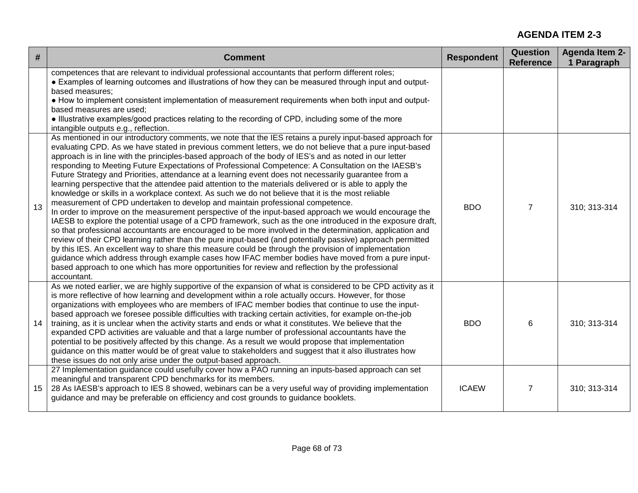| $\#$ | <b>Comment</b>                                                                                                                                                                                                                                                                                                                                                                                                                                                                                                                                                                                                                                                                                                                                                                                                                                                                                                                                                                                                                                                                                                                                                                                                                                                                                                                                                                                                                                                                                                                                                                                                                       | <b>Respondent</b> | <b>Question</b><br><b>Reference</b> | <b>Agenda Item 2-</b><br>1 Paragraph |
|------|--------------------------------------------------------------------------------------------------------------------------------------------------------------------------------------------------------------------------------------------------------------------------------------------------------------------------------------------------------------------------------------------------------------------------------------------------------------------------------------------------------------------------------------------------------------------------------------------------------------------------------------------------------------------------------------------------------------------------------------------------------------------------------------------------------------------------------------------------------------------------------------------------------------------------------------------------------------------------------------------------------------------------------------------------------------------------------------------------------------------------------------------------------------------------------------------------------------------------------------------------------------------------------------------------------------------------------------------------------------------------------------------------------------------------------------------------------------------------------------------------------------------------------------------------------------------------------------------------------------------------------------|-------------------|-------------------------------------|--------------------------------------|
|      | competences that are relevant to individual professional accountants that perform different roles;<br>• Examples of learning outcomes and illustrations of how they can be measured through input and output-<br>based measures;<br>• How to implement consistent implementation of measurement requirements when both input and output-<br>based measures are used;<br>. Illustrative examples/good practices relating to the recording of CPD, including some of the more<br>intangible outputs e.g., reflection.                                                                                                                                                                                                                                                                                                                                                                                                                                                                                                                                                                                                                                                                                                                                                                                                                                                                                                                                                                                                                                                                                                                  |                   |                                     |                                      |
| 13   | As mentioned in our introductory comments, we note that the IES retains a purely input-based approach for<br>evaluating CPD. As we have stated in previous comment letters, we do not believe that a pure input-based<br>approach is in line with the principles-based approach of the body of IES's and as noted in our letter<br>responding to Meeting Future Expectations of Professional Competence: A Consultation on the IAESB's<br>Future Strategy and Priorities, attendance at a learning event does not necessarily guarantee from a<br>learning perspective that the attendee paid attention to the materials delivered or is able to apply the<br>knowledge or skills in a workplace context. As such we do not believe that it is the most reliable<br>measurement of CPD undertaken to develop and maintain professional competence.<br>In order to improve on the measurement perspective of the input-based approach we would encourage the<br>IAESB to explore the potential usage of a CPD framework, such as the one introduced in the exposure draft,<br>so that professional accountants are encouraged to be more involved in the determination, application and<br>review of their CPD learning rather than the pure input-based (and potentially passive) approach permitted<br>by this IES. An excellent way to share this measure could be through the provision of implementation<br>guidance which address through example cases how IFAC member bodies have moved from a pure input-<br>based approach to one which has more opportunities for review and reflection by the professional<br>accountant. | <b>BDO</b>        | $\overline{7}$                      | 310; 313-314                         |
| 14   | As we noted earlier, we are highly supportive of the expansion of what is considered to be CPD activity as it<br>is more reflective of how learning and development within a role actually occurs. However, for those<br>organizations with employees who are members of IFAC member bodies that continue to use the input-<br>based approach we foresee possible difficulties with tracking certain activities, for example on-the-job<br>training, as it is unclear when the activity starts and ends or what it constitutes. We believe that the<br>expanded CPD activities are valuable and that a large number of professional accountants have the<br>potential to be positively affected by this change. As a result we would propose that implementation<br>guidance on this matter would be of great value to stakeholders and suggest that it also illustrates how<br>these issues do not only arise under the output-based approach.                                                                                                                                                                                                                                                                                                                                                                                                                                                                                                                                                                                                                                                                                      | <b>BDO</b>        | 6                                   | 310; 313-314                         |
| 15   | 27 Implementation guidance could usefully cover how a PAO running an inputs-based approach can set<br>meaningful and transparent CPD benchmarks for its members.<br>28 As IAESB's approach to IES 8 showed, webinars can be a very useful way of providing implementation<br>guidance and may be preferable on efficiency and cost grounds to guidance booklets.                                                                                                                                                                                                                                                                                                                                                                                                                                                                                                                                                                                                                                                                                                                                                                                                                                                                                                                                                                                                                                                                                                                                                                                                                                                                     | <b>ICAEW</b>      | $\overline{7}$                      | 310; 313-314                         |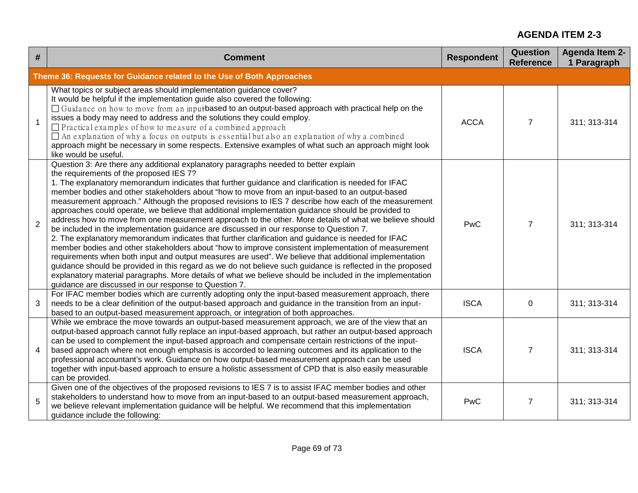| #              | <b>Comment</b>                                                                                                                                                                                                                                                                                                                                                                                                                                                                                                                                                                                                                                                                                                                                                                                                                                                                                                                                                                                                                                                                                                                                                                                                                                                                                                                                                       | <b>Respondent</b> | <b>Question</b><br><b>Reference</b> | <b>Agenda Item 2-</b><br>1 Paragraph |
|----------------|----------------------------------------------------------------------------------------------------------------------------------------------------------------------------------------------------------------------------------------------------------------------------------------------------------------------------------------------------------------------------------------------------------------------------------------------------------------------------------------------------------------------------------------------------------------------------------------------------------------------------------------------------------------------------------------------------------------------------------------------------------------------------------------------------------------------------------------------------------------------------------------------------------------------------------------------------------------------------------------------------------------------------------------------------------------------------------------------------------------------------------------------------------------------------------------------------------------------------------------------------------------------------------------------------------------------------------------------------------------------|-------------------|-------------------------------------|--------------------------------------|
|                | Theme 36: Requests for Guidance related to the Use of Both Approaches                                                                                                                                                                                                                                                                                                                                                                                                                                                                                                                                                                                                                                                                                                                                                                                                                                                                                                                                                                                                                                                                                                                                                                                                                                                                                                |                   |                                     |                                      |
|                | What topics or subject areas should implementation guidance cover?<br>It would be helpful if the implementation guide also covered the following:<br>□ Guidance on how to move from an inputbased to an output-based approach with practical help on the<br>issues a body may need to address and the solutions they could employ.<br>$\Box$ Practical examples of how to measure of a combined approach<br>$\Box$ An explanation of why a focus on outputs is essential but also an explanation of why a combined<br>approach might be necessary in some respects. Extensive examples of what such an approach might look<br>like would be useful.                                                                                                                                                                                                                                                                                                                                                                                                                                                                                                                                                                                                                                                                                                                  | <b>ACCA</b>       | $\overline{7}$                      | 311; 313-314                         |
| $\overline{2}$ | Question 3: Are there any additional explanatory paragraphs needed to better explain<br>the requirements of the proposed IES 7?<br>1. The explanatory memorandum indicates that further guidance and clarification is needed for IFAC<br>member bodies and other stakeholders about "how to move from an input-based to an output-based<br>measurement approach." Although the proposed revisions to IES 7 describe how each of the measurement<br>approaches could operate, we believe that additional implementation guidance should be provided to<br>address how to move from one measurement approach to the other. More details of what we believe should<br>be included in the implementation guidance are discussed in our response to Question 7.<br>2. The explanatory memorandum indicates that further clarification and guidance is needed for IFAC<br>member bodies and other stakeholders about "how to improve consistent implementation of measurement<br>requirements when both input and output measures are used". We believe that additional implementation<br>guidance should be provided in this regard as we do not believe such guidance is reflected in the proposed<br>explanatory material paragraphs. More details of what we believe should be included in the implementation<br>guidance are discussed in our response to Question 7. | PwC               | $\overline{7}$                      | 311; 313-314                         |
| 3              | For IFAC member bodies which are currently adopting only the input-based measurement approach, there<br>needs to be a clear definition of the output-based approach and guidance in the transition from an input-<br>based to an output-based measurement approach, or integration of both approaches.                                                                                                                                                                                                                                                                                                                                                                                                                                                                                                                                                                                                                                                                                                                                                                                                                                                                                                                                                                                                                                                               | <b>ISCA</b>       | 0                                   | 311; 313-314                         |
| 4              | While we embrace the move towards an output-based measurement approach, we are of the view that an<br>output-based approach cannot fully replace an input-based approach, but rather an output-based approach<br>can be used to complement the input-based approach and compensate certain restrictions of the input-<br>based approach where not enough emphasis is accorded to learning outcomes and its application to the<br>professional accountant's work. Guidance on how output-based measurement approach can be used<br>together with input-based approach to ensure a holistic assessment of CPD that is also easily measurable<br>can be provided.                                                                                                                                                                                                                                                                                                                                                                                                                                                                                                                                                                                                                                                                                                       | <b>ISCA</b>       | $\overline{7}$                      | 311; 313-314                         |
| 5              | Given one of the objectives of the proposed revisions to IES 7 is to assist IFAC member bodies and other<br>stakeholders to understand how to move from an input-based to an output-based measurement approach,<br>we believe relevant implementation guidance will be helpful. We recommend that this implementation<br>guidance include the following:                                                                                                                                                                                                                                                                                                                                                                                                                                                                                                                                                                                                                                                                                                                                                                                                                                                                                                                                                                                                             | PwC               | $\overline{7}$                      | 311; 313-314                         |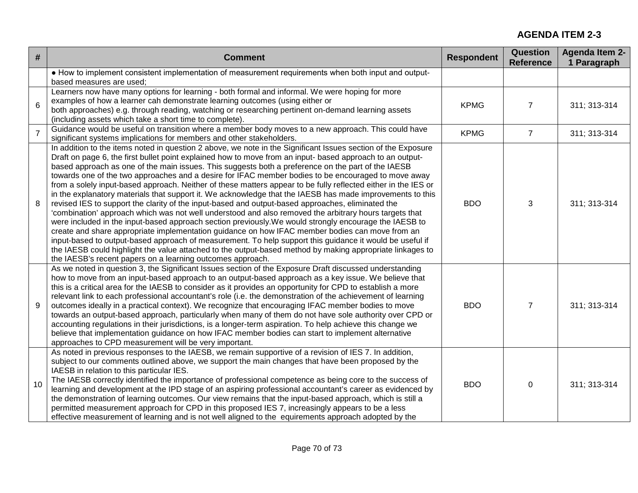| #              | <b>Comment</b>                                                                                                                                                                                                                                                                                                                                                                                                                                                                                                                                                                                                                                                                                                                                                                                                                                                                                                                                                                                                                                                                                                                                                                                                                                                                                                                                                                            | <b>Respondent</b> | <b>Question</b><br><b>Reference</b> | <b>Agenda Item 2-</b><br>1 Paragraph |
|----------------|-------------------------------------------------------------------------------------------------------------------------------------------------------------------------------------------------------------------------------------------------------------------------------------------------------------------------------------------------------------------------------------------------------------------------------------------------------------------------------------------------------------------------------------------------------------------------------------------------------------------------------------------------------------------------------------------------------------------------------------------------------------------------------------------------------------------------------------------------------------------------------------------------------------------------------------------------------------------------------------------------------------------------------------------------------------------------------------------------------------------------------------------------------------------------------------------------------------------------------------------------------------------------------------------------------------------------------------------------------------------------------------------|-------------------|-------------------------------------|--------------------------------------|
|                | • How to implement consistent implementation of measurement requirements when both input and output-<br>based measures are used;                                                                                                                                                                                                                                                                                                                                                                                                                                                                                                                                                                                                                                                                                                                                                                                                                                                                                                                                                                                                                                                                                                                                                                                                                                                          |                   |                                     |                                      |
| 6              | Learners now have many options for learning - both formal and informal. We were hoping for more<br>examples of how a learner cah demonstrate learning outcomes (using either or<br>both approaches) e.g. through reading, watching or researching pertinent on-demand learning assets<br>(including assets which take a short time to complete).                                                                                                                                                                                                                                                                                                                                                                                                                                                                                                                                                                                                                                                                                                                                                                                                                                                                                                                                                                                                                                          | <b>KPMG</b>       | $\overline{7}$                      | 311; 313-314                         |
| $\overline{7}$ | Guidance would be useful on transition where a member body moves to a new approach. This could have<br>significant systems implications for members and other stakeholders.                                                                                                                                                                                                                                                                                                                                                                                                                                                                                                                                                                                                                                                                                                                                                                                                                                                                                                                                                                                                                                                                                                                                                                                                               | <b>KPMG</b>       | $\overline{7}$                      | 311; 313-314                         |
| 8              | In addition to the items noted in question 2 above, we note in the Significant Issues section of the Exposure<br>Draft on page 6, the first bullet point explained how to move from an input- based approach to an output-<br>based approach as one of the main issues. This suggests both a preference on the part of the IAESB<br>towards one of the two approaches and a desire for IFAC member bodies to be encouraged to move away<br>from a solely input-based approach. Neither of these matters appear to be fully reflected either in the IES or<br>in the explanatory materials that support it. We acknowledge that the IAESB has made improvements to this<br>revised IES to support the clarity of the input-based and output-based approaches, eliminated the<br>'combination' approach which was not well understood and also removed the arbitrary hours targets that<br>were included in the input-based approach section previously. We would strongly encourage the IAESB to<br>create and share appropriate implementation guidance on how IFAC member bodies can move from an<br>input-based to output-based approach of measurement. To help support this guidance it would be useful if<br>the IAESB could highlight the value attached to the output-based method by making appropriate linkages to<br>the IAESB's recent papers on a learning outcomes approach. | <b>BDO</b>        | 3                                   | 311; 313-314                         |
| 9              | As we noted in question 3, the Significant Issues section of the Exposure Draft discussed understanding<br>how to move from an input-based approach to an output-based approach as a key issue. We believe that<br>this is a critical area for the IAESB to consider as it provides an opportunity for CPD to establish a more<br>relevant link to each professional accountant's role (i.e. the demonstration of the achievement of learning<br>outcomes ideally in a practical context). We recognize that encouraging IFAC member bodies to move<br>towards an output-based approach, particularly when many of them do not have sole authority over CPD or<br>accounting regulations in their jurisdictions, is a longer-term aspiration. To help achieve this change we<br>believe that implementation guidance on how IFAC member bodies can start to implement alternative<br>approaches to CPD measurement will be very important.                                                                                                                                                                                                                                                                                                                                                                                                                                                | <b>BDO</b>        | $\overline{7}$                      | 311; 313-314                         |
| 10             | As noted in previous responses to the IAESB, we remain supportive of a revision of IES 7. In addition,<br>subject to our comments outlined above, we support the main changes that have been proposed by the<br>IAESB in relation to this particular IES.<br>The IAESB correctly identified the importance of professional competence as being core to the success of<br>learning and development at the IPD stage of an aspiring professional accountant's career as evidenced by<br>the demonstration of learning outcomes. Our view remains that the input-based approach, which is still a<br>permitted measurement approach for CPD in this proposed IES 7, increasingly appears to be a less<br>effective measurement of learning and is not well aligned to the equirements approach adopted by the                                                                                                                                                                                                                                                                                                                                                                                                                                                                                                                                                                                | <b>BDO</b>        | $\mathbf 0$                         | 311; 313-314                         |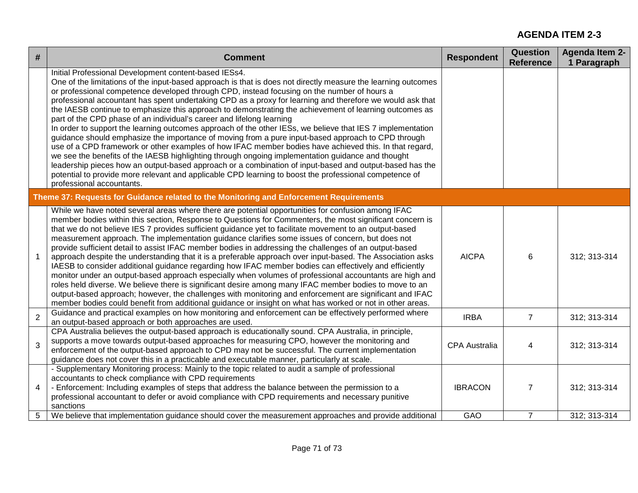| #              | <b>Comment</b>                                                                                                                                                                                                                                                                                                                                                                                                                                                                                                                                                                                                                                                                                                                                                                                                                                                                                                                                                                                                                                                                                                                                                                                                                                             | <b>Respondent</b>    | <b>Question</b><br><b>Reference</b> | <b>Agenda Item 2-</b><br>1 Paragraph |
|----------------|------------------------------------------------------------------------------------------------------------------------------------------------------------------------------------------------------------------------------------------------------------------------------------------------------------------------------------------------------------------------------------------------------------------------------------------------------------------------------------------------------------------------------------------------------------------------------------------------------------------------------------------------------------------------------------------------------------------------------------------------------------------------------------------------------------------------------------------------------------------------------------------------------------------------------------------------------------------------------------------------------------------------------------------------------------------------------------------------------------------------------------------------------------------------------------------------------------------------------------------------------------|----------------------|-------------------------------------|--------------------------------------|
|                | Initial Professional Development content-based IESs4.<br>One of the limitations of the input-based approach is that is does not directly measure the learning outcomes<br>or professional competence developed through CPD, instead focusing on the number of hours a<br>professional accountant has spent undertaking CPD as a proxy for learning and therefore we would ask that<br>the IAESB continue to emphasize this approach to demonstrating the achievement of learning outcomes as<br>part of the CPD phase of an individual's career and lifelong learning<br>In order to support the learning outcomes approach of the other IESs, we believe that IES 7 implementation<br>guidance should emphasize the importance of moving from a pure input-based approach to CPD through<br>use of a CPD framework or other examples of how IFAC member bodies have achieved this. In that regard,<br>we see the benefits of the IAESB highlighting through ongoing implementation guidance and thought<br>leadership pieces how an output-based approach or a combination of input-based and output-based has the<br>potential to provide more relevant and applicable CPD learning to boost the professional competence of<br>professional accountants. |                      |                                     |                                      |
|                | Theme 37: Requests for Guidance related to the Monitoring and Enforcement Requirements                                                                                                                                                                                                                                                                                                                                                                                                                                                                                                                                                                                                                                                                                                                                                                                                                                                                                                                                                                                                                                                                                                                                                                     |                      |                                     |                                      |
|                | While we have noted several areas where there are potential opportunities for confusion among IFAC<br>member bodies within this section, Response to Questions for Commenters, the most significant concern is<br>that we do not believe IES 7 provides sufficient guidance yet to facilitate movement to an output-based<br>measurement approach. The implementation guidance clarifies some issues of concern, but does not<br>provide sufficient detail to assist IFAC member bodies in addressing the challenges of an output-based<br>approach despite the understanding that it is a preferable approach over input-based. The Association asks<br>IAESB to consider additional guidance regarding how IFAC member bodies can effectively and efficiently<br>monitor under an output-based approach especially when volumes of professional accountants are high and<br>roles held diverse. We believe there is significant desire among many IFAC member bodies to move to an<br>output-based approach; however, the challenges with monitoring and enforcement are significant and IFAC<br>member bodies could benefit from additional guidance or insight on what has worked or not in other areas.                                               | <b>AICPA</b>         | 6                                   | 312; 313-314                         |
| $\overline{2}$ | Guidance and practical examples on how monitoring and enforcement can be effectively performed where<br>an output-based approach or both approaches are used.                                                                                                                                                                                                                                                                                                                                                                                                                                                                                                                                                                                                                                                                                                                                                                                                                                                                                                                                                                                                                                                                                              | <b>IRBA</b>          | $\overline{7}$                      | 312; 313-314                         |
| 3              | CPA Australia believes the output-based approach is educationally sound. CPA Australia, in principle,<br>supports a move towards output-based approaches for measuring CPO, however the monitoring and<br>enforcement of the output-based approach to CPD may not be successful. The current implementation<br>guidance does not cover this in a practicable and executable manner, particularly at scale.                                                                                                                                                                                                                                                                                                                                                                                                                                                                                                                                                                                                                                                                                                                                                                                                                                                 | <b>CPA Australia</b> | 4                                   | 312; 313-314                         |
| 4              | - Supplementary Monitoring process: Mainly to the topic related to audit a sample of professional<br>accountants to check compliance with CPD requirements<br>- Enforcement: Including examples of steps that address the balance between the permission to a<br>professional accountant to defer or avoid compliance with CPD requirements and necessary punitive<br>sanctions                                                                                                                                                                                                                                                                                                                                                                                                                                                                                                                                                                                                                                                                                                                                                                                                                                                                            | <b>IBRACON</b>       | $\overline{7}$                      | 312; 313-314                         |
| 5              | We believe that implementation guidance should cover the measurement approaches and provide additional                                                                                                                                                                                                                                                                                                                                                                                                                                                                                                                                                                                                                                                                                                                                                                                                                                                                                                                                                                                                                                                                                                                                                     | GAO                  | $\overline{7}$                      | 312; 313-314                         |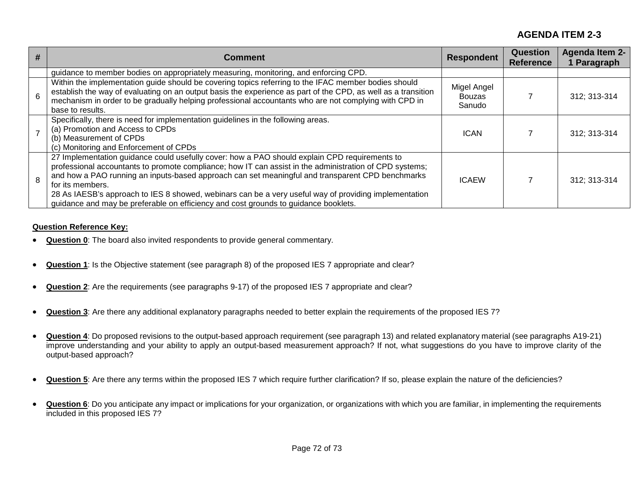| # | <b>Comment</b>                                                                                                                                                                                                                                                                                                                                                                                                                                                                                                                   | <b>Respondent</b>                      | <b>Question</b><br><b>Reference</b> | <b>Agenda Item 2-</b><br>1 Paragraph |
|---|----------------------------------------------------------------------------------------------------------------------------------------------------------------------------------------------------------------------------------------------------------------------------------------------------------------------------------------------------------------------------------------------------------------------------------------------------------------------------------------------------------------------------------|----------------------------------------|-------------------------------------|--------------------------------------|
|   | guidance to member bodies on appropriately measuring, monitoring, and enforcing CPD.                                                                                                                                                                                                                                                                                                                                                                                                                                             |                                        |                                     |                                      |
| 6 | Within the implementation guide should be covering topics referring to the IFAC member bodies should<br>establish the way of evaluating on an output basis the experience as part of the CPD, as well as a transition<br>mechanism in order to be gradually helping professional accountants who are not complying with CPD in<br>base to results.                                                                                                                                                                               | Migel Angel<br><b>Bouzas</b><br>Sanudo |                                     | 312; 313-314                         |
|   | Specifically, there is need for implementation guidelines in the following areas.<br>(a) Promotion and Access to CPDs<br>(b) Measurement of CPDs<br>(c) Monitoring and Enforcement of CPDs                                                                                                                                                                                                                                                                                                                                       | <b>ICAN</b>                            |                                     | 312; 313-314                         |
| 8 | 27 Implementation guidance could usefully cover: how a PAO should explain CPD requirements to<br>professional accountants to promote compliance; how IT can assist in the administration of CPD systems;<br>and how a PAO running an inputs-based approach can set meaningful and transparent CPD benchmarks<br>for its members.<br>28 As IAESB's approach to IES 8 showed, webinars can be a very useful way of providing implementation<br>guidance and may be preferable on efficiency and cost grounds to guidance booklets. | <b>ICAEW</b>                           |                                     | 312; 313-314                         |

#### **Question Reference Key:**

- **Question 0**: The board also invited respondents to provide general commentary.
- **Question 1**: Is the Objective statement (see paragraph 8) of the proposed IES 7 appropriate and clear?
- **Question 2**: Are the requirements (see paragraphs 9-17) of the proposed IES 7 appropriate and clear?
- **Question 3**: Are there any additional explanatory paragraphs needed to better explain the requirements of the proposed IES 7?
- **Question 4**: Do proposed revisions to the output-based approach requirement (see paragraph 13) and related explanatory material (see paragraphs A19-21) improve understanding and your ability to apply an output-based measurement approach? If not, what suggestions do you have to improve clarity of the output-based approach?
- **Question 5**: Are there any terms within the proposed IES 7 which require further clarification? If so, please explain the nature of the deficiencies?
- **Question 6**: Do you anticipate any impact or implications for your organization, or organizations with which you are familiar, in implementing the requirements included in this proposed IES 7?